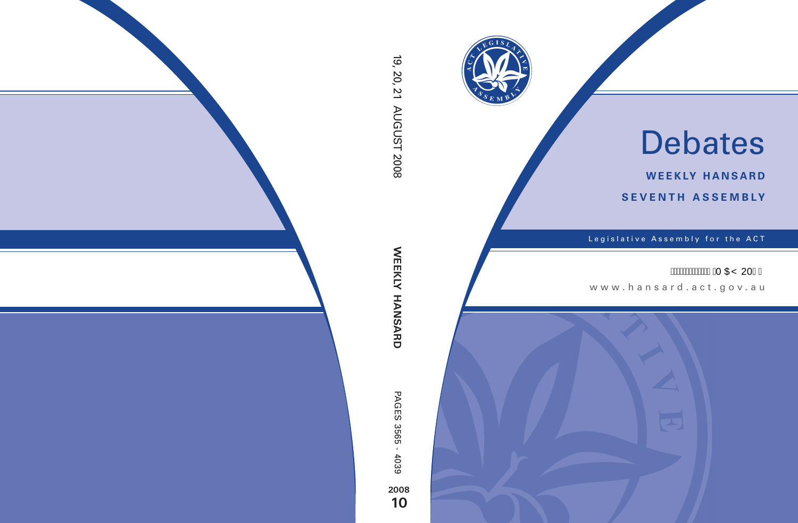

# Debates

**weekly hansard seventh asseMBly**

Legislative Assembly for the ACT

# 0\$< 20

www .hansard.act.go v.au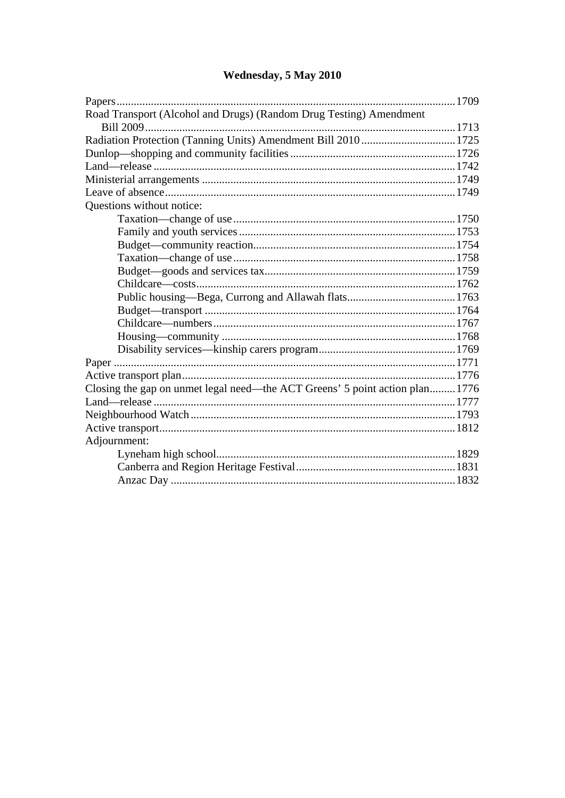| Road Transport (Alcohol and Drugs) (Random Drug Testing) Amendment           |  |
|------------------------------------------------------------------------------|--|
|                                                                              |  |
|                                                                              |  |
|                                                                              |  |
|                                                                              |  |
|                                                                              |  |
|                                                                              |  |
| Questions without notice:                                                    |  |
|                                                                              |  |
|                                                                              |  |
|                                                                              |  |
|                                                                              |  |
|                                                                              |  |
|                                                                              |  |
|                                                                              |  |
|                                                                              |  |
|                                                                              |  |
|                                                                              |  |
|                                                                              |  |
|                                                                              |  |
|                                                                              |  |
| Closing the gap on unmet legal need—the ACT Greens' 5 point action plan 1776 |  |
|                                                                              |  |
|                                                                              |  |
|                                                                              |  |
| Adjournment:                                                                 |  |
|                                                                              |  |
|                                                                              |  |
|                                                                              |  |

# Wednesday, 5 May 2010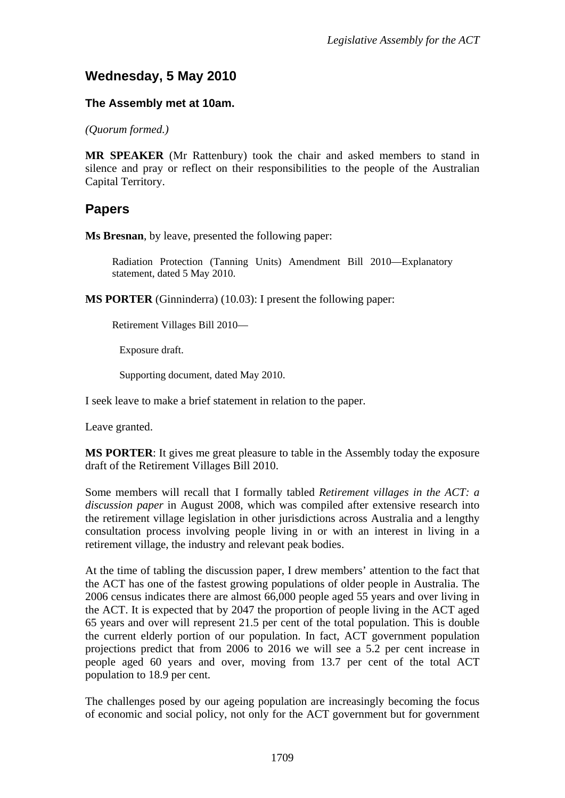# <span id="page-2-0"></span>**Wednesday, 5 May 2010**

#### **The Assembly met at 10am.**

*(Quorum formed.)*

**MR SPEAKER** (Mr Rattenbury) took the chair and asked members to stand in silence and pray or reflect on their responsibilities to the people of the Australian Capital Territory.

### <span id="page-2-1"></span>**Papers**

**Ms Bresnan**, by leave, presented the following paper:

Radiation Protection (Tanning Units) Amendment Bill 2010—Explanatory statement, dated 5 May 2010.

**MS PORTER** (Ginninderra) (10.03): I present the following paper:

Retirement Villages Bill 2010—

Exposure draft.

Supporting document, dated May 2010.

I seek leave to make a brief statement in relation to the paper.

Leave granted.

**MS PORTER**: It gives me great pleasure to table in the Assembly today the exposure draft of the Retirement Villages Bill 2010.

Some members will recall that I formally tabled *Retirement villages in the ACT: a discussion paper* in August 2008, which was compiled after extensive research into the retirement village legislation in other jurisdictions across Australia and a lengthy consultation process involving people living in or with an interest in living in a retirement village, the industry and relevant peak bodies.

At the time of tabling the discussion paper, I drew members' attention to the fact that the ACT has one of the fastest growing populations of older people in Australia. The 2006 census indicates there are almost 66,000 people aged 55 years and over living in the ACT. It is expected that by 2047 the proportion of people living in the ACT aged 65 years and over will represent 21.5 per cent of the total population. This is double the current elderly portion of our population. In fact, ACT government population projections predict that from 2006 to 2016 we will see a 5.2 per cent increase in people aged 60 years and over, moving from 13.7 per cent of the total ACT population to 18.9 per cent.

The challenges posed by our ageing population are increasingly becoming the focus of economic and social policy, not only for the ACT government but for government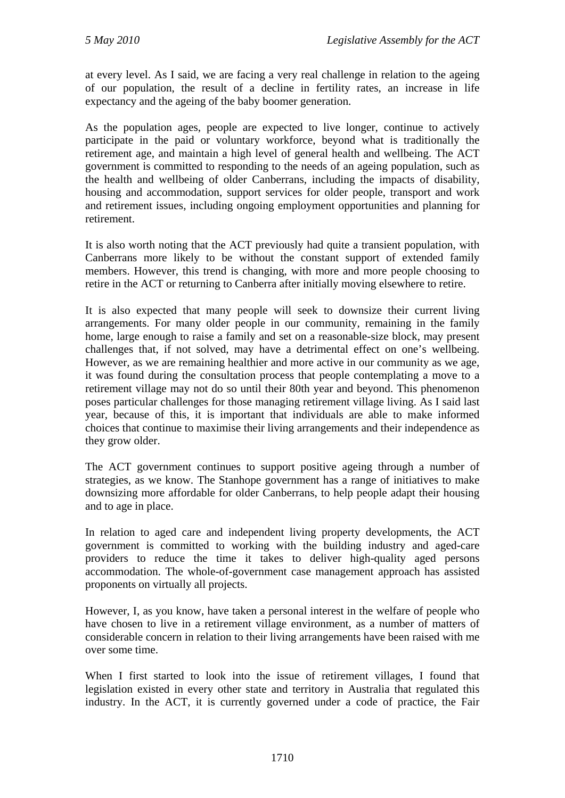at every level. As I said, we are facing a very real challenge in relation to the ageing of our population, the result of a decline in fertility rates, an increase in life expectancy and the ageing of the baby boomer generation.

As the population ages, people are expected to live longer, continue to actively participate in the paid or voluntary workforce, beyond what is traditionally the retirement age, and maintain a high level of general health and wellbeing. The ACT government is committed to responding to the needs of an ageing population, such as the health and wellbeing of older Canberrans, including the impacts of disability, housing and accommodation, support services for older people, transport and work and retirement issues, including ongoing employment opportunities and planning for retirement.

It is also worth noting that the ACT previously had quite a transient population, with Canberrans more likely to be without the constant support of extended family members. However, this trend is changing, with more and more people choosing to retire in the ACT or returning to Canberra after initially moving elsewhere to retire.

It is also expected that many people will seek to downsize their current living arrangements. For many older people in our community, remaining in the family home, large enough to raise a family and set on a reasonable-size block, may present challenges that, if not solved, may have a detrimental effect on one's wellbeing. However, as we are remaining healthier and more active in our community as we age, it was found during the consultation process that people contemplating a move to a retirement village may not do so until their 80th year and beyond. This phenomenon poses particular challenges for those managing retirement village living. As I said last year, because of this, it is important that individuals are able to make informed choices that continue to maximise their living arrangements and their independence as they grow older.

The ACT government continues to support positive ageing through a number of strategies, as we know. The Stanhope government has a range of initiatives to make downsizing more affordable for older Canberrans, to help people adapt their housing and to age in place.

In relation to aged care and independent living property developments, the ACT government is committed to working with the building industry and aged-care providers to reduce the time it takes to deliver high-quality aged persons accommodation. The whole-of-government case management approach has assisted proponents on virtually all projects.

However, I, as you know, have taken a personal interest in the welfare of people who have chosen to live in a retirement village environment, as a number of matters of considerable concern in relation to their living arrangements have been raised with me over some time.

When I first started to look into the issue of retirement villages, I found that legislation existed in every other state and territory in Australia that regulated this industry. In the ACT, it is currently governed under a code of practice, the Fair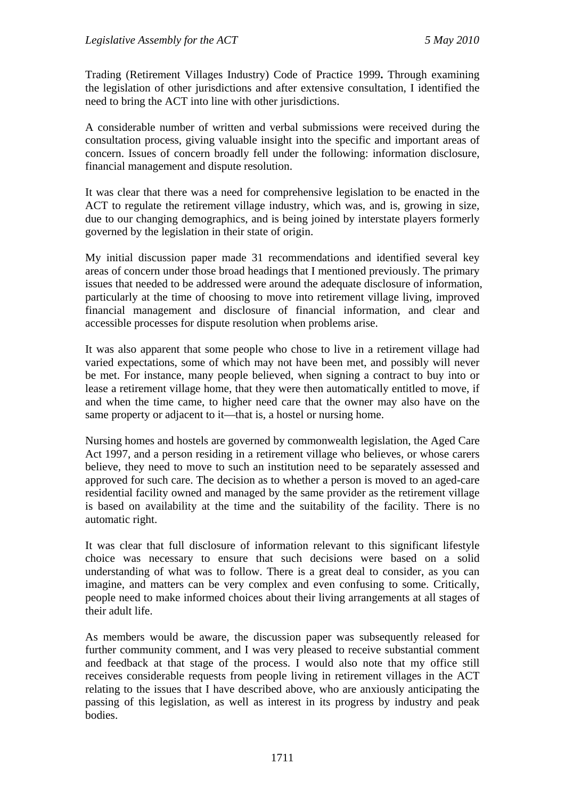Trading (Retirement Villages Industry) Code of Practice 1999**.** Through examining the legislation of other jurisdictions and after extensive consultation, I identified the need to bring the ACT into line with other jurisdictions.

A considerable number of written and verbal submissions were received during the consultation process, giving valuable insight into the specific and important areas of concern. Issues of concern broadly fell under the following: information disclosure, financial management and dispute resolution.

It was clear that there was a need for comprehensive legislation to be enacted in the ACT to regulate the retirement village industry, which was, and is, growing in size, due to our changing demographics, and is being joined by interstate players formerly governed by the legislation in their state of origin.

My initial discussion paper made 31 recommendations and identified several key areas of concern under those broad headings that I mentioned previously. The primary issues that needed to be addressed were around the adequate disclosure of information, particularly at the time of choosing to move into retirement village living, improved financial management and disclosure of financial information, and clear and accessible processes for dispute resolution when problems arise.

It was also apparent that some people who chose to live in a retirement village had varied expectations, some of which may not have been met, and possibly will never be met. For instance, many people believed, when signing a contract to buy into or lease a retirement village home, that they were then automatically entitled to move, if and when the time came, to higher need care that the owner may also have on the same property or adjacent to it—that is, a hostel or nursing home.

Nursing homes and hostels are governed by commonwealth legislation, the Aged Care Act 1997, and a person residing in a retirement village who believes, or whose carers believe, they need to move to such an institution need to be separately assessed and approved for such care. The decision as to whether a person is moved to an aged-care residential facility owned and managed by the same provider as the retirement village is based on availability at the time and the suitability of the facility. There is no automatic right.

It was clear that full disclosure of information relevant to this significant lifestyle choice was necessary to ensure that such decisions were based on a solid understanding of what was to follow. There is a great deal to consider, as you can imagine, and matters can be very complex and even confusing to some. Critically, people need to make informed choices about their living arrangements at all stages of their adult life.

As members would be aware, the discussion paper was subsequently released for further community comment, and I was very pleased to receive substantial comment and feedback at that stage of the process. I would also note that my office still receives considerable requests from people living in retirement villages in the ACT relating to the issues that I have described above, who are anxiously anticipating the passing of this legislation, as well as interest in its progress by industry and peak bodies.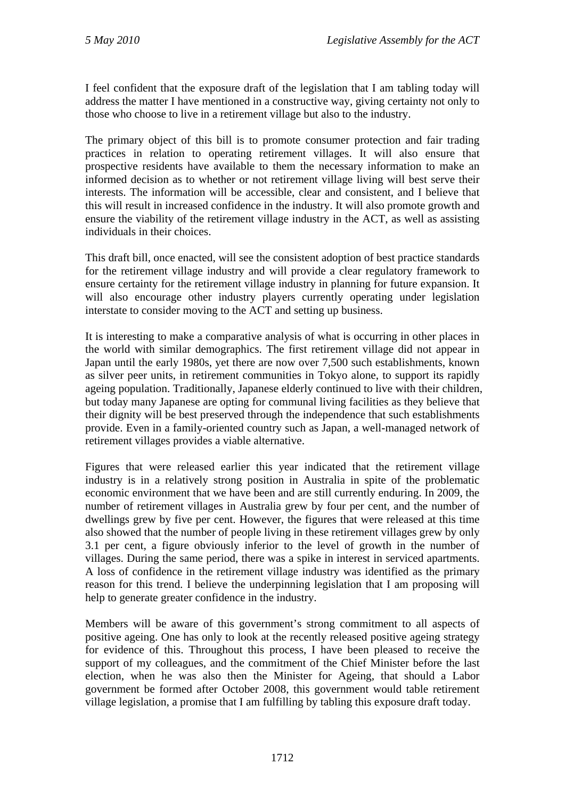I feel confident that the exposure draft of the legislation that I am tabling today will address the matter I have mentioned in a constructive way, giving certainty not only to those who choose to live in a retirement village but also to the industry.

The primary object of this bill is to promote consumer protection and fair trading practices in relation to operating retirement villages. It will also ensure that prospective residents have available to them the necessary information to make an informed decision as to whether or not retirement village living will best serve their interests. The information will be accessible, clear and consistent, and I believe that this will result in increased confidence in the industry. It will also promote growth and ensure the viability of the retirement village industry in the ACT, as well as assisting individuals in their choices.

This draft bill, once enacted, will see the consistent adoption of best practice standards for the retirement village industry and will provide a clear regulatory framework to ensure certainty for the retirement village industry in planning for future expansion. It will also encourage other industry players currently operating under legislation interstate to consider moving to the ACT and setting up business.

It is interesting to make a comparative analysis of what is occurring in other places in the world with similar demographics. The first retirement village did not appear in Japan until the early 1980s, yet there are now over 7,500 such establishments, known as silver peer units, in retirement communities in Tokyo alone, to support its rapidly ageing population. Traditionally, Japanese elderly continued to live with their children, but today many Japanese are opting for communal living facilities as they believe that their dignity will be best preserved through the independence that such establishments provide. Even in a family-oriented country such as Japan, a well-managed network of retirement villages provides a viable alternative.

Figures that were released earlier this year indicated that the retirement village industry is in a relatively strong position in Australia in spite of the problematic economic environment that we have been and are still currently enduring. In 2009, the number of retirement villages in Australia grew by four per cent, and the number of dwellings grew by five per cent. However, the figures that were released at this time also showed that the number of people living in these retirement villages grew by only 3.1 per cent, a figure obviously inferior to the level of growth in the number of villages. During the same period, there was a spike in interest in serviced apartments. A loss of confidence in the retirement village industry was identified as the primary reason for this trend. I believe the underpinning legislation that I am proposing will help to generate greater confidence in the industry.

Members will be aware of this government's strong commitment to all aspects of positive ageing. One has only to look at the recently released positive ageing strategy for evidence of this. Throughout this process, I have been pleased to receive the support of my colleagues, and the commitment of the Chief Minister before the last election, when he was also then the Minister for Ageing, that should a Labor government be formed after October 2008, this government would table retirement village legislation, a promise that I am fulfilling by tabling this exposure draft today.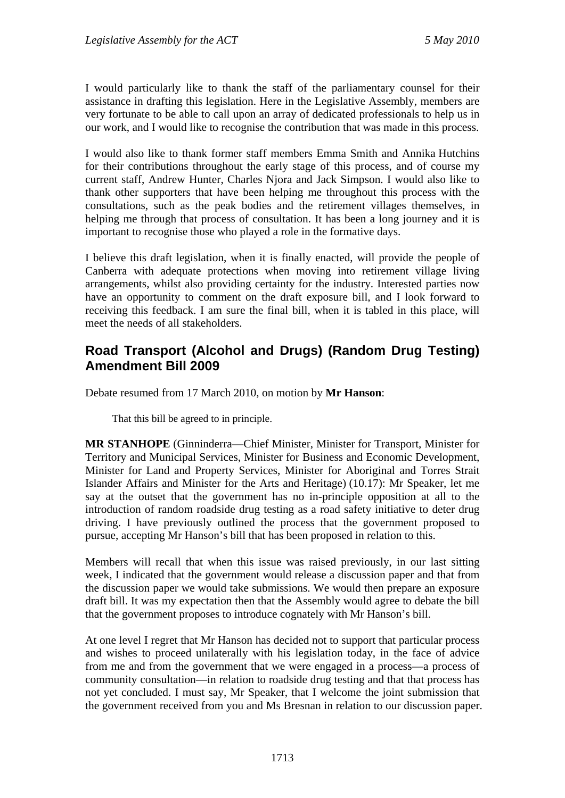I would particularly like to thank the staff of the parliamentary counsel for their assistance in drafting this legislation. Here in the Legislative Assembly, members are very fortunate to be able to call upon an array of dedicated professionals to help us in our work, and I would like to recognise the contribution that was made in this process.

I would also like to thank former staff members Emma Smith and Annika Hutchins for their contributions throughout the early stage of this process, and of course my current staff, Andrew Hunter, Charles Njora and Jack Simpson. I would also like to thank other supporters that have been helping me throughout this process with the consultations, such as the peak bodies and the retirement villages themselves, in helping me through that process of consultation. It has been a long journey and it is important to recognise those who played a role in the formative days.

I believe this draft legislation, when it is finally enacted, will provide the people of Canberra with adequate protections when moving into retirement village living arrangements, whilst also providing certainty for the industry. Interested parties now have an opportunity to comment on the draft exposure bill, and I look forward to receiving this feedback. I am sure the final bill, when it is tabled in this place, will meet the needs of all stakeholders.

## <span id="page-6-0"></span>**Road Transport (Alcohol and Drugs) (Random Drug Testing) Amendment Bill 2009**

Debate resumed from 17 March 2010, on motion by **Mr Hanson**:

That this bill be agreed to in principle.

**MR STANHOPE** (Ginninderra—Chief Minister, Minister for Transport, Minister for Territory and Municipal Services, Minister for Business and Economic Development, Minister for Land and Property Services, Minister for Aboriginal and Torres Strait Islander Affairs and Minister for the Arts and Heritage) (10.17): Mr Speaker, let me say at the outset that the government has no in-principle opposition at all to the introduction of random roadside drug testing as a road safety initiative to deter drug driving. I have previously outlined the process that the government proposed to pursue, accepting Mr Hanson's bill that has been proposed in relation to this.

Members will recall that when this issue was raised previously, in our last sitting week, I indicated that the government would release a discussion paper and that from the discussion paper we would take submissions. We would then prepare an exposure draft bill. It was my expectation then that the Assembly would agree to debate the bill that the government proposes to introduce cognately with Mr Hanson's bill.

At one level I regret that Mr Hanson has decided not to support that particular process and wishes to proceed unilaterally with his legislation today, in the face of advice from me and from the government that we were engaged in a process—a process of community consultation—in relation to roadside drug testing and that that process has not yet concluded. I must say, Mr Speaker, that I welcome the joint submission that the government received from you and Ms Bresnan in relation to our discussion paper.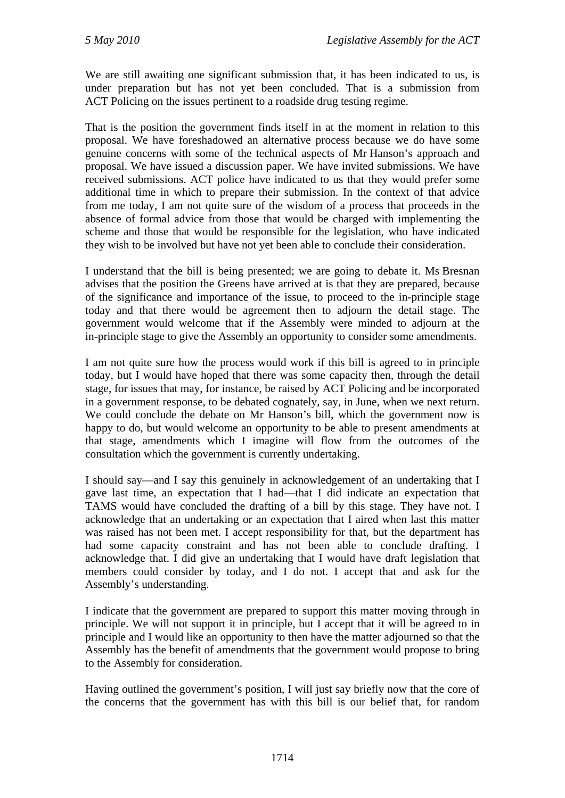We are still awaiting one significant submission that, it has been indicated to us, is under preparation but has not yet been concluded. That is a submission from ACT Policing on the issues pertinent to a roadside drug testing regime.

That is the position the government finds itself in at the moment in relation to this proposal. We have foreshadowed an alternative process because we do have some genuine concerns with some of the technical aspects of Mr Hanson's approach and proposal. We have issued a discussion paper. We have invited submissions. We have received submissions. ACT police have indicated to us that they would prefer some additional time in which to prepare their submission. In the context of that advice from me today, I am not quite sure of the wisdom of a process that proceeds in the absence of formal advice from those that would be charged with implementing the scheme and those that would be responsible for the legislation, who have indicated they wish to be involved but have not yet been able to conclude their consideration.

I understand that the bill is being presented; we are going to debate it. Ms Bresnan advises that the position the Greens have arrived at is that they are prepared, because of the significance and importance of the issue, to proceed to the in-principle stage today and that there would be agreement then to adjourn the detail stage. The government would welcome that if the Assembly were minded to adjourn at the in-principle stage to give the Assembly an opportunity to consider some amendments.

I am not quite sure how the process would work if this bill is agreed to in principle today, but I would have hoped that there was some capacity then, through the detail stage, for issues that may, for instance, be raised by ACT Policing and be incorporated in a government response, to be debated cognately, say, in June, when we next return. We could conclude the debate on Mr Hanson's bill, which the government now is happy to do, but would welcome an opportunity to be able to present amendments at that stage, amendments which I imagine will flow from the outcomes of the consultation which the government is currently undertaking.

I should say—and I say this genuinely in acknowledgement of an undertaking that I gave last time, an expectation that I had—that I did indicate an expectation that TAMS would have concluded the drafting of a bill by this stage. They have not. I acknowledge that an undertaking or an expectation that I aired when last this matter was raised has not been met. I accept responsibility for that, but the department has had some capacity constraint and has not been able to conclude drafting. I acknowledge that. I did give an undertaking that I would have draft legislation that members could consider by today, and I do not. I accept that and ask for the Assembly's understanding.

I indicate that the government are prepared to support this matter moving through in principle. We will not support it in principle, but I accept that it will be agreed to in principle and I would like an opportunity to then have the matter adjourned so that the Assembly has the benefit of amendments that the government would propose to bring to the Assembly for consideration.

Having outlined the government's position, I will just say briefly now that the core of the concerns that the government has with this bill is our belief that, for random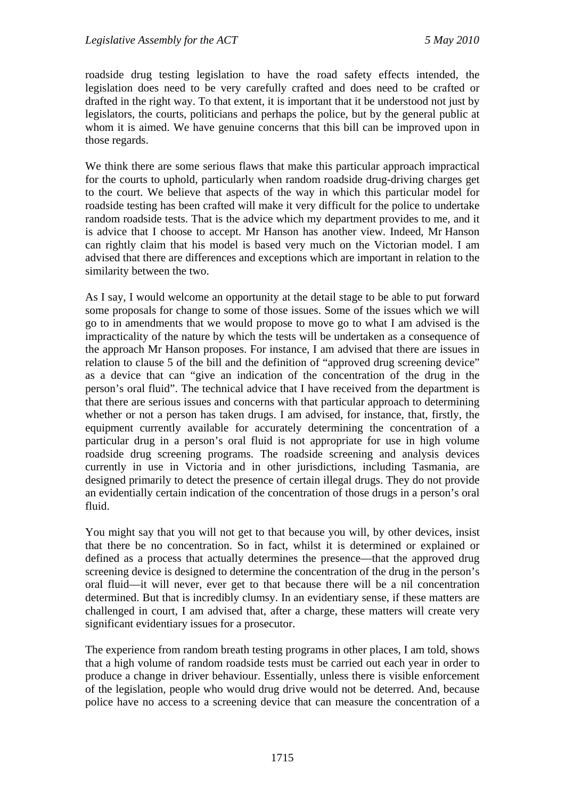roadside drug testing legislation to have the road safety effects intended, the legislation does need to be very carefully crafted and does need to be crafted or drafted in the right way. To that extent, it is important that it be understood not just by legislators, the courts, politicians and perhaps the police, but by the general public at whom it is aimed. We have genuine concerns that this bill can be improved upon in those regards.

We think there are some serious flaws that make this particular approach impractical for the courts to uphold, particularly when random roadside drug-driving charges get to the court. We believe that aspects of the way in which this particular model for roadside testing has been crafted will make it very difficult for the police to undertake random roadside tests. That is the advice which my department provides to me, and it is advice that I choose to accept. Mr Hanson has another view. Indeed, Mr Hanson can rightly claim that his model is based very much on the Victorian model. I am advised that there are differences and exceptions which are important in relation to the similarity between the two.

As I say, I would welcome an opportunity at the detail stage to be able to put forward some proposals for change to some of those issues. Some of the issues which we will go to in amendments that we would propose to move go to what I am advised is the impracticality of the nature by which the tests will be undertaken as a consequence of the approach Mr Hanson proposes. For instance, I am advised that there are issues in relation to clause 5 of the bill and the definition of "approved drug screening device" as a device that can "give an indication of the concentration of the drug in the person's oral fluid". The technical advice that I have received from the department is that there are serious issues and concerns with that particular approach to determining whether or not a person has taken drugs. I am advised, for instance, that, firstly, the equipment currently available for accurately determining the concentration of a particular drug in a person's oral fluid is not appropriate for use in high volume roadside drug screening programs. The roadside screening and analysis devices currently in use in Victoria and in other jurisdictions, including Tasmania, are designed primarily to detect the presence of certain illegal drugs. They do not provide an evidentially certain indication of the concentration of those drugs in a person's oral fluid.

You might say that you will not get to that because you will, by other devices, insist that there be no concentration. So in fact, whilst it is determined or explained or defined as a process that actually determines the presence—that the approved drug screening device is designed to determine the concentration of the drug in the person's oral fluid—it will never, ever get to that because there will be a nil concentration determined. But that is incredibly clumsy. In an evidentiary sense, if these matters are challenged in court, I am advised that, after a charge, these matters will create very significant evidentiary issues for a prosecutor.

The experience from random breath testing programs in other places, I am told, shows that a high volume of random roadside tests must be carried out each year in order to produce a change in driver behaviour. Essentially, unless there is visible enforcement of the legislation, people who would drug drive would not be deterred. And, because police have no access to a screening device that can measure the concentration of a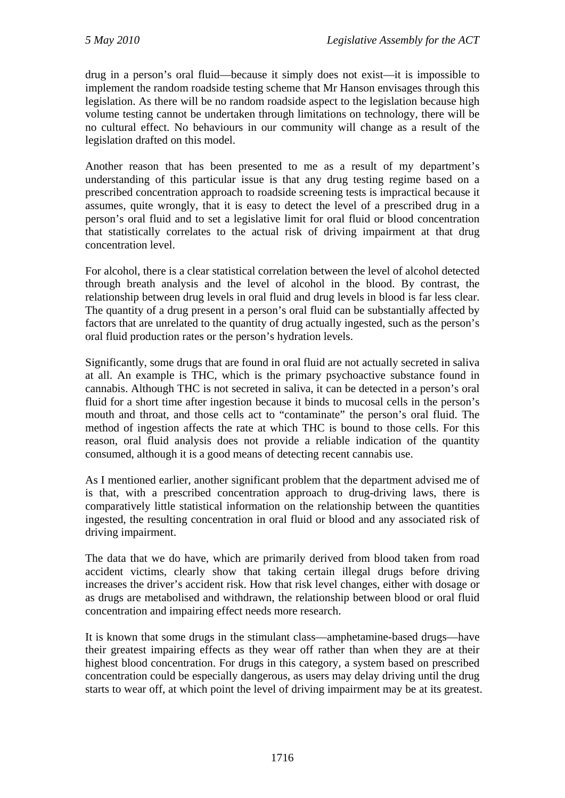drug in a person's oral fluid—because it simply does not exist—it is impossible to implement the random roadside testing scheme that Mr Hanson envisages through this legislation. As there will be no random roadside aspect to the legislation because high volume testing cannot be undertaken through limitations on technology, there will be no cultural effect. No behaviours in our community will change as a result of the legislation drafted on this model.

Another reason that has been presented to me as a result of my department's understanding of this particular issue is that any drug testing regime based on a prescribed concentration approach to roadside screening tests is impractical because it assumes, quite wrongly, that it is easy to detect the level of a prescribed drug in a person's oral fluid and to set a legislative limit for oral fluid or blood concentration that statistically correlates to the actual risk of driving impairment at that drug concentration level.

For alcohol, there is a clear statistical correlation between the level of alcohol detected through breath analysis and the level of alcohol in the blood. By contrast, the relationship between drug levels in oral fluid and drug levels in blood is far less clear. The quantity of a drug present in a person's oral fluid can be substantially affected by factors that are unrelated to the quantity of drug actually ingested, such as the person's oral fluid production rates or the person's hydration levels.

Significantly, some drugs that are found in oral fluid are not actually secreted in saliva at all. An example is THC, which is the primary psychoactive substance found in cannabis. Although THC is not secreted in saliva, it can be detected in a person's oral fluid for a short time after ingestion because it binds to mucosal cells in the person's mouth and throat, and those cells act to "contaminate" the person's oral fluid. The method of ingestion affects the rate at which THC is bound to those cells. For this reason, oral fluid analysis does not provide a reliable indication of the quantity consumed, although it is a good means of detecting recent cannabis use.

As I mentioned earlier, another significant problem that the department advised me of is that, with a prescribed concentration approach to drug-driving laws, there is comparatively little statistical information on the relationship between the quantities ingested, the resulting concentration in oral fluid or blood and any associated risk of driving impairment.

The data that we do have, which are primarily derived from blood taken from road accident victims, clearly show that taking certain illegal drugs before driving increases the driver's accident risk. How that risk level changes, either with dosage or as drugs are metabolised and withdrawn, the relationship between blood or oral fluid concentration and impairing effect needs more research.

It is known that some drugs in the stimulant class—amphetamine-based drugs—have their greatest impairing effects as they wear off rather than when they are at their highest blood concentration. For drugs in this category, a system based on prescribed concentration could be especially dangerous, as users may delay driving until the drug starts to wear off, at which point the level of driving impairment may be at its greatest.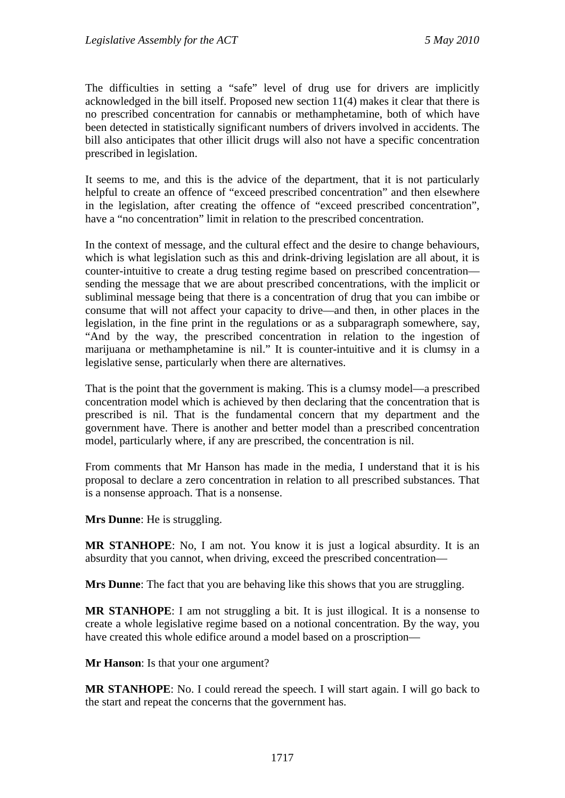The difficulties in setting a "safe" level of drug use for drivers are implicitly acknowledged in the bill itself. Proposed new section 11(4) makes it clear that there is no prescribed concentration for cannabis or methamphetamine, both of which have been detected in statistically significant numbers of drivers involved in accidents. The bill also anticipates that other illicit drugs will also not have a specific concentration prescribed in legislation.

It seems to me, and this is the advice of the department, that it is not particularly helpful to create an offence of "exceed prescribed concentration" and then elsewhere in the legislation, after creating the offence of "exceed prescribed concentration", have a "no concentration" limit in relation to the prescribed concentration.

In the context of message, and the cultural effect and the desire to change behaviours, which is what legislation such as this and drink-driving legislation are all about, it is counter-intuitive to create a drug testing regime based on prescribed concentration sending the message that we are about prescribed concentrations, with the implicit or subliminal message being that there is a concentration of drug that you can imbibe or consume that will not affect your capacity to drive—and then, in other places in the legislation, in the fine print in the regulations or as a subparagraph somewhere, say, "And by the way, the prescribed concentration in relation to the ingestion of marijuana or methamphetamine is nil." It is counter-intuitive and it is clumsy in a legislative sense, particularly when there are alternatives.

That is the point that the government is making. This is a clumsy model—a prescribed concentration model which is achieved by then declaring that the concentration that is prescribed is nil. That is the fundamental concern that my department and the government have. There is another and better model than a prescribed concentration model, particularly where, if any are prescribed, the concentration is nil.

From comments that Mr Hanson has made in the media, I understand that it is his proposal to declare a zero concentration in relation to all prescribed substances. That is a nonsense approach. That is a nonsense.

**Mrs Dunne**: He is struggling.

**MR STANHOPE**: No, I am not. You know it is just a logical absurdity. It is an absurdity that you cannot, when driving, exceed the prescribed concentration—

**Mrs Dunne**: The fact that you are behaving like this shows that you are struggling.

**MR STANHOPE**: I am not struggling a bit. It is just illogical. It is a nonsense to create a whole legislative regime based on a notional concentration. By the way, you have created this whole edifice around a model based on a proscription—

**Mr Hanson**: Is that your one argument?

**MR STANHOPE**: No. I could reread the speech. I will start again. I will go back to the start and repeat the concerns that the government has.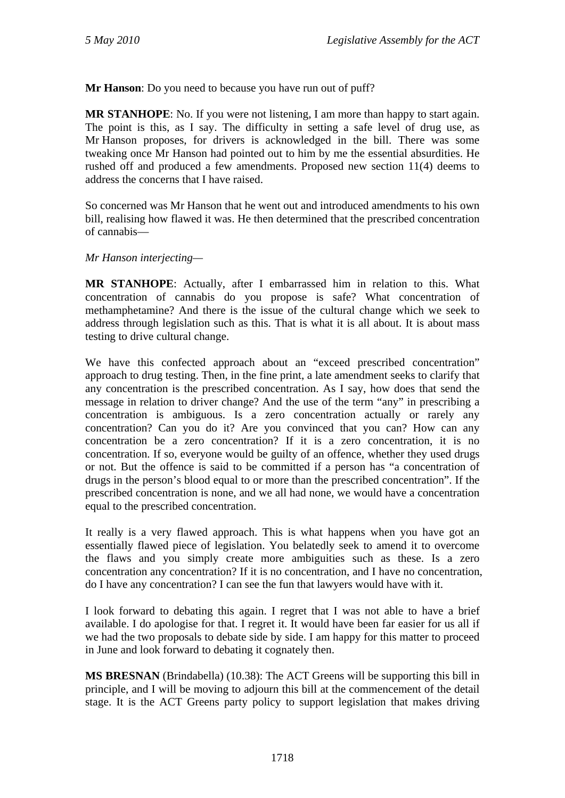**Mr Hanson**: Do you need to because you have run out of puff?

**MR STANHOPE**: No. If you were not listening, I am more than happy to start again. The point is this, as I say. The difficulty in setting a safe level of drug use, as Mr Hanson proposes, for drivers is acknowledged in the bill. There was some tweaking once Mr Hanson had pointed out to him by me the essential absurdities. He rushed off and produced a few amendments. Proposed new section 11(4) deems to address the concerns that I have raised.

So concerned was Mr Hanson that he went out and introduced amendments to his own bill, realising how flawed it was. He then determined that the prescribed concentration of cannabis—

#### *Mr Hanson interjecting—*

**MR STANHOPE**: Actually, after I embarrassed him in relation to this. What concentration of cannabis do you propose is safe? What concentration of methamphetamine? And there is the issue of the cultural change which we seek to address through legislation such as this. That is what it is all about. It is about mass testing to drive cultural change.

We have this confected approach about an "exceed prescribed concentration" approach to drug testing. Then, in the fine print, a late amendment seeks to clarify that any concentration is the prescribed concentration. As I say, how does that send the message in relation to driver change? And the use of the term "any" in prescribing a concentration is ambiguous. Is a zero concentration actually or rarely any concentration? Can you do it? Are you convinced that you can? How can any concentration be a zero concentration? If it is a zero concentration, it is no concentration. If so, everyone would be guilty of an offence, whether they used drugs or not. But the offence is said to be committed if a person has "a concentration of drugs in the person's blood equal to or more than the prescribed concentration". If the prescribed concentration is none, and we all had none, we would have a concentration equal to the prescribed concentration.

It really is a very flawed approach. This is what happens when you have got an essentially flawed piece of legislation. You belatedly seek to amend it to overcome the flaws and you simply create more ambiguities such as these. Is a zero concentration any concentration? If it is no concentration, and I have no concentration, do I have any concentration? I can see the fun that lawyers would have with it.

I look forward to debating this again. I regret that I was not able to have a brief available. I do apologise for that. I regret it. It would have been far easier for us all if we had the two proposals to debate side by side. I am happy for this matter to proceed in June and look forward to debating it cognately then.

**MS BRESNAN** (Brindabella) (10.38): The ACT Greens will be supporting this bill in principle, and I will be moving to adjourn this bill at the commencement of the detail stage. It is the ACT Greens party policy to support legislation that makes driving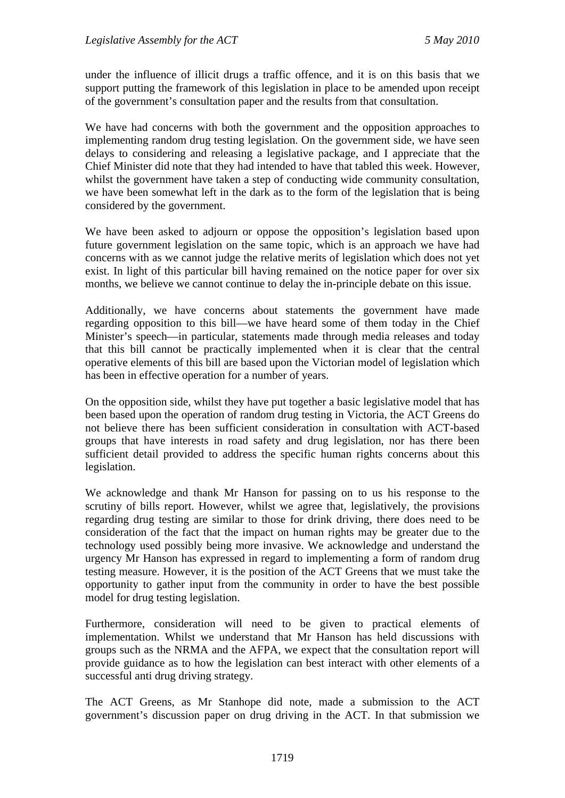under the influence of illicit drugs a traffic offence, and it is on this basis that we support putting the framework of this legislation in place to be amended upon receipt of the government's consultation paper and the results from that consultation.

We have had concerns with both the government and the opposition approaches to implementing random drug testing legislation. On the government side, we have seen delays to considering and releasing a legislative package, and I appreciate that the Chief Minister did note that they had intended to have that tabled this week. However, whilst the government have taken a step of conducting wide community consultation, we have been somewhat left in the dark as to the form of the legislation that is being considered by the government.

We have been asked to adjourn or oppose the opposition's legislation based upon future government legislation on the same topic, which is an approach we have had concerns with as we cannot judge the relative merits of legislation which does not yet exist. In light of this particular bill having remained on the notice paper for over six months, we believe we cannot continue to delay the in-principle debate on this issue.

Additionally, we have concerns about statements the government have made regarding opposition to this bill—we have heard some of them today in the Chief Minister's speech—in particular, statements made through media releases and today that this bill cannot be practically implemented when it is clear that the central operative elements of this bill are based upon the Victorian model of legislation which has been in effective operation for a number of years.

On the opposition side, whilst they have put together a basic legislative model that has been based upon the operation of random drug testing in Victoria, the ACT Greens do not believe there has been sufficient consideration in consultation with ACT-based groups that have interests in road safety and drug legislation, nor has there been sufficient detail provided to address the specific human rights concerns about this legislation.

We acknowledge and thank Mr Hanson for passing on to us his response to the scrutiny of bills report. However, whilst we agree that, legislatively, the provisions regarding drug testing are similar to those for drink driving, there does need to be consideration of the fact that the impact on human rights may be greater due to the technology used possibly being more invasive. We acknowledge and understand the urgency Mr Hanson has expressed in regard to implementing a form of random drug testing measure. However, it is the position of the ACT Greens that we must take the opportunity to gather input from the community in order to have the best possible model for drug testing legislation.

Furthermore, consideration will need to be given to practical elements of implementation. Whilst we understand that Mr Hanson has held discussions with groups such as the NRMA and the AFPA, we expect that the consultation report will provide guidance as to how the legislation can best interact with other elements of a successful anti drug driving strategy.

The ACT Greens, as Mr Stanhope did note, made a submission to the ACT government's discussion paper on drug driving in the ACT. In that submission we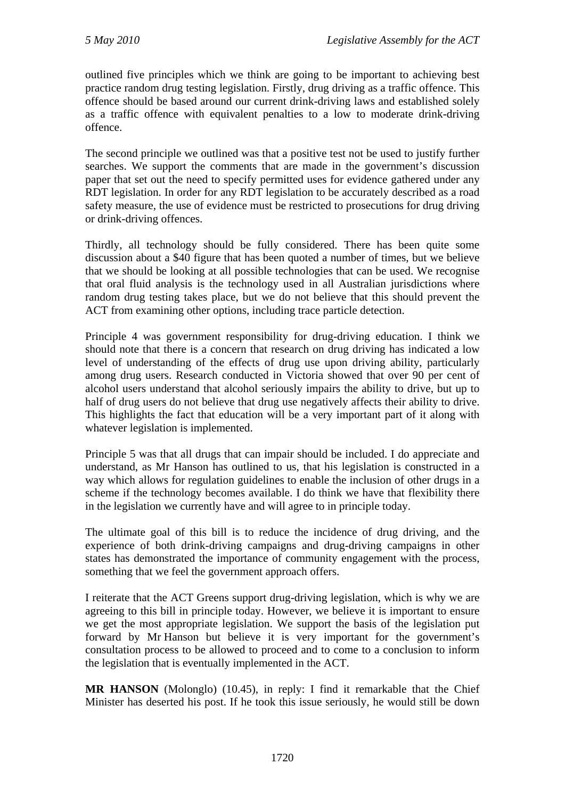outlined five principles which we think are going to be important to achieving best practice random drug testing legislation. Firstly, drug driving as a traffic offence. This offence should be based around our current drink-driving laws and established solely as a traffic offence with equivalent penalties to a low to moderate drink-driving offence.

The second principle we outlined was that a positive test not be used to justify further searches. We support the comments that are made in the government's discussion paper that set out the need to specify permitted uses for evidence gathered under any RDT legislation. In order for any RDT legislation to be accurately described as a road safety measure, the use of evidence must be restricted to prosecutions for drug driving or drink-driving offences.

Thirdly, all technology should be fully considered. There has been quite some discussion about a \$40 figure that has been quoted a number of times, but we believe that we should be looking at all possible technologies that can be used. We recognise that oral fluid analysis is the technology used in all Australian jurisdictions where random drug testing takes place, but we do not believe that this should prevent the ACT from examining other options, including trace particle detection.

Principle 4 was government responsibility for drug-driving education. I think we should note that there is a concern that research on drug driving has indicated a low level of understanding of the effects of drug use upon driving ability, particularly among drug users. Research conducted in Victoria showed that over 90 per cent of alcohol users understand that alcohol seriously impairs the ability to drive, but up to half of drug users do not believe that drug use negatively affects their ability to drive. This highlights the fact that education will be a very important part of it along with whatever legislation is implemented.

Principle 5 was that all drugs that can impair should be included. I do appreciate and understand, as Mr Hanson has outlined to us, that his legislation is constructed in a way which allows for regulation guidelines to enable the inclusion of other drugs in a scheme if the technology becomes available. I do think we have that flexibility there in the legislation we currently have and will agree to in principle today.

The ultimate goal of this bill is to reduce the incidence of drug driving, and the experience of both drink-driving campaigns and drug-driving campaigns in other states has demonstrated the importance of community engagement with the process, something that we feel the government approach offers.

I reiterate that the ACT Greens support drug-driving legislation, which is why we are agreeing to this bill in principle today. However, we believe it is important to ensure we get the most appropriate legislation. We support the basis of the legislation put forward by Mr Hanson but believe it is very important for the government's consultation process to be allowed to proceed and to come to a conclusion to inform the legislation that is eventually implemented in the ACT.

**MR HANSON** (Molonglo) (10.45), in reply: I find it remarkable that the Chief Minister has deserted his post. If he took this issue seriously, he would still be down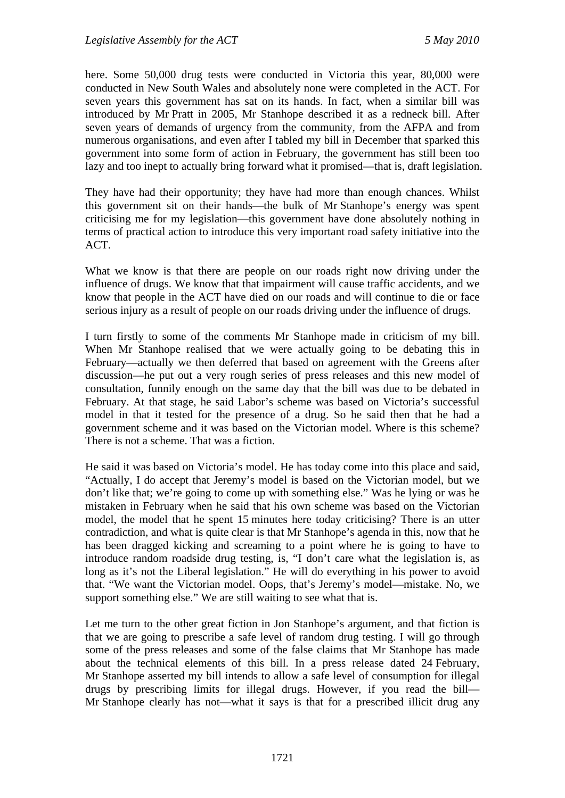here. Some 50,000 drug tests were conducted in Victoria this year, 80,000 were conducted in New South Wales and absolutely none were completed in the ACT. For seven years this government has sat on its hands. In fact, when a similar bill was introduced by Mr Pratt in 2005, Mr Stanhope described it as a redneck bill. After seven years of demands of urgency from the community, from the AFPA and from numerous organisations, and even after I tabled my bill in December that sparked this government into some form of action in February, the government has still been too lazy and too inept to actually bring forward what it promised—that is, draft legislation.

They have had their opportunity; they have had more than enough chances. Whilst this government sit on their hands—the bulk of Mr Stanhope's energy was spent criticising me for my legislation—this government have done absolutely nothing in terms of practical action to introduce this very important road safety initiative into the ACT.

What we know is that there are people on our roads right now driving under the influence of drugs. We know that that impairment will cause traffic accidents, and we know that people in the ACT have died on our roads and will continue to die or face serious injury as a result of people on our roads driving under the influence of drugs.

I turn firstly to some of the comments Mr Stanhope made in criticism of my bill. When Mr Stanhope realised that we were actually going to be debating this in February—actually we then deferred that based on agreement with the Greens after discussion—he put out a very rough series of press releases and this new model of consultation, funnily enough on the same day that the bill was due to be debated in February. At that stage, he said Labor's scheme was based on Victoria's successful model in that it tested for the presence of a drug. So he said then that he had a government scheme and it was based on the Victorian model. Where is this scheme? There is not a scheme. That was a fiction.

He said it was based on Victoria's model. He has today come into this place and said, "Actually, I do accept that Jeremy's model is based on the Victorian model, but we don't like that; we're going to come up with something else." Was he lying or was he mistaken in February when he said that his own scheme was based on the Victorian model, the model that he spent 15 minutes here today criticising? There is an utter contradiction, and what is quite clear is that Mr Stanhope's agenda in this, now that he has been dragged kicking and screaming to a point where he is going to have to introduce random roadside drug testing, is, "I don't care what the legislation is, as long as it's not the Liberal legislation." He will do everything in his power to avoid that. "We want the Victorian model. Oops, that's Jeremy's model—mistake. No, we support something else." We are still waiting to see what that is.

Let me turn to the other great fiction in Jon Stanhope's argument, and that fiction is that we are going to prescribe a safe level of random drug testing. I will go through some of the press releases and some of the false claims that Mr Stanhope has made about the technical elements of this bill. In a press release dated 24 February, Mr Stanhope asserted my bill intends to allow a safe level of consumption for illegal drugs by prescribing limits for illegal drugs. However, if you read the bill— Mr Stanhope clearly has not—what it says is that for a prescribed illicit drug any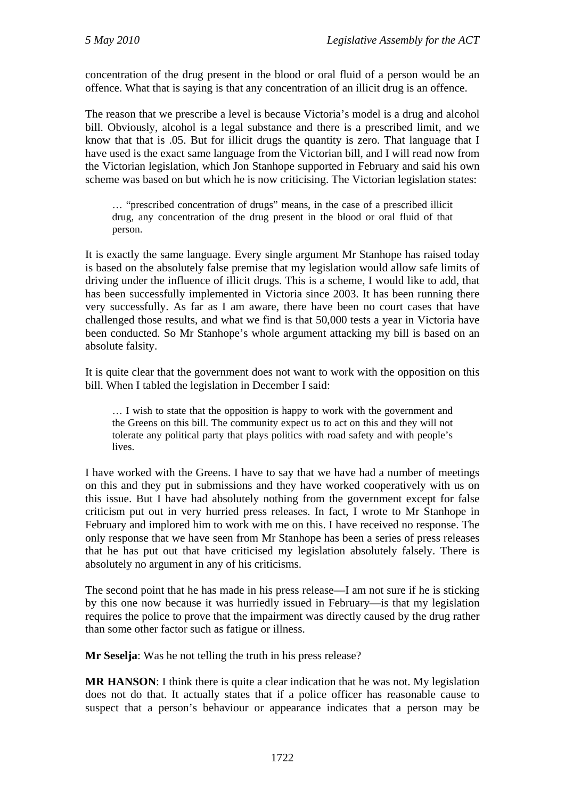concentration of the drug present in the blood or oral fluid of a person would be an offence. What that is saying is that any concentration of an illicit drug is an offence.

The reason that we prescribe a level is because Victoria's model is a drug and alcohol bill. Obviously, alcohol is a legal substance and there is a prescribed limit, and we know that that is .05. But for illicit drugs the quantity is zero. That language that I have used is the exact same language from the Victorian bill, and I will read now from the Victorian legislation, which Jon Stanhope supported in February and said his own scheme was based on but which he is now criticising. The Victorian legislation states:

… "prescribed concentration of drugs" means, in the case of a prescribed illicit drug, any concentration of the drug present in the blood or oral fluid of that person.

It is exactly the same language. Every single argument Mr Stanhope has raised today is based on the absolutely false premise that my legislation would allow safe limits of driving under the influence of illicit drugs. This is a scheme, I would like to add, that has been successfully implemented in Victoria since 2003. It has been running there very successfully. As far as I am aware, there have been no court cases that have challenged those results, and what we find is that 50,000 tests a year in Victoria have been conducted. So Mr Stanhope's whole argument attacking my bill is based on an absolute falsity.

It is quite clear that the government does not want to work with the opposition on this bill. When I tabled the legislation in December I said:

… I wish to state that the opposition is happy to work with the government and the Greens on this bill. The community expect us to act on this and they will not tolerate any political party that plays politics with road safety and with people's lives.

I have worked with the Greens. I have to say that we have had a number of meetings on this and they put in submissions and they have worked cooperatively with us on this issue. But I have had absolutely nothing from the government except for false criticism put out in very hurried press releases. In fact, I wrote to Mr Stanhope in February and implored him to work with me on this. I have received no response. The only response that we have seen from Mr Stanhope has been a series of press releases that he has put out that have criticised my legislation absolutely falsely. There is absolutely no argument in any of his criticisms.

The second point that he has made in his press release—I am not sure if he is sticking by this one now because it was hurriedly issued in February—is that my legislation requires the police to prove that the impairment was directly caused by the drug rather than some other factor such as fatigue or illness.

**Mr Seselja**: Was he not telling the truth in his press release?

**MR HANSON**: I think there is quite a clear indication that he was not. My legislation does not do that. It actually states that if a police officer has reasonable cause to suspect that a person's behaviour or appearance indicates that a person may be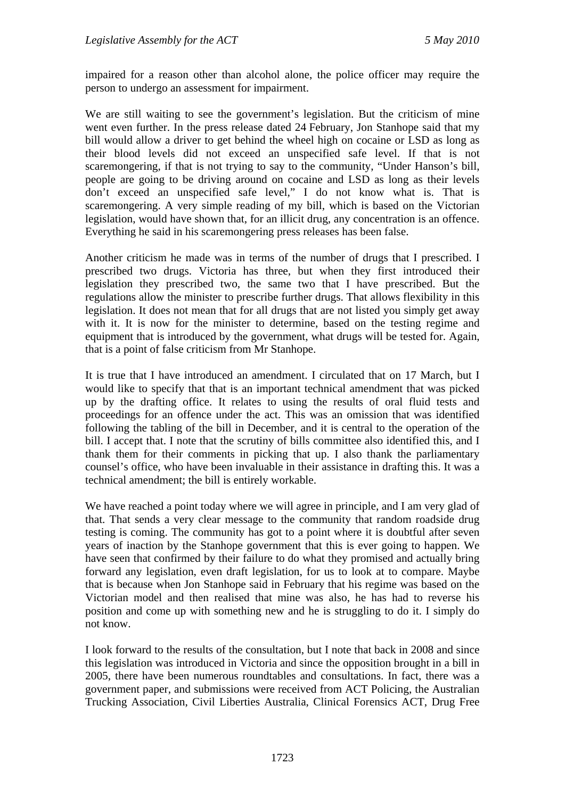impaired for a reason other than alcohol alone, the police officer may require the person to undergo an assessment for impairment.

We are still waiting to see the government's legislation. But the criticism of mine went even further. In the press release dated 24 February, Jon Stanhope said that my bill would allow a driver to get behind the wheel high on cocaine or LSD as long as their blood levels did not exceed an unspecified safe level. If that is not scaremongering, if that is not trying to say to the community, "Under Hanson's bill, people are going to be driving around on cocaine and LSD as long as their levels don't exceed an unspecified safe level," I do not know what is. That is scaremongering. A very simple reading of my bill, which is based on the Victorian legislation, would have shown that, for an illicit drug, any concentration is an offence. Everything he said in his scaremongering press releases has been false.

Another criticism he made was in terms of the number of drugs that I prescribed. I prescribed two drugs. Victoria has three, but when they first introduced their legislation they prescribed two, the same two that I have prescribed. But the regulations allow the minister to prescribe further drugs. That allows flexibility in this legislation. It does not mean that for all drugs that are not listed you simply get away with it. It is now for the minister to determine, based on the testing regime and equipment that is introduced by the government, what drugs will be tested for. Again, that is a point of false criticism from Mr Stanhope.

It is true that I have introduced an amendment. I circulated that on 17 March, but I would like to specify that that is an important technical amendment that was picked up by the drafting office. It relates to using the results of oral fluid tests and proceedings for an offence under the act. This was an omission that was identified following the tabling of the bill in December, and it is central to the operation of the bill. I accept that. I note that the scrutiny of bills committee also identified this, and I thank them for their comments in picking that up. I also thank the parliamentary counsel's office, who have been invaluable in their assistance in drafting this. It was a technical amendment; the bill is entirely workable.

We have reached a point today where we will agree in principle, and I am very glad of that. That sends a very clear message to the community that random roadside drug testing is coming. The community has got to a point where it is doubtful after seven years of inaction by the Stanhope government that this is ever going to happen. We have seen that confirmed by their failure to do what they promised and actually bring forward any legislation, even draft legislation, for us to look at to compare. Maybe that is because when Jon Stanhope said in February that his regime was based on the Victorian model and then realised that mine was also, he has had to reverse his position and come up with something new and he is struggling to do it. I simply do not know.

I look forward to the results of the consultation, but I note that back in 2008 and since this legislation was introduced in Victoria and since the opposition brought in a bill in 2005, there have been numerous roundtables and consultations. In fact, there was a government paper, and submissions were received from ACT Policing, the Australian Trucking Association, Civil Liberties Australia, Clinical Forensics ACT, Drug Free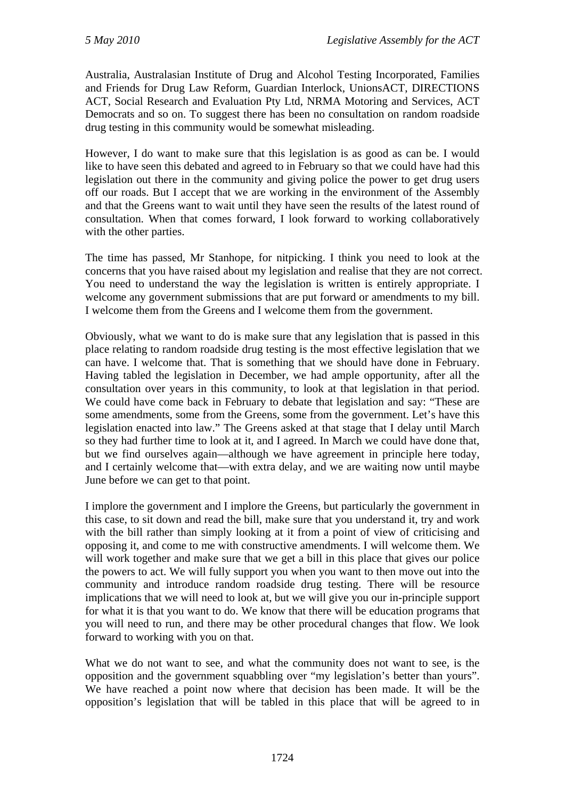Australia, Australasian Institute of Drug and Alcohol Testing Incorporated, Families and Friends for Drug Law Reform, Guardian Interlock, UnionsACT, DIRECTIONS ACT, Social Research and Evaluation Pty Ltd, NRMA Motoring and Services, ACT Democrats and so on. To suggest there has been no consultation on random roadside drug testing in this community would be somewhat misleading.

However, I do want to make sure that this legislation is as good as can be. I would like to have seen this debated and agreed to in February so that we could have had this legislation out there in the community and giving police the power to get drug users off our roads. But I accept that we are working in the environment of the Assembly and that the Greens want to wait until they have seen the results of the latest round of consultation. When that comes forward, I look forward to working collaboratively with the other parties.

The time has passed, Mr Stanhope, for nitpicking. I think you need to look at the concerns that you have raised about my legislation and realise that they are not correct. You need to understand the way the legislation is written is entirely appropriate. I welcome any government submissions that are put forward or amendments to my bill. I welcome them from the Greens and I welcome them from the government.

Obviously, what we want to do is make sure that any legislation that is passed in this place relating to random roadside drug testing is the most effective legislation that we can have. I welcome that. That is something that we should have done in February. Having tabled the legislation in December, we had ample opportunity, after all the consultation over years in this community, to look at that legislation in that period. We could have come back in February to debate that legislation and say: "These are some amendments, some from the Greens, some from the government. Let's have this legislation enacted into law." The Greens asked at that stage that I delay until March so they had further time to look at it, and I agreed. In March we could have done that, but we find ourselves again—although we have agreement in principle here today, and I certainly welcome that—with extra delay, and we are waiting now until maybe June before we can get to that point.

I implore the government and I implore the Greens, but particularly the government in this case, to sit down and read the bill, make sure that you understand it, try and work with the bill rather than simply looking at it from a point of view of criticising and opposing it, and come to me with constructive amendments. I will welcome them. We will work together and make sure that we get a bill in this place that gives our police the powers to act. We will fully support you when you want to then move out into the community and introduce random roadside drug testing. There will be resource implications that we will need to look at, but we will give you our in-principle support for what it is that you want to do. We know that there will be education programs that you will need to run, and there may be other procedural changes that flow. We look forward to working with you on that.

What we do not want to see, and what the community does not want to see, is the opposition and the government squabbling over "my legislation's better than yours". We have reached a point now where that decision has been made. It will be the opposition's legislation that will be tabled in this place that will be agreed to in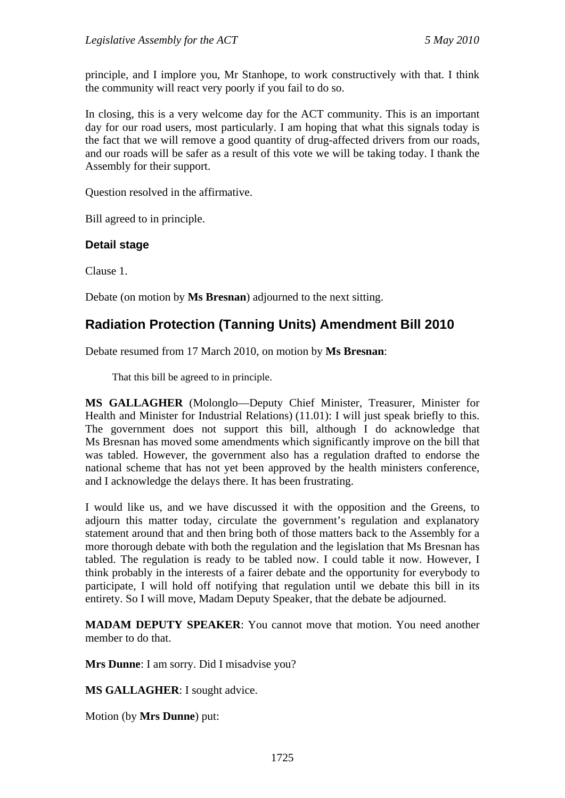principle, and I implore you, Mr Stanhope, to work constructively with that. I think the community will react very poorly if you fail to do so.

In closing, this is a very welcome day for the ACT community. This is an important day for our road users, most particularly. I am hoping that what this signals today is the fact that we will remove a good quantity of drug-affected drivers from our roads, and our roads will be safer as a result of this vote we will be taking today. I thank the Assembly for their support.

Question resolved in the affirmative.

Bill agreed to in principle.

#### **Detail stage**

Clause 1.

Debate (on motion by **Ms Bresnan**) adjourned to the next sitting.

## <span id="page-18-0"></span>**Radiation Protection (Tanning Units) Amendment Bill 2010**

Debate resumed from 17 March 2010, on motion by **Ms Bresnan**:

That this bill be agreed to in principle.

**MS GALLAGHER** (Molonglo—Deputy Chief Minister, Treasurer, Minister for Health and Minister for Industrial Relations) (11.01): I will just speak briefly to this. The government does not support this bill, although I do acknowledge that Ms Bresnan has moved some amendments which significantly improve on the bill that was tabled. However, the government also has a regulation drafted to endorse the national scheme that has not yet been approved by the health ministers conference, and I acknowledge the delays there. It has been frustrating.

I would like us, and we have discussed it with the opposition and the Greens, to adjourn this matter today, circulate the government's regulation and explanatory statement around that and then bring both of those matters back to the Assembly for a more thorough debate with both the regulation and the legislation that Ms Bresnan has tabled. The regulation is ready to be tabled now. I could table it now. However, I think probably in the interests of a fairer debate and the opportunity for everybody to participate, I will hold off notifying that regulation until we debate this bill in its entirety. So I will move, Madam Deputy Speaker, that the debate be adjourned.

**MADAM DEPUTY SPEAKER**: You cannot move that motion. You need another member to do that.

**Mrs Dunne**: I am sorry. Did I misadvise you?

**MS GALLAGHER**: I sought advice.

Motion (by **Mrs Dunne**) put: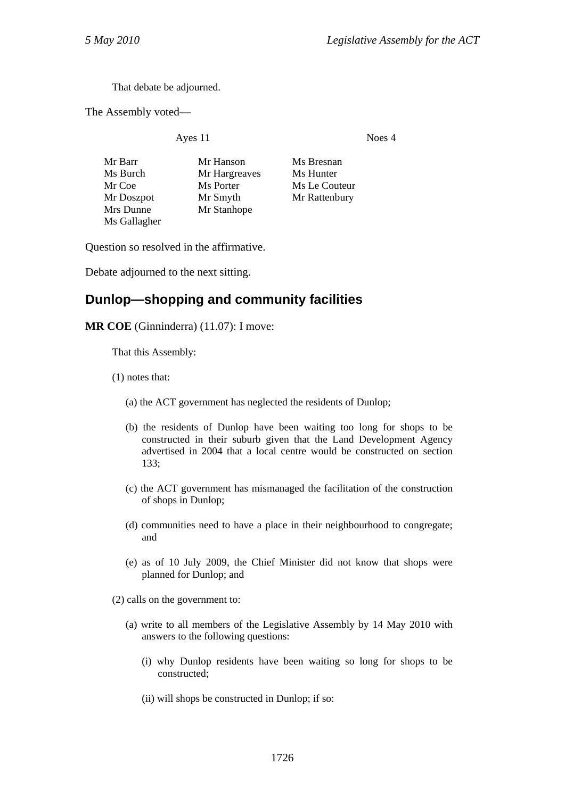That debate be adjourned.

The Assembly voted—

Ayes 11 Noes 4

| Mr Barr      | Mr Hanson     | Ms Bresnan    |
|--------------|---------------|---------------|
| Ms Burch     | Mr Hargreaves | Ms Hunter     |
| Mr Coe       | Ms Porter     | Ms Le Couteur |
| Mr Doszpot   | Mr Smyth      | Mr Rattenbury |
| Mrs Dunne    | Mr Stanhope   |               |
| Ms Gallagher |               |               |

Question so resolved in the affirmative.

Debate adjourned to the next sitting.

## <span id="page-19-0"></span>**Dunlop—shopping and community facilities**

#### **MR COE** (Ginninderra) (11.07): I move:

That this Assembly:

(1) notes that:

(a) the ACT government has neglected the residents of Dunlop;

- (b) the residents of Dunlop have been waiting too long for shops to be constructed in their suburb given that the Land Development Agency advertised in 2004 that a local centre would be constructed on section 133;
- (c) the ACT government has mismanaged the facilitation of the construction of shops in Dunlop;
- (d) communities need to have a place in their neighbourhood to congregate; and
- (e) as of 10 July 2009, the Chief Minister did not know that shops were planned for Dunlop; and

(2) calls on the government to:

- (a) write to all members of the Legislative Assembly by 14 May 2010 with answers to the following questions:
	- (i) why Dunlop residents have been waiting so long for shops to be constructed;
	- (ii) will shops be constructed in Dunlop; if so: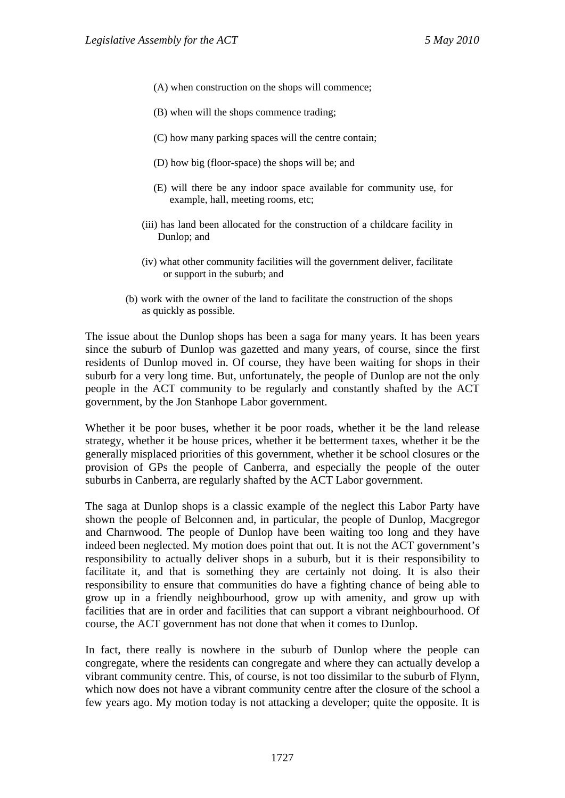- (A) when construction on the shops will commence;
- (B) when will the shops commence trading;
- (C) how many parking spaces will the centre contain;
- (D) how big (floor-space) the shops will be; and
- (E) will there be any indoor space available for community use, for example, hall, meeting rooms, etc;
- (iii) has land been allocated for the construction of a childcare facility in Dunlop; and
- (iv) what other community facilities will the government deliver, facilitate or support in the suburb; and
- (b) work with the owner of the land to facilitate the construction of the shops as quickly as possible.

The issue about the Dunlop shops has been a saga for many years. It has been years since the suburb of Dunlop was gazetted and many years, of course, since the first residents of Dunlop moved in. Of course, they have been waiting for shops in their suburb for a very long time. But, unfortunately, the people of Dunlop are not the only people in the ACT community to be regularly and constantly shafted by the ACT government, by the Jon Stanhope Labor government.

Whether it be poor buses, whether it be poor roads, whether it be the land release strategy, whether it be house prices, whether it be betterment taxes, whether it be the generally misplaced priorities of this government, whether it be school closures or the provision of GPs the people of Canberra, and especially the people of the outer suburbs in Canberra, are regularly shafted by the ACT Labor government.

The saga at Dunlop shops is a classic example of the neglect this Labor Party have shown the people of Belconnen and, in particular, the people of Dunlop, Macgregor and Charnwood. The people of Dunlop have been waiting too long and they have indeed been neglected. My motion does point that out. It is not the ACT government's responsibility to actually deliver shops in a suburb, but it is their responsibility to facilitate it, and that is something they are certainly not doing. It is also their responsibility to ensure that communities do have a fighting chance of being able to grow up in a friendly neighbourhood, grow up with amenity, and grow up with facilities that are in order and facilities that can support a vibrant neighbourhood. Of course, the ACT government has not done that when it comes to Dunlop.

In fact, there really is nowhere in the suburb of Dunlop where the people can congregate, where the residents can congregate and where they can actually develop a vibrant community centre. This, of course, is not too dissimilar to the suburb of Flynn, which now does not have a vibrant community centre after the closure of the school a few years ago. My motion today is not attacking a developer; quite the opposite. It is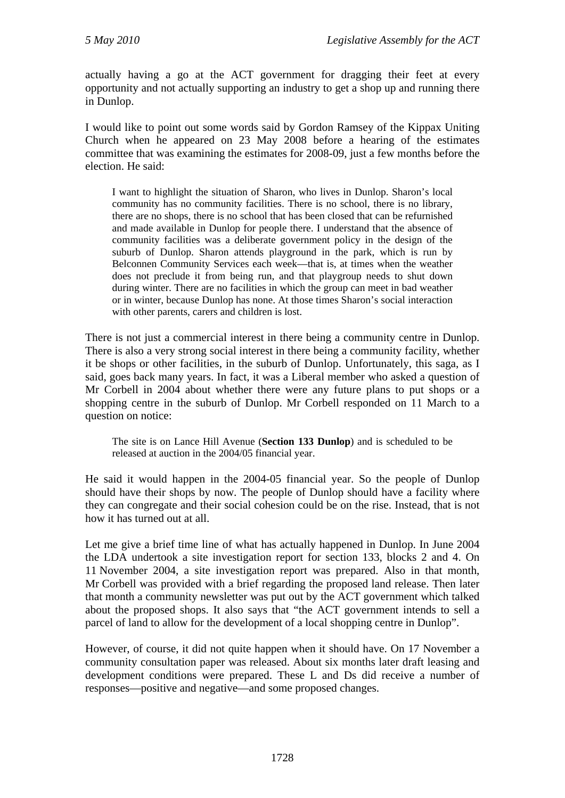actually having a go at the ACT government for dragging their feet at every opportunity and not actually supporting an industry to get a shop up and running there in Dunlop.

I would like to point out some words said by Gordon Ramsey of the Kippax Uniting Church when he appeared on 23 May 2008 before a hearing of the estimates committee that was examining the estimates for 2008-09, just a few months before the election. He said:

I want to highlight the situation of Sharon, who lives in Dunlop. Sharon's local community has no community facilities. There is no school, there is no library, there are no shops, there is no school that has been closed that can be refurnished and made available in Dunlop for people there. I understand that the absence of community facilities was a deliberate government policy in the design of the suburb of Dunlop. Sharon attends playground in the park, which is run by Belconnen Community Services each week—that is, at times when the weather does not preclude it from being run, and that playgroup needs to shut down during winter. There are no facilities in which the group can meet in bad weather or in winter, because Dunlop has none. At those times Sharon's social interaction with other parents, carers and children is lost.

There is not just a commercial interest in there being a community centre in Dunlop. There is also a very strong social interest in there being a community facility, whether it be shops or other facilities, in the suburb of Dunlop. Unfortunately, this saga, as I said, goes back many years. In fact, it was a Liberal member who asked a question of Mr Corbell in 2004 about whether there were any future plans to put shops or a shopping centre in the suburb of Dunlop. Mr Corbell responded on 11 March to a question on notice:

The site is on Lance Hill Avenue (**Section 133 Dunlop**) and is scheduled to be released at auction in the 2004/05 financial year.

He said it would happen in the 2004-05 financial year. So the people of Dunlop should have their shops by now. The people of Dunlop should have a facility where they can congregate and their social cohesion could be on the rise. Instead, that is not how it has turned out at all.

Let me give a brief time line of what has actually happened in Dunlop. In June 2004 the LDA undertook a site investigation report for section 133, blocks 2 and 4. On 11 November 2004, a site investigation report was prepared. Also in that month, Mr Corbell was provided with a brief regarding the proposed land release. Then later that month a community newsletter was put out by the ACT government which talked about the proposed shops. It also says that "the ACT government intends to sell a parcel of land to allow for the development of a local shopping centre in Dunlop".

However, of course, it did not quite happen when it should have. On 17 November a community consultation paper was released. About six months later draft leasing and development conditions were prepared. These L and Ds did receive a number of responses—positive and negative—and some proposed changes.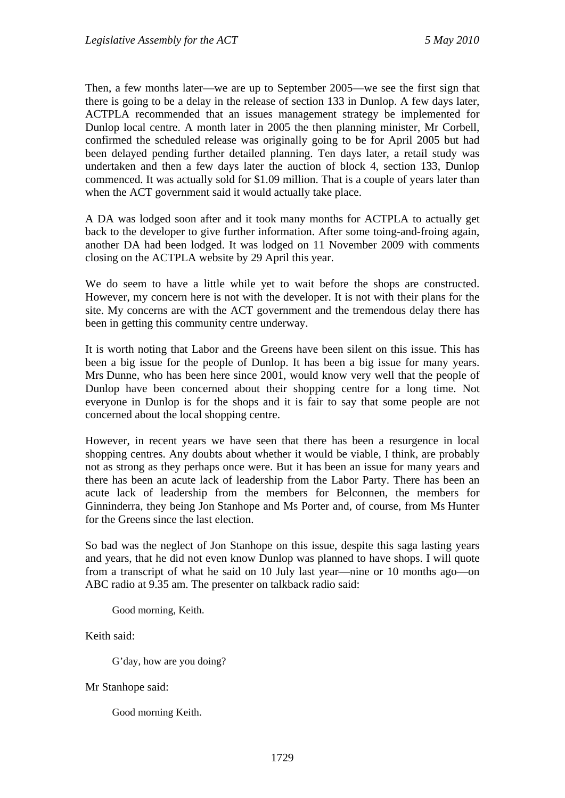Then, a few months later—we are up to September 2005—we see the first sign that there is going to be a delay in the release of section 133 in Dunlop. A few days later, ACTPLA recommended that an issues management strategy be implemented for Dunlop local centre. A month later in 2005 the then planning minister, Mr Corbell, confirmed the scheduled release was originally going to be for April 2005 but had been delayed pending further detailed planning. Ten days later, a retail study was undertaken and then a few days later the auction of block 4, section 133, Dunlop commenced. It was actually sold for \$1.09 million. That is a couple of years later than when the ACT government said it would actually take place.

A DA was lodged soon after and it took many months for ACTPLA to actually get back to the developer to give further information. After some toing-and-froing again, another DA had been lodged. It was lodged on 11 November 2009 with comments closing on the ACTPLA website by 29 April this year.

We do seem to have a little while yet to wait before the shops are constructed. However, my concern here is not with the developer. It is not with their plans for the site. My concerns are with the ACT government and the tremendous delay there has been in getting this community centre underway.

It is worth noting that Labor and the Greens have been silent on this issue. This has been a big issue for the people of Dunlop. It has been a big issue for many years. Mrs Dunne, who has been here since 2001, would know very well that the people of Dunlop have been concerned about their shopping centre for a long time. Not everyone in Dunlop is for the shops and it is fair to say that some people are not concerned about the local shopping centre.

However, in recent years we have seen that there has been a resurgence in local shopping centres. Any doubts about whether it would be viable, I think, are probably not as strong as they perhaps once were. But it has been an issue for many years and there has been an acute lack of leadership from the Labor Party. There has been an acute lack of leadership from the members for Belconnen, the members for Ginninderra, they being Jon Stanhope and Ms Porter and, of course, from Ms Hunter for the Greens since the last election.

So bad was the neglect of Jon Stanhope on this issue, despite this saga lasting years and years, that he did not even know Dunlop was planned to have shops. I will quote from a transcript of what he said on 10 July last year—nine or 10 months ago—on ABC radio at 9.35 am. The presenter on talkback radio said:

Good morning, Keith.

Keith said:

G'day, how are you doing?

Mr Stanhope said:

Good morning Keith.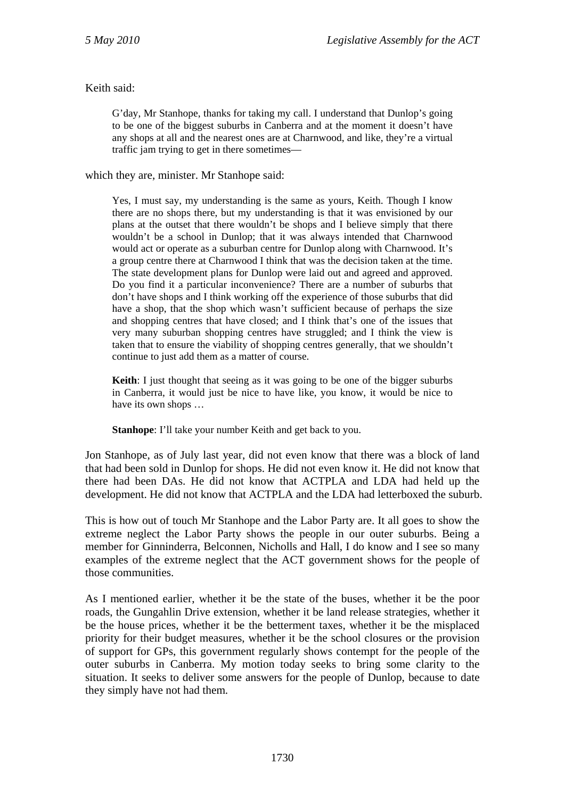Keith said:

G'day, Mr Stanhope, thanks for taking my call. I understand that Dunlop's going to be one of the biggest suburbs in Canberra and at the moment it doesn't have any shops at all and the nearest ones are at Charnwood, and like, they're a virtual traffic jam trying to get in there sometimes—

which they are, minister. Mr Stanhope said:

Yes, I must say, my understanding is the same as yours, Keith. Though I know there are no shops there, but my understanding is that it was envisioned by our plans at the outset that there wouldn't be shops and I believe simply that there wouldn't be a school in Dunlop; that it was always intended that Charnwood would act or operate as a suburban centre for Dunlop along with Charnwood. It's a group centre there at Charnwood I think that was the decision taken at the time. The state development plans for Dunlop were laid out and agreed and approved. Do you find it a particular inconvenience? There are a number of suburbs that don't have shops and I think working off the experience of those suburbs that did have a shop, that the shop which wasn't sufficient because of perhaps the size and shopping centres that have closed; and I think that's one of the issues that very many suburban shopping centres have struggled; and I think the view is taken that to ensure the viability of shopping centres generally, that we shouldn't continue to just add them as a matter of course.

**Keith**: I just thought that seeing as it was going to be one of the bigger suburbs in Canberra, it would just be nice to have like, you know, it would be nice to have its own shops …

**Stanhope**: I'll take your number Keith and get back to you.

Jon Stanhope, as of July last year, did not even know that there was a block of land that had been sold in Dunlop for shops. He did not even know it. He did not know that there had been DAs. He did not know that ACTPLA and LDA had held up the development. He did not know that ACTPLA and the LDA had letterboxed the suburb.

This is how out of touch Mr Stanhope and the Labor Party are. It all goes to show the extreme neglect the Labor Party shows the people in our outer suburbs. Being a member for Ginninderra, Belconnen, Nicholls and Hall, I do know and I see so many examples of the extreme neglect that the ACT government shows for the people of those communities.

As I mentioned earlier, whether it be the state of the buses, whether it be the poor roads, the Gungahlin Drive extension, whether it be land release strategies, whether it be the house prices, whether it be the betterment taxes, whether it be the misplaced priority for their budget measures, whether it be the school closures or the provision of support for GPs, this government regularly shows contempt for the people of the outer suburbs in Canberra. My motion today seeks to bring some clarity to the situation. It seeks to deliver some answers for the people of Dunlop, because to date they simply have not had them.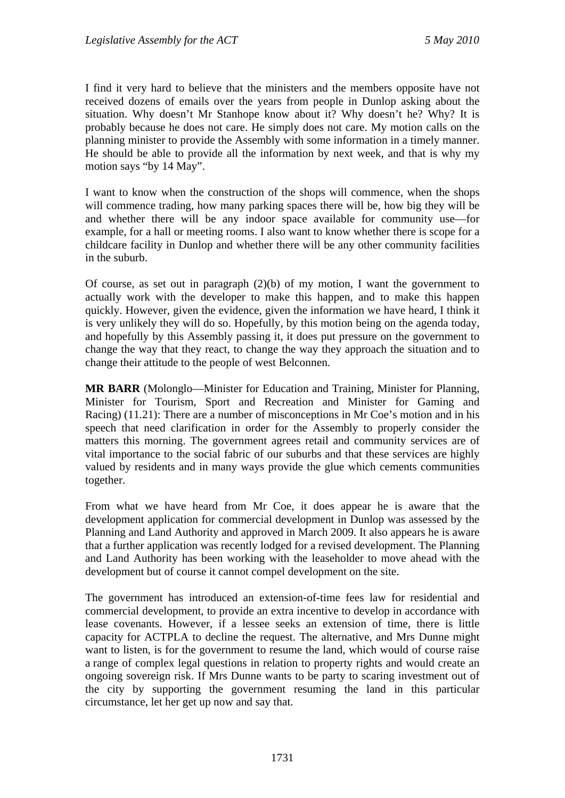I find it very hard to believe that the ministers and the members opposite have not received dozens of emails over the years from people in Dunlop asking about the situation. Why doesn't Mr Stanhope know about it? Why doesn't he? Why? It is probably because he does not care. He simply does not care. My motion calls on the planning minister to provide the Assembly with some information in a timely manner. He should be able to provide all the information by next week, and that is why my motion says "by 14 May".

I want to know when the construction of the shops will commence, when the shops will commence trading, how many parking spaces there will be, how big they will be and whether there will be any indoor space available for community use—for example, for a hall or meeting rooms. I also want to know whether there is scope for a childcare facility in Dunlop and whether there will be any other community facilities in the suburb.

Of course, as set out in paragraph  $(2)(b)$  of my motion, I want the government to actually work with the developer to make this happen, and to make this happen quickly. However, given the evidence, given the information we have heard, I think it is very unlikely they will do so. Hopefully, by this motion being on the agenda today, and hopefully by this Assembly passing it, it does put pressure on the government to change the way that they react, to change the way they approach the situation and to change their attitude to the people of west Belconnen.

**MR BARR** (Molonglo—Minister for Education and Training, Minister for Planning, Minister for Tourism, Sport and Recreation and Minister for Gaming and Racing) (11.21): There are a number of misconceptions in Mr Coe's motion and in his speech that need clarification in order for the Assembly to properly consider the matters this morning. The government agrees retail and community services are of vital importance to the social fabric of our suburbs and that these services are highly valued by residents and in many ways provide the glue which cements communities together.

From what we have heard from Mr Coe, it does appear he is aware that the development application for commercial development in Dunlop was assessed by the Planning and Land Authority and approved in March 2009. It also appears he is aware that a further application was recently lodged for a revised development. The Planning and Land Authority has been working with the leaseholder to move ahead with the development but of course it cannot compel development on the site.

The government has introduced an extension-of-time fees law for residential and commercial development, to provide an extra incentive to develop in accordance with lease covenants. However, if a lessee seeks an extension of time, there is little capacity for ACTPLA to decline the request. The alternative, and Mrs Dunne might want to listen, is for the government to resume the land, which would of course raise a range of complex legal questions in relation to property rights and would create an ongoing sovereign risk. If Mrs Dunne wants to be party to scaring investment out of the city by supporting the government resuming the land in this particular circumstance, let her get up now and say that.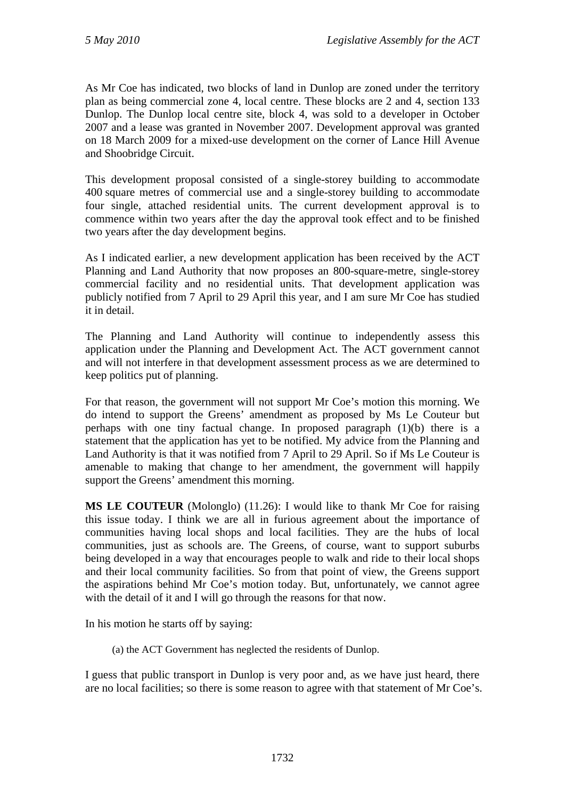As Mr Coe has indicated, two blocks of land in Dunlop are zoned under the territory plan as being commercial zone 4, local centre. These blocks are 2 and 4, section 133 Dunlop. The Dunlop local centre site, block 4, was sold to a developer in October 2007 and a lease was granted in November 2007. Development approval was granted on 18 March 2009 for a mixed-use development on the corner of Lance Hill Avenue and Shoobridge Circuit.

This development proposal consisted of a single-storey building to accommodate 400 square metres of commercial use and a single-storey building to accommodate four single, attached residential units. The current development approval is to commence within two years after the day the approval took effect and to be finished two years after the day development begins.

As I indicated earlier, a new development application has been received by the ACT Planning and Land Authority that now proposes an 800-square-metre, single-storey commercial facility and no residential units. That development application was publicly notified from 7 April to 29 April this year, and I am sure Mr Coe has studied it in detail.

The Planning and Land Authority will continue to independently assess this application under the Planning and Development Act. The ACT government cannot and will not interfere in that development assessment process as we are determined to keep politics put of planning.

For that reason, the government will not support Mr Coe's motion this morning. We do intend to support the Greens' amendment as proposed by Ms Le Couteur but perhaps with one tiny factual change. In proposed paragraph (1)(b) there is a statement that the application has yet to be notified. My advice from the Planning and Land Authority is that it was notified from 7 April to 29 April. So if Ms Le Couteur is amenable to making that change to her amendment, the government will happily support the Greens' amendment this morning.

**MS LE COUTEUR** (Molonglo) (11.26): I would like to thank Mr Coe for raising this issue today. I think we are all in furious agreement about the importance of communities having local shops and local facilities. They are the hubs of local communities, just as schools are. The Greens, of course, want to support suburbs being developed in a way that encourages people to walk and ride to their local shops and their local community facilities. So from that point of view, the Greens support the aspirations behind Mr Coe's motion today. But, unfortunately, we cannot agree with the detail of it and I will go through the reasons for that now.

In his motion he starts off by saying:

(a) the ACT Government has neglected the residents of Dunlop.

I guess that public transport in Dunlop is very poor and, as we have just heard, there are no local facilities; so there is some reason to agree with that statement of Mr Coe's.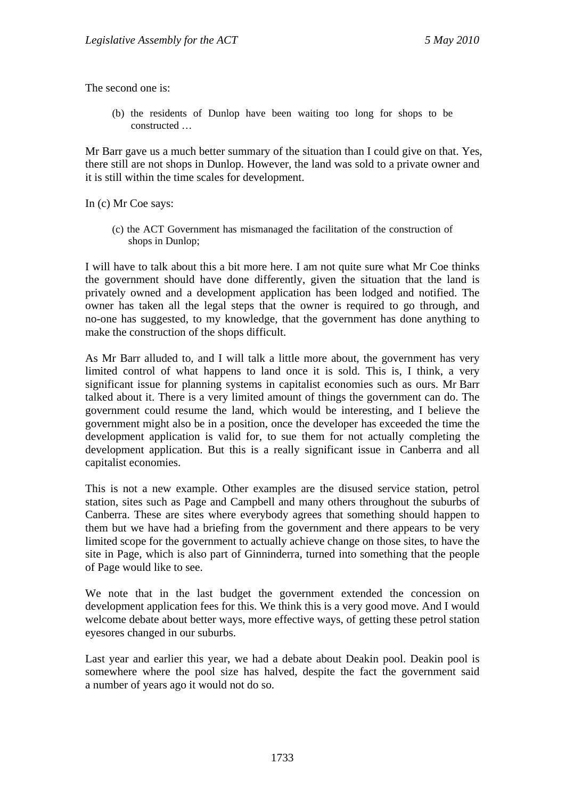The second one is:

(b) the residents of Dunlop have been waiting too long for shops to be constructed …

Mr Barr gave us a much better summary of the situation than I could give on that. Yes, there still are not shops in Dunlop. However, the land was sold to a private owner and it is still within the time scales for development.

In (c) Mr Coe says:

(c) the ACT Government has mismanaged the facilitation of the construction of shops in Dunlop;

I will have to talk about this a bit more here. I am not quite sure what Mr Coe thinks the government should have done differently, given the situation that the land is privately owned and a development application has been lodged and notified. The owner has taken all the legal steps that the owner is required to go through, and no-one has suggested, to my knowledge, that the government has done anything to make the construction of the shops difficult.

As Mr Barr alluded to, and I will talk a little more about, the government has very limited control of what happens to land once it is sold. This is, I think, a very significant issue for planning systems in capitalist economies such as ours. Mr Barr talked about it. There is a very limited amount of things the government can do. The government could resume the land, which would be interesting, and I believe the government might also be in a position, once the developer has exceeded the time the development application is valid for, to sue them for not actually completing the development application. But this is a really significant issue in Canberra and all capitalist economies.

This is not a new example. Other examples are the disused service station, petrol station, sites such as Page and Campbell and many others throughout the suburbs of Canberra. These are sites where everybody agrees that something should happen to them but we have had a briefing from the government and there appears to be very limited scope for the government to actually achieve change on those sites, to have the site in Page, which is also part of Ginninderra, turned into something that the people of Page would like to see.

We note that in the last budget the government extended the concession on development application fees for this. We think this is a very good move. And I would welcome debate about better ways, more effective ways, of getting these petrol station eyesores changed in our suburbs.

Last year and earlier this year, we had a debate about Deakin pool. Deakin pool is somewhere where the pool size has halved, despite the fact the government said a number of years ago it would not do so.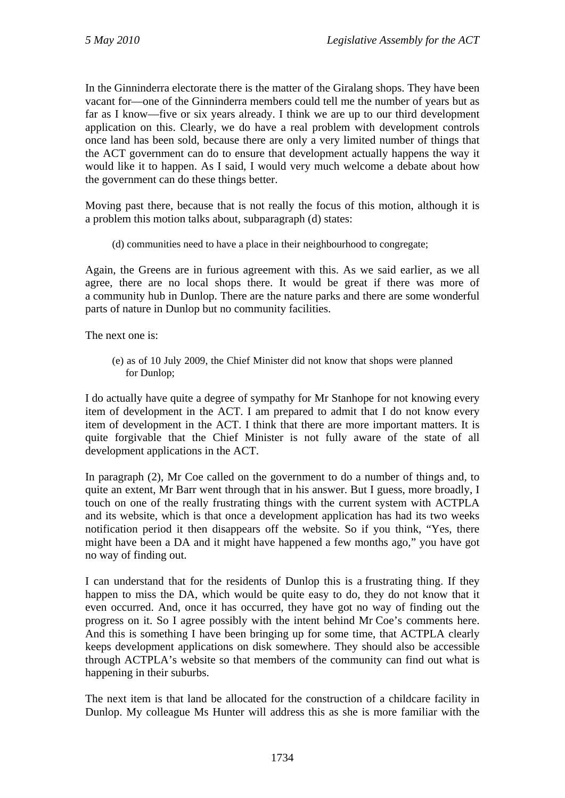In the Ginninderra electorate there is the matter of the Giralang shops. They have been vacant for—one of the Ginninderra members could tell me the number of years but as far as I know—five or six years already. I think we are up to our third development application on this. Clearly, we do have a real problem with development controls once land has been sold, because there are only a very limited number of things that the ACT government can do to ensure that development actually happens the way it would like it to happen. As I said, I would very much welcome a debate about how the government can do these things better.

Moving past there, because that is not really the focus of this motion, although it is a problem this motion talks about, subparagraph (d) states:

(d) communities need to have a place in their neighbourhood to congregate;

Again, the Greens are in furious agreement with this. As we said earlier, as we all agree, there are no local shops there. It would be great if there was more of a community hub in Dunlop. There are the nature parks and there are some wonderful parts of nature in Dunlop but no community facilities.

The next one is:

(e) as of 10 July 2009, the Chief Minister did not know that shops were planned for Dunlop;

I do actually have quite a degree of sympathy for Mr Stanhope for not knowing every item of development in the ACT. I am prepared to admit that I do not know every item of development in the ACT. I think that there are more important matters. It is quite forgivable that the Chief Minister is not fully aware of the state of all development applications in the ACT.

In paragraph (2), Mr Coe called on the government to do a number of things and, to quite an extent, Mr Barr went through that in his answer. But I guess, more broadly, I touch on one of the really frustrating things with the current system with ACTPLA and its website, which is that once a development application has had its two weeks notification period it then disappears off the website. So if you think, "Yes, there might have been a DA and it might have happened a few months ago," you have got no way of finding out.

I can understand that for the residents of Dunlop this is a frustrating thing. If they happen to miss the DA, which would be quite easy to do, they do not know that it even occurred. And, once it has occurred, they have got no way of finding out the progress on it. So I agree possibly with the intent behind Mr Coe's comments here. And this is something I have been bringing up for some time, that ACTPLA clearly keeps development applications on disk somewhere. They should also be accessible through ACTPLA's website so that members of the community can find out what is happening in their suburbs.

The next item is that land be allocated for the construction of a childcare facility in Dunlop. My colleague Ms Hunter will address this as she is more familiar with the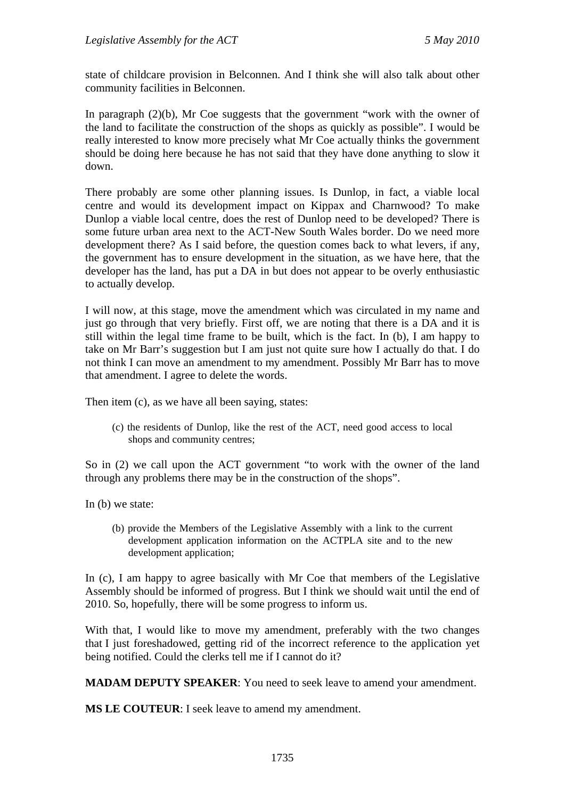state of childcare provision in Belconnen. And I think she will also talk about other community facilities in Belconnen.

In paragraph (2)(b), Mr Coe suggests that the government "work with the owner of the land to facilitate the construction of the shops as quickly as possible". I would be really interested to know more precisely what Mr Coe actually thinks the government should be doing here because he has not said that they have done anything to slow it down.

There probably are some other planning issues. Is Dunlop, in fact, a viable local centre and would its development impact on Kippax and Charnwood? To make Dunlop a viable local centre, does the rest of Dunlop need to be developed? There is some future urban area next to the ACT-New South Wales border. Do we need more development there? As I said before, the question comes back to what levers, if any, the government has to ensure development in the situation, as we have here, that the developer has the land, has put a DA in but does not appear to be overly enthusiastic to actually develop.

I will now, at this stage, move the amendment which was circulated in my name and just go through that very briefly. First off, we are noting that there is a DA and it is still within the legal time frame to be built, which is the fact. In (b), I am happy to take on Mr Barr's suggestion but I am just not quite sure how I actually do that. I do not think I can move an amendment to my amendment. Possibly Mr Barr has to move that amendment. I agree to delete the words.

Then item (c), as we have all been saying, states:

(c) the residents of Dunlop, like the rest of the ACT, need good access to local shops and community centres;

So in (2) we call upon the ACT government "to work with the owner of the land through any problems there may be in the construction of the shops".

In (b) we state:

(b) provide the Members of the Legislative Assembly with a link to the current development application information on the ACTPLA site and to the new development application;

In (c), I am happy to agree basically with Mr Coe that members of the Legislative Assembly should be informed of progress. But I think we should wait until the end of 2010. So, hopefully, there will be some progress to inform us.

With that, I would like to move my amendment, preferably with the two changes that I just foreshadowed, getting rid of the incorrect reference to the application yet being notified. Could the clerks tell me if I cannot do it?

**MADAM DEPUTY SPEAKER**: You need to seek leave to amend your amendment.

**MS LE COUTEUR**: I seek leave to amend my amendment.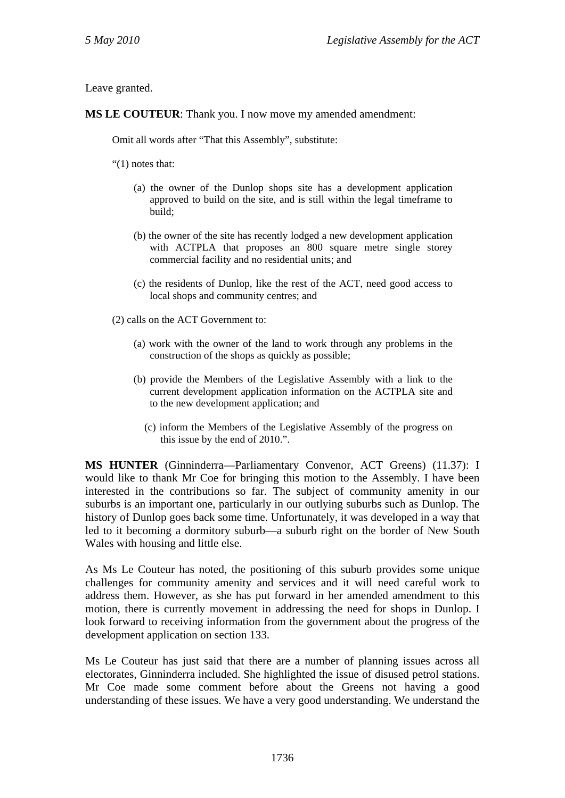Leave granted.

**MS LE COUTEUR**: Thank you. I now move my amended amendment:

Omit all words after "That this Assembly", substitute:

"(1) notes that:

- (a) the owner of the Dunlop shops site has a development application approved to build on the site, and is still within the legal timeframe to build;
- (b) the owner of the site has recently lodged a new development application with ACTPLA that proposes an 800 square metre single storey commercial facility and no residential units; and
- (c) the residents of Dunlop, like the rest of the ACT, need good access to local shops and community centres; and

(2) calls on the ACT Government to:

- (a) work with the owner of the land to work through any problems in the construction of the shops as quickly as possible;
- (b) provide the Members of the Legislative Assembly with a link to the current development application information on the ACTPLA site and to the new development application; and
	- (c) inform the Members of the Legislative Assembly of the progress on this issue by the end of 2010.".

**MS HUNTER** (Ginninderra—Parliamentary Convenor, ACT Greens) (11.37): I would like to thank Mr Coe for bringing this motion to the Assembly. I have been interested in the contributions so far. The subject of community amenity in our suburbs is an important one, particularly in our outlying suburbs such as Dunlop. The history of Dunlop goes back some time. Unfortunately, it was developed in a way that led to it becoming a dormitory suburb—a suburb right on the border of New South Wales with housing and little else.

As Ms Le Couteur has noted, the positioning of this suburb provides some unique challenges for community amenity and services and it will need careful work to address them. However, as she has put forward in her amended amendment to this motion, there is currently movement in addressing the need for shops in Dunlop. I look forward to receiving information from the government about the progress of the development application on section 133.

Ms Le Couteur has just said that there are a number of planning issues across all electorates, Ginninderra included. She highlighted the issue of disused petrol stations. Mr Coe made some comment before about the Greens not having a good understanding of these issues. We have a very good understanding. We understand the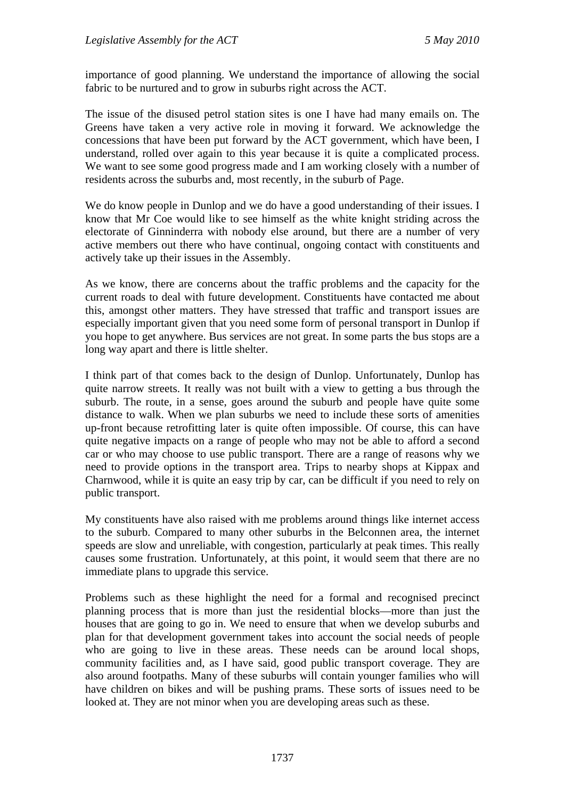importance of good planning. We understand the importance of allowing the social fabric to be nurtured and to grow in suburbs right across the ACT.

The issue of the disused petrol station sites is one I have had many emails on. The Greens have taken a very active role in moving it forward. We acknowledge the concessions that have been put forward by the ACT government, which have been, I understand, rolled over again to this year because it is quite a complicated process. We want to see some good progress made and I am working closely with a number of residents across the suburbs and, most recently, in the suburb of Page.

We do know people in Dunlop and we do have a good understanding of their issues. I know that Mr Coe would like to see himself as the white knight striding across the electorate of Ginninderra with nobody else around, but there are a number of very active members out there who have continual, ongoing contact with constituents and actively take up their issues in the Assembly.

As we know, there are concerns about the traffic problems and the capacity for the current roads to deal with future development. Constituents have contacted me about this, amongst other matters. They have stressed that traffic and transport issues are especially important given that you need some form of personal transport in Dunlop if you hope to get anywhere. Bus services are not great. In some parts the bus stops are a long way apart and there is little shelter.

I think part of that comes back to the design of Dunlop. Unfortunately, Dunlop has quite narrow streets. It really was not built with a view to getting a bus through the suburb. The route, in a sense, goes around the suburb and people have quite some distance to walk. When we plan suburbs we need to include these sorts of amenities up-front because retrofitting later is quite often impossible. Of course, this can have quite negative impacts on a range of people who may not be able to afford a second car or who may choose to use public transport. There are a range of reasons why we need to provide options in the transport area. Trips to nearby shops at Kippax and Charnwood, while it is quite an easy trip by car, can be difficult if you need to rely on public transport.

My constituents have also raised with me problems around things like internet access to the suburb. Compared to many other suburbs in the Belconnen area, the internet speeds are slow and unreliable, with congestion, particularly at peak times. This really causes some frustration. Unfortunately, at this point, it would seem that there are no immediate plans to upgrade this service.

Problems such as these highlight the need for a formal and recognised precinct planning process that is more than just the residential blocks—more than just the houses that are going to go in. We need to ensure that when we develop suburbs and plan for that development government takes into account the social needs of people who are going to live in these areas. These needs can be around local shops, community facilities and, as I have said, good public transport coverage. They are also around footpaths. Many of these suburbs will contain younger families who will have children on bikes and will be pushing prams. These sorts of issues need to be looked at. They are not minor when you are developing areas such as these.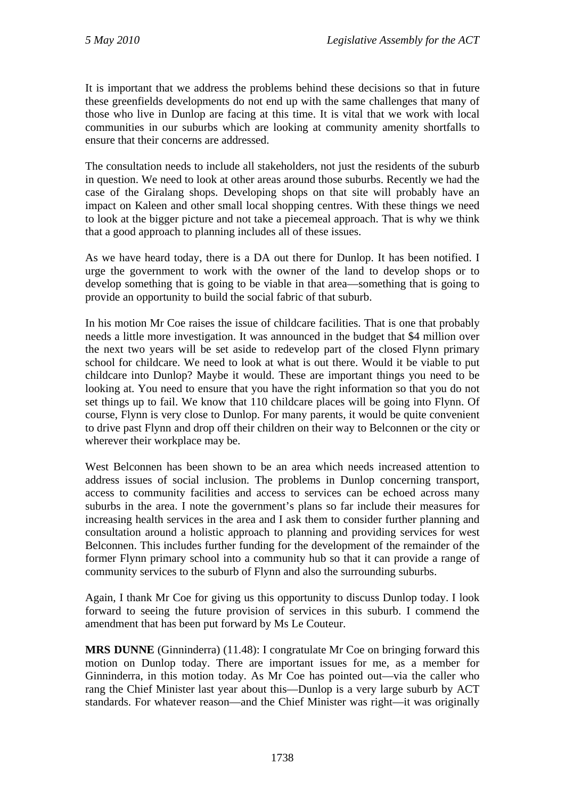It is important that we address the problems behind these decisions so that in future these greenfields developments do not end up with the same challenges that many of those who live in Dunlop are facing at this time. It is vital that we work with local communities in our suburbs which are looking at community amenity shortfalls to ensure that their concerns are addressed.

The consultation needs to include all stakeholders, not just the residents of the suburb in question. We need to look at other areas around those suburbs. Recently we had the case of the Giralang shops. Developing shops on that site will probably have an impact on Kaleen and other small local shopping centres. With these things we need to look at the bigger picture and not take a piecemeal approach. That is why we think that a good approach to planning includes all of these issues.

As we have heard today, there is a DA out there for Dunlop. It has been notified. I urge the government to work with the owner of the land to develop shops or to develop something that is going to be viable in that area—something that is going to provide an opportunity to build the social fabric of that suburb.

In his motion Mr Coe raises the issue of childcare facilities. That is one that probably needs a little more investigation. It was announced in the budget that \$4 million over the next two years will be set aside to redevelop part of the closed Flynn primary school for childcare. We need to look at what is out there. Would it be viable to put childcare into Dunlop? Maybe it would. These are important things you need to be looking at. You need to ensure that you have the right information so that you do not set things up to fail. We know that 110 childcare places will be going into Flynn. Of course, Flynn is very close to Dunlop. For many parents, it would be quite convenient to drive past Flynn and drop off their children on their way to Belconnen or the city or wherever their workplace may be.

West Belconnen has been shown to be an area which needs increased attention to address issues of social inclusion. The problems in Dunlop concerning transport, access to community facilities and access to services can be echoed across many suburbs in the area. I note the government's plans so far include their measures for increasing health services in the area and I ask them to consider further planning and consultation around a holistic approach to planning and providing services for west Belconnen. This includes further funding for the development of the remainder of the former Flynn primary school into a community hub so that it can provide a range of community services to the suburb of Flynn and also the surrounding suburbs.

Again, I thank Mr Coe for giving us this opportunity to discuss Dunlop today. I look forward to seeing the future provision of services in this suburb. I commend the amendment that has been put forward by Ms Le Couteur.

**MRS DUNNE** (Ginninderra) (11.48): I congratulate Mr Coe on bringing forward this motion on Dunlop today. There are important issues for me, as a member for Ginninderra, in this motion today. As Mr Coe has pointed out—via the caller who rang the Chief Minister last year about this—Dunlop is a very large suburb by ACT standards. For whatever reason—and the Chief Minister was right—it was originally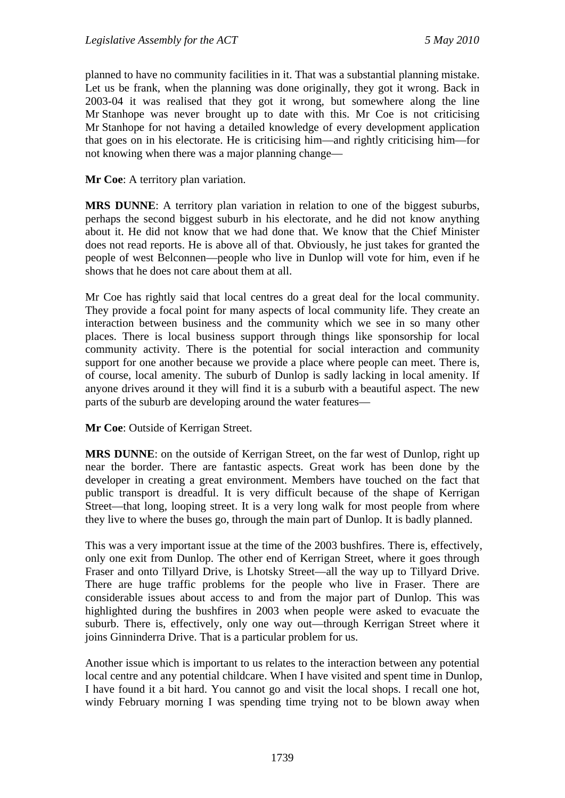planned to have no community facilities in it. That was a substantial planning mistake. Let us be frank, when the planning was done originally, they got it wrong. Back in 2003-04 it was realised that they got it wrong, but somewhere along the line Mr Stanhope was never brought up to date with this. Mr Coe is not criticising Mr Stanhope for not having a detailed knowledge of every development application that goes on in his electorate. He is criticising him—and rightly criticising him—for not knowing when there was a major planning change—

**Mr Coe**: A territory plan variation.

**MRS DUNNE**: A territory plan variation in relation to one of the biggest suburbs, perhaps the second biggest suburb in his electorate, and he did not know anything about it. He did not know that we had done that. We know that the Chief Minister does not read reports. He is above all of that. Obviously, he just takes for granted the people of west Belconnen—people who live in Dunlop will vote for him, even if he shows that he does not care about them at all.

Mr Coe has rightly said that local centres do a great deal for the local community. They provide a focal point for many aspects of local community life. They create an interaction between business and the community which we see in so many other places. There is local business support through things like sponsorship for local community activity. There is the potential for social interaction and community support for one another because we provide a place where people can meet. There is, of course, local amenity. The suburb of Dunlop is sadly lacking in local amenity. If anyone drives around it they will find it is a suburb with a beautiful aspect. The new parts of the suburb are developing around the water features—

**Mr Coe**: Outside of Kerrigan Street.

**MRS DUNNE**: on the outside of Kerrigan Street, on the far west of Dunlop, right up near the border. There are fantastic aspects. Great work has been done by the developer in creating a great environment. Members have touched on the fact that public transport is dreadful. It is very difficult because of the shape of Kerrigan Street—that long, looping street. It is a very long walk for most people from where they live to where the buses go, through the main part of Dunlop. It is badly planned.

This was a very important issue at the time of the 2003 bushfires. There is, effectively, only one exit from Dunlop. The other end of Kerrigan Street, where it goes through Fraser and onto Tillyard Drive, is Lhotsky Street—all the way up to Tillyard Drive. There are huge traffic problems for the people who live in Fraser. There are considerable issues about access to and from the major part of Dunlop. This was highlighted during the bushfires in 2003 when people were asked to evacuate the suburb. There is, effectively, only one way out—through Kerrigan Street where it joins Ginninderra Drive. That is a particular problem for us.

Another issue which is important to us relates to the interaction between any potential local centre and any potential childcare. When I have visited and spent time in Dunlop, I have found it a bit hard. You cannot go and visit the local shops. I recall one hot, windy February morning I was spending time trying not to be blown away when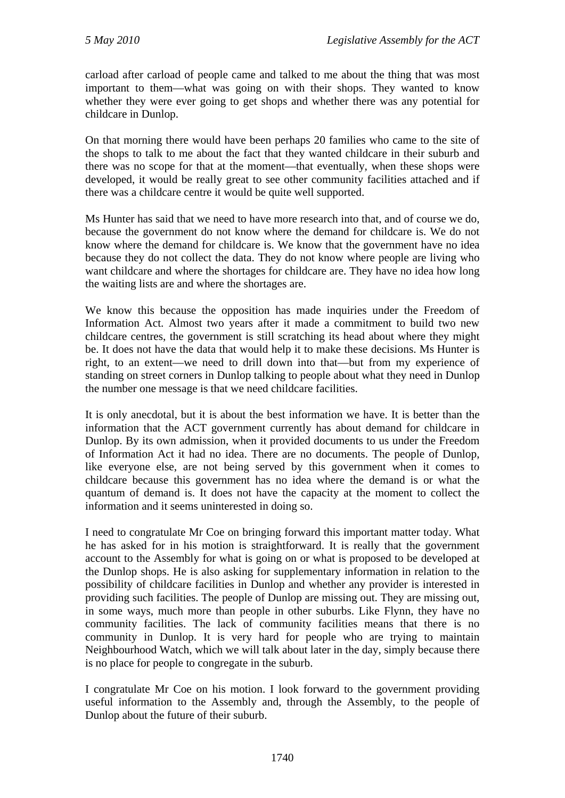carload after carload of people came and talked to me about the thing that was most important to them—what was going on with their shops. They wanted to know whether they were ever going to get shops and whether there was any potential for childcare in Dunlop.

On that morning there would have been perhaps 20 families who came to the site of the shops to talk to me about the fact that they wanted childcare in their suburb and there was no scope for that at the moment—that eventually, when these shops were developed, it would be really great to see other community facilities attached and if there was a childcare centre it would be quite well supported.

Ms Hunter has said that we need to have more research into that, and of course we do, because the government do not know where the demand for childcare is. We do not know where the demand for childcare is. We know that the government have no idea because they do not collect the data. They do not know where people are living who want childcare and where the shortages for childcare are. They have no idea how long the waiting lists are and where the shortages are.

We know this because the opposition has made inquiries under the Freedom of Information Act. Almost two years after it made a commitment to build two new childcare centres, the government is still scratching its head about where they might be. It does not have the data that would help it to make these decisions. Ms Hunter is right, to an extent—we need to drill down into that—but from my experience of standing on street corners in Dunlop talking to people about what they need in Dunlop the number one message is that we need childcare facilities.

It is only anecdotal, but it is about the best information we have. It is better than the information that the ACT government currently has about demand for childcare in Dunlop. By its own admission, when it provided documents to us under the Freedom of Information Act it had no idea. There are no documents. The people of Dunlop, like everyone else, are not being served by this government when it comes to childcare because this government has no idea where the demand is or what the quantum of demand is. It does not have the capacity at the moment to collect the information and it seems uninterested in doing so.

I need to congratulate Mr Coe on bringing forward this important matter today. What he has asked for in his motion is straightforward. It is really that the government account to the Assembly for what is going on or what is proposed to be developed at the Dunlop shops. He is also asking for supplementary information in relation to the possibility of childcare facilities in Dunlop and whether any provider is interested in providing such facilities. The people of Dunlop are missing out. They are missing out, in some ways, much more than people in other suburbs. Like Flynn, they have no community facilities. The lack of community facilities means that there is no community in Dunlop. It is very hard for people who are trying to maintain Neighbourhood Watch, which we will talk about later in the day, simply because there is no place for people to congregate in the suburb.

I congratulate Mr Coe on his motion. I look forward to the government providing useful information to the Assembly and, through the Assembly, to the people of Dunlop about the future of their suburb.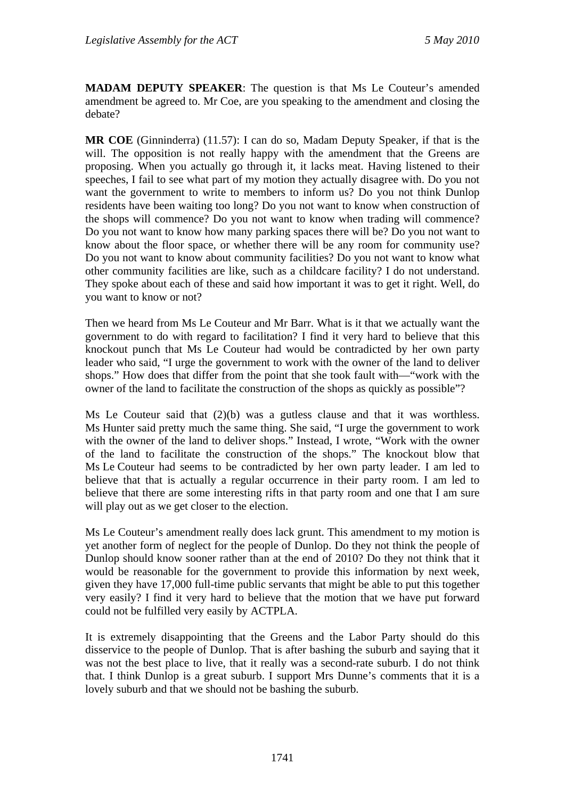**MADAM DEPUTY SPEAKER**: The question is that Ms Le Couteur's amended amendment be agreed to. Mr Coe, are you speaking to the amendment and closing the debate?

**MR COE** (Ginninderra) (11.57): I can do so, Madam Deputy Speaker, if that is the will. The opposition is not really happy with the amendment that the Greens are proposing. When you actually go through it, it lacks meat. Having listened to their speeches, I fail to see what part of my motion they actually disagree with. Do you not want the government to write to members to inform us? Do you not think Dunlop residents have been waiting too long? Do you not want to know when construction of the shops will commence? Do you not want to know when trading will commence? Do you not want to know how many parking spaces there will be? Do you not want to know about the floor space, or whether there will be any room for community use? Do you not want to know about community facilities? Do you not want to know what other community facilities are like, such as a childcare facility? I do not understand. They spoke about each of these and said how important it was to get it right. Well, do you want to know or not?

Then we heard from Ms Le Couteur and Mr Barr. What is it that we actually want the government to do with regard to facilitation? I find it very hard to believe that this knockout punch that Ms Le Couteur had would be contradicted by her own party leader who said, "I urge the government to work with the owner of the land to deliver shops." How does that differ from the point that she took fault with—"work with the owner of the land to facilitate the construction of the shops as quickly as possible"?

Ms Le Couteur said that (2)(b) was a gutless clause and that it was worthless. Ms Hunter said pretty much the same thing. She said, "I urge the government to work with the owner of the land to deliver shops." Instead, I wrote, "Work with the owner of the land to facilitate the construction of the shops." The knockout blow that Ms Le Couteur had seems to be contradicted by her own party leader. I am led to believe that that is actually a regular occurrence in their party room. I am led to believe that there are some interesting rifts in that party room and one that I am sure will play out as we get closer to the election.

Ms Le Couteur's amendment really does lack grunt. This amendment to my motion is yet another form of neglect for the people of Dunlop. Do they not think the people of Dunlop should know sooner rather than at the end of 2010? Do they not think that it would be reasonable for the government to provide this information by next week, given they have 17,000 full-time public servants that might be able to put this together very easily? I find it very hard to believe that the motion that we have put forward could not be fulfilled very easily by ACTPLA.

It is extremely disappointing that the Greens and the Labor Party should do this disservice to the people of Dunlop. That is after bashing the suburb and saying that it was not the best place to live, that it really was a second-rate suburb. I do not think that. I think Dunlop is a great suburb. I support Mrs Dunne's comments that it is a lovely suburb and that we should not be bashing the suburb.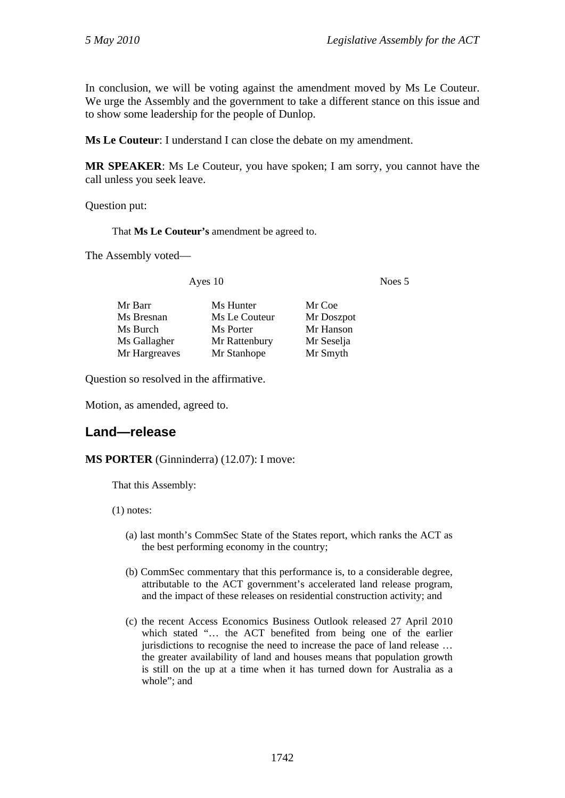In conclusion, we will be voting against the amendment moved by Ms Le Couteur. We urge the Assembly and the government to take a different stance on this issue and to show some leadership for the people of Dunlop.

**Ms Le Couteur**: I understand I can close the debate on my amendment.

**MR SPEAKER**: Ms Le Couteur, you have spoken; I am sorry, you cannot have the call unless you seek leave.

Question put:

That **Ms Le Couteur's** amendment be agreed to.

The Assembly voted—

Ayes 10 Noes 5

| Mr Barr       | Ms Hunter     | Mr Coe     |
|---------------|---------------|------------|
| Ms Bresnan    | Ms Le Couteur | Mr Doszpot |
| Ms Burch      | Ms Porter     | Mr Hanson  |
| Ms Gallagher  | Mr Rattenbury | Mr Seselja |
| Mr Hargreaves | Mr Stanhope   | Mr Smyth   |

Question so resolved in the affirmative.

Motion, as amended, agreed to.

# <span id="page-35-0"></span>**Land—release**

#### **MS PORTER** (Ginninderra) (12.07): I move:

That this Assembly:

(1) notes:

- (a) last month's CommSec State of the States report, which ranks the ACT as the best performing economy in the country;
- (b) CommSec commentary that this performance is, to a considerable degree, attributable to the ACT government's accelerated land release program, and the impact of these releases on residential construction activity; and
- (c) the recent Access Economics Business Outlook released 27 April 2010 which stated "… the ACT benefited from being one of the earlier jurisdictions to recognise the need to increase the pace of land release … the greater availability of land and houses means that population growth is still on the up at a time when it has turned down for Australia as a whole"; and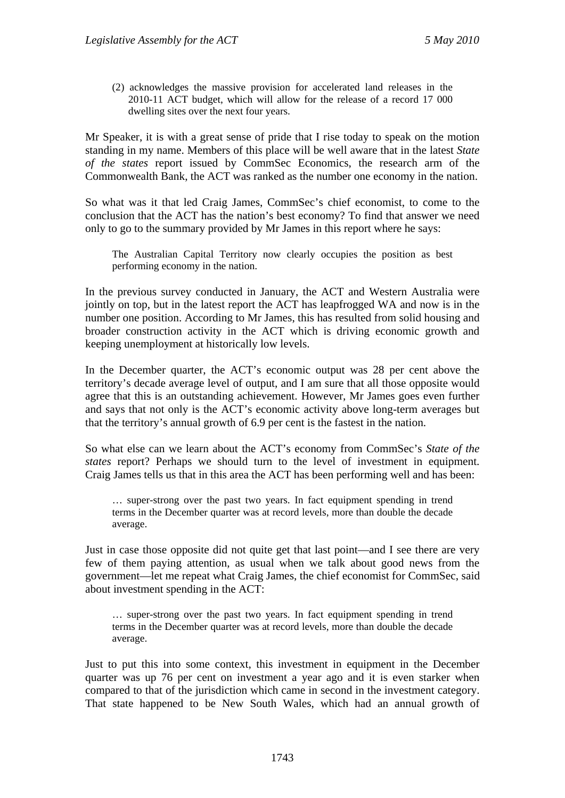(2) acknowledges the massive provision for accelerated land releases in the 2010-11 ACT budget, which will allow for the release of a record 17 000 dwelling sites over the next four years.

Mr Speaker, it is with a great sense of pride that I rise today to speak on the motion standing in my name. Members of this place will be well aware that in the latest *State of the states* report issued by CommSec Economics, the research arm of the Commonwealth Bank, the ACT was ranked as the number one economy in the nation.

So what was it that led Craig James, CommSec's chief economist, to come to the conclusion that the ACT has the nation's best economy? To find that answer we need only to go to the summary provided by Mr James in this report where he says:

The Australian Capital Territory now clearly occupies the position as best performing economy in the nation.

In the previous survey conducted in January, the ACT and Western Australia were jointly on top, but in the latest report the ACT has leapfrogged WA and now is in the number one position. According to Mr James, this has resulted from solid housing and broader construction activity in the ACT which is driving economic growth and keeping unemployment at historically low levels.

In the December quarter, the ACT's economic output was 28 per cent above the territory's decade average level of output, and I am sure that all those opposite would agree that this is an outstanding achievement. However, Mr James goes even further and says that not only is the ACT's economic activity above long-term averages but that the territory's annual growth of 6.9 per cent is the fastest in the nation.

So what else can we learn about the ACT's economy from CommSec's *State of the states* report? Perhaps we should turn to the level of investment in equipment. Craig James tells us that in this area the ACT has been performing well and has been:

… super-strong over the past two years. In fact equipment spending in trend terms in the December quarter was at record levels, more than double the decade average.

Just in case those opposite did not quite get that last point—and I see there are very few of them paying attention, as usual when we talk about good news from the government—let me repeat what Craig James, the chief economist for CommSec, said about investment spending in the ACT:

… super-strong over the past two years. In fact equipment spending in trend terms in the December quarter was at record levels, more than double the decade average.

Just to put this into some context, this investment in equipment in the December quarter was up 76 per cent on investment a year ago and it is even starker when compared to that of the jurisdiction which came in second in the investment category. That state happened to be New South Wales, which had an annual growth of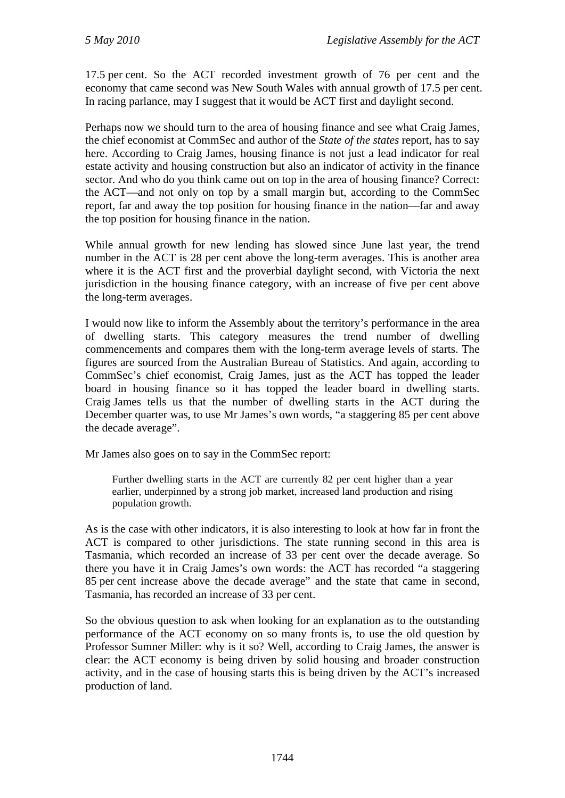17.5 per cent. So the ACT recorded investment growth of 76 per cent and the economy that came second was New South Wales with annual growth of 17.5 per cent. In racing parlance, may I suggest that it would be ACT first and daylight second.

Perhaps now we should turn to the area of housing finance and see what Craig James, the chief economist at CommSec and author of the *State of the states* report, has to say here. According to Craig James, housing finance is not just a lead indicator for real estate activity and housing construction but also an indicator of activity in the finance sector. And who do you think came out on top in the area of housing finance? Correct: the ACT—and not only on top by a small margin but, according to the CommSec report, far and away the top position for housing finance in the nation—far and away the top position for housing finance in the nation.

While annual growth for new lending has slowed since June last year, the trend number in the ACT is 28 per cent above the long-term averages. This is another area where it is the ACT first and the proverbial daylight second, with Victoria the next jurisdiction in the housing finance category, with an increase of five per cent above the long-term averages.

I would now like to inform the Assembly about the territory's performance in the area of dwelling starts. This category measures the trend number of dwelling commencements and compares them with the long-term average levels of starts. The figures are sourced from the Australian Bureau of Statistics. And again, according to CommSec's chief economist, Craig James, just as the ACT has topped the leader board in housing finance so it has topped the leader board in dwelling starts. Craig James tells us that the number of dwelling starts in the ACT during the December quarter was, to use Mr James's own words, "a staggering 85 per cent above the decade average".

Mr James also goes on to say in the CommSec report:

Further dwelling starts in the ACT are currently 82 per cent higher than a year earlier, underpinned by a strong job market, increased land production and rising population growth.

As is the case with other indicators, it is also interesting to look at how far in front the ACT is compared to other jurisdictions. The state running second in this area is Tasmania, which recorded an increase of 33 per cent over the decade average. So there you have it in Craig James's own words: the ACT has recorded "a staggering 85 per cent increase above the decade average" and the state that came in second, Tasmania, has recorded an increase of 33 per cent.

So the obvious question to ask when looking for an explanation as to the outstanding performance of the ACT economy on so many fronts is, to use the old question by Professor Sumner Miller: why is it so? Well, according to Craig James, the answer is clear: the ACT economy is being driven by solid housing and broader construction activity, and in the case of housing starts this is being driven by the ACT's increased production of land.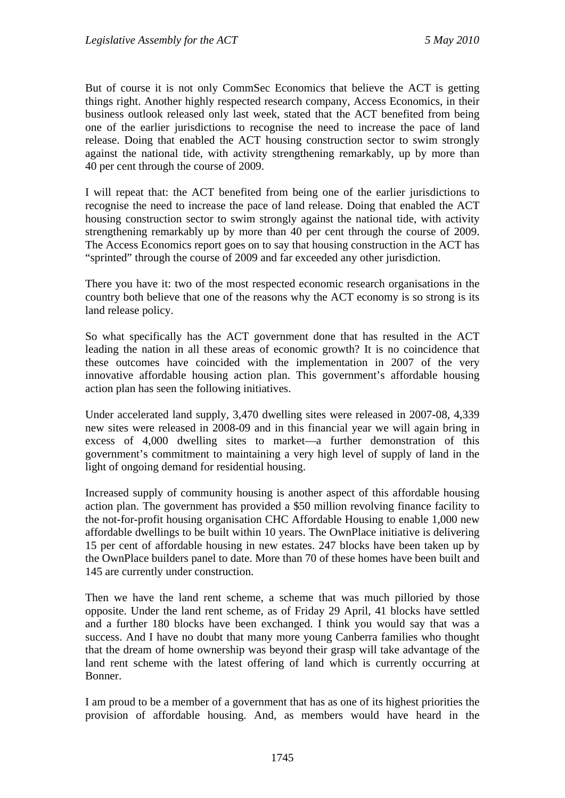But of course it is not only CommSec Economics that believe the ACT is getting things right. Another highly respected research company, Access Economics, in their business outlook released only last week, stated that the ACT benefited from being one of the earlier jurisdictions to recognise the need to increase the pace of land release. Doing that enabled the ACT housing construction sector to swim strongly against the national tide, with activity strengthening remarkably, up by more than 40 per cent through the course of 2009.

I will repeat that: the ACT benefited from being one of the earlier jurisdictions to recognise the need to increase the pace of land release. Doing that enabled the ACT housing construction sector to swim strongly against the national tide, with activity strengthening remarkably up by more than 40 per cent through the course of 2009. The Access Economics report goes on to say that housing construction in the ACT has "sprinted" through the course of 2009 and far exceeded any other jurisdiction.

There you have it: two of the most respected economic research organisations in the country both believe that one of the reasons why the ACT economy is so strong is its land release policy.

So what specifically has the ACT government done that has resulted in the ACT leading the nation in all these areas of economic growth? It is no coincidence that these outcomes have coincided with the implementation in 2007 of the very innovative affordable housing action plan. This government's affordable housing action plan has seen the following initiatives.

Under accelerated land supply, 3,470 dwelling sites were released in 2007-08, 4,339 new sites were released in 2008-09 and in this financial year we will again bring in excess of 4,000 dwelling sites to market—a further demonstration of this government's commitment to maintaining a very high level of supply of land in the light of ongoing demand for residential housing.

Increased supply of community housing is another aspect of this affordable housing action plan. The government has provided a \$50 million revolving finance facility to the not-for-profit housing organisation CHC Affordable Housing to enable 1,000 new affordable dwellings to be built within 10 years. The OwnPlace initiative is delivering 15 per cent of affordable housing in new estates. 247 blocks have been taken up by the OwnPlace builders panel to date. More than 70 of these homes have been built and 145 are currently under construction.

Then we have the land rent scheme, a scheme that was much pilloried by those opposite. Under the land rent scheme, as of Friday 29 April, 41 blocks have settled and a further 180 blocks have been exchanged. I think you would say that was a success. And I have no doubt that many more young Canberra families who thought that the dream of home ownership was beyond their grasp will take advantage of the land rent scheme with the latest offering of land which is currently occurring at Bonner.

I am proud to be a member of a government that has as one of its highest priorities the provision of affordable housing. And, as members would have heard in the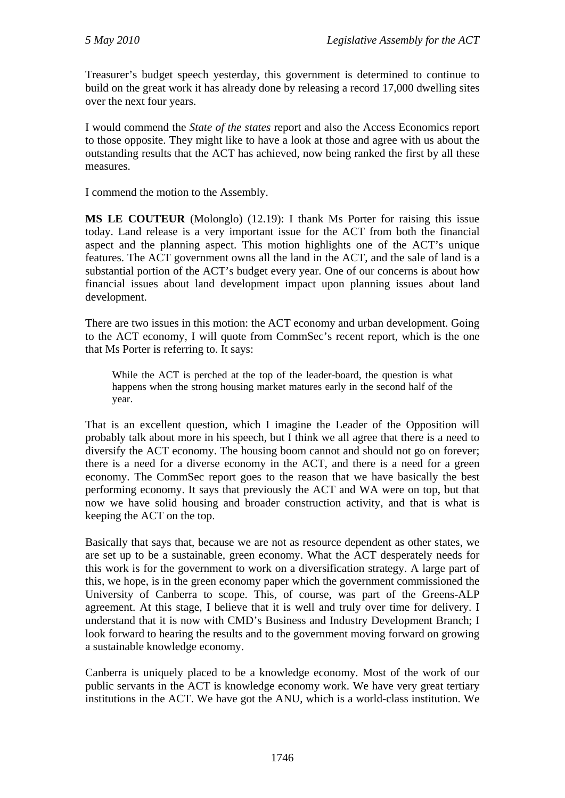Treasurer's budget speech yesterday, this government is determined to continue to build on the great work it has already done by releasing a record 17,000 dwelling sites over the next four years.

I would commend the *State of the states* report and also the Access Economics report to those opposite. They might like to have a look at those and agree with us about the outstanding results that the ACT has achieved, now being ranked the first by all these measures.

I commend the motion to the Assembly.

**MS LE COUTEUR** (Molonglo) (12.19): I thank Ms Porter for raising this issue today. Land release is a very important issue for the ACT from both the financial aspect and the planning aspect. This motion highlights one of the ACT's unique features. The ACT government owns all the land in the ACT, and the sale of land is a substantial portion of the ACT's budget every year. One of our concerns is about how financial issues about land development impact upon planning issues about land development.

There are two issues in this motion: the ACT economy and urban development. Going to the ACT economy, I will quote from CommSec's recent report, which is the one that Ms Porter is referring to. It says:

While the ACT is perched at the top of the leader-board, the question is what happens when the strong housing market matures early in the second half of the year.

That is an excellent question, which I imagine the Leader of the Opposition will probably talk about more in his speech, but I think we all agree that there is a need to diversify the ACT economy. The housing boom cannot and should not go on forever; there is a need for a diverse economy in the ACT, and there is a need for a green economy. The CommSec report goes to the reason that we have basically the best performing economy. It says that previously the ACT and WA were on top, but that now we have solid housing and broader construction activity, and that is what is keeping the ACT on the top.

Basically that says that, because we are not as resource dependent as other states, we are set up to be a sustainable, green economy. What the ACT desperately needs for this work is for the government to work on a diversification strategy. A large part of this, we hope, is in the green economy paper which the government commissioned the University of Canberra to scope. This, of course, was part of the Greens-ALP agreement. At this stage, I believe that it is well and truly over time for delivery. I understand that it is now with CMD's Business and Industry Development Branch; I look forward to hearing the results and to the government moving forward on growing a sustainable knowledge economy.

Canberra is uniquely placed to be a knowledge economy. Most of the work of our public servants in the ACT is knowledge economy work. We have very great tertiary institutions in the ACT. We have got the ANU, which is a world-class institution. We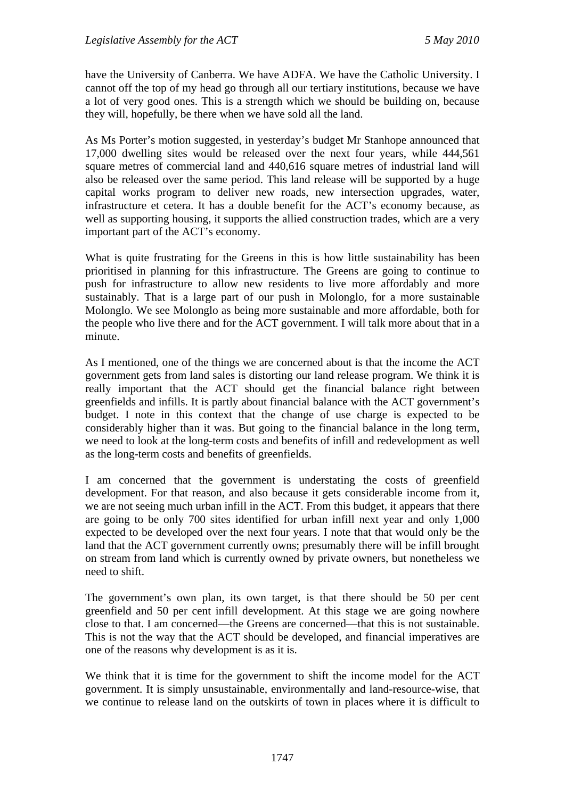have the University of Canberra. We have ADFA. We have the Catholic University. I cannot off the top of my head go through all our tertiary institutions, because we have a lot of very good ones. This is a strength which we should be building on, because they will, hopefully, be there when we have sold all the land.

As Ms Porter's motion suggested, in yesterday's budget Mr Stanhope announced that 17,000 dwelling sites would be released over the next four years, while 444,561 square metres of commercial land and 440,616 square metres of industrial land will also be released over the same period. This land release will be supported by a huge capital works program to deliver new roads, new intersection upgrades, water, infrastructure et cetera. It has a double benefit for the ACT's economy because, as well as supporting housing, it supports the allied construction trades, which are a very important part of the ACT's economy.

What is quite frustrating for the Greens in this is how little sustainability has been prioritised in planning for this infrastructure. The Greens are going to continue to push for infrastructure to allow new residents to live more affordably and more sustainably. That is a large part of our push in Molonglo, for a more sustainable Molonglo. We see Molonglo as being more sustainable and more affordable, both for the people who live there and for the ACT government. I will talk more about that in a minute.

As I mentioned, one of the things we are concerned about is that the income the ACT government gets from land sales is distorting our land release program. We think it is really important that the ACT should get the financial balance right between greenfields and infills. It is partly about financial balance with the ACT government's budget. I note in this context that the change of use charge is expected to be considerably higher than it was. But going to the financial balance in the long term, we need to look at the long-term costs and benefits of infill and redevelopment as well as the long-term costs and benefits of greenfields.

I am concerned that the government is understating the costs of greenfield development. For that reason, and also because it gets considerable income from it, we are not seeing much urban infill in the ACT. From this budget, it appears that there are going to be only 700 sites identified for urban infill next year and only 1,000 expected to be developed over the next four years. I note that that would only be the land that the ACT government currently owns; presumably there will be infill brought on stream from land which is currently owned by private owners, but nonetheless we need to shift.

The government's own plan, its own target, is that there should be 50 per cent greenfield and 50 per cent infill development. At this stage we are going nowhere close to that. I am concerned—the Greens are concerned—that this is not sustainable. This is not the way that the ACT should be developed, and financial imperatives are one of the reasons why development is as it is.

We think that it is time for the government to shift the income model for the ACT government. It is simply unsustainable, environmentally and land-resource-wise, that we continue to release land on the outskirts of town in places where it is difficult to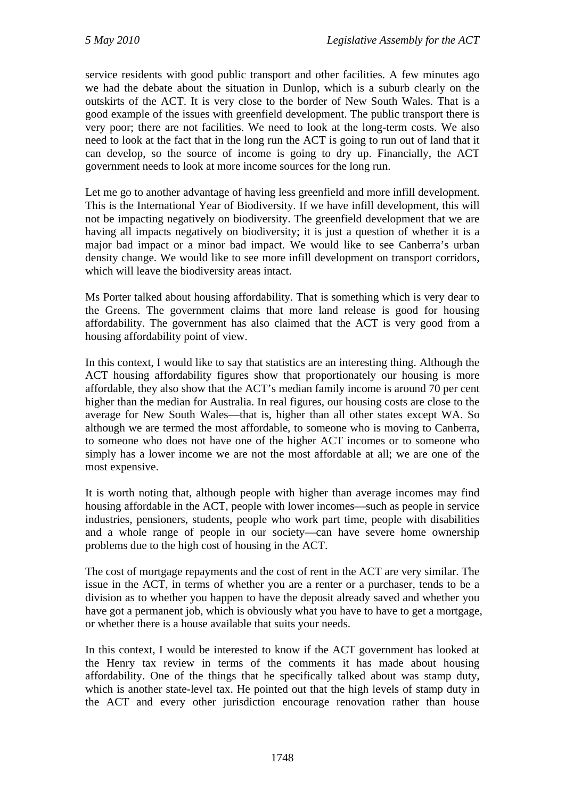service residents with good public transport and other facilities. A few minutes ago we had the debate about the situation in Dunlop, which is a suburb clearly on the outskirts of the ACT. It is very close to the border of New South Wales. That is a good example of the issues with greenfield development. The public transport there is very poor; there are not facilities. We need to look at the long-term costs. We also need to look at the fact that in the long run the ACT is going to run out of land that it can develop, so the source of income is going to dry up. Financially, the ACT government needs to look at more income sources for the long run.

Let me go to another advantage of having less greenfield and more infill development. This is the International Year of Biodiversity. If we have infill development, this will not be impacting negatively on biodiversity. The greenfield development that we are having all impacts negatively on biodiversity; it is just a question of whether it is a major bad impact or a minor bad impact. We would like to see Canberra's urban density change. We would like to see more infill development on transport corridors, which will leave the biodiversity areas intact.

Ms Porter talked about housing affordability. That is something which is very dear to the Greens. The government claims that more land release is good for housing affordability. The government has also claimed that the ACT is very good from a housing affordability point of view.

In this context, I would like to say that statistics are an interesting thing. Although the ACT housing affordability figures show that proportionately our housing is more affordable, they also show that the ACT's median family income is around 70 per cent higher than the median for Australia. In real figures, our housing costs are close to the average for New South Wales—that is, higher than all other states except WA. So although we are termed the most affordable, to someone who is moving to Canberra, to someone who does not have one of the higher ACT incomes or to someone who simply has a lower income we are not the most affordable at all; we are one of the most expensive.

It is worth noting that, although people with higher than average incomes may find housing affordable in the ACT, people with lower incomes—such as people in service industries, pensioners, students, people who work part time, people with disabilities and a whole range of people in our society—can have severe home ownership problems due to the high cost of housing in the ACT.

The cost of mortgage repayments and the cost of rent in the ACT are very similar. The issue in the ACT, in terms of whether you are a renter or a purchaser, tends to be a division as to whether you happen to have the deposit already saved and whether you have got a permanent job, which is obviously what you have to have to get a mortgage, or whether there is a house available that suits your needs.

In this context, I would be interested to know if the ACT government has looked at the Henry tax review in terms of the comments it has made about housing affordability. One of the things that he specifically talked about was stamp duty, which is another state-level tax. He pointed out that the high levels of stamp duty in the ACT and every other jurisdiction encourage renovation rather than house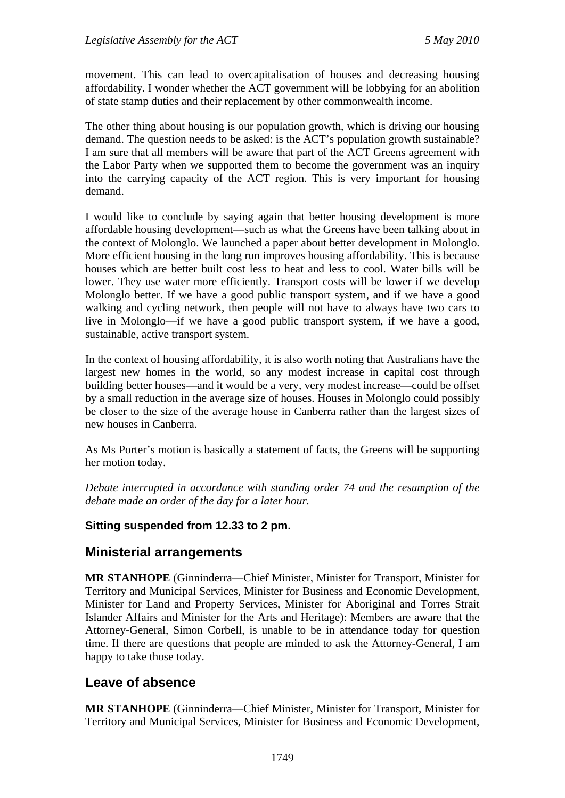movement. This can lead to overcapitalisation of houses and decreasing housing affordability. I wonder whether the ACT government will be lobbying for an abolition of state stamp duties and their replacement by other commonwealth income.

The other thing about housing is our population growth, which is driving our housing demand. The question needs to be asked: is the ACT's population growth sustainable? I am sure that all members will be aware that part of the ACT Greens agreement with the Labor Party when we supported them to become the government was an inquiry into the carrying capacity of the ACT region. This is very important for housing demand.

I would like to conclude by saying again that better housing development is more affordable housing development—such as what the Greens have been talking about in the context of Molonglo. We launched a paper about better development in Molonglo. More efficient housing in the long run improves housing affordability. This is because houses which are better built cost less to heat and less to cool. Water bills will be lower. They use water more efficiently. Transport costs will be lower if we develop Molonglo better. If we have a good public transport system, and if we have a good walking and cycling network, then people will not have to always have two cars to live in Molonglo—if we have a good public transport system, if we have a good, sustainable, active transport system.

In the context of housing affordability, it is also worth noting that Australians have the largest new homes in the world, so any modest increase in capital cost through building better houses—and it would be a very, very modest increase—could be offset by a small reduction in the average size of houses. Houses in Molonglo could possibly be closer to the size of the average house in Canberra rather than the largest sizes of new houses in Canberra.

As Ms Porter's motion is basically a statement of facts, the Greens will be supporting her motion today.

*Debate interrupted in accordance with standing order 74 and the resumption of the debate made an order of the day for a later hour.* 

### **Sitting suspended from 12.33 to 2 pm.**

## **Ministerial arrangements**

**MR STANHOPE** (Ginninderra—Chief Minister, Minister for Transport, Minister for Territory and Municipal Services, Minister for Business and Economic Development, Minister for Land and Property Services, Minister for Aboriginal and Torres Strait Islander Affairs and Minister for the Arts and Heritage): Members are aware that the Attorney-General, Simon Corbell, is unable to be in attendance today for question time. If there are questions that people are minded to ask the Attorney-General, I am happy to take those today.

## **Leave of absence**

**MR STANHOPE** (Ginninderra—Chief Minister, Minister for Transport, Minister for Territory and Municipal Services, Minister for Business and Economic Development,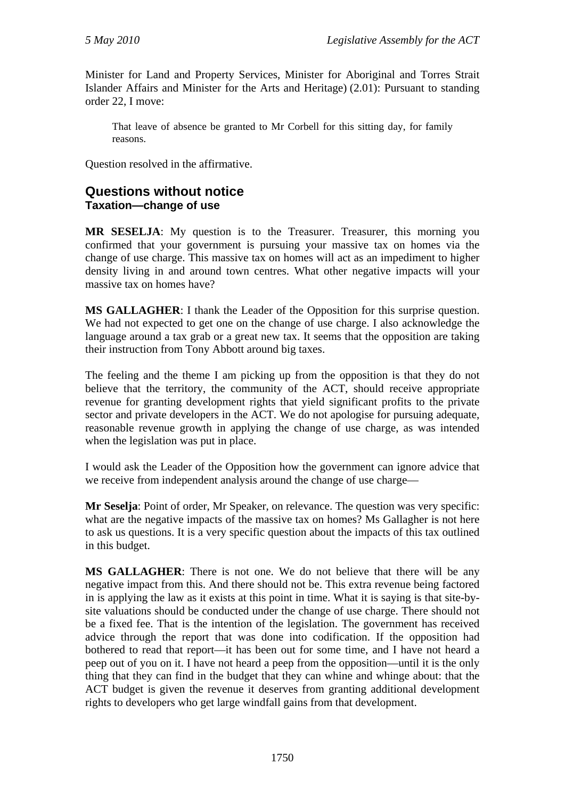Minister for Land and Property Services, Minister for Aboriginal and Torres Strait Islander Affairs and Minister for the Arts and Heritage) (2.01): Pursuant to standing order 22, I move:

That leave of absence be granted to Mr Corbell for this sitting day, for family reasons.

Question resolved in the affirmative.

## **Questions without notice Taxation—change of use**

**MR SESELJA**: My question is to the Treasurer. Treasurer, this morning you confirmed that your government is pursuing your massive tax on homes via the change of use charge. This massive tax on homes will act as an impediment to higher density living in and around town centres. What other negative impacts will your massive tax on homes have?

**MS GALLAGHER**: I thank the Leader of the Opposition for this surprise question. We had not expected to get one on the change of use charge. I also acknowledge the language around a tax grab or a great new tax. It seems that the opposition are taking their instruction from Tony Abbott around big taxes.

The feeling and the theme I am picking up from the opposition is that they do not believe that the territory, the community of the ACT, should receive appropriate revenue for granting development rights that yield significant profits to the private sector and private developers in the ACT. We do not apologise for pursuing adequate, reasonable revenue growth in applying the change of use charge, as was intended when the legislation was put in place.

I would ask the Leader of the Opposition how the government can ignore advice that we receive from independent analysis around the change of use charge—

**Mr Seselja**: Point of order, Mr Speaker, on relevance. The question was very specific: what are the negative impacts of the massive tax on homes? Ms Gallagher is not here to ask us questions. It is a very specific question about the impacts of this tax outlined in this budget.

**MS GALLAGHER**: There is not one. We do not believe that there will be any negative impact from this. And there should not be. This extra revenue being factored in is applying the law as it exists at this point in time. What it is saying is that site-bysite valuations should be conducted under the change of use charge. There should not be a fixed fee. That is the intention of the legislation. The government has received advice through the report that was done into codification. If the opposition had bothered to read that report—it has been out for some time, and I have not heard a peep out of you on it. I have not heard a peep from the opposition—until it is the only thing that they can find in the budget that they can whine and whinge about: that the ACT budget is given the revenue it deserves from granting additional development rights to developers who get large windfall gains from that development.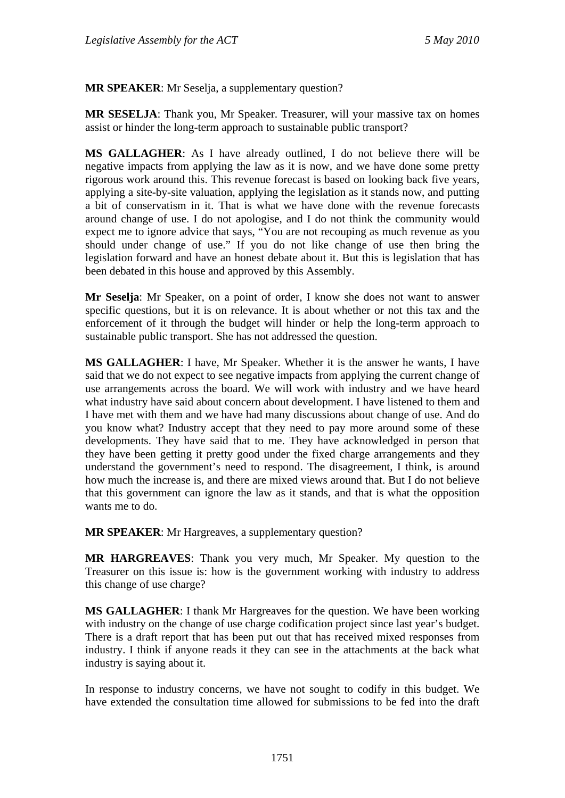**MR SPEAKER**: Mr Seselja, a supplementary question?

**MR SESELJA**: Thank you, Mr Speaker. Treasurer, will your massive tax on homes assist or hinder the long-term approach to sustainable public transport?

**MS GALLAGHER**: As I have already outlined, I do not believe there will be negative impacts from applying the law as it is now, and we have done some pretty rigorous work around this. This revenue forecast is based on looking back five years, applying a site-by-site valuation, applying the legislation as it stands now, and putting a bit of conservatism in it. That is what we have done with the revenue forecasts around change of use. I do not apologise, and I do not think the community would expect me to ignore advice that says, "You are not recouping as much revenue as you should under change of use." If you do not like change of use then bring the legislation forward and have an honest debate about it. But this is legislation that has been debated in this house and approved by this Assembly.

**Mr Seselja**: Mr Speaker, on a point of order, I know she does not want to answer specific questions, but it is on relevance. It is about whether or not this tax and the enforcement of it through the budget will hinder or help the long-term approach to sustainable public transport. She has not addressed the question.

**MS GALLAGHER**: I have, Mr Speaker. Whether it is the answer he wants, I have said that we do not expect to see negative impacts from applying the current change of use arrangements across the board. We will work with industry and we have heard what industry have said about concern about development. I have listened to them and I have met with them and we have had many discussions about change of use. And do you know what? Industry accept that they need to pay more around some of these developments. They have said that to me. They have acknowledged in person that they have been getting it pretty good under the fixed charge arrangements and they understand the government's need to respond. The disagreement, I think, is around how much the increase is, and there are mixed views around that. But I do not believe that this government can ignore the law as it stands, and that is what the opposition wants me to do.

**MR SPEAKER**: Mr Hargreaves, a supplementary question?

**MR HARGREAVES**: Thank you very much, Mr Speaker. My question to the Treasurer on this issue is: how is the government working with industry to address this change of use charge?

**MS GALLAGHER**: I thank Mr Hargreaves for the question. We have been working with industry on the change of use charge codification project since last year's budget. There is a draft report that has been put out that has received mixed responses from industry. I think if anyone reads it they can see in the attachments at the back what industry is saying about it.

In response to industry concerns, we have not sought to codify in this budget. We have extended the consultation time allowed for submissions to be fed into the draft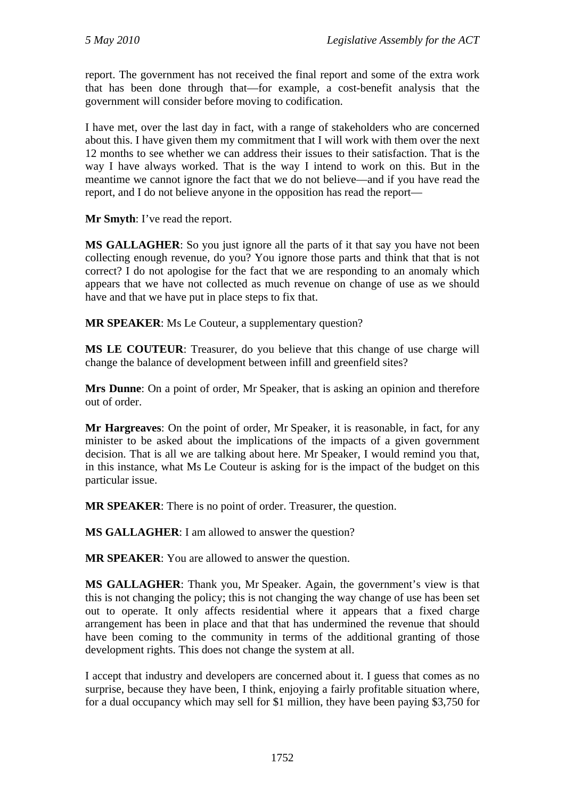report. The government has not received the final report and some of the extra work that has been done through that—for example, a cost-benefit analysis that the government will consider before moving to codification.

I have met, over the last day in fact, with a range of stakeholders who are concerned about this. I have given them my commitment that I will work with them over the next 12 months to see whether we can address their issues to their satisfaction. That is the way I have always worked. That is the way I intend to work on this. But in the meantime we cannot ignore the fact that we do not believe—and if you have read the report, and I do not believe anyone in the opposition has read the report—

**Mr Smyth**: I've read the report.

**MS GALLAGHER:** So you just ignore all the parts of it that say you have not been collecting enough revenue, do you? You ignore those parts and think that that is not correct? I do not apologise for the fact that we are responding to an anomaly which appears that we have not collected as much revenue on change of use as we should have and that we have put in place steps to fix that.

**MR SPEAKER**: Ms Le Couteur, a supplementary question?

**MS LE COUTEUR**: Treasurer, do you believe that this change of use charge will change the balance of development between infill and greenfield sites?

**Mrs Dunne**: On a point of order, Mr Speaker, that is asking an opinion and therefore out of order.

**Mr Hargreaves**: On the point of order, Mr Speaker, it is reasonable, in fact, for any minister to be asked about the implications of the impacts of a given government decision. That is all we are talking about here. Mr Speaker, I would remind you that, in this instance, what Ms Le Couteur is asking for is the impact of the budget on this particular issue.

**MR SPEAKER**: There is no point of order. Treasurer, the question.

**MS GALLAGHER**: I am allowed to answer the question?

**MR SPEAKER**: You are allowed to answer the question.

**MS GALLAGHER**: Thank you, Mr Speaker. Again, the government's view is that this is not changing the policy; this is not changing the way change of use has been set out to operate. It only affects residential where it appears that a fixed charge arrangement has been in place and that that has undermined the revenue that should have been coming to the community in terms of the additional granting of those development rights. This does not change the system at all.

I accept that industry and developers are concerned about it. I guess that comes as no surprise, because they have been, I think, enjoying a fairly profitable situation where, for a dual occupancy which may sell for \$1 million, they have been paying \$3,750 for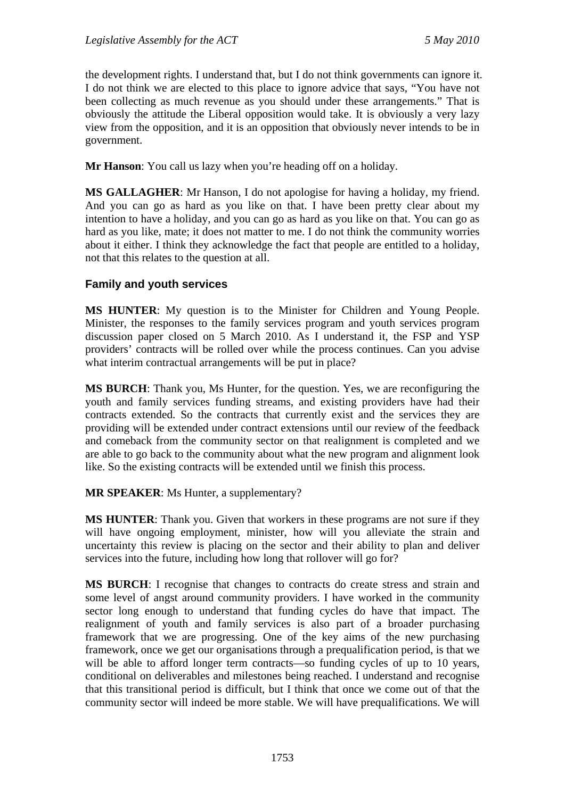the development rights. I understand that, but I do not think governments can ignore it. I do not think we are elected to this place to ignore advice that says, "You have not been collecting as much revenue as you should under these arrangements." That is obviously the attitude the Liberal opposition would take. It is obviously a very lazy view from the opposition, and it is an opposition that obviously never intends to be in government.

**Mr Hanson**: You call us lazy when you're heading off on a holiday.

**MS GALLAGHER**: Mr Hanson, I do not apologise for having a holiday, my friend. And you can go as hard as you like on that. I have been pretty clear about my intention to have a holiday, and you can go as hard as you like on that. You can go as hard as you like, mate; it does not matter to me. I do not think the community worries about it either. I think they acknowledge the fact that people are entitled to a holiday, not that this relates to the question at all.

### **Family and youth services**

**MS HUNTER**: My question is to the Minister for Children and Young People. Minister, the responses to the family services program and youth services program discussion paper closed on 5 March 2010. As I understand it, the FSP and YSP providers' contracts will be rolled over while the process continues. Can you advise what interim contractual arrangements will be put in place?

**MS BURCH**: Thank you, Ms Hunter, for the question. Yes, we are reconfiguring the youth and family services funding streams, and existing providers have had their contracts extended. So the contracts that currently exist and the services they are providing will be extended under contract extensions until our review of the feedback and comeback from the community sector on that realignment is completed and we are able to go back to the community about what the new program and alignment look like. So the existing contracts will be extended until we finish this process.

### **MR SPEAKER**: Ms Hunter, a supplementary?

**MS HUNTER**: Thank you. Given that workers in these programs are not sure if they will have ongoing employment, minister, how will you alleviate the strain and uncertainty this review is placing on the sector and their ability to plan and deliver services into the future, including how long that rollover will go for?

**MS BURCH**: I recognise that changes to contracts do create stress and strain and some level of angst around community providers. I have worked in the community sector long enough to understand that funding cycles do have that impact. The realignment of youth and family services is also part of a broader purchasing framework that we are progressing. One of the key aims of the new purchasing framework, once we get our organisations through a prequalification period, is that we will be able to afford longer term contracts—so funding cycles of up to 10 years, conditional on deliverables and milestones being reached. I understand and recognise that this transitional period is difficult, but I think that once we come out of that the community sector will indeed be more stable. We will have prequalifications. We will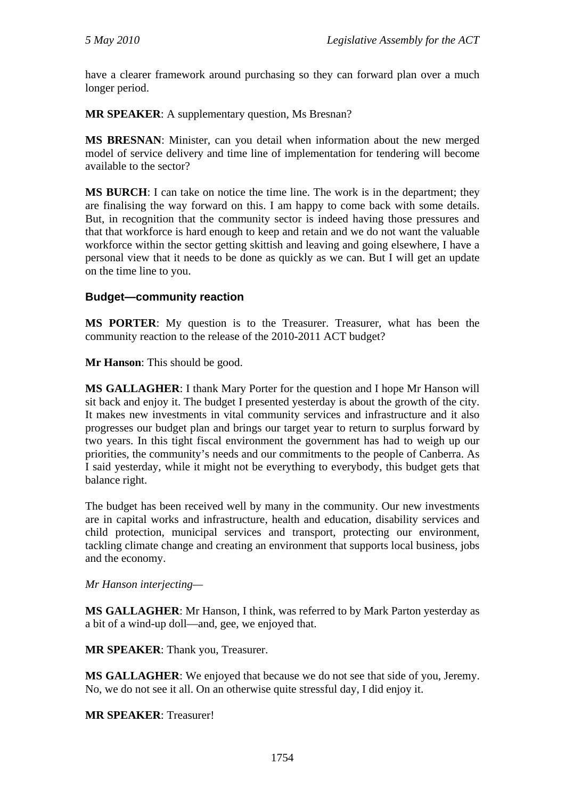have a clearer framework around purchasing so they can forward plan over a much longer period.

**MR SPEAKER**: A supplementary question, Ms Bresnan?

**MS BRESNAN**: Minister, can you detail when information about the new merged model of service delivery and time line of implementation for tendering will become available to the sector?

**MS BURCH**: I can take on notice the time line. The work is in the department; they are finalising the way forward on this. I am happy to come back with some details. But, in recognition that the community sector is indeed having those pressures and that that workforce is hard enough to keep and retain and we do not want the valuable workforce within the sector getting skittish and leaving and going elsewhere, I have a personal view that it needs to be done as quickly as we can. But I will get an update on the time line to you.

### **Budget—community reaction**

**MS PORTER**: My question is to the Treasurer. Treasurer, what has been the community reaction to the release of the 2010-2011 ACT budget?

**Mr Hanson**: This should be good.

**MS GALLAGHER**: I thank Mary Porter for the question and I hope Mr Hanson will sit back and enjoy it. The budget I presented yesterday is about the growth of the city. It makes new investments in vital community services and infrastructure and it also progresses our budget plan and brings our target year to return to surplus forward by two years. In this tight fiscal environment the government has had to weigh up our priorities, the community's needs and our commitments to the people of Canberra. As I said yesterday, while it might not be everything to everybody, this budget gets that balance right.

The budget has been received well by many in the community. Our new investments are in capital works and infrastructure, health and education, disability services and child protection, municipal services and transport, protecting our environment, tackling climate change and creating an environment that supports local business, jobs and the economy.

*Mr Hanson interjecting—* 

**MS GALLAGHER**: Mr Hanson, I think, was referred to by Mark Parton yesterday as a bit of a wind-up doll—and, gee, we enjoyed that.

**MR SPEAKER**: Thank you, Treasurer.

**MS GALLAGHER**: We enjoyed that because we do not see that side of you, Jeremy. No, we do not see it all. On an otherwise quite stressful day, I did enjoy it.

**MR SPEAKER**: Treasurer!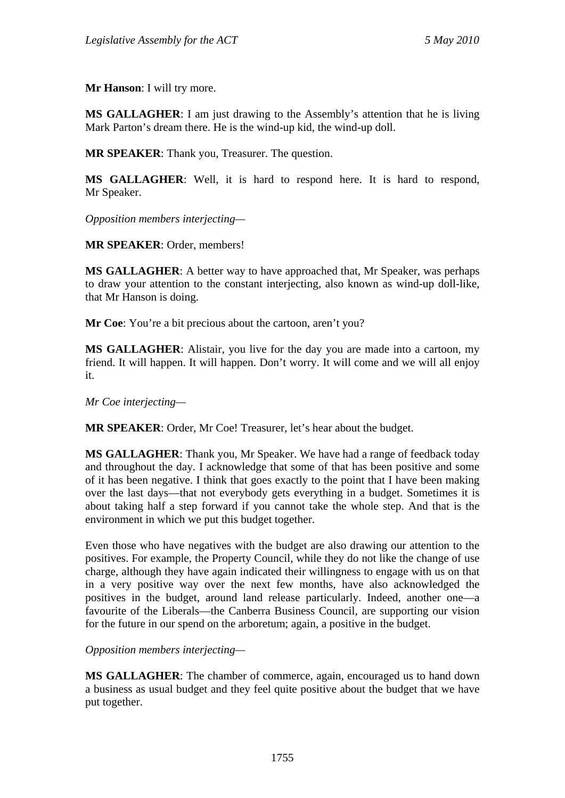**Mr Hanson**: I will try more.

**MS GALLAGHER**: I am just drawing to the Assembly's attention that he is living Mark Parton's dream there. He is the wind-up kid, the wind-up doll.

**MR SPEAKER**: Thank you, Treasurer. The question.

**MS GALLAGHER**: Well, it is hard to respond here. It is hard to respond, Mr Speaker.

*Opposition members interjecting—* 

**MR SPEAKER**: Order, members!

**MS GALLAGHER**: A better way to have approached that, Mr Speaker, was perhaps to draw your attention to the constant interjecting, also known as wind-up doll-like, that Mr Hanson is doing.

**Mr Coe**: You're a bit precious about the cartoon, aren't you?

**MS GALLAGHER**: Alistair, you live for the day you are made into a cartoon, my friend. It will happen. It will happen. Don't worry. It will come and we will all enjoy it.

*Mr Coe interjecting—* 

**MR SPEAKER**: Order, Mr Coe! Treasurer, let's hear about the budget.

**MS GALLAGHER**: Thank you, Mr Speaker. We have had a range of feedback today and throughout the day. I acknowledge that some of that has been positive and some of it has been negative. I think that goes exactly to the point that I have been making over the last days—that not everybody gets everything in a budget. Sometimes it is about taking half a step forward if you cannot take the whole step. And that is the environment in which we put this budget together.

Even those who have negatives with the budget are also drawing our attention to the positives. For example, the Property Council, while they do not like the change of use charge, although they have again indicated their willingness to engage with us on that in a very positive way over the next few months, have also acknowledged the positives in the budget, around land release particularly. Indeed, another one—a favourite of the Liberals—the Canberra Business Council, are supporting our vision for the future in our spend on the arboretum; again, a positive in the budget.

*Opposition members interjecting—* 

**MS GALLAGHER**: The chamber of commerce, again, encouraged us to hand down a business as usual budget and they feel quite positive about the budget that we have put together.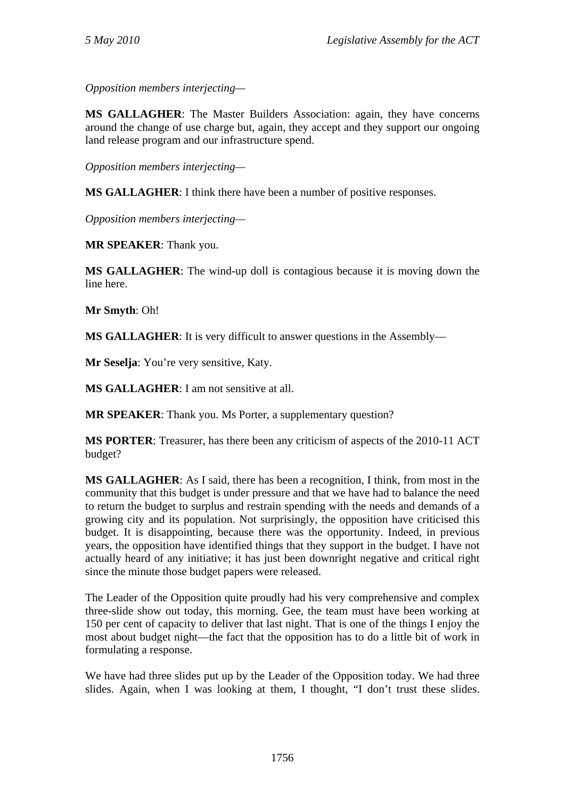*Opposition members interjecting—* 

**MS GALLAGHER**: The Master Builders Association: again, they have concerns around the change of use charge but, again, they accept and they support our ongoing land release program and our infrastructure spend.

*Opposition members interjecting—* 

**MS GALLAGHER**: I think there have been a number of positive responses.

*Opposition members interjecting—* 

**MR SPEAKER**: Thank you.

**MS GALLAGHER**: The wind-up doll is contagious because it is moving down the line here.

**Mr Smyth**: Oh!

**MS GALLAGHER**: It is very difficult to answer questions in the Assembly—

**Mr Seselja**: You're very sensitive, Katy.

**MS GALLAGHER**: I am not sensitive at all.

**MR SPEAKER:** Thank you. Ms Porter, a supplementary question?

**MS PORTER**: Treasurer, has there been any criticism of aspects of the 2010-11 ACT budget?

**MS GALLAGHER**: As I said, there has been a recognition, I think, from most in the community that this budget is under pressure and that we have had to balance the need to return the budget to surplus and restrain spending with the needs and demands of a growing city and its population. Not surprisingly, the opposition have criticised this budget. It is disappointing, because there was the opportunity. Indeed, in previous years, the opposition have identified things that they support in the budget. I have not actually heard of any initiative; it has just been downright negative and critical right since the minute those budget papers were released.

The Leader of the Opposition quite proudly had his very comprehensive and complex three-slide show out today, this morning. Gee, the team must have been working at 150 per cent of capacity to deliver that last night. That is one of the things I enjoy the most about budget night—the fact that the opposition has to do a little bit of work in formulating a response.

We have had three slides put up by the Leader of the Opposition today. We had three slides. Again, when I was looking at them, I thought, "I don't trust these slides.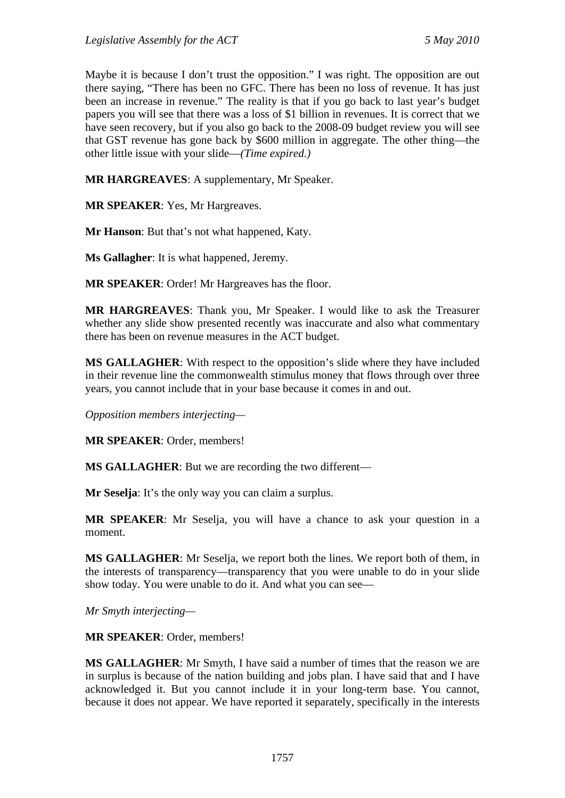Maybe it is because I don't trust the opposition." I was right. The opposition are out there saying, "There has been no GFC. There has been no loss of revenue. It has just been an increase in revenue." The reality is that if you go back to last year's budget papers you will see that there was a loss of \$1 billion in revenues. It is correct that we have seen recovery, but if you also go back to the 2008-09 budget review you will see that GST revenue has gone back by \$600 million in aggregate. The other thing—the other little issue with your slide—*(Time expired.)*

**MR HARGREAVES**: A supplementary, Mr Speaker.

**MR SPEAKER**: Yes, Mr Hargreaves.

**Mr Hanson**: But that's not what happened, Katy.

**Ms Gallagher**: It is what happened, Jeremy.

**MR SPEAKER**: Order! Mr Hargreaves has the floor.

**MR HARGREAVES**: Thank you, Mr Speaker. I would like to ask the Treasurer whether any slide show presented recently was inaccurate and also what commentary there has been on revenue measures in the ACT budget.

**MS GALLAGHER**: With respect to the opposition's slide where they have included in their revenue line the commonwealth stimulus money that flows through over three years, you cannot include that in your base because it comes in and out.

*Opposition members interjecting—* 

**MR SPEAKER**: Order, members!

**MS GALLAGHER**: But we are recording the two different—

**Mr Seselja:** It's the only way you can claim a surplus.

**MR SPEAKER**: Mr Seselja, you will have a chance to ask your question in a moment.

**MS GALLAGHER**: Mr Seselja, we report both the lines. We report both of them, in the interests of transparency—transparency that you were unable to do in your slide show today. You were unable to do it. And what you can see—

*Mr Smyth interjecting—* 

**MR SPEAKER**: Order, members!

**MS GALLAGHER**: Mr Smyth, I have said a number of times that the reason we are in surplus is because of the nation building and jobs plan. I have said that and I have acknowledged it. But you cannot include it in your long-term base. You cannot, because it does not appear. We have reported it separately, specifically in the interests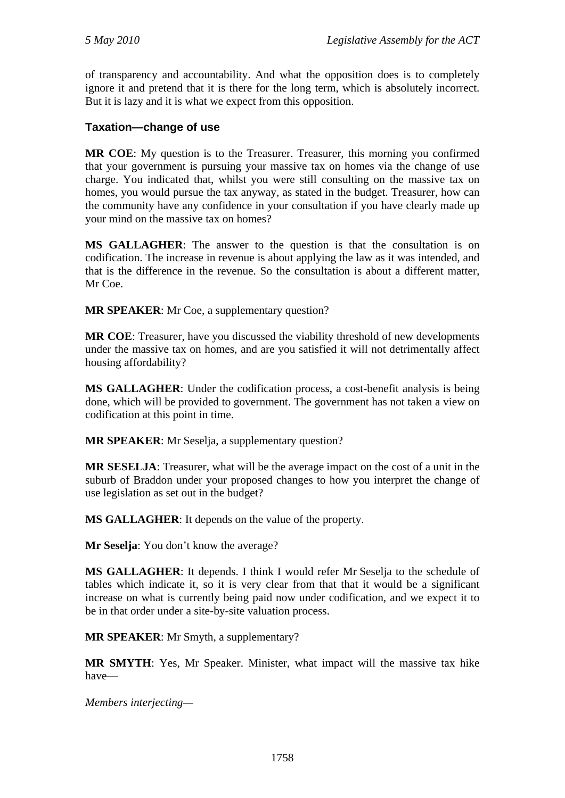of transparency and accountability. And what the opposition does is to completely ignore it and pretend that it is there for the long term, which is absolutely incorrect. But it is lazy and it is what we expect from this opposition.

### **Taxation—change of use**

**MR COE**: My question is to the Treasurer. Treasurer, this morning you confirmed that your government is pursuing your massive tax on homes via the change of use charge. You indicated that, whilst you were still consulting on the massive tax on homes, you would pursue the tax anyway, as stated in the budget. Treasurer, how can the community have any confidence in your consultation if you have clearly made up your mind on the massive tax on homes?

**MS GALLAGHER**: The answer to the question is that the consultation is on codification. The increase in revenue is about applying the law as it was intended, and that is the difference in the revenue. So the consultation is about a different matter, Mr Coe.

**MR SPEAKER**: Mr Coe, a supplementary question?

**MR COE**: Treasurer, have you discussed the viability threshold of new developments under the massive tax on homes, and are you satisfied it will not detrimentally affect housing affordability?

**MS GALLAGHER**: Under the codification process, a cost-benefit analysis is being done, which will be provided to government. The government has not taken a view on codification at this point in time.

**MR SPEAKER**: Mr Seselja, a supplementary question?

**MR SESELJA**: Treasurer, what will be the average impact on the cost of a unit in the suburb of Braddon under your proposed changes to how you interpret the change of use legislation as set out in the budget?

**MS GALLAGHER**: It depends on the value of the property.

**Mr Seselja**: You don't know the average?

**MS GALLAGHER**: It depends. I think I would refer Mr Seselja to the schedule of tables which indicate it, so it is very clear from that that it would be a significant increase on what is currently being paid now under codification, and we expect it to be in that order under a site-by-site valuation process.

**MR SPEAKER**: Mr Smyth, a supplementary?

**MR SMYTH**: Yes, Mr Speaker. Minister, what impact will the massive tax hike have—

*Members interjecting—*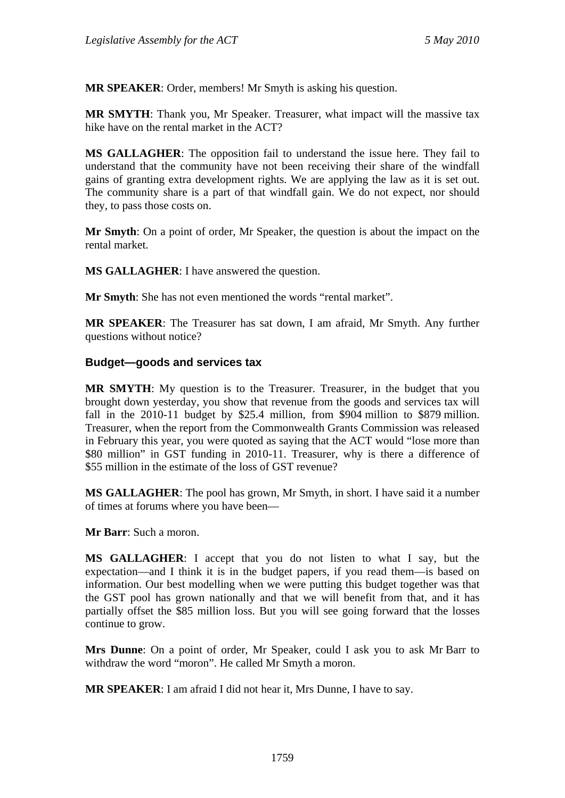**MR SPEAKER**: Order, members! Mr Smyth is asking his question.

**MR SMYTH**: Thank you, Mr Speaker. Treasurer, what impact will the massive tax hike have on the rental market in the ACT?

**MS GALLAGHER**: The opposition fail to understand the issue here. They fail to understand that the community have not been receiving their share of the windfall gains of granting extra development rights. We are applying the law as it is set out. The community share is a part of that windfall gain. We do not expect, nor should they, to pass those costs on.

**Mr Smyth**: On a point of order, Mr Speaker, the question is about the impact on the rental market.

**MS GALLAGHER**: I have answered the question.

**Mr Smyth**: She has not even mentioned the words "rental market".

**MR SPEAKER**: The Treasurer has sat down, I am afraid, Mr Smyth. Any further questions without notice?

#### **Budget—goods and services tax**

**MR SMYTH**: My question is to the Treasurer. Treasurer, in the budget that you brought down yesterday, you show that revenue from the goods and services tax will fall in the 2010-11 budget by \$25.4 million, from \$904 million to \$879 million. Treasurer, when the report from the Commonwealth Grants Commission was released in February this year, you were quoted as saying that the ACT would "lose more than \$80 million" in GST funding in 2010-11. Treasurer, why is there a difference of \$55 million in the estimate of the loss of GST revenue?

**MS GALLAGHER**: The pool has grown, Mr Smyth, in short. I have said it a number of times at forums where you have been—

**Mr Barr**: Such a moron.

**MS GALLAGHER**: I accept that you do not listen to what I say, but the expectation—and I think it is in the budget papers, if you read them—is based on information. Our best modelling when we were putting this budget together was that the GST pool has grown nationally and that we will benefit from that, and it has partially offset the \$85 million loss. But you will see going forward that the losses continue to grow.

**Mrs Dunne**: On a point of order, Mr Speaker, could I ask you to ask Mr Barr to withdraw the word "moron". He called Mr Smyth a moron.

**MR SPEAKER**: I am afraid I did not hear it, Mrs Dunne, I have to say.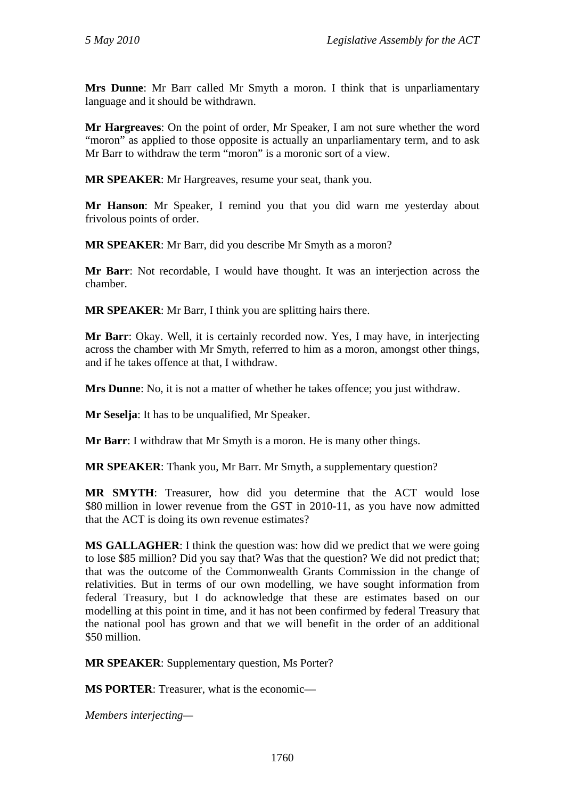**Mrs Dunne**: Mr Barr called Mr Smyth a moron. I think that is unparliamentary language and it should be withdrawn.

**Mr Hargreaves**: On the point of order, Mr Speaker, I am not sure whether the word "moron" as applied to those opposite is actually an unparliamentary term, and to ask Mr Barr to withdraw the term "moron" is a moronic sort of a view.

**MR SPEAKER**: Mr Hargreaves, resume your seat, thank you.

**Mr Hanson**: Mr Speaker, I remind you that you did warn me yesterday about frivolous points of order.

**MR SPEAKER**: Mr Barr, did you describe Mr Smyth as a moron?

**Mr Barr**: Not recordable, I would have thought. It was an interjection across the chamber.

**MR SPEAKER**: Mr Barr, I think you are splitting hairs there.

**Mr Barr**: Okay. Well, it is certainly recorded now. Yes, I may have, in interjecting across the chamber with Mr Smyth, referred to him as a moron, amongst other things, and if he takes offence at that, I withdraw.

**Mrs Dunne**: No, it is not a matter of whether he takes offence; you just withdraw.

**Mr Seselja**: It has to be unqualified, Mr Speaker.

**Mr Barr**: I withdraw that Mr Smyth is a moron. He is many other things.

**MR SPEAKER**: Thank you, Mr Barr. Mr Smyth, a supplementary question?

**MR SMYTH**: Treasurer, how did you determine that the ACT would lose \$80 million in lower revenue from the GST in 2010-11, as you have now admitted that the ACT is doing its own revenue estimates?

**MS GALLAGHER**: I think the question was: how did we predict that we were going to lose \$85 million? Did you say that? Was that the question? We did not predict that; that was the outcome of the Commonwealth Grants Commission in the change of relativities. But in terms of our own modelling, we have sought information from federal Treasury, but I do acknowledge that these are estimates based on our modelling at this point in time, and it has not been confirmed by federal Treasury that the national pool has grown and that we will benefit in the order of an additional \$50 million.

**MR SPEAKER:** Supplementary question, Ms Porter?

**MS PORTER**: Treasurer, what is the economic—

*Members interjecting—*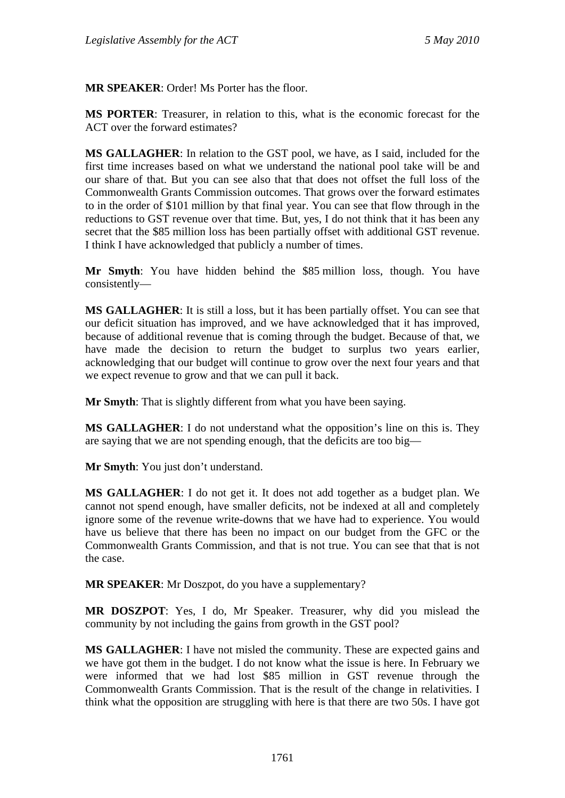**MR SPEAKER**: Order! Ms Porter has the floor.

**MS PORTER**: Treasurer, in relation to this, what is the economic forecast for the ACT over the forward estimates?

**MS GALLAGHER**: In relation to the GST pool, we have, as I said, included for the first time increases based on what we understand the national pool take will be and our share of that. But you can see also that that does not offset the full loss of the Commonwealth Grants Commission outcomes. That grows over the forward estimates to in the order of \$101 million by that final year. You can see that flow through in the reductions to GST revenue over that time. But, yes, I do not think that it has been any secret that the \$85 million loss has been partially offset with additional GST revenue. I think I have acknowledged that publicly a number of times.

**Mr Smyth**: You have hidden behind the \$85 million loss, though. You have consistently—

**MS GALLAGHER**: It is still a loss, but it has been partially offset. You can see that our deficit situation has improved, and we have acknowledged that it has improved, because of additional revenue that is coming through the budget. Because of that, we have made the decision to return the budget to surplus two years earlier, acknowledging that our budget will continue to grow over the next four years and that we expect revenue to grow and that we can pull it back.

**Mr Smyth**: That is slightly different from what you have been saying.

**MS GALLAGHER**: I do not understand what the opposition's line on this is. They are saying that we are not spending enough, that the deficits are too big—

**Mr Smyth**: You just don't understand.

**MS GALLAGHER**: I do not get it. It does not add together as a budget plan. We cannot not spend enough, have smaller deficits, not be indexed at all and completely ignore some of the revenue write-downs that we have had to experience. You would have us believe that there has been no impact on our budget from the GFC or the Commonwealth Grants Commission, and that is not true. You can see that that is not the case.

**MR SPEAKER**: Mr Doszpot, do you have a supplementary?

**MR DOSZPOT**: Yes, I do, Mr Speaker. Treasurer, why did you mislead the community by not including the gains from growth in the GST pool?

**MS GALLAGHER**: I have not misled the community. These are expected gains and we have got them in the budget. I do not know what the issue is here. In February we were informed that we had lost \$85 million in GST revenue through the Commonwealth Grants Commission. That is the result of the change in relativities. I think what the opposition are struggling with here is that there are two 50s. I have got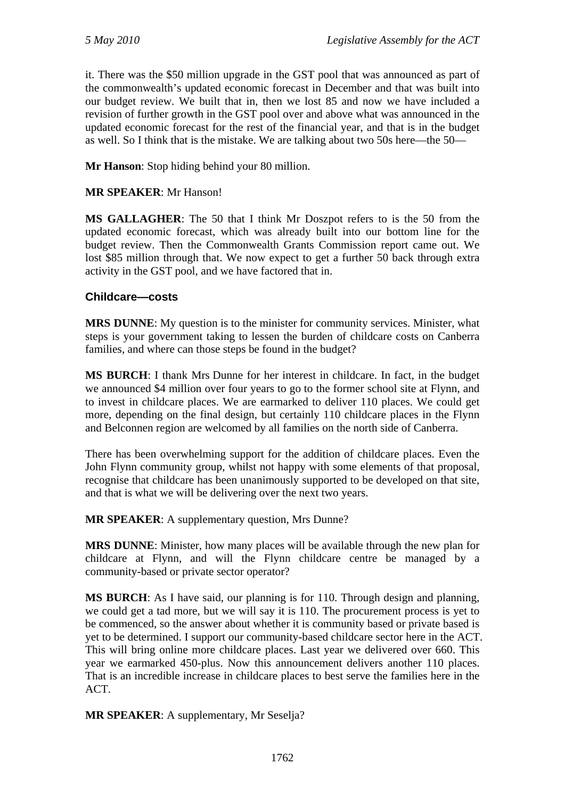it. There was the \$50 million upgrade in the GST pool that was announced as part of the commonwealth's updated economic forecast in December and that was built into our budget review. We built that in, then we lost 85 and now we have included a revision of further growth in the GST pool over and above what was announced in the updated economic forecast for the rest of the financial year, and that is in the budget as well. So I think that is the mistake. We are talking about two 50s here—the 50—

**Mr Hanson**: Stop hiding behind your 80 million.

## **MR SPEAKER**: Mr Hanson!

**MS GALLAGHER**: The 50 that I think Mr Doszpot refers to is the 50 from the updated economic forecast, which was already built into our bottom line for the budget review. Then the Commonwealth Grants Commission report came out. We lost \$85 million through that. We now expect to get a further 50 back through extra activity in the GST pool, and we have factored that in.

### **Childcare—costs**

**MRS DUNNE**: My question is to the minister for community services. Minister, what steps is your government taking to lessen the burden of childcare costs on Canberra families, and where can those steps be found in the budget?

**MS BURCH**: I thank Mrs Dunne for her interest in childcare. In fact, in the budget we announced \$4 million over four years to go to the former school site at Flynn, and to invest in childcare places. We are earmarked to deliver 110 places. We could get more, depending on the final design, but certainly 110 childcare places in the Flynn and Belconnen region are welcomed by all families on the north side of Canberra.

There has been overwhelming support for the addition of childcare places. Even the John Flynn community group, whilst not happy with some elements of that proposal, recognise that childcare has been unanimously supported to be developed on that site, and that is what we will be delivering over the next two years.

**MR SPEAKER**: A supplementary question, Mrs Dunne?

**MRS DUNNE**: Minister, how many places will be available through the new plan for childcare at Flynn, and will the Flynn childcare centre be managed by a community-based or private sector operator?

**MS BURCH**: As I have said, our planning is for 110. Through design and planning, we could get a tad more, but we will say it is 110. The procurement process is yet to be commenced, so the answer about whether it is community based or private based is yet to be determined. I support our community-based childcare sector here in the ACT. This will bring online more childcare places. Last year we delivered over 660. This year we earmarked 450-plus. Now this announcement delivers another 110 places. That is an incredible increase in childcare places to best serve the families here in the ACT.

**MR SPEAKER**: A supplementary, Mr Seselja?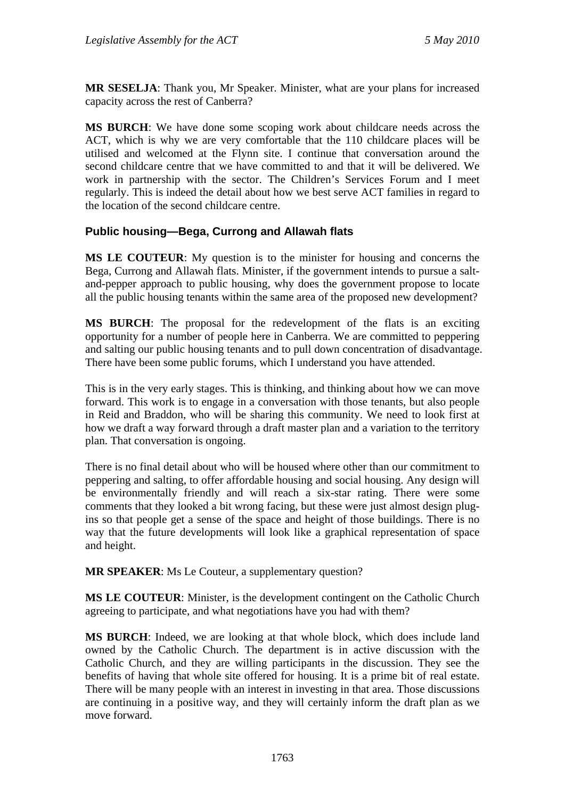**MR SESELJA**: Thank you, Mr Speaker. Minister, what are your plans for increased capacity across the rest of Canberra?

**MS BURCH**: We have done some scoping work about childcare needs across the ACT, which is why we are very comfortable that the 110 childcare places will be utilised and welcomed at the Flynn site. I continue that conversation around the second childcare centre that we have committed to and that it will be delivered. We work in partnership with the sector. The Children's Services Forum and I meet regularly. This is indeed the detail about how we best serve ACT families in regard to the location of the second childcare centre.

### **Public housing—Bega, Currong and Allawah flats**

**MS LE COUTEUR**: My question is to the minister for housing and concerns the Bega, Currong and Allawah flats. Minister, if the government intends to pursue a saltand-pepper approach to public housing, why does the government propose to locate all the public housing tenants within the same area of the proposed new development?

**MS BURCH**: The proposal for the redevelopment of the flats is an exciting opportunity for a number of people here in Canberra. We are committed to peppering and salting our public housing tenants and to pull down concentration of disadvantage. There have been some public forums, which I understand you have attended.

This is in the very early stages. This is thinking, and thinking about how we can move forward. This work is to engage in a conversation with those tenants, but also people in Reid and Braddon, who will be sharing this community. We need to look first at how we draft a way forward through a draft master plan and a variation to the territory plan. That conversation is ongoing.

There is no final detail about who will be housed where other than our commitment to peppering and salting, to offer affordable housing and social housing. Any design will be environmentally friendly and will reach a six-star rating. There were some comments that they looked a bit wrong facing, but these were just almost design plugins so that people get a sense of the space and height of those buildings. There is no way that the future developments will look like a graphical representation of space and height.

**MR SPEAKER**: Ms Le Couteur, a supplementary question?

**MS LE COUTEUR**: Minister, is the development contingent on the Catholic Church agreeing to participate, and what negotiations have you had with them?

**MS BURCH**: Indeed, we are looking at that whole block, which does include land owned by the Catholic Church. The department is in active discussion with the Catholic Church, and they are willing participants in the discussion. They see the benefits of having that whole site offered for housing. It is a prime bit of real estate. There will be many people with an interest in investing in that area. Those discussions are continuing in a positive way, and they will certainly inform the draft plan as we move forward.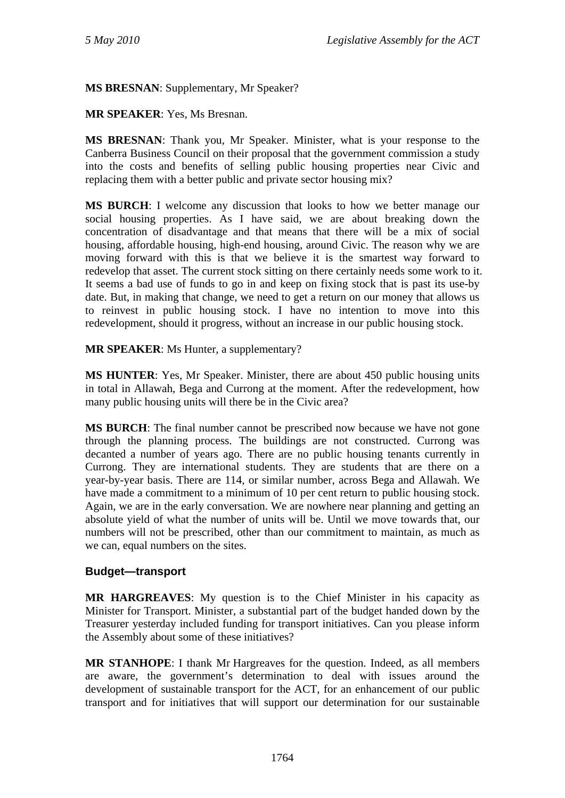### **MS BRESNAN**: Supplementary, Mr Speaker?

### **MR SPEAKER**: Yes, Ms Bresnan.

**MS BRESNAN**: Thank you, Mr Speaker. Minister, what is your response to the Canberra Business Council on their proposal that the government commission a study into the costs and benefits of selling public housing properties near Civic and replacing them with a better public and private sector housing mix?

**MS BURCH**: I welcome any discussion that looks to how we better manage our social housing properties. As I have said, we are about breaking down the concentration of disadvantage and that means that there will be a mix of social housing, affordable housing, high-end housing, around Civic. The reason why we are moving forward with this is that we believe it is the smartest way forward to redevelop that asset. The current stock sitting on there certainly needs some work to it. It seems a bad use of funds to go in and keep on fixing stock that is past its use-by date. But, in making that change, we need to get a return on our money that allows us to reinvest in public housing stock. I have no intention to move into this redevelopment, should it progress, without an increase in our public housing stock.

**MR SPEAKER**: Ms Hunter, a supplementary?

**MS HUNTER**: Yes, Mr Speaker. Minister, there are about 450 public housing units in total in Allawah, Bega and Currong at the moment. After the redevelopment, how many public housing units will there be in the Civic area?

**MS BURCH**: The final number cannot be prescribed now because we have not gone through the planning process. The buildings are not constructed. Currong was decanted a number of years ago. There are no public housing tenants currently in Currong. They are international students. They are students that are there on a year-by-year basis. There are 114, or similar number, across Bega and Allawah. We have made a commitment to a minimum of 10 per cent return to public housing stock. Again, we are in the early conversation. We are nowhere near planning and getting an absolute yield of what the number of units will be. Until we move towards that, our numbers will not be prescribed, other than our commitment to maintain, as much as we can, equal numbers on the sites.

### **Budget—transport**

**MR HARGREAVES**: My question is to the Chief Minister in his capacity as Minister for Transport. Minister, a substantial part of the budget handed down by the Treasurer yesterday included funding for transport initiatives. Can you please inform the Assembly about some of these initiatives?

**MR STANHOPE**: I thank Mr Hargreaves for the question. Indeed, as all members are aware, the government's determination to deal with issues around the development of sustainable transport for the ACT, for an enhancement of our public transport and for initiatives that will support our determination for our sustainable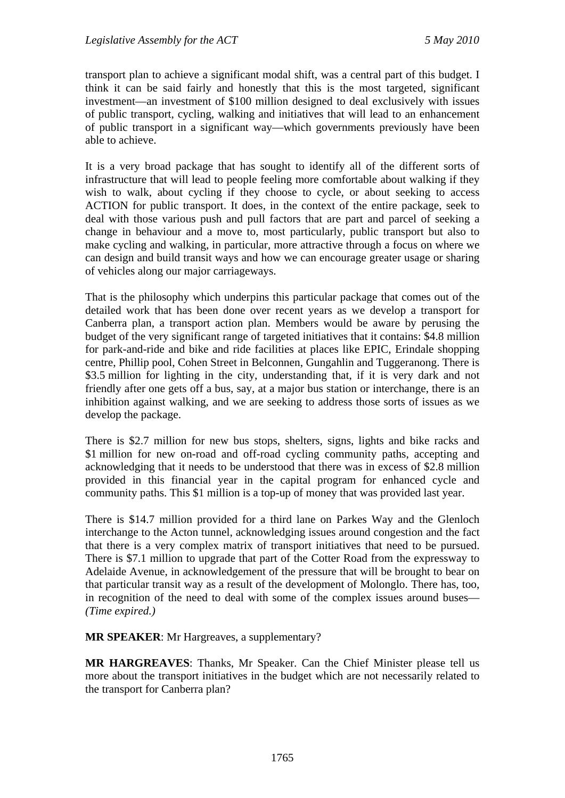transport plan to achieve a significant modal shift, was a central part of this budget. I think it can be said fairly and honestly that this is the most targeted, significant investment—an investment of \$100 million designed to deal exclusively with issues of public transport, cycling, walking and initiatives that will lead to an enhancement of public transport in a significant way—which governments previously have been able to achieve.

It is a very broad package that has sought to identify all of the different sorts of infrastructure that will lead to people feeling more comfortable about walking if they wish to walk, about cycling if they choose to cycle, or about seeking to access ACTION for public transport. It does, in the context of the entire package, seek to deal with those various push and pull factors that are part and parcel of seeking a change in behaviour and a move to, most particularly, public transport but also to make cycling and walking, in particular, more attractive through a focus on where we can design and build transit ways and how we can encourage greater usage or sharing of vehicles along our major carriageways.

That is the philosophy which underpins this particular package that comes out of the detailed work that has been done over recent years as we develop a transport for Canberra plan, a transport action plan. Members would be aware by perusing the budget of the very significant range of targeted initiatives that it contains: \$4.8 million for park-and-ride and bike and ride facilities at places like EPIC, Erindale shopping centre, Phillip pool, Cohen Street in Belconnen, Gungahlin and Tuggeranong. There is \$3.5 million for lighting in the city, understanding that, if it is very dark and not friendly after one gets off a bus, say, at a major bus station or interchange, there is an inhibition against walking, and we are seeking to address those sorts of issues as we develop the package.

There is \$2.7 million for new bus stops, shelters, signs, lights and bike racks and \$1 million for new on-road and off-road cycling community paths, accepting and acknowledging that it needs to be understood that there was in excess of \$2.8 million provided in this financial year in the capital program for enhanced cycle and community paths. This \$1 million is a top-up of money that was provided last year.

There is \$14.7 million provided for a third lane on Parkes Way and the Glenloch interchange to the Acton tunnel, acknowledging issues around congestion and the fact that there is a very complex matrix of transport initiatives that need to be pursued. There is \$7.1 million to upgrade that part of the Cotter Road from the expressway to Adelaide Avenue, in acknowledgement of the pressure that will be brought to bear on that particular transit way as a result of the development of Molonglo. There has, too, in recognition of the need to deal with some of the complex issues around buses— *(Time expired.)*

**MR SPEAKER**: Mr Hargreaves, a supplementary?

**MR HARGREAVES**: Thanks, Mr Speaker. Can the Chief Minister please tell us more about the transport initiatives in the budget which are not necessarily related to the transport for Canberra plan?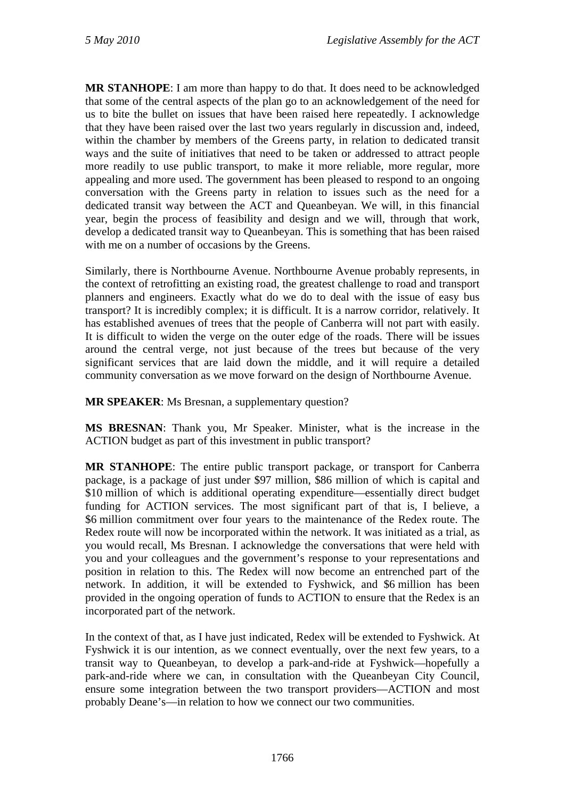**MR STANHOPE**: I am more than happy to do that. It does need to be acknowledged that some of the central aspects of the plan go to an acknowledgement of the need for us to bite the bullet on issues that have been raised here repeatedly. I acknowledge that they have been raised over the last two years regularly in discussion and, indeed, within the chamber by members of the Greens party, in relation to dedicated transit ways and the suite of initiatives that need to be taken or addressed to attract people more readily to use public transport, to make it more reliable, more regular, more appealing and more used. The government has been pleased to respond to an ongoing conversation with the Greens party in relation to issues such as the need for a dedicated transit way between the ACT and Queanbeyan. We will, in this financial year, begin the process of feasibility and design and we will, through that work, develop a dedicated transit way to Queanbeyan. This is something that has been raised with me on a number of occasions by the Greens.

Similarly, there is Northbourne Avenue. Northbourne Avenue probably represents, in the context of retrofitting an existing road, the greatest challenge to road and transport planners and engineers. Exactly what do we do to deal with the issue of easy bus transport? It is incredibly complex; it is difficult. It is a narrow corridor, relatively. It has established avenues of trees that the people of Canberra will not part with easily. It is difficult to widen the verge on the outer edge of the roads. There will be issues around the central verge, not just because of the trees but because of the very significant services that are laid down the middle, and it will require a detailed community conversation as we move forward on the design of Northbourne Avenue.

**MR SPEAKER:** Ms Bresnan, a supplementary question?

**MS BRESNAN**: Thank you, Mr Speaker. Minister, what is the increase in the ACTION budget as part of this investment in public transport?

**MR STANHOPE**: The entire public transport package, or transport for Canberra package, is a package of just under \$97 million, \$86 million of which is capital and \$10 million of which is additional operating expenditure—essentially direct budget funding for ACTION services. The most significant part of that is, I believe, a \$6 million commitment over four years to the maintenance of the Redex route. The Redex route will now be incorporated within the network. It was initiated as a trial, as you would recall, Ms Bresnan. I acknowledge the conversations that were held with you and your colleagues and the government's response to your representations and position in relation to this. The Redex will now become an entrenched part of the network. In addition, it will be extended to Fyshwick, and \$6 million has been provided in the ongoing operation of funds to ACTION to ensure that the Redex is an incorporated part of the network.

In the context of that, as I have just indicated, Redex will be extended to Fyshwick. At Fyshwick it is our intention, as we connect eventually, over the next few years, to a transit way to Queanbeyan, to develop a park-and-ride at Fyshwick—hopefully a park-and-ride where we can, in consultation with the Queanbeyan City Council, ensure some integration between the two transport providers—ACTION and most probably Deane's—in relation to how we connect our two communities.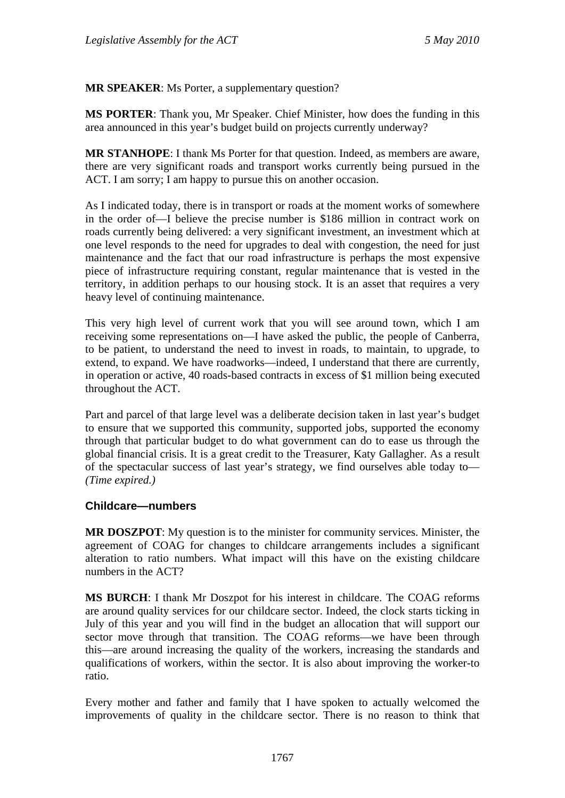**MR SPEAKER**: Ms Porter, a supplementary question?

**MS PORTER**: Thank you, Mr Speaker. Chief Minister, how does the funding in this area announced in this year's budget build on projects currently underway?

**MR STANHOPE**: I thank Ms Porter for that question. Indeed, as members are aware, there are very significant roads and transport works currently being pursued in the ACT. I am sorry; I am happy to pursue this on another occasion.

As I indicated today, there is in transport or roads at the moment works of somewhere in the order of—I believe the precise number is \$186 million in contract work on roads currently being delivered: a very significant investment, an investment which at one level responds to the need for upgrades to deal with congestion, the need for just maintenance and the fact that our road infrastructure is perhaps the most expensive piece of infrastructure requiring constant, regular maintenance that is vested in the territory, in addition perhaps to our housing stock. It is an asset that requires a very heavy level of continuing maintenance.

This very high level of current work that you will see around town, which I am receiving some representations on—I have asked the public, the people of Canberra, to be patient, to understand the need to invest in roads, to maintain, to upgrade, to extend, to expand. We have roadworks—indeed, I understand that there are currently, in operation or active, 40 roads-based contracts in excess of \$1 million being executed throughout the ACT.

Part and parcel of that large level was a deliberate decision taken in last year's budget to ensure that we supported this community, supported jobs, supported the economy through that particular budget to do what government can do to ease us through the global financial crisis. It is a great credit to the Treasurer, Katy Gallagher. As a result of the spectacular success of last year's strategy, we find ourselves able today to— *(Time expired.)*

### **Childcare—numbers**

**MR DOSZPOT**: My question is to the minister for community services. Minister, the agreement of COAG for changes to childcare arrangements includes a significant alteration to ratio numbers. What impact will this have on the existing childcare numbers in the ACT?

**MS BURCH**: I thank Mr Doszpot for his interest in childcare. The COAG reforms are around quality services for our childcare sector. Indeed, the clock starts ticking in July of this year and you will find in the budget an allocation that will support our sector move through that transition. The COAG reforms—we have been through this—are around increasing the quality of the workers, increasing the standards and qualifications of workers, within the sector. It is also about improving the worker-to ratio.

Every mother and father and family that I have spoken to actually welcomed the improvements of quality in the childcare sector. There is no reason to think that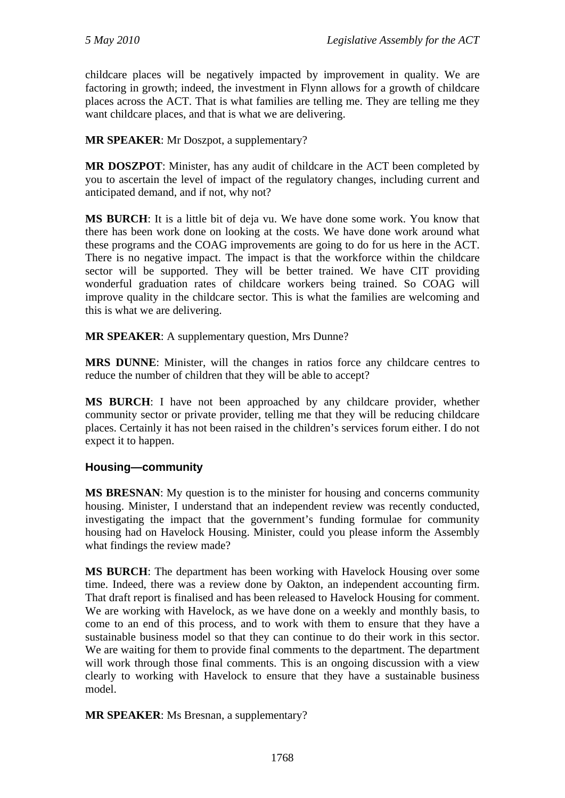childcare places will be negatively impacted by improvement in quality. We are factoring in growth; indeed, the investment in Flynn allows for a growth of childcare places across the ACT. That is what families are telling me. They are telling me they want childcare places, and that is what we are delivering.

**MR SPEAKER**: Mr Doszpot, a supplementary?

**MR DOSZPOT**: Minister, has any audit of childcare in the ACT been completed by you to ascertain the level of impact of the regulatory changes, including current and anticipated demand, and if not, why not?

**MS BURCH**: It is a little bit of deja vu. We have done some work. You know that there has been work done on looking at the costs. We have done work around what these programs and the COAG improvements are going to do for us here in the ACT. There is no negative impact. The impact is that the workforce within the childcare sector will be supported. They will be better trained. We have CIT providing wonderful graduation rates of childcare workers being trained. So COAG will improve quality in the childcare sector. This is what the families are welcoming and this is what we are delivering.

**MR SPEAKER**: A supplementary question, Mrs Dunne?

**MRS DUNNE**: Minister, will the changes in ratios force any childcare centres to reduce the number of children that they will be able to accept?

**MS BURCH**: I have not been approached by any childcare provider, whether community sector or private provider, telling me that they will be reducing childcare places. Certainly it has not been raised in the children's services forum either. I do not expect it to happen.

## **Housing—community**

**MS BRESNAN**: My question is to the minister for housing and concerns community housing. Minister, I understand that an independent review was recently conducted, investigating the impact that the government's funding formulae for community housing had on Havelock Housing. Minister, could you please inform the Assembly what findings the review made?

**MS BURCH**: The department has been working with Havelock Housing over some time. Indeed, there was a review done by Oakton, an independent accounting firm. That draft report is finalised and has been released to Havelock Housing for comment. We are working with Havelock, as we have done on a weekly and monthly basis, to come to an end of this process, and to work with them to ensure that they have a sustainable business model so that they can continue to do their work in this sector. We are waiting for them to provide final comments to the department. The department will work through those final comments. This is an ongoing discussion with a view clearly to working with Havelock to ensure that they have a sustainable business model.

**MR SPEAKER**: Ms Bresnan, a supplementary?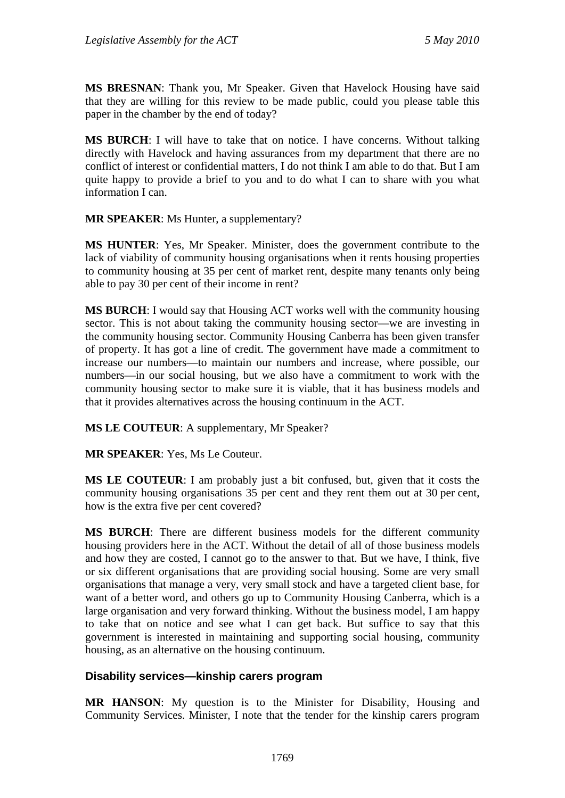**MS BRESNAN**: Thank you, Mr Speaker. Given that Havelock Housing have said that they are willing for this review to be made public, could you please table this paper in the chamber by the end of today?

**MS BURCH**: I will have to take that on notice. I have concerns. Without talking directly with Havelock and having assurances from my department that there are no conflict of interest or confidential matters, I do not think I am able to do that. But I am quite happy to provide a brief to you and to do what I can to share with you what information I can.

**MR SPEAKER**: Ms Hunter, a supplementary?

**MS HUNTER**: Yes, Mr Speaker. Minister, does the government contribute to the lack of viability of community housing organisations when it rents housing properties to community housing at 35 per cent of market rent, despite many tenants only being able to pay 30 per cent of their income in rent?

**MS BURCH**: I would say that Housing ACT works well with the community housing sector. This is not about taking the community housing sector—we are investing in the community housing sector. Community Housing Canberra has been given transfer of property. It has got a line of credit. The government have made a commitment to increase our numbers—to maintain our numbers and increase, where possible, our numbers—in our social housing, but we also have a commitment to work with the community housing sector to make sure it is viable, that it has business models and that it provides alternatives across the housing continuum in the ACT.

**MS LE COUTEUR**: A supplementary, Mr Speaker?

**MR SPEAKER**: Yes, Ms Le Couteur.

**MS LE COUTEUR**: I am probably just a bit confused, but, given that it costs the community housing organisations 35 per cent and they rent them out at 30 per cent, how is the extra five per cent covered?

**MS BURCH**: There are different business models for the different community housing providers here in the ACT. Without the detail of all of those business models and how they are costed, I cannot go to the answer to that. But we have, I think, five or six different organisations that are providing social housing. Some are very small organisations that manage a very, very small stock and have a targeted client base, for want of a better word, and others go up to Community Housing Canberra, which is a large organisation and very forward thinking. Without the business model, I am happy to take that on notice and see what I can get back. But suffice to say that this government is interested in maintaining and supporting social housing, community housing, as an alternative on the housing continuum.

### **Disability services—kinship carers program**

**MR HANSON**: My question is to the Minister for Disability, Housing and Community Services. Minister, I note that the tender for the kinship carers program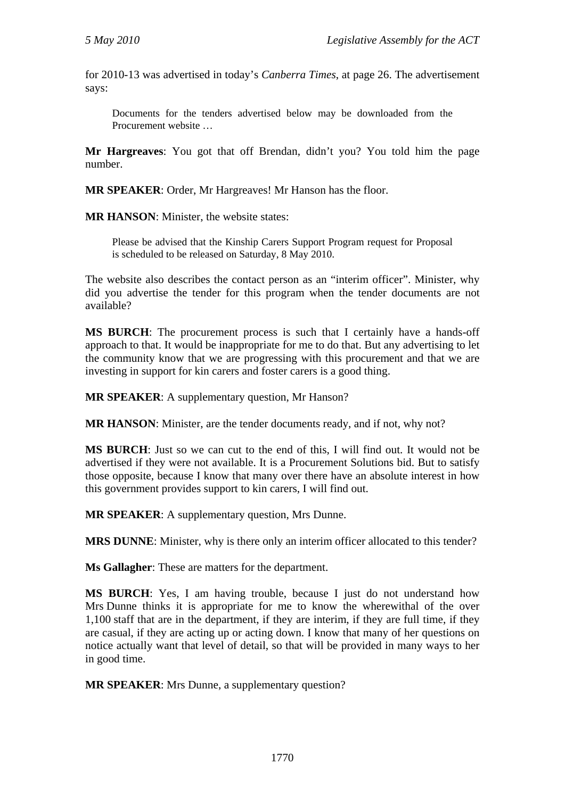for 2010-13 was advertised in today's *Canberra Times*, at page 26. The advertisement says:

Documents for the tenders advertised below may be downloaded from the Procurement website …

**Mr Hargreaves**: You got that off Brendan, didn't you? You told him the page number.

**MR SPEAKER**: Order, Mr Hargreaves! Mr Hanson has the floor.

**MR HANSON**: Minister, the website states:

Please be advised that the Kinship Carers Support Program request for Proposal is scheduled to be released on Saturday, 8 May 2010.

The website also describes the contact person as an "interim officer". Minister, why did you advertise the tender for this program when the tender documents are not available?

**MS BURCH**: The procurement process is such that I certainly have a hands-off approach to that. It would be inappropriate for me to do that. But any advertising to let the community know that we are progressing with this procurement and that we are investing in support for kin carers and foster carers is a good thing.

**MR SPEAKER**: A supplementary question, Mr Hanson?

**MR HANSON**: Minister, are the tender documents ready, and if not, why not?

**MS BURCH**: Just so we can cut to the end of this, I will find out. It would not be advertised if they were not available. It is a Procurement Solutions bid. But to satisfy those opposite, because I know that many over there have an absolute interest in how this government provides support to kin carers, I will find out.

**MR SPEAKER:** A supplementary question, Mrs Dunne.

**MRS DUNNE**: Minister, why is there only an interim officer allocated to this tender?

**Ms Gallagher**: These are matters for the department.

**MS BURCH**: Yes, I am having trouble, because I just do not understand how Mrs Dunne thinks it is appropriate for me to know the wherewithal of the over 1,100 staff that are in the department, if they are interim, if they are full time, if they are casual, if they are acting up or acting down. I know that many of her questions on notice actually want that level of detail, so that will be provided in many ways to her in good time.

**MR SPEAKER**: Mrs Dunne, a supplementary question?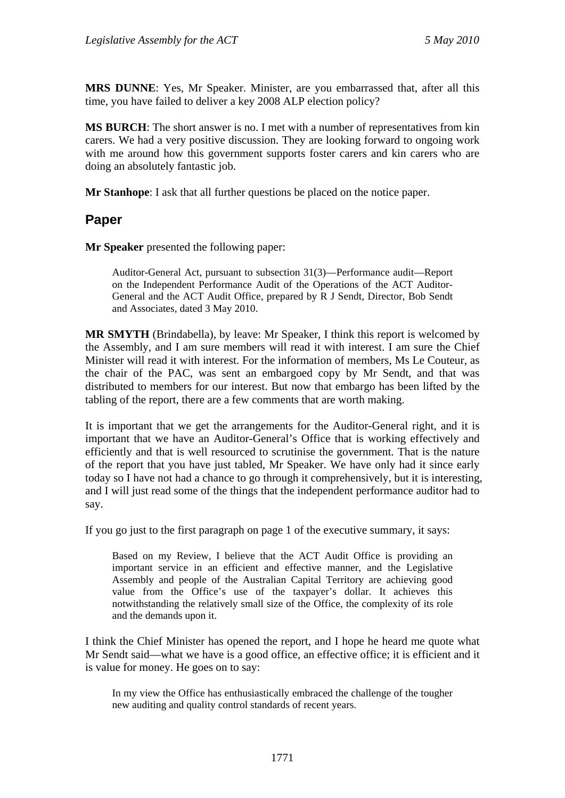**MRS DUNNE**: Yes, Mr Speaker. Minister, are you embarrassed that, after all this time, you have failed to deliver a key 2008 ALP election policy?

**MS BURCH**: The short answer is no. I met with a number of representatives from kin carers. We had a very positive discussion. They are looking forward to ongoing work with me around how this government supports foster carers and kin carers who are doing an absolutely fantastic job.

**Mr Stanhope**: I ask that all further questions be placed on the notice paper.

## **Paper**

**Mr Speaker** presented the following paper:

Auditor-General Act, pursuant to subsection 31(3)—Performance audit—Report on the Independent Performance Audit of the Operations of the ACT Auditor-General and the ACT Audit Office, prepared by R J Sendt, Director, Bob Sendt and Associates, dated 3 May 2010.

**MR SMYTH** (Brindabella), by leave: Mr Speaker, I think this report is welcomed by the Assembly, and I am sure members will read it with interest. I am sure the Chief Minister will read it with interest. For the information of members, Ms Le Couteur, as the chair of the PAC, was sent an embargoed copy by Mr Sendt, and that was distributed to members for our interest. But now that embargo has been lifted by the tabling of the report, there are a few comments that are worth making.

It is important that we get the arrangements for the Auditor-General right, and it is important that we have an Auditor-General's Office that is working effectively and efficiently and that is well resourced to scrutinise the government. That is the nature of the report that you have just tabled, Mr Speaker. We have only had it since early today so I have not had a chance to go through it comprehensively, but it is interesting, and I will just read some of the things that the independent performance auditor had to say.

If you go just to the first paragraph on page 1 of the executive summary, it says:

Based on my Review, I believe that the ACT Audit Office is providing an important service in an efficient and effective manner, and the Legislative Assembly and people of the Australian Capital Territory are achieving good value from the Office's use of the taxpayer's dollar. It achieves this notwithstanding the relatively small size of the Office, the complexity of its role and the demands upon it.

I think the Chief Minister has opened the report, and I hope he heard me quote what Mr Sendt said—what we have is a good office, an effective office; it is efficient and it is value for money. He goes on to say:

In my view the Office has enthusiastically embraced the challenge of the tougher new auditing and quality control standards of recent years.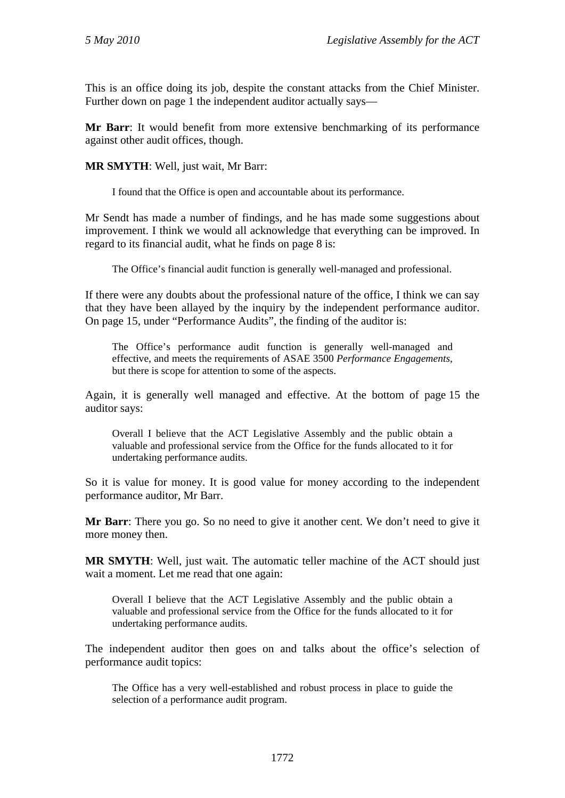This is an office doing its job, despite the constant attacks from the Chief Minister. Further down on page 1 the independent auditor actually says—

**Mr Barr**: It would benefit from more extensive benchmarking of its performance against other audit offices, though.

**MR SMYTH**: Well, just wait, Mr Barr:

I found that the Office is open and accountable about its performance.

Mr Sendt has made a number of findings, and he has made some suggestions about improvement. I think we would all acknowledge that everything can be improved. In regard to its financial audit, what he finds on page 8 is:

The Office's financial audit function is generally well-managed and professional.

If there were any doubts about the professional nature of the office, I think we can say that they have been allayed by the inquiry by the independent performance auditor. On page 15, under "Performance Audits", the finding of the auditor is:

The Office's performance audit function is generally well-managed and effective, and meets the requirements of ASAE 3500 *Performance Engagements*, but there is scope for attention to some of the aspects.

Again, it is generally well managed and effective. At the bottom of page 15 the auditor says:

Overall I believe that the ACT Legislative Assembly and the public obtain a valuable and professional service from the Office for the funds allocated to it for undertaking performance audits.

So it is value for money. It is good value for money according to the independent performance auditor, Mr Barr.

**Mr Barr**: There you go. So no need to give it another cent. We don't need to give it more money then.

**MR SMYTH**: Well, just wait. The automatic teller machine of the ACT should just wait a moment. Let me read that one again:

Overall I believe that the ACT Legislative Assembly and the public obtain a valuable and professional service from the Office for the funds allocated to it for undertaking performance audits.

The independent auditor then goes on and talks about the office's selection of performance audit topics:

The Office has a very well-established and robust process in place to guide the selection of a performance audit program.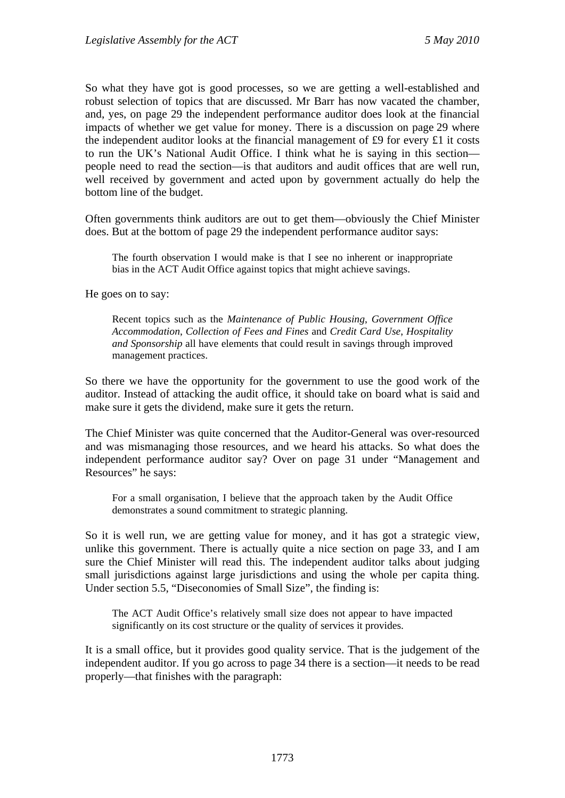So what they have got is good processes, so we are getting a well-established and robust selection of topics that are discussed. Mr Barr has now vacated the chamber, and, yes, on page 29 the independent performance auditor does look at the financial impacts of whether we get value for money. There is a discussion on page 29 where the independent auditor looks at the financial management of £9 for every £1 it costs to run the UK's National Audit Office. I think what he is saying in this section people need to read the section—is that auditors and audit offices that are well run, well received by government and acted upon by government actually do help the bottom line of the budget.

Often governments think auditors are out to get them—obviously the Chief Minister does. But at the bottom of page 29 the independent performance auditor says:

The fourth observation I would make is that I see no inherent or inappropriate bias in the ACT Audit Office against topics that might achieve savings.

He goes on to say:

Recent topics such as the *Maintenance of Public Housing*, *Government Office Accommodation*, *Collection of Fees and Fines* and *Credit Card Use*, *Hospitality and Sponsorship* all have elements that could result in savings through improved management practices.

So there we have the opportunity for the government to use the good work of the auditor. Instead of attacking the audit office, it should take on board what is said and make sure it gets the dividend, make sure it gets the return.

The Chief Minister was quite concerned that the Auditor-General was over-resourced and was mismanaging those resources, and we heard his attacks. So what does the independent performance auditor say? Over on page 31 under "Management and Resources" he says:

For a small organisation, I believe that the approach taken by the Audit Office demonstrates a sound commitment to strategic planning.

So it is well run, we are getting value for money, and it has got a strategic view, unlike this government. There is actually quite a nice section on page 33, and I am sure the Chief Minister will read this. The independent auditor talks about judging small jurisdictions against large jurisdictions and using the whole per capita thing. Under section 5.5, "Diseconomies of Small Size", the finding is:

The ACT Audit Office's relatively small size does not appear to have impacted significantly on its cost structure or the quality of services it provides.

It is a small office, but it provides good quality service. That is the judgement of the independent auditor. If you go across to page 34 there is a section—it needs to be read properly—that finishes with the paragraph: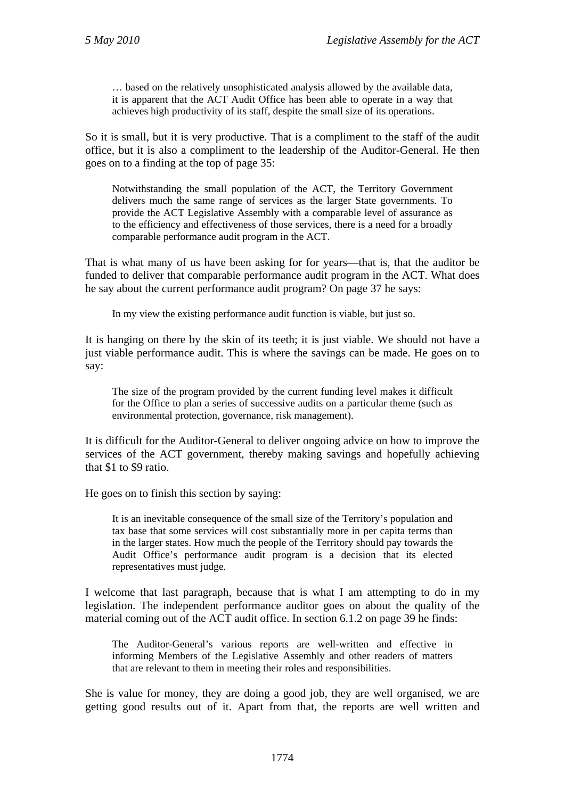… based on the relatively unsophisticated analysis allowed by the available data, it is apparent that the ACT Audit Office has been able to operate in a way that achieves high productivity of its staff, despite the small size of its operations.

So it is small, but it is very productive. That is a compliment to the staff of the audit office, but it is also a compliment to the leadership of the Auditor-General. He then goes on to a finding at the top of page 35:

Notwithstanding the small population of the ACT, the Territory Government delivers much the same range of services as the larger State governments. To provide the ACT Legislative Assembly with a comparable level of assurance as to the efficiency and effectiveness of those services, there is a need for a broadly comparable performance audit program in the ACT.

That is what many of us have been asking for for years—that is, that the auditor be funded to deliver that comparable performance audit program in the ACT. What does he say about the current performance audit program? On page 37 he says:

In my view the existing performance audit function is viable, but just so.

It is hanging on there by the skin of its teeth; it is just viable. We should not have a just viable performance audit. This is where the savings can be made. He goes on to say:

The size of the program provided by the current funding level makes it difficult for the Office to plan a series of successive audits on a particular theme (such as environmental protection, governance, risk management).

It is difficult for the Auditor-General to deliver ongoing advice on how to improve the services of the ACT government, thereby making savings and hopefully achieving that \$1 to \$9 ratio.

He goes on to finish this section by saying:

It is an inevitable consequence of the small size of the Territory's population and tax base that some services will cost substantially more in per capita terms than in the larger states. How much the people of the Territory should pay towards the Audit Office's performance audit program is a decision that its elected representatives must judge.

I welcome that last paragraph, because that is what I am attempting to do in my legislation. The independent performance auditor goes on about the quality of the material coming out of the ACT audit office. In section 6.1.2 on page 39 he finds:

The Auditor-General's various reports are well-written and effective in informing Members of the Legislative Assembly and other readers of matters that are relevant to them in meeting their roles and responsibilities.

She is value for money, they are doing a good job, they are well organised, we are getting good results out of it. Apart from that, the reports are well written and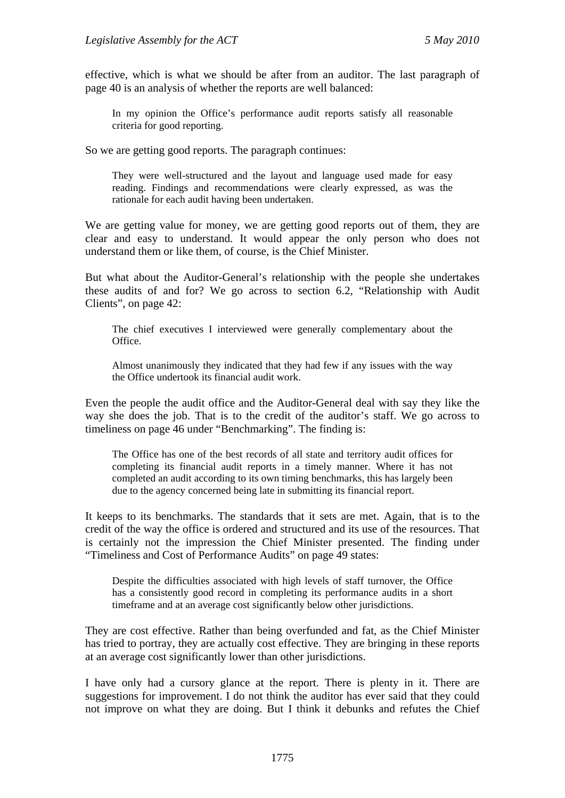effective, which is what we should be after from an auditor. The last paragraph of page 40 is an analysis of whether the reports are well balanced:

In my opinion the Office's performance audit reports satisfy all reasonable criteria for good reporting.

So we are getting good reports. The paragraph continues:

They were well-structured and the layout and language used made for easy reading. Findings and recommendations were clearly expressed, as was the rationale for each audit having been undertaken.

We are getting value for money, we are getting good reports out of them, they are clear and easy to understand. It would appear the only person who does not understand them or like them, of course, is the Chief Minister.

But what about the Auditor-General's relationship with the people she undertakes these audits of and for? We go across to section 6.2, "Relationship with Audit Clients", on page 42:

The chief executives I interviewed were generally complementary about the **Office** 

Almost unanimously they indicated that they had few if any issues with the way the Office undertook its financial audit work.

Even the people the audit office and the Auditor-General deal with say they like the way she does the job. That is to the credit of the auditor's staff. We go across to timeliness on page 46 under "Benchmarking". The finding is:

The Office has one of the best records of all state and territory audit offices for completing its financial audit reports in a timely manner. Where it has not completed an audit according to its own timing benchmarks, this has largely been due to the agency concerned being late in submitting its financial report.

It keeps to its benchmarks. The standards that it sets are met. Again, that is to the credit of the way the office is ordered and structured and its use of the resources. That is certainly not the impression the Chief Minister presented. The finding under "Timeliness and Cost of Performance Audits" on page 49 states:

Despite the difficulties associated with high levels of staff turnover, the Office has a consistently good record in completing its performance audits in a short timeframe and at an average cost significantly below other jurisdictions.

They are cost effective. Rather than being overfunded and fat, as the Chief Minister has tried to portray, they are actually cost effective. They are bringing in these reports at an average cost significantly lower than other jurisdictions.

I have only had a cursory glance at the report. There is plenty in it. There are suggestions for improvement. I do not think the auditor has ever said that they could not improve on what they are doing. But I think it debunks and refutes the Chief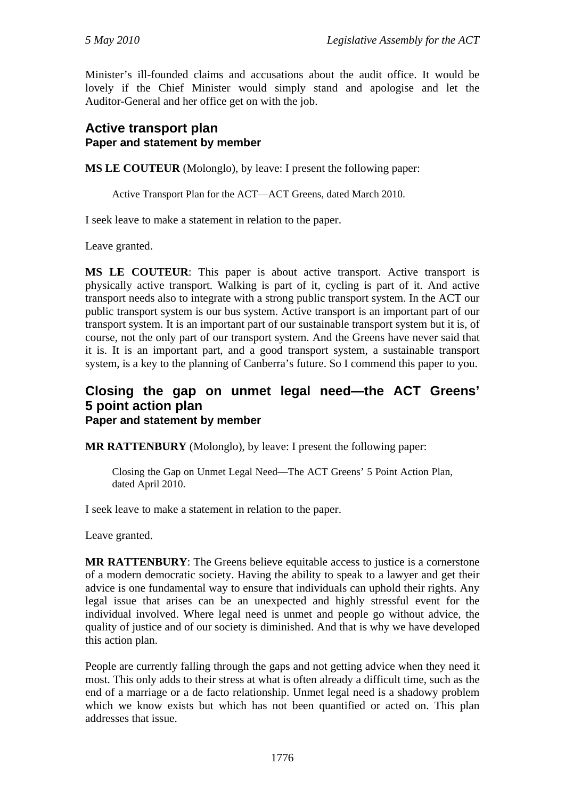Minister's ill-founded claims and accusations about the audit office. It would be lovely if the Chief Minister would simply stand and apologise and let the Auditor-General and her office get on with the job.

## **Active transport plan Paper and statement by member**

**MS LE COUTEUR** (Molonglo), by leave: I present the following paper:

Active Transport Plan for the ACT—ACT Greens, dated March 2010.

I seek leave to make a statement in relation to the paper.

Leave granted.

**MS LE COUTEUR**: This paper is about active transport. Active transport is physically active transport. Walking is part of it, cycling is part of it. And active transport needs also to integrate with a strong public transport system. In the ACT our public transport system is our bus system. Active transport is an important part of our transport system. It is an important part of our sustainable transport system but it is, of course, not the only part of our transport system. And the Greens have never said that it is. It is an important part, and a good transport system, a sustainable transport system, is a key to the planning of Canberra's future. So I commend this paper to you.

## **Closing the gap on unmet legal need—the ACT Greens' 5 point action plan Paper and statement by member**

**MR RATTENBURY** (Molonglo), by leave: I present the following paper:

Closing the Gap on Unmet Legal Need—The ACT Greens' 5 Point Action Plan, dated April 2010.

I seek leave to make a statement in relation to the paper.

Leave granted.

**MR RATTENBURY**: The Greens believe equitable access to justice is a cornerstone of a modern democratic society. Having the ability to speak to a lawyer and get their advice is one fundamental way to ensure that individuals can uphold their rights. Any legal issue that arises can be an unexpected and highly stressful event for the individual involved. Where legal need is unmet and people go without advice, the quality of justice and of our society is diminished. And that is why we have developed this action plan.

People are currently falling through the gaps and not getting advice when they need it most. This only adds to their stress at what is often already a difficult time, such as the end of a marriage or a de facto relationship. Unmet legal need is a shadowy problem which we know exists but which has not been quantified or acted on. This plan addresses that issue.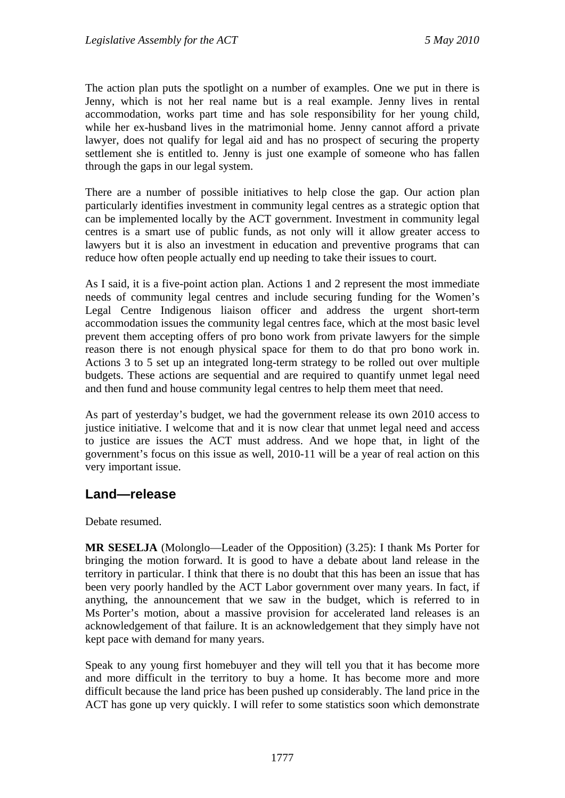The action plan puts the spotlight on a number of examples. One we put in there is Jenny, which is not her real name but is a real example. Jenny lives in rental accommodation, works part time and has sole responsibility for her young child, while her ex-husband lives in the matrimonial home. Jenny cannot afford a private lawyer, does not qualify for legal aid and has no prospect of securing the property settlement she is entitled to. Jenny is just one example of someone who has fallen through the gaps in our legal system.

There are a number of possible initiatives to help close the gap. Our action plan particularly identifies investment in community legal centres as a strategic option that can be implemented locally by the ACT government. Investment in community legal centres is a smart use of public funds, as not only will it allow greater access to lawyers but it is also an investment in education and preventive programs that can reduce how often people actually end up needing to take their issues to court.

As I said, it is a five-point action plan. Actions 1 and 2 represent the most immediate needs of community legal centres and include securing funding for the Women's Legal Centre Indigenous liaison officer and address the urgent short-term accommodation issues the community legal centres face, which at the most basic level prevent them accepting offers of pro bono work from private lawyers for the simple reason there is not enough physical space for them to do that pro bono work in. Actions 3 to 5 set up an integrated long-term strategy to be rolled out over multiple budgets. These actions are sequential and are required to quantify unmet legal need and then fund and house community legal centres to help them meet that need.

As part of yesterday's budget, we had the government release its own 2010 access to justice initiative. I welcome that and it is now clear that unmet legal need and access to justice are issues the ACT must address. And we hope that, in light of the government's focus on this issue as well, 2010-11 will be a year of real action on this very important issue.

# **Land—release**

Debate resumed.

**MR SESELJA** (Molonglo—Leader of the Opposition) (3.25): I thank Ms Porter for bringing the motion forward. It is good to have a debate about land release in the territory in particular. I think that there is no doubt that this has been an issue that has been very poorly handled by the ACT Labor government over many years. In fact, if anything, the announcement that we saw in the budget, which is referred to in Ms Porter's motion, about a massive provision for accelerated land releases is an acknowledgement of that failure. It is an acknowledgement that they simply have not kept pace with demand for many years.

Speak to any young first homebuyer and they will tell you that it has become more and more difficult in the territory to buy a home. It has become more and more difficult because the land price has been pushed up considerably. The land price in the ACT has gone up very quickly. I will refer to some statistics soon which demonstrate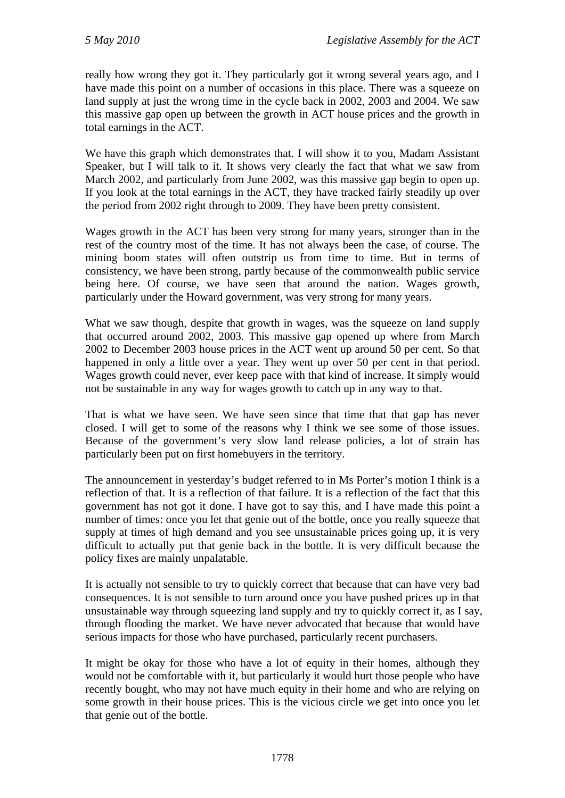really how wrong they got it. They particularly got it wrong several years ago, and I have made this point on a number of occasions in this place. There was a squeeze on land supply at just the wrong time in the cycle back in 2002, 2003 and 2004. We saw this massive gap open up between the growth in ACT house prices and the growth in total earnings in the ACT.

We have this graph which demonstrates that. I will show it to you, Madam Assistant Speaker, but I will talk to it. It shows very clearly the fact that what we saw from March 2002, and particularly from June 2002, was this massive gap begin to open up. If you look at the total earnings in the ACT, they have tracked fairly steadily up over the period from 2002 right through to 2009. They have been pretty consistent.

Wages growth in the ACT has been very strong for many years, stronger than in the rest of the country most of the time. It has not always been the case, of course. The mining boom states will often outstrip us from time to time. But in terms of consistency, we have been strong, partly because of the commonwealth public service being here. Of course, we have seen that around the nation. Wages growth, particularly under the Howard government, was very strong for many years.

What we saw though, despite that growth in wages, was the squeeze on land supply that occurred around 2002, 2003. This massive gap opened up where from March 2002 to December 2003 house prices in the ACT went up around 50 per cent. So that happened in only a little over a year. They went up over 50 per cent in that period. Wages growth could never, ever keep pace with that kind of increase. It simply would not be sustainable in any way for wages growth to catch up in any way to that.

That is what we have seen. We have seen since that time that that gap has never closed. I will get to some of the reasons why I think we see some of those issues. Because of the government's very slow land release policies, a lot of strain has particularly been put on first homebuyers in the territory.

The announcement in yesterday's budget referred to in Ms Porter's motion I think is a reflection of that. It is a reflection of that failure. It is a reflection of the fact that this government has not got it done. I have got to say this, and I have made this point a number of times: once you let that genie out of the bottle, once you really squeeze that supply at times of high demand and you see unsustainable prices going up, it is very difficult to actually put that genie back in the bottle. It is very difficult because the policy fixes are mainly unpalatable.

It is actually not sensible to try to quickly correct that because that can have very bad consequences. It is not sensible to turn around once you have pushed prices up in that unsustainable way through squeezing land supply and try to quickly correct it, as I say, through flooding the market. We have never advocated that because that would have serious impacts for those who have purchased, particularly recent purchasers.

It might be okay for those who have a lot of equity in their homes, although they would not be comfortable with it, but particularly it would hurt those people who have recently bought, who may not have much equity in their home and who are relying on some growth in their house prices. This is the vicious circle we get into once you let that genie out of the bottle.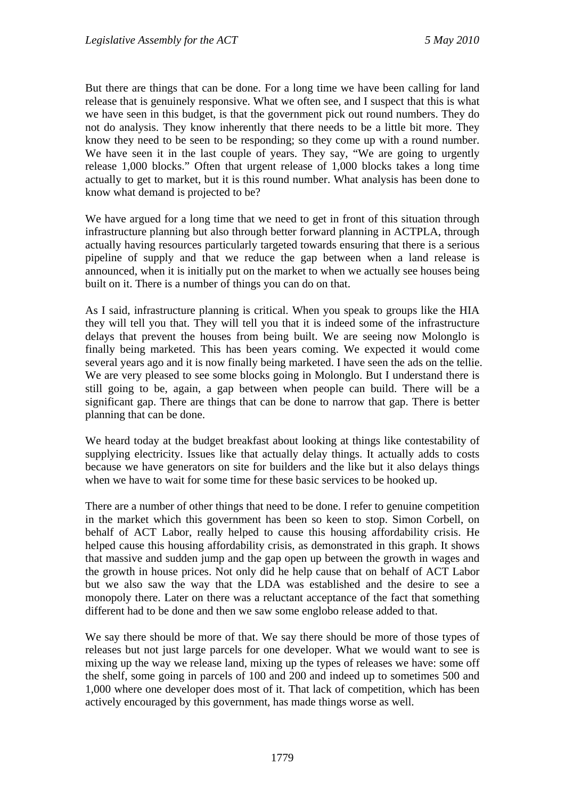But there are things that can be done. For a long time we have been calling for land release that is genuinely responsive. What we often see, and I suspect that this is what we have seen in this budget, is that the government pick out round numbers. They do not do analysis. They know inherently that there needs to be a little bit more. They know they need to be seen to be responding; so they come up with a round number. We have seen it in the last couple of years. They say, "We are going to urgently release 1,000 blocks." Often that urgent release of 1,000 blocks takes a long time actually to get to market, but it is this round number. What analysis has been done to know what demand is projected to be?

We have argued for a long time that we need to get in front of this situation through infrastructure planning but also through better forward planning in ACTPLA, through actually having resources particularly targeted towards ensuring that there is a serious pipeline of supply and that we reduce the gap between when a land release is announced, when it is initially put on the market to when we actually see houses being built on it. There is a number of things you can do on that.

As I said, infrastructure planning is critical. When you speak to groups like the HIA they will tell you that. They will tell you that it is indeed some of the infrastructure delays that prevent the houses from being built. We are seeing now Molonglo is finally being marketed. This has been years coming. We expected it would come several years ago and it is now finally being marketed. I have seen the ads on the tellie. We are very pleased to see some blocks going in Molonglo. But I understand there is still going to be, again, a gap between when people can build. There will be a significant gap. There are things that can be done to narrow that gap. There is better planning that can be done.

We heard today at the budget breakfast about looking at things like contestability of supplying electricity. Issues like that actually delay things. It actually adds to costs because we have generators on site for builders and the like but it also delays things when we have to wait for some time for these basic services to be hooked up.

There are a number of other things that need to be done. I refer to genuine competition in the market which this government has been so keen to stop. Simon Corbell, on behalf of ACT Labor, really helped to cause this housing affordability crisis. He helped cause this housing affordability crisis, as demonstrated in this graph. It shows that massive and sudden jump and the gap open up between the growth in wages and the growth in house prices. Not only did he help cause that on behalf of ACT Labor but we also saw the way that the LDA was established and the desire to see a monopoly there. Later on there was a reluctant acceptance of the fact that something different had to be done and then we saw some englobo release added to that.

We say there should be more of that. We say there should be more of those types of releases but not just large parcels for one developer. What we would want to see is mixing up the way we release land, mixing up the types of releases we have: some off the shelf, some going in parcels of 100 and 200 and indeed up to sometimes 500 and 1,000 where one developer does most of it. That lack of competition, which has been actively encouraged by this government, has made things worse as well.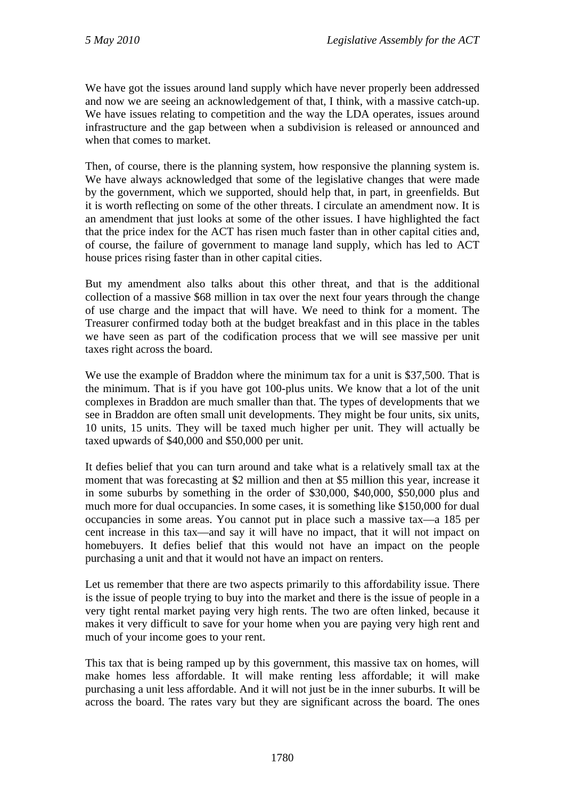We have got the issues around land supply which have never properly been addressed and now we are seeing an acknowledgement of that, I think, with a massive catch-up. We have issues relating to competition and the way the LDA operates, issues around infrastructure and the gap between when a subdivision is released or announced and when that comes to market.

Then, of course, there is the planning system, how responsive the planning system is. We have always acknowledged that some of the legislative changes that were made by the government, which we supported, should help that, in part, in greenfields. But it is worth reflecting on some of the other threats. I circulate an amendment now. It is an amendment that just looks at some of the other issues. I have highlighted the fact that the price index for the ACT has risen much faster than in other capital cities and, of course, the failure of government to manage land supply, which has led to ACT house prices rising faster than in other capital cities.

But my amendment also talks about this other threat, and that is the additional collection of a massive \$68 million in tax over the next four years through the change of use charge and the impact that will have. We need to think for a moment. The Treasurer confirmed today both at the budget breakfast and in this place in the tables we have seen as part of the codification process that we will see massive per unit taxes right across the board.

We use the example of Braddon where the minimum tax for a unit is \$37,500. That is the minimum. That is if you have got 100-plus units. We know that a lot of the unit complexes in Braddon are much smaller than that. The types of developments that we see in Braddon are often small unit developments. They might be four units, six units, 10 units, 15 units. They will be taxed much higher per unit. They will actually be taxed upwards of \$40,000 and \$50,000 per unit.

It defies belief that you can turn around and take what is a relatively small tax at the moment that was forecasting at \$2 million and then at \$5 million this year, increase it in some suburbs by something in the order of \$30,000, \$40,000, \$50,000 plus and much more for dual occupancies. In some cases, it is something like \$150,000 for dual occupancies in some areas. You cannot put in place such a massive tax—a 185 per cent increase in this tax—and say it will have no impact, that it will not impact on homebuyers. It defies belief that this would not have an impact on the people purchasing a unit and that it would not have an impact on renters.

Let us remember that there are two aspects primarily to this affordability issue. There is the issue of people trying to buy into the market and there is the issue of people in a very tight rental market paying very high rents. The two are often linked, because it makes it very difficult to save for your home when you are paying very high rent and much of your income goes to your rent.

This tax that is being ramped up by this government, this massive tax on homes, will make homes less affordable. It will make renting less affordable; it will make purchasing a unit less affordable. And it will not just be in the inner suburbs. It will be across the board. The rates vary but they are significant across the board. The ones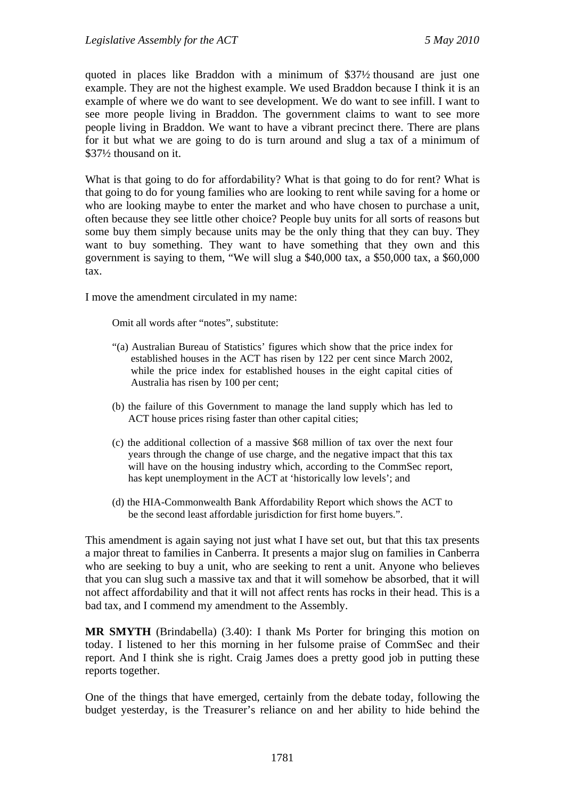quoted in places like Braddon with a minimum of \$37½ thousand are just one example. They are not the highest example. We used Braddon because I think it is an example of where we do want to see development. We do want to see infill. I want to see more people living in Braddon. The government claims to want to see more people living in Braddon. We want to have a vibrant precinct there. There are plans for it but what we are going to do is turn around and slug a tax of a minimum of \$37½ thousand on it.

What is that going to do for affordability? What is that going to do for rent? What is that going to do for young families who are looking to rent while saving for a home or who are looking maybe to enter the market and who have chosen to purchase a unit, often because they see little other choice? People buy units for all sorts of reasons but some buy them simply because units may be the only thing that they can buy. They want to buy something. They want to have something that they own and this government is saying to them, "We will slug a \$40,000 tax, a \$50,000 tax, a \$60,000 tax.

I move the amendment circulated in my name:

Omit all words after "notes", substitute:

- "(a) Australian Bureau of Statistics' figures which show that the price index for established houses in the ACT has risen by 122 per cent since March 2002, while the price index for established houses in the eight capital cities of Australia has risen by 100 per cent;
- (b) the failure of this Government to manage the land supply which has led to ACT house prices rising faster than other capital cities;
- (c) the additional collection of a massive \$68 million of tax over the next four years through the change of use charge, and the negative impact that this tax will have on the housing industry which, according to the CommSec report, has kept unemployment in the ACT at 'historically low levels'; and
- (d) the HIA-Commonwealth Bank Affordability Report which shows the ACT to be the second least affordable jurisdiction for first home buyers.".

This amendment is again saying not just what I have set out, but that this tax presents a major threat to families in Canberra. It presents a major slug on families in Canberra who are seeking to buy a unit, who are seeking to rent a unit. Anyone who believes that you can slug such a massive tax and that it will somehow be absorbed, that it will not affect affordability and that it will not affect rents has rocks in their head. This is a bad tax, and I commend my amendment to the Assembly.

**MR SMYTH** (Brindabella) (3.40): I thank Ms Porter for bringing this motion on today. I listened to her this morning in her fulsome praise of CommSec and their report. And I think she is right. Craig James does a pretty good job in putting these reports together.

One of the things that have emerged, certainly from the debate today, following the budget yesterday, is the Treasurer's reliance on and her ability to hide behind the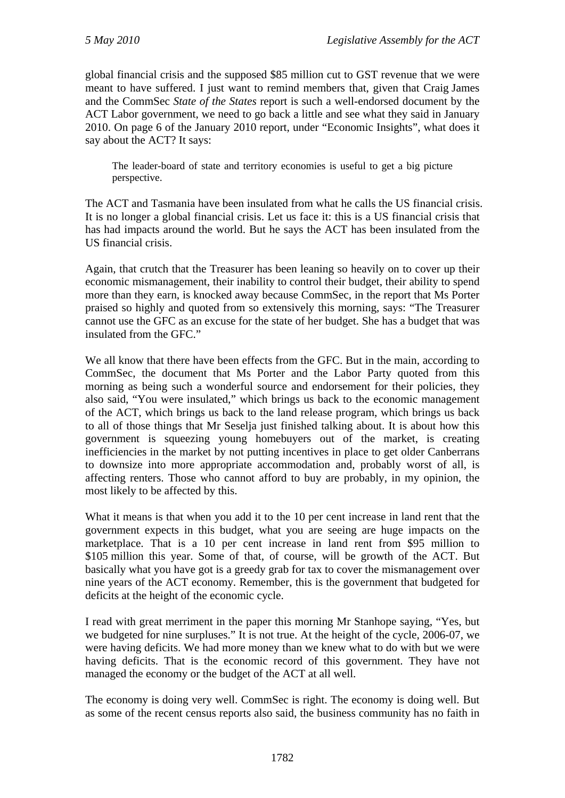global financial crisis and the supposed \$85 million cut to GST revenue that we were meant to have suffered. I just want to remind members that, given that Craig James and the CommSec *State of the States* report is such a well-endorsed document by the ACT Labor government, we need to go back a little and see what they said in January 2010. On page 6 of the January 2010 report, under "Economic Insights", what does it say about the ACT? It says:

The leader-board of state and territory economies is useful to get a big picture perspective.

The ACT and Tasmania have been insulated from what he calls the US financial crisis. It is no longer a global financial crisis. Let us face it: this is a US financial crisis that has had impacts around the world. But he says the ACT has been insulated from the US financial crisis.

Again, that crutch that the Treasurer has been leaning so heavily on to cover up their economic mismanagement, their inability to control their budget, their ability to spend more than they earn, is knocked away because CommSec, in the report that Ms Porter praised so highly and quoted from so extensively this morning, says: "The Treasurer cannot use the GFC as an excuse for the state of her budget. She has a budget that was insulated from the GFC."

We all know that there have been effects from the GFC. But in the main, according to CommSec, the document that Ms Porter and the Labor Party quoted from this morning as being such a wonderful source and endorsement for their policies, they also said, "You were insulated," which brings us back to the economic management of the ACT, which brings us back to the land release program, which brings us back to all of those things that Mr Seselja just finished talking about. It is about how this government is squeezing young homebuyers out of the market, is creating inefficiencies in the market by not putting incentives in place to get older Canberrans to downsize into more appropriate accommodation and, probably worst of all, is affecting renters. Those who cannot afford to buy are probably, in my opinion, the most likely to be affected by this.

What it means is that when you add it to the 10 per cent increase in land rent that the government expects in this budget, what you are seeing are huge impacts on the marketplace. That is a 10 per cent increase in land rent from \$95 million to \$105 million this year. Some of that, of course, will be growth of the ACT. But basically what you have got is a greedy grab for tax to cover the mismanagement over nine years of the ACT economy. Remember, this is the government that budgeted for deficits at the height of the economic cycle.

I read with great merriment in the paper this morning Mr Stanhope saying, "Yes, but we budgeted for nine surpluses." It is not true. At the height of the cycle, 2006-07, we were having deficits. We had more money than we knew what to do with but we were having deficits. That is the economic record of this government. They have not managed the economy or the budget of the ACT at all well.

The economy is doing very well. CommSec is right. The economy is doing well. But as some of the recent census reports also said, the business community has no faith in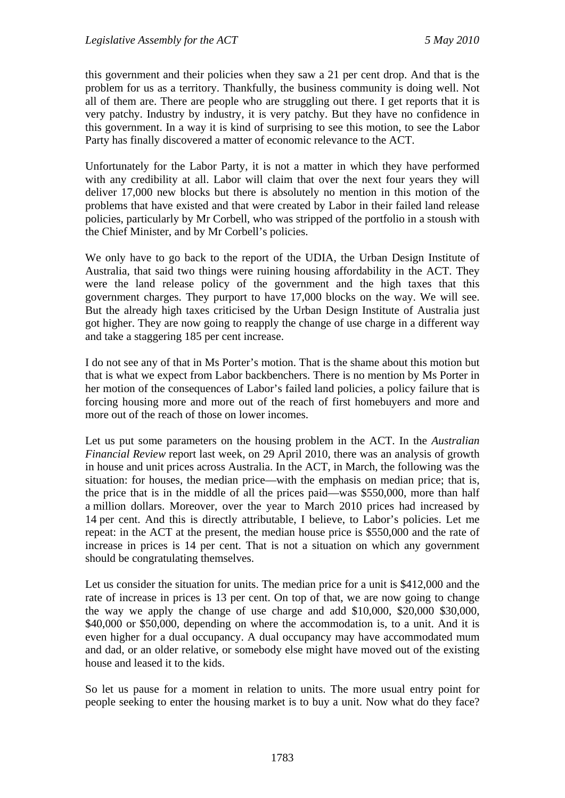this government and their policies when they saw a 21 per cent drop. And that is the problem for us as a territory. Thankfully, the business community is doing well. Not all of them are. There are people who are struggling out there. I get reports that it is very patchy. Industry by industry, it is very patchy. But they have no confidence in this government. In a way it is kind of surprising to see this motion, to see the Labor Party has finally discovered a matter of economic relevance to the ACT.

Unfortunately for the Labor Party, it is not a matter in which they have performed with any credibility at all. Labor will claim that over the next four years they will deliver 17,000 new blocks but there is absolutely no mention in this motion of the problems that have existed and that were created by Labor in their failed land release policies, particularly by Mr Corbell, who was stripped of the portfolio in a stoush with the Chief Minister, and by Mr Corbell's policies.

We only have to go back to the report of the UDIA, the Urban Design Institute of Australia, that said two things were ruining housing affordability in the ACT. They were the land release policy of the government and the high taxes that this government charges. They purport to have 17,000 blocks on the way. We will see. But the already high taxes criticised by the Urban Design Institute of Australia just got higher. They are now going to reapply the change of use charge in a different way and take a staggering 185 per cent increase.

I do not see any of that in Ms Porter's motion. That is the shame about this motion but that is what we expect from Labor backbenchers. There is no mention by Ms Porter in her motion of the consequences of Labor's failed land policies, a policy failure that is forcing housing more and more out of the reach of first homebuyers and more and more out of the reach of those on lower incomes.

Let us put some parameters on the housing problem in the ACT. In the *Australian Financial Review* report last week, on 29 April 2010, there was an analysis of growth in house and unit prices across Australia. In the ACT, in March, the following was the situation: for houses, the median price—with the emphasis on median price; that is, the price that is in the middle of all the prices paid—was \$550,000, more than half a million dollars. Moreover, over the year to March 2010 prices had increased by 14 per cent. And this is directly attributable, I believe, to Labor's policies. Let me repeat: in the ACT at the present, the median house price is \$550,000 and the rate of increase in prices is 14 per cent. That is not a situation on which any government should be congratulating themselves.

Let us consider the situation for units. The median price for a unit is \$412,000 and the rate of increase in prices is 13 per cent. On top of that, we are now going to change the way we apply the change of use charge and add \$10,000, \$20,000 \$30,000, \$40,000 or \$50,000, depending on where the accommodation is, to a unit. And it is even higher for a dual occupancy. A dual occupancy may have accommodated mum and dad, or an older relative, or somebody else might have moved out of the existing house and leased it to the kids.

So let us pause for a moment in relation to units. The more usual entry point for people seeking to enter the housing market is to buy a unit. Now what do they face?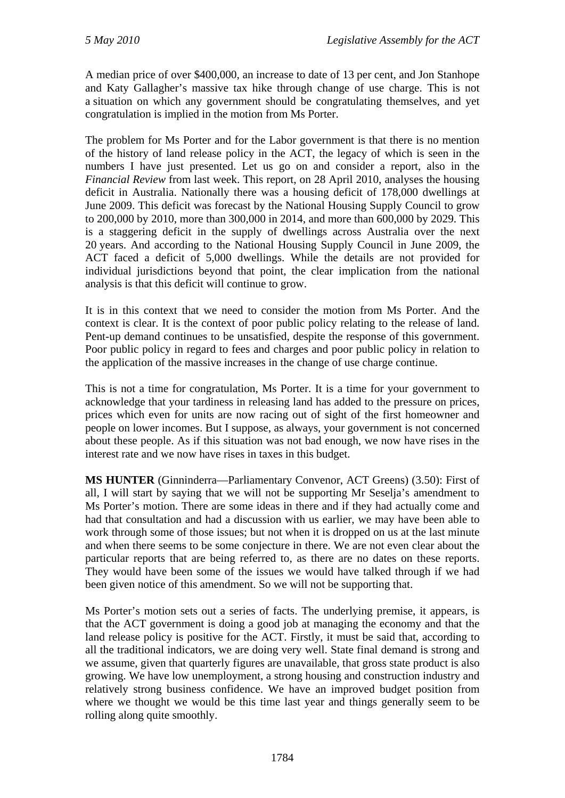A median price of over \$400,000, an increase to date of 13 per cent, and Jon Stanhope and Katy Gallagher's massive tax hike through change of use charge. This is not a situation on which any government should be congratulating themselves, and yet congratulation is implied in the motion from Ms Porter.

The problem for Ms Porter and for the Labor government is that there is no mention of the history of land release policy in the ACT, the legacy of which is seen in the numbers I have just presented. Let us go on and consider a report, also in the *Financial Review* from last week. This report, on 28 April 2010, analyses the housing deficit in Australia. Nationally there was a housing deficit of 178,000 dwellings at June 2009. This deficit was forecast by the National Housing Supply Council to grow to 200,000 by 2010, more than 300,000 in 2014, and more than 600,000 by 2029. This is a staggering deficit in the supply of dwellings across Australia over the next 20 years. And according to the National Housing Supply Council in June 2009, the ACT faced a deficit of 5,000 dwellings. While the details are not provided for individual jurisdictions beyond that point, the clear implication from the national analysis is that this deficit will continue to grow.

It is in this context that we need to consider the motion from Ms Porter. And the context is clear. It is the context of poor public policy relating to the release of land. Pent-up demand continues to be unsatisfied, despite the response of this government. Poor public policy in regard to fees and charges and poor public policy in relation to the application of the massive increases in the change of use charge continue.

This is not a time for congratulation, Ms Porter. It is a time for your government to acknowledge that your tardiness in releasing land has added to the pressure on prices, prices which even for units are now racing out of sight of the first homeowner and people on lower incomes. But I suppose, as always, your government is not concerned about these people. As if this situation was not bad enough, we now have rises in the interest rate and we now have rises in taxes in this budget.

**MS HUNTER** (Ginninderra—Parliamentary Convenor, ACT Greens) (3.50): First of all, I will start by saying that we will not be supporting Mr Seselja's amendment to Ms Porter's motion. There are some ideas in there and if they had actually come and had that consultation and had a discussion with us earlier, we may have been able to work through some of those issues; but not when it is dropped on us at the last minute and when there seems to be some conjecture in there. We are not even clear about the particular reports that are being referred to, as there are no dates on these reports. They would have been some of the issues we would have talked through if we had been given notice of this amendment. So we will not be supporting that.

Ms Porter's motion sets out a series of facts. The underlying premise, it appears, is that the ACT government is doing a good job at managing the economy and that the land release policy is positive for the ACT. Firstly, it must be said that, according to all the traditional indicators, we are doing very well. State final demand is strong and we assume, given that quarterly figures are unavailable, that gross state product is also growing. We have low unemployment, a strong housing and construction industry and relatively strong business confidence. We have an improved budget position from where we thought we would be this time last year and things generally seem to be rolling along quite smoothly.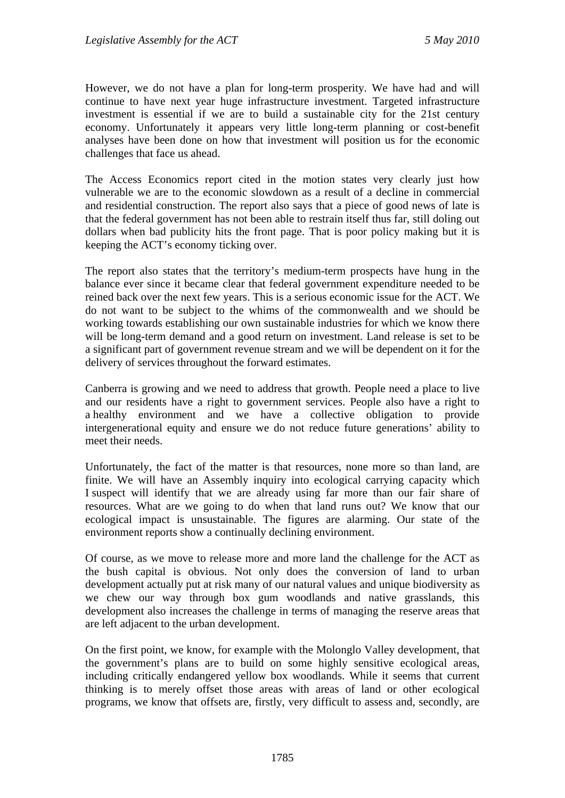However, we do not have a plan for long-term prosperity. We have had and will continue to have next year huge infrastructure investment. Targeted infrastructure investment is essential if we are to build a sustainable city for the 21st century economy. Unfortunately it appears very little long-term planning or cost-benefit analyses have been done on how that investment will position us for the economic challenges that face us ahead.

The Access Economics report cited in the motion states very clearly just how vulnerable we are to the economic slowdown as a result of a decline in commercial and residential construction. The report also says that a piece of good news of late is that the federal government has not been able to restrain itself thus far, still doling out dollars when bad publicity hits the front page. That is poor policy making but it is keeping the ACT's economy ticking over.

The report also states that the territory's medium-term prospects have hung in the balance ever since it became clear that federal government expenditure needed to be reined back over the next few years. This is a serious economic issue for the ACT. We do not want to be subject to the whims of the commonwealth and we should be working towards establishing our own sustainable industries for which we know there will be long-term demand and a good return on investment. Land release is set to be a significant part of government revenue stream and we will be dependent on it for the delivery of services throughout the forward estimates.

Canberra is growing and we need to address that growth. People need a place to live and our residents have a right to government services. People also have a right to a healthy environment and we have a collective obligation to provide intergenerational equity and ensure we do not reduce future generations' ability to meet their needs.

Unfortunately, the fact of the matter is that resources, none more so than land, are finite. We will have an Assembly inquiry into ecological carrying capacity which I suspect will identify that we are already using far more than our fair share of resources. What are we going to do when that land runs out? We know that our ecological impact is unsustainable. The figures are alarming. Our state of the environment reports show a continually declining environment.

Of course, as we move to release more and more land the challenge for the ACT as the bush capital is obvious. Not only does the conversion of land to urban development actually put at risk many of our natural values and unique biodiversity as we chew our way through box gum woodlands and native grasslands, this development also increases the challenge in terms of managing the reserve areas that are left adjacent to the urban development.

On the first point, we know, for example with the Molonglo Valley development, that the government's plans are to build on some highly sensitive ecological areas, including critically endangered yellow box woodlands. While it seems that current thinking is to merely offset those areas with areas of land or other ecological programs, we know that offsets are, firstly, very difficult to assess and, secondly, are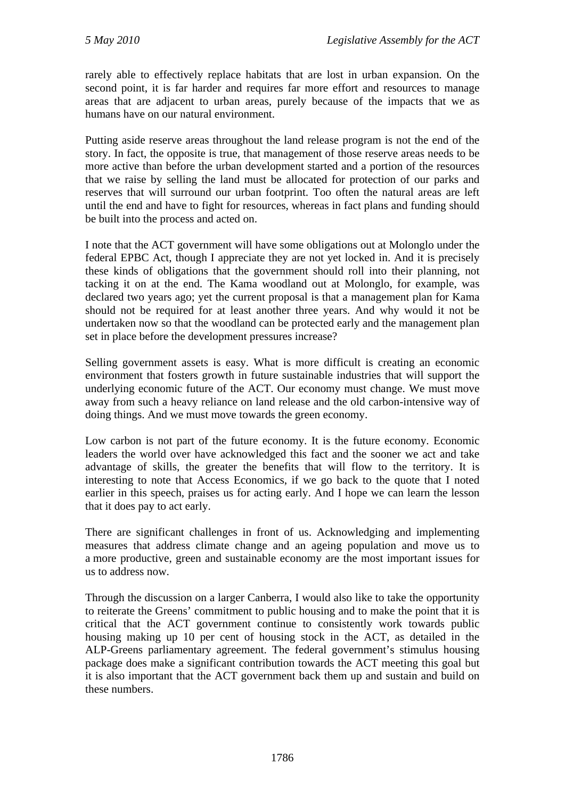rarely able to effectively replace habitats that are lost in urban expansion. On the second point, it is far harder and requires far more effort and resources to manage areas that are adjacent to urban areas, purely because of the impacts that we as humans have on our natural environment.

Putting aside reserve areas throughout the land release program is not the end of the story. In fact, the opposite is true, that management of those reserve areas needs to be more active than before the urban development started and a portion of the resources that we raise by selling the land must be allocated for protection of our parks and reserves that will surround our urban footprint. Too often the natural areas are left until the end and have to fight for resources, whereas in fact plans and funding should be built into the process and acted on.

I note that the ACT government will have some obligations out at Molonglo under the federal EPBC Act, though I appreciate they are not yet locked in. And it is precisely these kinds of obligations that the government should roll into their planning, not tacking it on at the end. The Kama woodland out at Molonglo, for example, was declared two years ago; yet the current proposal is that a management plan for Kama should not be required for at least another three years. And why would it not be undertaken now so that the woodland can be protected early and the management plan set in place before the development pressures increase?

Selling government assets is easy. What is more difficult is creating an economic environment that fosters growth in future sustainable industries that will support the underlying economic future of the ACT. Our economy must change. We must move away from such a heavy reliance on land release and the old carbon-intensive way of doing things. And we must move towards the green economy.

Low carbon is not part of the future economy. It is the future economy. Economic leaders the world over have acknowledged this fact and the sooner we act and take advantage of skills, the greater the benefits that will flow to the territory. It is interesting to note that Access Economics, if we go back to the quote that I noted earlier in this speech, praises us for acting early. And I hope we can learn the lesson that it does pay to act early.

There are significant challenges in front of us. Acknowledging and implementing measures that address climate change and an ageing population and move us to a more productive, green and sustainable economy are the most important issues for us to address now.

Through the discussion on a larger Canberra, I would also like to take the opportunity to reiterate the Greens' commitment to public housing and to make the point that it is critical that the ACT government continue to consistently work towards public housing making up 10 per cent of housing stock in the ACT, as detailed in the ALP-Greens parliamentary agreement. The federal government's stimulus housing package does make a significant contribution towards the ACT meeting this goal but it is also important that the ACT government back them up and sustain and build on these numbers.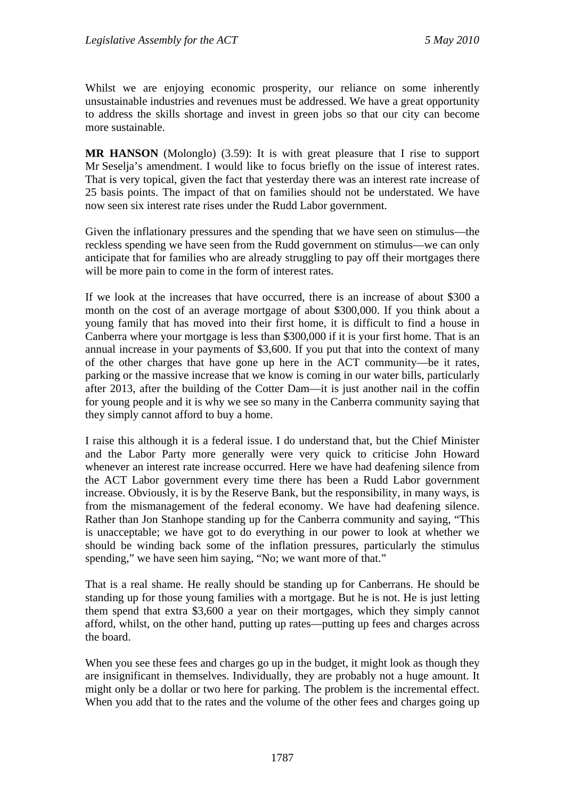Whilst we are enjoying economic prosperity, our reliance on some inherently unsustainable industries and revenues must be addressed. We have a great opportunity to address the skills shortage and invest in green jobs so that our city can become more sustainable.

**MR HANSON** (Molonglo) (3.59): It is with great pleasure that I rise to support Mr Seselja's amendment. I would like to focus briefly on the issue of interest rates. That is very topical, given the fact that yesterday there was an interest rate increase of 25 basis points. The impact of that on families should not be understated. We have now seen six interest rate rises under the Rudd Labor government.

Given the inflationary pressures and the spending that we have seen on stimulus—the reckless spending we have seen from the Rudd government on stimulus—we can only anticipate that for families who are already struggling to pay off their mortgages there will be more pain to come in the form of interest rates.

If we look at the increases that have occurred, there is an increase of about \$300 a month on the cost of an average mortgage of about \$300,000. If you think about a young family that has moved into their first home, it is difficult to find a house in Canberra where your mortgage is less than \$300,000 if it is your first home. That is an annual increase in your payments of \$3,600. If you put that into the context of many of the other charges that have gone up here in the ACT community—be it rates, parking or the massive increase that we know is coming in our water bills, particularly after 2013, after the building of the Cotter Dam—it is just another nail in the coffin for young people and it is why we see so many in the Canberra community saying that they simply cannot afford to buy a home.

I raise this although it is a federal issue. I do understand that, but the Chief Minister and the Labor Party more generally were very quick to criticise John Howard whenever an interest rate increase occurred. Here we have had deafening silence from the ACT Labor government every time there has been a Rudd Labor government increase. Obviously, it is by the Reserve Bank, but the responsibility, in many ways, is from the mismanagement of the federal economy. We have had deafening silence. Rather than Jon Stanhope standing up for the Canberra community and saying, "This is unacceptable; we have got to do everything in our power to look at whether we should be winding back some of the inflation pressures, particularly the stimulus spending," we have seen him saying, "No; we want more of that."

That is a real shame. He really should be standing up for Canberrans. He should be standing up for those young families with a mortgage. But he is not. He is just letting them spend that extra \$3,600 a year on their mortgages, which they simply cannot afford, whilst, on the other hand, putting up rates—putting up fees and charges across the board.

When you see these fees and charges go up in the budget, it might look as though they are insignificant in themselves. Individually, they are probably not a huge amount. It might only be a dollar or two here for parking. The problem is the incremental effect. When you add that to the rates and the volume of the other fees and charges going up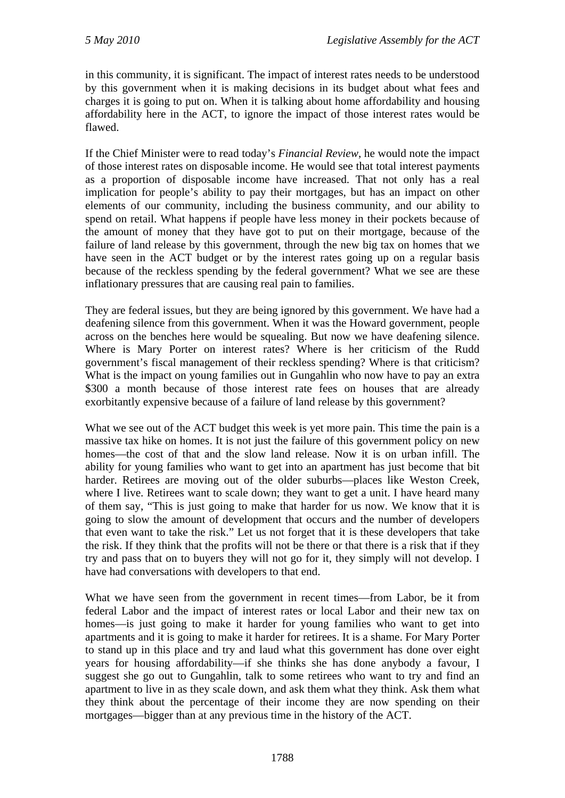in this community, it is significant. The impact of interest rates needs to be understood by this government when it is making decisions in its budget about what fees and charges it is going to put on. When it is talking about home affordability and housing affordability here in the ACT, to ignore the impact of those interest rates would be flawed.

If the Chief Minister were to read today's *Financial Review*, he would note the impact of those interest rates on disposable income. He would see that total interest payments as a proportion of disposable income have increased. That not only has a real implication for people's ability to pay their mortgages, but has an impact on other elements of our community, including the business community, and our ability to spend on retail. What happens if people have less money in their pockets because of the amount of money that they have got to put on their mortgage, because of the failure of land release by this government, through the new big tax on homes that we have seen in the ACT budget or by the interest rates going up on a regular basis because of the reckless spending by the federal government? What we see are these inflationary pressures that are causing real pain to families.

They are federal issues, but they are being ignored by this government. We have had a deafening silence from this government. When it was the Howard government, people across on the benches here would be squealing. But now we have deafening silence. Where is Mary Porter on interest rates? Where is her criticism of the Rudd government's fiscal management of their reckless spending? Where is that criticism? What is the impact on young families out in Gungahlin who now have to pay an extra \$300 a month because of those interest rate fees on houses that are already exorbitantly expensive because of a failure of land release by this government?

What we see out of the ACT budget this week is yet more pain. This time the pain is a massive tax hike on homes. It is not just the failure of this government policy on new homes—the cost of that and the slow land release. Now it is on urban infill. The ability for young families who want to get into an apartment has just become that bit harder. Retirees are moving out of the older suburbs—places like Weston Creek, where I live. Retirees want to scale down; they want to get a unit. I have heard many of them say, "This is just going to make that harder for us now. We know that it is going to slow the amount of development that occurs and the number of developers that even want to take the risk." Let us not forget that it is these developers that take the risk. If they think that the profits will not be there or that there is a risk that if they try and pass that on to buyers they will not go for it, they simply will not develop. I have had conversations with developers to that end.

What we have seen from the government in recent times—from Labor, be it from federal Labor and the impact of interest rates or local Labor and their new tax on homes—is just going to make it harder for young families who want to get into apartments and it is going to make it harder for retirees. It is a shame. For Mary Porter to stand up in this place and try and laud what this government has done over eight years for housing affordability—if she thinks she has done anybody a favour, I suggest she go out to Gungahlin, talk to some retirees who want to try and find an apartment to live in as they scale down, and ask them what they think. Ask them what they think about the percentage of their income they are now spending on their mortgages—bigger than at any previous time in the history of the ACT.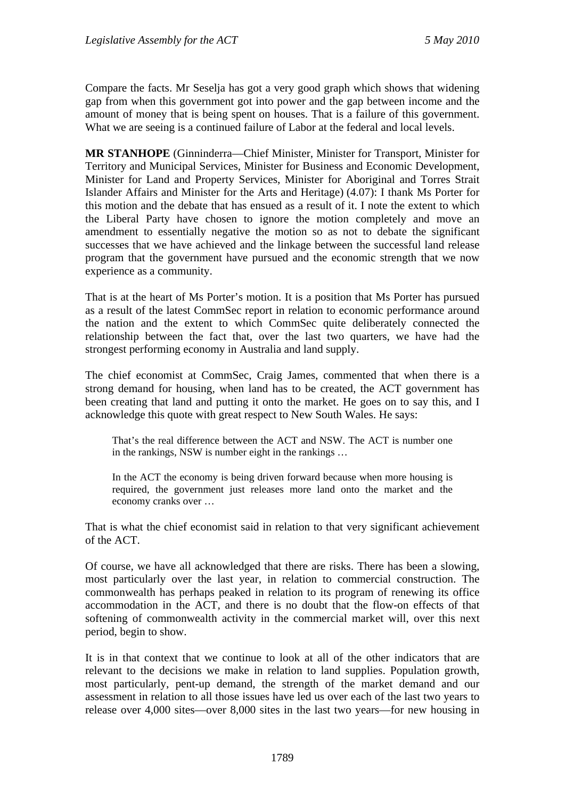Compare the facts. Mr Seselja has got a very good graph which shows that widening gap from when this government got into power and the gap between income and the amount of money that is being spent on houses. That is a failure of this government. What we are seeing is a continued failure of Labor at the federal and local levels.

**MR STANHOPE** (Ginninderra—Chief Minister, Minister for Transport, Minister for Territory and Municipal Services, Minister for Business and Economic Development, Minister for Land and Property Services, Minister for Aboriginal and Torres Strait Islander Affairs and Minister for the Arts and Heritage) (4.07): I thank Ms Porter for this motion and the debate that has ensued as a result of it. I note the extent to which the Liberal Party have chosen to ignore the motion completely and move an amendment to essentially negative the motion so as not to debate the significant successes that we have achieved and the linkage between the successful land release program that the government have pursued and the economic strength that we now experience as a community.

That is at the heart of Ms Porter's motion. It is a position that Ms Porter has pursued as a result of the latest CommSec report in relation to economic performance around the nation and the extent to which CommSec quite deliberately connected the relationship between the fact that, over the last two quarters, we have had the strongest performing economy in Australia and land supply.

The chief economist at CommSec, Craig James, commented that when there is a strong demand for housing, when land has to be created, the ACT government has been creating that land and putting it onto the market. He goes on to say this, and I acknowledge this quote with great respect to New South Wales. He says:

That's the real difference between the ACT and NSW. The ACT is number one in the rankings, NSW is number eight in the rankings …

In the ACT the economy is being driven forward because when more housing is required, the government just releases more land onto the market and the economy cranks over …

That is what the chief economist said in relation to that very significant achievement of the ACT.

Of course, we have all acknowledged that there are risks. There has been a slowing, most particularly over the last year, in relation to commercial construction. The commonwealth has perhaps peaked in relation to its program of renewing its office accommodation in the ACT, and there is no doubt that the flow-on effects of that softening of commonwealth activity in the commercial market will, over this next period, begin to show.

It is in that context that we continue to look at all of the other indicators that are relevant to the decisions we make in relation to land supplies. Population growth, most particularly, pent-up demand, the strength of the market demand and our assessment in relation to all those issues have led us over each of the last two years to release over 4,000 sites—over 8,000 sites in the last two years—for new housing in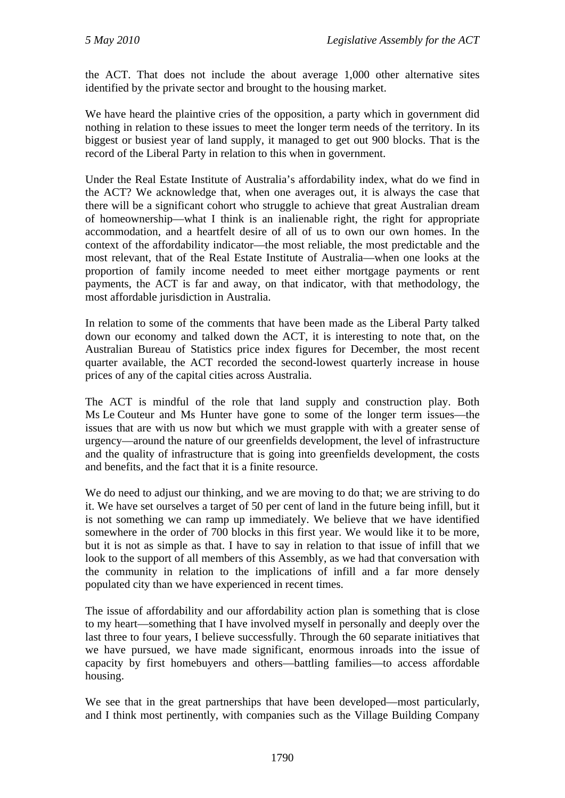the ACT. That does not include the about average 1,000 other alternative sites identified by the private sector and brought to the housing market.

We have heard the plaintive cries of the opposition, a party which in government did nothing in relation to these issues to meet the longer term needs of the territory. In its biggest or busiest year of land supply, it managed to get out 900 blocks. That is the record of the Liberal Party in relation to this when in government.

Under the Real Estate Institute of Australia's affordability index, what do we find in the ACT? We acknowledge that, when one averages out, it is always the case that there will be a significant cohort who struggle to achieve that great Australian dream of homeownership—what I think is an inalienable right, the right for appropriate accommodation, and a heartfelt desire of all of us to own our own homes. In the context of the affordability indicator—the most reliable, the most predictable and the most relevant, that of the Real Estate Institute of Australia—when one looks at the proportion of family income needed to meet either mortgage payments or rent payments, the ACT is far and away, on that indicator, with that methodology, the most affordable jurisdiction in Australia.

In relation to some of the comments that have been made as the Liberal Party talked down our economy and talked down the ACT, it is interesting to note that, on the Australian Bureau of Statistics price index figures for December, the most recent quarter available, the ACT recorded the second-lowest quarterly increase in house prices of any of the capital cities across Australia.

The ACT is mindful of the role that land supply and construction play. Both Ms Le Couteur and Ms Hunter have gone to some of the longer term issues—the issues that are with us now but which we must grapple with with a greater sense of urgency—around the nature of our greenfields development, the level of infrastructure and the quality of infrastructure that is going into greenfields development, the costs and benefits, and the fact that it is a finite resource.

We do need to adjust our thinking, and we are moving to do that; we are striving to do it. We have set ourselves a target of 50 per cent of land in the future being infill, but it is not something we can ramp up immediately. We believe that we have identified somewhere in the order of 700 blocks in this first year. We would like it to be more, but it is not as simple as that. I have to say in relation to that issue of infill that we look to the support of all members of this Assembly, as we had that conversation with the community in relation to the implications of infill and a far more densely populated city than we have experienced in recent times.

The issue of affordability and our affordability action plan is something that is close to my heart—something that I have involved myself in personally and deeply over the last three to four years, I believe successfully. Through the 60 separate initiatives that we have pursued, we have made significant, enormous inroads into the issue of capacity by first homebuyers and others—battling families—to access affordable housing.

We see that in the great partnerships that have been developed—most particularly, and I think most pertinently, with companies such as the Village Building Company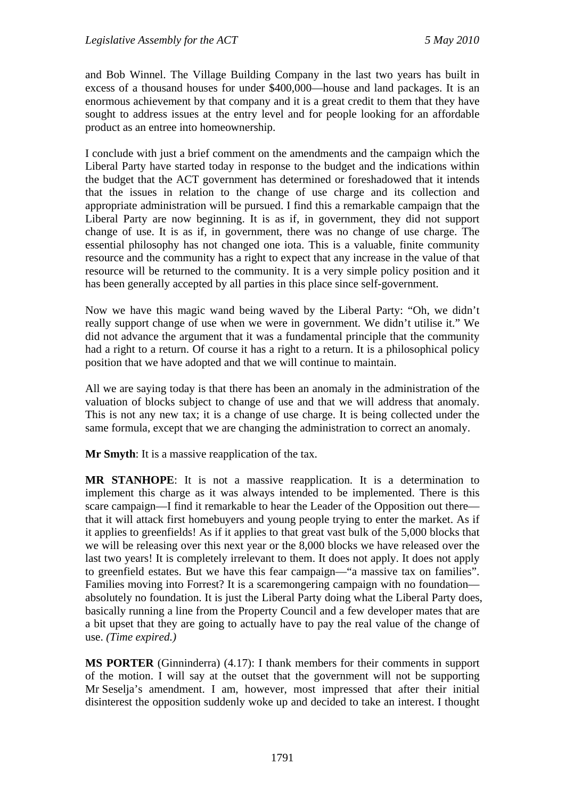and Bob Winnel. The Village Building Company in the last two years has built in excess of a thousand houses for under \$400,000—house and land packages. It is an enormous achievement by that company and it is a great credit to them that they have sought to address issues at the entry level and for people looking for an affordable product as an entree into homeownership.

I conclude with just a brief comment on the amendments and the campaign which the Liberal Party have started today in response to the budget and the indications within the budget that the ACT government has determined or foreshadowed that it intends that the issues in relation to the change of use charge and its collection and appropriate administration will be pursued. I find this a remarkable campaign that the Liberal Party are now beginning. It is as if, in government, they did not support change of use. It is as if, in government, there was no change of use charge. The essential philosophy has not changed one iota. This is a valuable, finite community resource and the community has a right to expect that any increase in the value of that resource will be returned to the community. It is a very simple policy position and it has been generally accepted by all parties in this place since self-government.

Now we have this magic wand being waved by the Liberal Party: "Oh, we didn't really support change of use when we were in government. We didn't utilise it." We did not advance the argument that it was a fundamental principle that the community had a right to a return. Of course it has a right to a return. It is a philosophical policy position that we have adopted and that we will continue to maintain.

All we are saying today is that there has been an anomaly in the administration of the valuation of blocks subject to change of use and that we will address that anomaly. This is not any new tax; it is a change of use charge. It is being collected under the same formula, except that we are changing the administration to correct an anomaly.

**Mr Smyth**: It is a massive reapplication of the tax.

**MR STANHOPE**: It is not a massive reapplication. It is a determination to implement this charge as it was always intended to be implemented. There is this scare campaign—I find it remarkable to hear the Leader of the Opposition out there that it will attack first homebuyers and young people trying to enter the market. As if it applies to greenfields! As if it applies to that great vast bulk of the 5,000 blocks that we will be releasing over this next year or the 8,000 blocks we have released over the last two years! It is completely irrelevant to them. It does not apply. It does not apply to greenfield estates. But we have this fear campaign—"a massive tax on families". Families moving into Forrest? It is a scaremongering campaign with no foundation absolutely no foundation. It is just the Liberal Party doing what the Liberal Party does, basically running a line from the Property Council and a few developer mates that are a bit upset that they are going to actually have to pay the real value of the change of use. *(Time expired.)*

**MS PORTER** (Ginninderra) (4.17): I thank members for their comments in support of the motion. I will say at the outset that the government will not be supporting Mr Seselja's amendment. I am, however, most impressed that after their initial disinterest the opposition suddenly woke up and decided to take an interest. I thought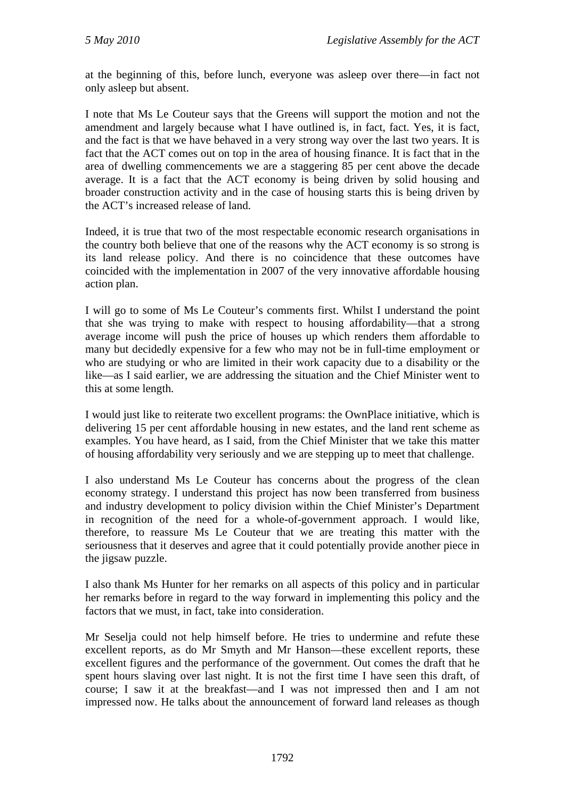at the beginning of this, before lunch, everyone was asleep over there—in fact not only asleep but absent.

I note that Ms Le Couteur says that the Greens will support the motion and not the amendment and largely because what I have outlined is, in fact, fact. Yes, it is fact, and the fact is that we have behaved in a very strong way over the last two years. It is fact that the ACT comes out on top in the area of housing finance. It is fact that in the area of dwelling commencements we are a staggering 85 per cent above the decade average. It is a fact that the ACT economy is being driven by solid housing and broader construction activity and in the case of housing starts this is being driven by the ACT's increased release of land.

Indeed, it is true that two of the most respectable economic research organisations in the country both believe that one of the reasons why the ACT economy is so strong is its land release policy. And there is no coincidence that these outcomes have coincided with the implementation in 2007 of the very innovative affordable housing action plan.

I will go to some of Ms Le Couteur's comments first. Whilst I understand the point that she was trying to make with respect to housing affordability—that a strong average income will push the price of houses up which renders them affordable to many but decidedly expensive for a few who may not be in full-time employment or who are studying or who are limited in their work capacity due to a disability or the like—as I said earlier, we are addressing the situation and the Chief Minister went to this at some length.

I would just like to reiterate two excellent programs: the OwnPlace initiative, which is delivering 15 per cent affordable housing in new estates, and the land rent scheme as examples. You have heard, as I said, from the Chief Minister that we take this matter of housing affordability very seriously and we are stepping up to meet that challenge.

I also understand Ms Le Couteur has concerns about the progress of the clean economy strategy. I understand this project has now been transferred from business and industry development to policy division within the Chief Minister's Department in recognition of the need for a whole-of-government approach. I would like, therefore, to reassure Ms Le Couteur that we are treating this matter with the seriousness that it deserves and agree that it could potentially provide another piece in the jigsaw puzzle.

I also thank Ms Hunter for her remarks on all aspects of this policy and in particular her remarks before in regard to the way forward in implementing this policy and the factors that we must, in fact, take into consideration.

Mr Seselja could not help himself before. He tries to undermine and refute these excellent reports, as do Mr Smyth and Mr Hanson—these excellent reports, these excellent figures and the performance of the government. Out comes the draft that he spent hours slaving over last night. It is not the first time I have seen this draft, of course; I saw it at the breakfast—and I was not impressed then and I am not impressed now. He talks about the announcement of forward land releases as though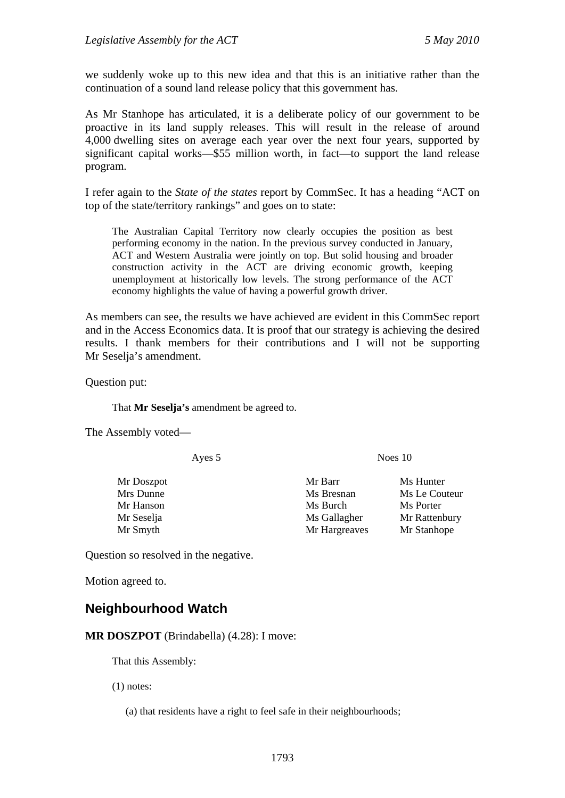we suddenly woke up to this new idea and that this is an initiative rather than the continuation of a sound land release policy that this government has.

As Mr Stanhope has articulated, it is a deliberate policy of our government to be proactive in its land supply releases. This will result in the release of around 4,000 dwelling sites on average each year over the next four years, supported by significant capital works—\$55 million worth, in fact—to support the land release program.

I refer again to the *State of the states* report by CommSec. It has a heading "ACT on top of the state/territory rankings" and goes on to state:

The Australian Capital Territory now clearly occupies the position as best performing economy in the nation. In the previous survey conducted in January, ACT and Western Australia were jointly on top. But solid housing and broader construction activity in the ACT are driving economic growth, keeping unemployment at historically low levels. The strong performance of the ACT economy highlights the value of having a powerful growth driver.

As members can see, the results we have achieved are evident in this CommSec report and in the Access Economics data. It is proof that our strategy is achieving the desired results. I thank members for their contributions and I will not be supporting Mr Seselja's amendment.

Question put:

That **Mr Seselja's** amendment be agreed to.

The Assembly voted—

Ayes 5 Noes 10

Mr Doszpot Mr Barr Ms Hunter

Mrs Dunne Ms Bresnan Ms Le Couteur Mr Hanson Ms Burch Ms Porter Mr Seselja Ms Gallagher Mr Rattenbury Mr Smyth Mr Hargreaves Mr Stanhope

Question so resolved in the negative.

Motion agreed to.

## **Neighbourhood Watch**

**MR DOSZPOT** (Brindabella) (4.28): I move:

That this Assembly:

(1) notes:

(a) that residents have a right to feel safe in their neighbourhoods;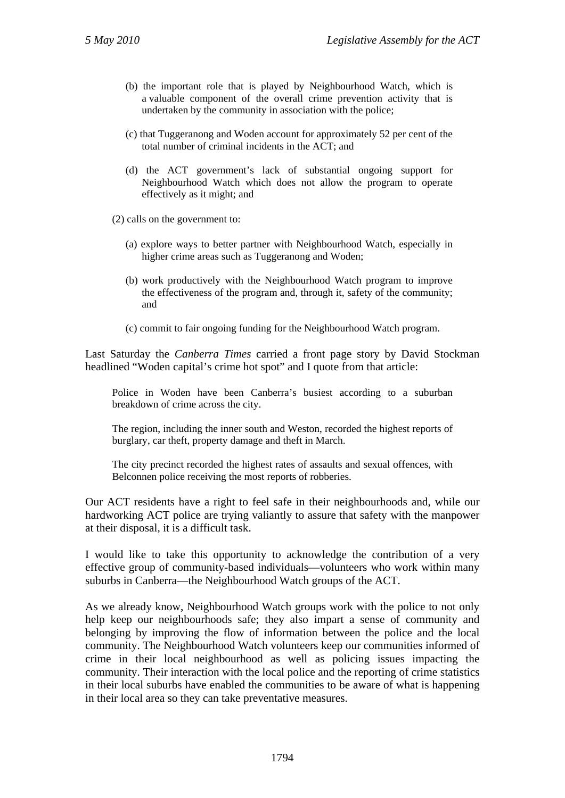- (b) the important role that is played by Neighbourhood Watch, which is a valuable component of the overall crime prevention activity that is undertaken by the community in association with the police;
- (c) that Tuggeranong and Woden account for approximately 52 per cent of the total number of criminal incidents in the ACT; and
- (d) the ACT government's lack of substantial ongoing support for Neighbourhood Watch which does not allow the program to operate effectively as it might; and

(2) calls on the government to:

- (a) explore ways to better partner with Neighbourhood Watch, especially in higher crime areas such as Tuggeranong and Woden;
- (b) work productively with the Neighbourhood Watch program to improve the effectiveness of the program and, through it, safety of the community; and
- (c) commit to fair ongoing funding for the Neighbourhood Watch program.

Last Saturday the *Canberra Times* carried a front page story by David Stockman headlined "Woden capital's crime hot spot" and I quote from that article:

Police in Woden have been Canberra's busiest according to a suburban breakdown of crime across the city.

The region, including the inner south and Weston, recorded the highest reports of burglary, car theft, property damage and theft in March.

The city precinct recorded the highest rates of assaults and sexual offences, with Belconnen police receiving the most reports of robberies.

Our ACT residents have a right to feel safe in their neighbourhoods and, while our hardworking ACT police are trying valiantly to assure that safety with the manpower at their disposal, it is a difficult task.

I would like to take this opportunity to acknowledge the contribution of a very effective group of community-based individuals—volunteers who work within many suburbs in Canberra—the Neighbourhood Watch groups of the ACT.

As we already know, Neighbourhood Watch groups work with the police to not only help keep our neighbourhoods safe; they also impart a sense of community and belonging by improving the flow of information between the police and the local community. The Neighbourhood Watch volunteers keep our communities informed of crime in their local neighbourhood as well as policing issues impacting the community. Their interaction with the local police and the reporting of crime statistics in their local suburbs have enabled the communities to be aware of what is happening in their local area so they can take preventative measures.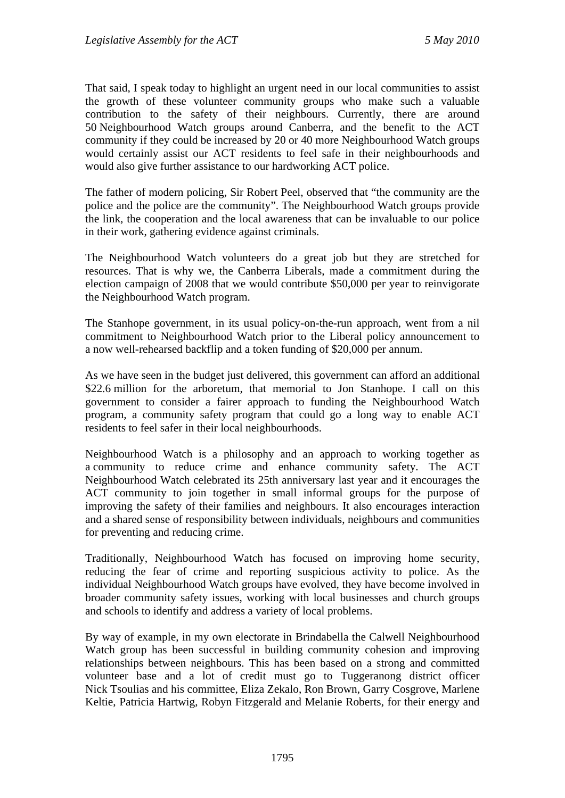That said, I speak today to highlight an urgent need in our local communities to assist the growth of these volunteer community groups who make such a valuable contribution to the safety of their neighbours. Currently, there are around 50 Neighbourhood Watch groups around Canberra, and the benefit to the ACT community if they could be increased by 20 or 40 more Neighbourhood Watch groups would certainly assist our ACT residents to feel safe in their neighbourhoods and would also give further assistance to our hardworking ACT police.

The father of modern policing, Sir Robert Peel, observed that "the community are the police and the police are the community". The Neighbourhood Watch groups provide the link, the cooperation and the local awareness that can be invaluable to our police in their work, gathering evidence against criminals.

The Neighbourhood Watch volunteers do a great job but they are stretched for resources. That is why we, the Canberra Liberals, made a commitment during the election campaign of 2008 that we would contribute \$50,000 per year to reinvigorate the Neighbourhood Watch program.

The Stanhope government, in its usual policy-on-the-run approach, went from a nil commitment to Neighbourhood Watch prior to the Liberal policy announcement to a now well-rehearsed backflip and a token funding of \$20,000 per annum.

As we have seen in the budget just delivered, this government can afford an additional \$22.6 million for the arboretum, that memorial to Jon Stanhope. I call on this government to consider a fairer approach to funding the Neighbourhood Watch program, a community safety program that could go a long way to enable ACT residents to feel safer in their local neighbourhoods.

Neighbourhood Watch is a philosophy and an approach to working together as a community to reduce crime and enhance community safety. The ACT Neighbourhood Watch celebrated its 25th anniversary last year and it encourages the ACT community to join together in small informal groups for the purpose of improving the safety of their families and neighbours. It also encourages interaction and a shared sense of responsibility between individuals, neighbours and communities for preventing and reducing crime.

Traditionally, Neighbourhood Watch has focused on improving home security, reducing the fear of crime and reporting suspicious activity to police. As the individual Neighbourhood Watch groups have evolved, they have become involved in broader community safety issues, working with local businesses and church groups and schools to identify and address a variety of local problems.

By way of example, in my own electorate in Brindabella the Calwell Neighbourhood Watch group has been successful in building community cohesion and improving relationships between neighbours. This has been based on a strong and committed volunteer base and a lot of credit must go to Tuggeranong district officer Nick Tsoulias and his committee, Eliza Zekalo, Ron Brown, Garry Cosgrove, Marlene Keltie, Patricia Hartwig, Robyn Fitzgerald and Melanie Roberts, for their energy and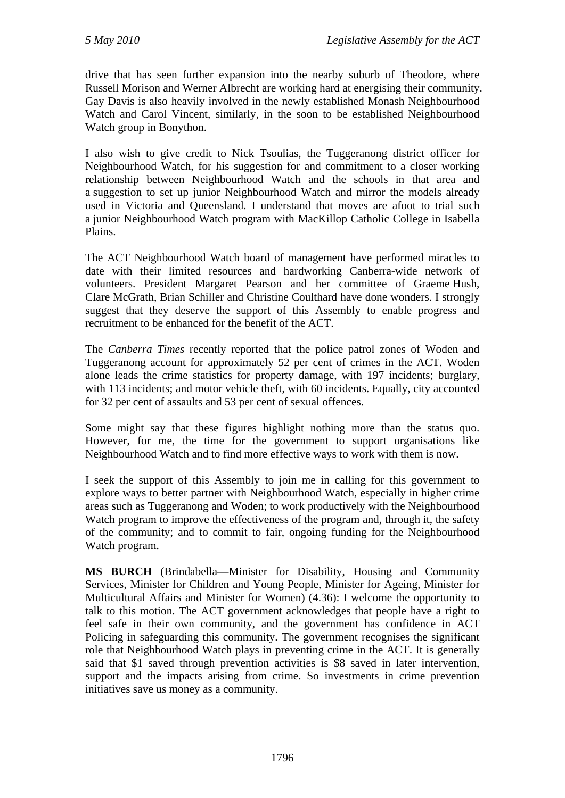drive that has seen further expansion into the nearby suburb of Theodore, where Russell Morison and Werner Albrecht are working hard at energising their community. Gay Davis is also heavily involved in the newly established Monash Neighbourhood Watch and Carol Vincent, similarly, in the soon to be established Neighbourhood Watch group in Bonython.

I also wish to give credit to Nick Tsoulias, the Tuggeranong district officer for Neighbourhood Watch, for his suggestion for and commitment to a closer working relationship between Neighbourhood Watch and the schools in that area and a suggestion to set up junior Neighbourhood Watch and mirror the models already used in Victoria and Queensland. I understand that moves are afoot to trial such a junior Neighbourhood Watch program with MacKillop Catholic College in Isabella Plains.

The ACT Neighbourhood Watch board of management have performed miracles to date with their limited resources and hardworking Canberra-wide network of volunteers. President Margaret Pearson and her committee of Graeme Hush, Clare McGrath, Brian Schiller and Christine Coulthard have done wonders. I strongly suggest that they deserve the support of this Assembly to enable progress and recruitment to be enhanced for the benefit of the ACT.

The *Canberra Times* recently reported that the police patrol zones of Woden and Tuggeranong account for approximately 52 per cent of crimes in the ACT. Woden alone leads the crime statistics for property damage, with 197 incidents; burglary, with 113 incidents; and motor vehicle theft, with 60 incidents. Equally, city accounted for 32 per cent of assaults and 53 per cent of sexual offences.

Some might say that these figures highlight nothing more than the status quo. However, for me, the time for the government to support organisations like Neighbourhood Watch and to find more effective ways to work with them is now.

I seek the support of this Assembly to join me in calling for this government to explore ways to better partner with Neighbourhood Watch, especially in higher crime areas such as Tuggeranong and Woden; to work productively with the Neighbourhood Watch program to improve the effectiveness of the program and, through it, the safety of the community; and to commit to fair, ongoing funding for the Neighbourhood Watch program.

**MS BURCH** (Brindabella—Minister for Disability, Housing and Community Services, Minister for Children and Young People, Minister for Ageing, Minister for Multicultural Affairs and Minister for Women) (4.36): I welcome the opportunity to talk to this motion. The ACT government acknowledges that people have a right to feel safe in their own community, and the government has confidence in ACT Policing in safeguarding this community. The government recognises the significant role that Neighbourhood Watch plays in preventing crime in the ACT. It is generally said that \$1 saved through prevention activities is \$8 saved in later intervention, support and the impacts arising from crime. So investments in crime prevention initiatives save us money as a community.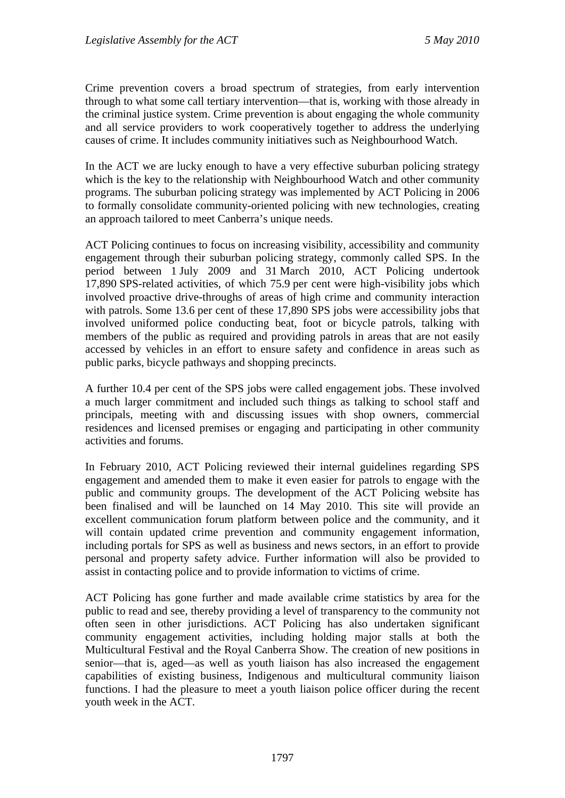Crime prevention covers a broad spectrum of strategies, from early intervention through to what some call tertiary intervention—that is, working with those already in the criminal justice system. Crime prevention is about engaging the whole community and all service providers to work cooperatively together to address the underlying causes of crime. It includes community initiatives such as Neighbourhood Watch.

In the ACT we are lucky enough to have a very effective suburban policing strategy which is the key to the relationship with Neighbourhood Watch and other community programs. The suburban policing strategy was implemented by ACT Policing in 2006 to formally consolidate community-oriented policing with new technologies, creating an approach tailored to meet Canberra's unique needs.

ACT Policing continues to focus on increasing visibility, accessibility and community engagement through their suburban policing strategy, commonly called SPS. In the period between 1 July 2009 and 31 March 2010, ACT Policing undertook 17,890 SPS-related activities, of which 75.9 per cent were high-visibility jobs which involved proactive drive-throughs of areas of high crime and community interaction with patrols. Some 13.6 per cent of these 17,890 SPS jobs were accessibility jobs that involved uniformed police conducting beat, foot or bicycle patrols, talking with members of the public as required and providing patrols in areas that are not easily accessed by vehicles in an effort to ensure safety and confidence in areas such as public parks, bicycle pathways and shopping precincts.

A further 10.4 per cent of the SPS jobs were called engagement jobs. These involved a much larger commitment and included such things as talking to school staff and principals, meeting with and discussing issues with shop owners, commercial residences and licensed premises or engaging and participating in other community activities and forums.

In February 2010, ACT Policing reviewed their internal guidelines regarding SPS engagement and amended them to make it even easier for patrols to engage with the public and community groups. The development of the ACT Policing website has been finalised and will be launched on 14 May 2010. This site will provide an excellent communication forum platform between police and the community, and it will contain updated crime prevention and community engagement information, including portals for SPS as well as business and news sectors, in an effort to provide personal and property safety advice. Further information will also be provided to assist in contacting police and to provide information to victims of crime.

ACT Policing has gone further and made available crime statistics by area for the public to read and see, thereby providing a level of transparency to the community not often seen in other jurisdictions. ACT Policing has also undertaken significant community engagement activities, including holding major stalls at both the Multicultural Festival and the Royal Canberra Show. The creation of new positions in senior—that is, aged—as well as youth liaison has also increased the engagement capabilities of existing business, Indigenous and multicultural community liaison functions. I had the pleasure to meet a youth liaison police officer during the recent youth week in the ACT.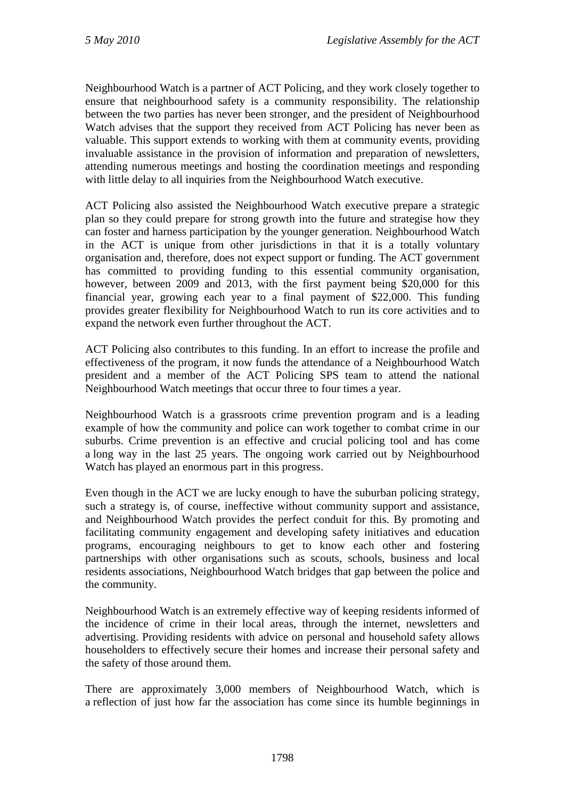Neighbourhood Watch is a partner of ACT Policing, and they work closely together to ensure that neighbourhood safety is a community responsibility. The relationship between the two parties has never been stronger, and the president of Neighbourhood Watch advises that the support they received from ACT Policing has never been as valuable. This support extends to working with them at community events, providing invaluable assistance in the provision of information and preparation of newsletters, attending numerous meetings and hosting the coordination meetings and responding with little delay to all inquiries from the Neighbourhood Watch executive.

ACT Policing also assisted the Neighbourhood Watch executive prepare a strategic plan so they could prepare for strong growth into the future and strategise how they can foster and harness participation by the younger generation. Neighbourhood Watch in the ACT is unique from other jurisdictions in that it is a totally voluntary organisation and, therefore, does not expect support or funding. The ACT government has committed to providing funding to this essential community organisation, however, between 2009 and 2013, with the first payment being \$20,000 for this financial year, growing each year to a final payment of \$22,000. This funding provides greater flexibility for Neighbourhood Watch to run its core activities and to expand the network even further throughout the ACT.

ACT Policing also contributes to this funding. In an effort to increase the profile and effectiveness of the program, it now funds the attendance of a Neighbourhood Watch president and a member of the ACT Policing SPS team to attend the national Neighbourhood Watch meetings that occur three to four times a year.

Neighbourhood Watch is a grassroots crime prevention program and is a leading example of how the community and police can work together to combat crime in our suburbs. Crime prevention is an effective and crucial policing tool and has come a long way in the last 25 years. The ongoing work carried out by Neighbourhood Watch has played an enormous part in this progress.

Even though in the ACT we are lucky enough to have the suburban policing strategy, such a strategy is, of course, ineffective without community support and assistance, and Neighbourhood Watch provides the perfect conduit for this. By promoting and facilitating community engagement and developing safety initiatives and education programs, encouraging neighbours to get to know each other and fostering partnerships with other organisations such as scouts, schools, business and local residents associations, Neighbourhood Watch bridges that gap between the police and the community.

Neighbourhood Watch is an extremely effective way of keeping residents informed of the incidence of crime in their local areas, through the internet, newsletters and advertising. Providing residents with advice on personal and household safety allows householders to effectively secure their homes and increase their personal safety and the safety of those around them.

There are approximately 3,000 members of Neighbourhood Watch, which is a reflection of just how far the association has come since its humble beginnings in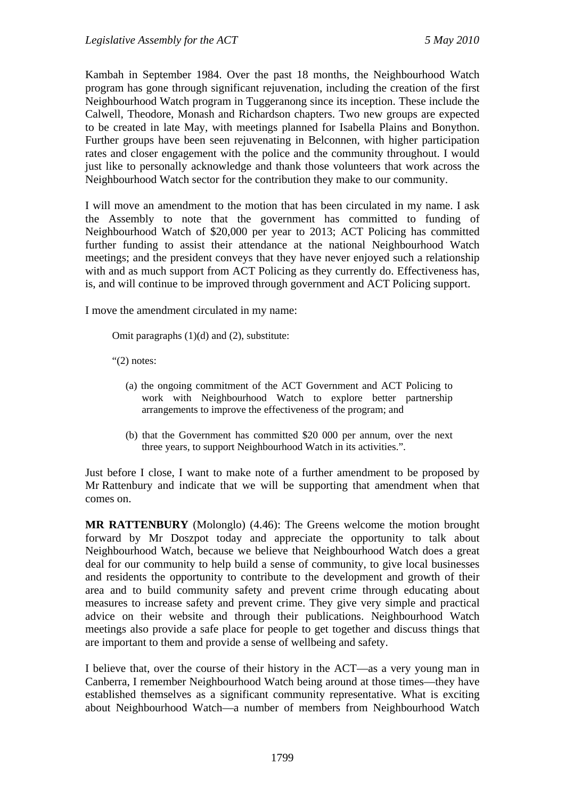Kambah in September 1984. Over the past 18 months, the Neighbourhood Watch program has gone through significant rejuvenation, including the creation of the first Neighbourhood Watch program in Tuggeranong since its inception. These include the Calwell, Theodore, Monash and Richardson chapters. Two new groups are expected to be created in late May, with meetings planned for Isabella Plains and Bonython. Further groups have been seen rejuvenating in Belconnen, with higher participation rates and closer engagement with the police and the community throughout. I would just like to personally acknowledge and thank those volunteers that work across the Neighbourhood Watch sector for the contribution they make to our community.

I will move an amendment to the motion that has been circulated in my name. I ask the Assembly to note that the government has committed to funding of Neighbourhood Watch of \$20,000 per year to 2013; ACT Policing has committed further funding to assist their attendance at the national Neighbourhood Watch meetings; and the president conveys that they have never enjoyed such a relationship with and as much support from ACT Policing as they currently do. Effectiveness has, is, and will continue to be improved through government and ACT Policing support.

I move the amendment circulated in my name:

Omit paragraphs (1)(d) and (2), substitute:

"(2) notes:

- (a) the ongoing commitment of the ACT Government and ACT Policing to work with Neighbourhood Watch to explore better partnership arrangements to improve the effectiveness of the program; and
- (b) that the Government has committed \$20 000 per annum, over the next three years, to support Neighbourhood Watch in its activities.".

Just before I close, I want to make note of a further amendment to be proposed by Mr Rattenbury and indicate that we will be supporting that amendment when that comes on.

**MR RATTENBURY** (Molonglo) (4.46): The Greens welcome the motion brought forward by Mr Doszpot today and appreciate the opportunity to talk about Neighbourhood Watch, because we believe that Neighbourhood Watch does a great deal for our community to help build a sense of community, to give local businesses and residents the opportunity to contribute to the development and growth of their area and to build community safety and prevent crime through educating about measures to increase safety and prevent crime. They give very simple and practical advice on their website and through their publications. Neighbourhood Watch meetings also provide a safe place for people to get together and discuss things that are important to them and provide a sense of wellbeing and safety.

I believe that, over the course of their history in the ACT—as a very young man in Canberra, I remember Neighbourhood Watch being around at those times—they have established themselves as a significant community representative. What is exciting about Neighbourhood Watch—a number of members from Neighbourhood Watch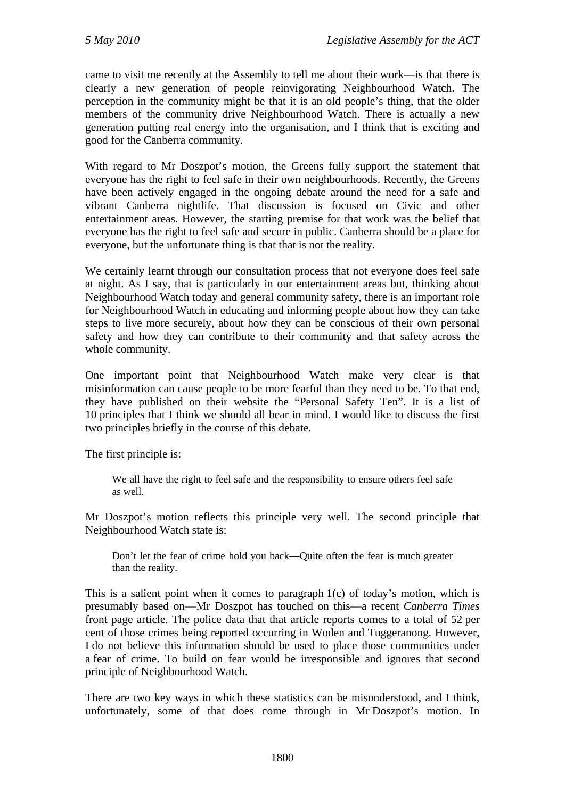came to visit me recently at the Assembly to tell me about their work—is that there is clearly a new generation of people reinvigorating Neighbourhood Watch. The perception in the community might be that it is an old people's thing, that the older members of the community drive Neighbourhood Watch. There is actually a new generation putting real energy into the organisation, and I think that is exciting and good for the Canberra community.

With regard to Mr Doszpot's motion, the Greens fully support the statement that everyone has the right to feel safe in their own neighbourhoods. Recently, the Greens have been actively engaged in the ongoing debate around the need for a safe and vibrant Canberra nightlife. That discussion is focused on Civic and other entertainment areas. However, the starting premise for that work was the belief that everyone has the right to feel safe and secure in public. Canberra should be a place for everyone, but the unfortunate thing is that that is not the reality.

We certainly learnt through our consultation process that not everyone does feel safe at night. As I say, that is particularly in our entertainment areas but, thinking about Neighbourhood Watch today and general community safety, there is an important role for Neighbourhood Watch in educating and informing people about how they can take steps to live more securely, about how they can be conscious of their own personal safety and how they can contribute to their community and that safety across the whole community.

One important point that Neighbourhood Watch make very clear is that misinformation can cause people to be more fearful than they need to be. To that end, they have published on their website the "Personal Safety Ten". It is a list of 10 principles that I think we should all bear in mind. I would like to discuss the first two principles briefly in the course of this debate.

The first principle is:

We all have the right to feel safe and the responsibility to ensure others feel safe as well.

Mr Doszpot's motion reflects this principle very well. The second principle that Neighbourhood Watch state is:

Don't let the fear of crime hold you back—Quite often the fear is much greater than the reality.

This is a salient point when it comes to paragraph 1(c) of today's motion, which is presumably based on—Mr Doszpot has touched on this—a recent *Canberra Times* front page article. The police data that that article reports comes to a total of 52 per cent of those crimes being reported occurring in Woden and Tuggeranong. However, I do not believe this information should be used to place those communities under a fear of crime. To build on fear would be irresponsible and ignores that second principle of Neighbourhood Watch.

There are two key ways in which these statistics can be misunderstood, and I think, unfortunately, some of that does come through in Mr Doszpot's motion. In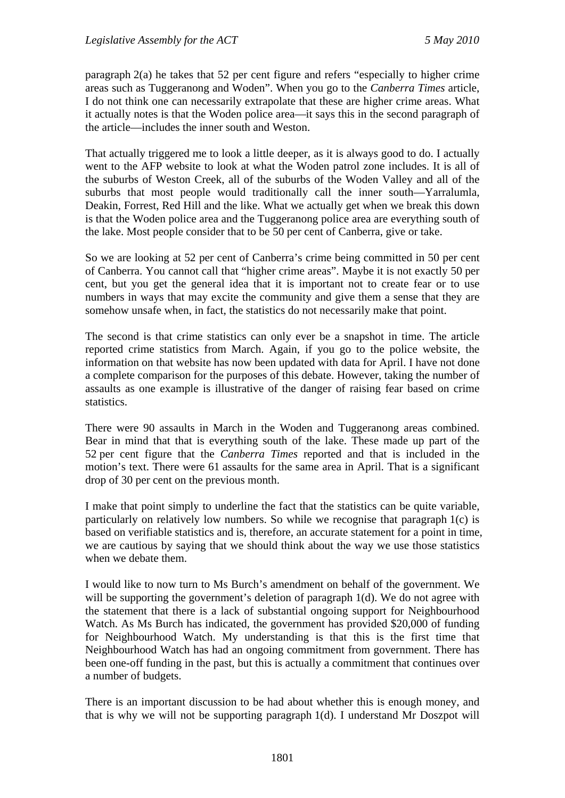paragraph 2(a) he takes that 52 per cent figure and refers "especially to higher crime areas such as Tuggeranong and Woden". When you go to the *Canberra Times* article, I do not think one can necessarily extrapolate that these are higher crime areas. What it actually notes is that the Woden police area—it says this in the second paragraph of the article—includes the inner south and Weston.

That actually triggered me to look a little deeper, as it is always good to do. I actually went to the AFP website to look at what the Woden patrol zone includes. It is all of the suburbs of Weston Creek, all of the suburbs of the Woden Valley and all of the suburbs that most people would traditionally call the inner south—Yarralumla, Deakin, Forrest, Red Hill and the like. What we actually get when we break this down is that the Woden police area and the Tuggeranong police area are everything south of the lake. Most people consider that to be 50 per cent of Canberra, give or take.

So we are looking at 52 per cent of Canberra's crime being committed in 50 per cent of Canberra. You cannot call that "higher crime areas". Maybe it is not exactly 50 per cent, but you get the general idea that it is important not to create fear or to use numbers in ways that may excite the community and give them a sense that they are somehow unsafe when, in fact, the statistics do not necessarily make that point.

The second is that crime statistics can only ever be a snapshot in time. The article reported crime statistics from March. Again, if you go to the police website, the information on that website has now been updated with data for April. I have not done a complete comparison for the purposes of this debate. However, taking the number of assaults as one example is illustrative of the danger of raising fear based on crime statistics.

There were 90 assaults in March in the Woden and Tuggeranong areas combined. Bear in mind that that is everything south of the lake. These made up part of the 52 per cent figure that the *Canberra Times* reported and that is included in the motion's text. There were 61 assaults for the same area in April. That is a significant drop of 30 per cent on the previous month.

I make that point simply to underline the fact that the statistics can be quite variable, particularly on relatively low numbers. So while we recognise that paragraph 1(c) is based on verifiable statistics and is, therefore, an accurate statement for a point in time, we are cautious by saying that we should think about the way we use those statistics when we debate them.

I would like to now turn to Ms Burch's amendment on behalf of the government. We will be supporting the government's deletion of paragraph 1(d). We do not agree with the statement that there is a lack of substantial ongoing support for Neighbourhood Watch. As Ms Burch has indicated, the government has provided \$20,000 of funding for Neighbourhood Watch. My understanding is that this is the first time that Neighbourhood Watch has had an ongoing commitment from government. There has been one-off funding in the past, but this is actually a commitment that continues over a number of budgets.

There is an important discussion to be had about whether this is enough money, and that is why we will not be supporting paragraph 1(d). I understand Mr Doszpot will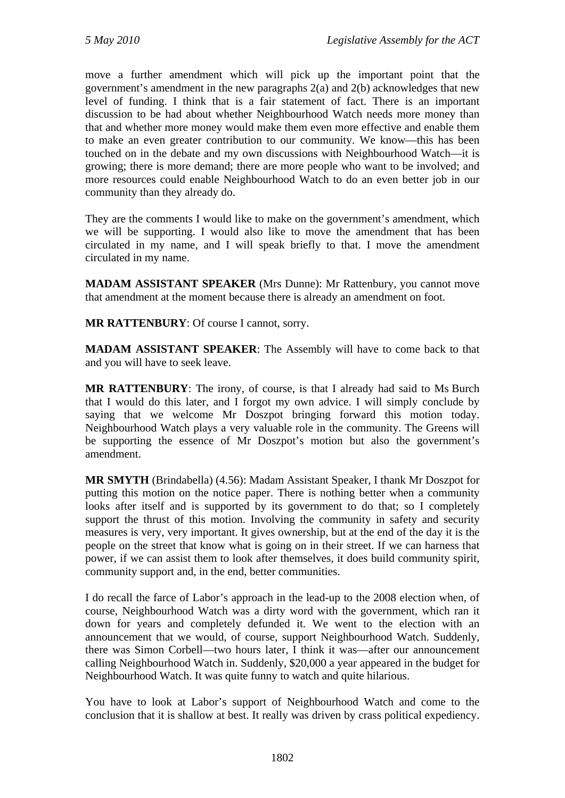move a further amendment which will pick up the important point that the government's amendment in the new paragraphs 2(a) and 2(b) acknowledges that new level of funding. I think that is a fair statement of fact. There is an important discussion to be had about whether Neighbourhood Watch needs more money than that and whether more money would make them even more effective and enable them to make an even greater contribution to our community. We know—this has been touched on in the debate and my own discussions with Neighbourhood Watch—it is growing; there is more demand; there are more people who want to be involved; and more resources could enable Neighbourhood Watch to do an even better job in our community than they already do.

They are the comments I would like to make on the government's amendment, which we will be supporting. I would also like to move the amendment that has been circulated in my name, and I will speak briefly to that. I move the amendment circulated in my name.

**MADAM ASSISTANT SPEAKER** (Mrs Dunne): Mr Rattenbury, you cannot move that amendment at the moment because there is already an amendment on foot.

**MR RATTENBURY**: Of course I cannot, sorry.

**MADAM ASSISTANT SPEAKER**: The Assembly will have to come back to that and you will have to seek leave.

**MR RATTENBURY**: The irony, of course, is that I already had said to Ms Burch that I would do this later, and I forgot my own advice. I will simply conclude by saying that we welcome Mr Doszpot bringing forward this motion today. Neighbourhood Watch plays a very valuable role in the community. The Greens will be supporting the essence of Mr Doszpot's motion but also the government's amendment.

**MR SMYTH** (Brindabella) (4.56): Madam Assistant Speaker, I thank Mr Doszpot for putting this motion on the notice paper. There is nothing better when a community looks after itself and is supported by its government to do that; so I completely support the thrust of this motion. Involving the community in safety and security measures is very, very important. It gives ownership, but at the end of the day it is the people on the street that know what is going on in their street. If we can harness that power, if we can assist them to look after themselves, it does build community spirit, community support and, in the end, better communities.

I do recall the farce of Labor's approach in the lead-up to the 2008 election when, of course, Neighbourhood Watch was a dirty word with the government, which ran it down for years and completely defunded it. We went to the election with an announcement that we would, of course, support Neighbourhood Watch. Suddenly, there was Simon Corbell—two hours later, I think it was—after our announcement calling Neighbourhood Watch in. Suddenly, \$20,000 a year appeared in the budget for Neighbourhood Watch. It was quite funny to watch and quite hilarious.

You have to look at Labor's support of Neighbourhood Watch and come to the conclusion that it is shallow at best. It really was driven by crass political expediency.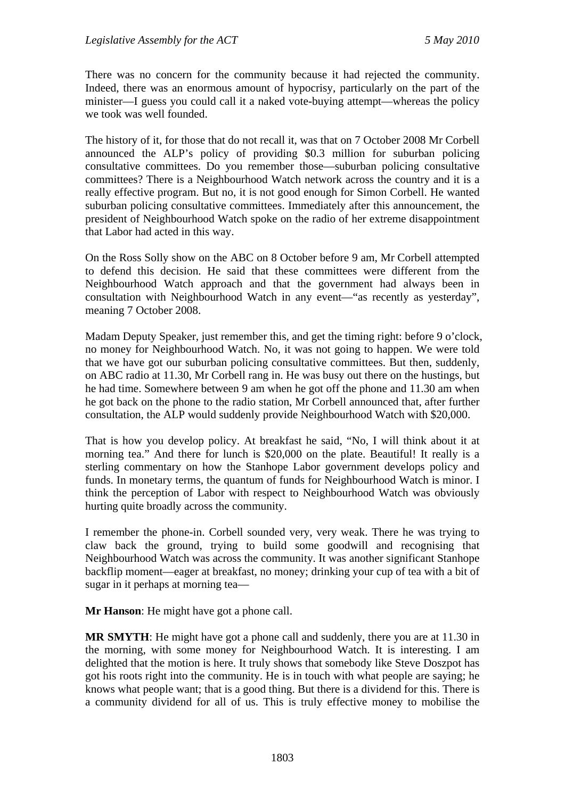There was no concern for the community because it had rejected the community. Indeed, there was an enormous amount of hypocrisy, particularly on the part of the minister—I guess you could call it a naked vote-buying attempt—whereas the policy we took was well founded.

The history of it, for those that do not recall it, was that on 7 October 2008 Mr Corbell announced the ALP's policy of providing \$0.3 million for suburban policing consultative committees. Do you remember those—suburban policing consultative committees? There is a Neighbourhood Watch network across the country and it is a really effective program. But no, it is not good enough for Simon Corbell. He wanted suburban policing consultative committees. Immediately after this announcement, the president of Neighbourhood Watch spoke on the radio of her extreme disappointment that Labor had acted in this way.

On the Ross Solly show on the ABC on 8 October before 9 am, Mr Corbell attempted to defend this decision. He said that these committees were different from the Neighbourhood Watch approach and that the government had always been in consultation with Neighbourhood Watch in any event—"as recently as yesterday", meaning 7 October 2008.

Madam Deputy Speaker, just remember this, and get the timing right: before 9 o'clock, no money for Neighbourhood Watch. No, it was not going to happen. We were told that we have got our suburban policing consultative committees. But then, suddenly, on ABC radio at 11.30, Mr Corbell rang in. He was busy out there on the hustings, but he had time. Somewhere between 9 am when he got off the phone and 11.30 am when he got back on the phone to the radio station, Mr Corbell announced that, after further consultation, the ALP would suddenly provide Neighbourhood Watch with \$20,000.

That is how you develop policy. At breakfast he said, "No, I will think about it at morning tea." And there for lunch is \$20,000 on the plate. Beautiful! It really is a sterling commentary on how the Stanhope Labor government develops policy and funds. In monetary terms, the quantum of funds for Neighbourhood Watch is minor. I think the perception of Labor with respect to Neighbourhood Watch was obviously hurting quite broadly across the community.

I remember the phone-in. Corbell sounded very, very weak. There he was trying to claw back the ground, trying to build some goodwill and recognising that Neighbourhood Watch was across the community. It was another significant Stanhope backflip moment—eager at breakfast, no money; drinking your cup of tea with a bit of sugar in it perhaps at morning tea—

**Mr Hanson**: He might have got a phone call.

**MR SMYTH**: He might have got a phone call and suddenly, there you are at 11.30 in the morning, with some money for Neighbourhood Watch. It is interesting. I am delighted that the motion is here. It truly shows that somebody like Steve Doszpot has got his roots right into the community. He is in touch with what people are saying; he knows what people want; that is a good thing. But there is a dividend for this. There is a community dividend for all of us. This is truly effective money to mobilise the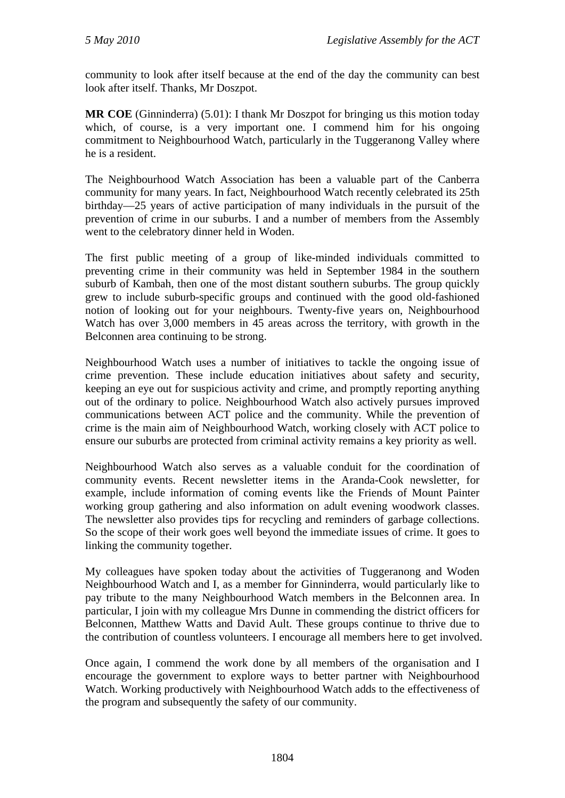community to look after itself because at the end of the day the community can best look after itself. Thanks, Mr Doszpot.

**MR COE** (Ginninderra) (5.01): I thank Mr Doszpot for bringing us this motion today which, of course, is a very important one. I commend him for his ongoing commitment to Neighbourhood Watch, particularly in the Tuggeranong Valley where he is a resident.

The Neighbourhood Watch Association has been a valuable part of the Canberra community for many years. In fact, Neighbourhood Watch recently celebrated its 25th birthday—25 years of active participation of many individuals in the pursuit of the prevention of crime in our suburbs. I and a number of members from the Assembly went to the celebratory dinner held in Woden.

The first public meeting of a group of like-minded individuals committed to preventing crime in their community was held in September 1984 in the southern suburb of Kambah, then one of the most distant southern suburbs. The group quickly grew to include suburb-specific groups and continued with the good old-fashioned notion of looking out for your neighbours. Twenty-five years on, Neighbourhood Watch has over 3,000 members in 45 areas across the territory, with growth in the Belconnen area continuing to be strong.

Neighbourhood Watch uses a number of initiatives to tackle the ongoing issue of crime prevention. These include education initiatives about safety and security, keeping an eye out for suspicious activity and crime, and promptly reporting anything out of the ordinary to police. Neighbourhood Watch also actively pursues improved communications between ACT police and the community. While the prevention of crime is the main aim of Neighbourhood Watch, working closely with ACT police to ensure our suburbs are protected from criminal activity remains a key priority as well.

Neighbourhood Watch also serves as a valuable conduit for the coordination of community events. Recent newsletter items in the Aranda-Cook newsletter, for example, include information of coming events like the Friends of Mount Painter working group gathering and also information on adult evening woodwork classes. The newsletter also provides tips for recycling and reminders of garbage collections. So the scope of their work goes well beyond the immediate issues of crime. It goes to linking the community together.

My colleagues have spoken today about the activities of Tuggeranong and Woden Neighbourhood Watch and I, as a member for Ginninderra, would particularly like to pay tribute to the many Neighbourhood Watch members in the Belconnen area. In particular, I join with my colleague Mrs Dunne in commending the district officers for Belconnen, Matthew Watts and David Ault. These groups continue to thrive due to the contribution of countless volunteers. I encourage all members here to get involved.

Once again, I commend the work done by all members of the organisation and I encourage the government to explore ways to better partner with Neighbourhood Watch. Working productively with Neighbourhood Watch adds to the effectiveness of the program and subsequently the safety of our community.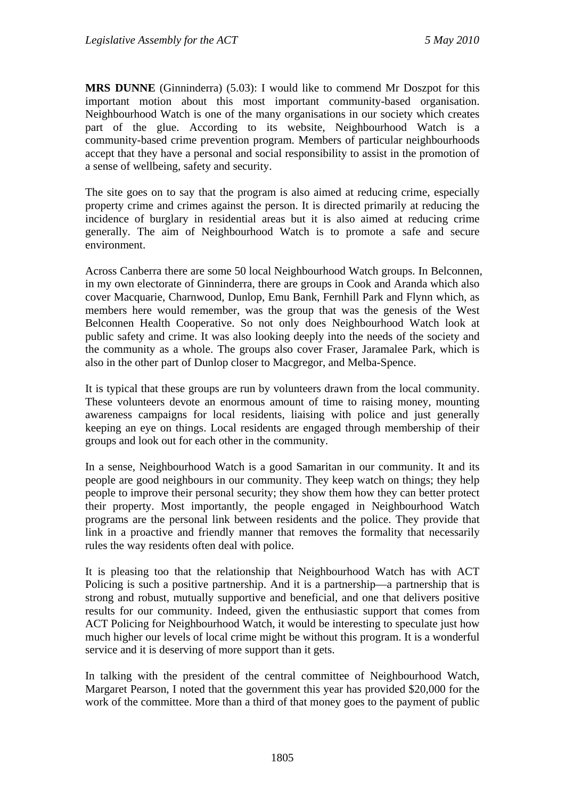**MRS DUNNE** (Ginninderra) (5.03): I would like to commend Mr Doszpot for this important motion about this most important community-based organisation. Neighbourhood Watch is one of the many organisations in our society which creates part of the glue. According to its website, Neighbourhood Watch is a community-based crime prevention program. Members of particular neighbourhoods accept that they have a personal and social responsibility to assist in the promotion of a sense of wellbeing, safety and security.

The site goes on to say that the program is also aimed at reducing crime, especially property crime and crimes against the person. It is directed primarily at reducing the incidence of burglary in residential areas but it is also aimed at reducing crime generally. The aim of Neighbourhood Watch is to promote a safe and secure environment.

Across Canberra there are some 50 local Neighbourhood Watch groups. In Belconnen, in my own electorate of Ginninderra, there are groups in Cook and Aranda which also cover Macquarie, Charnwood, Dunlop, Emu Bank, Fernhill Park and Flynn which, as members here would remember, was the group that was the genesis of the West Belconnen Health Cooperative. So not only does Neighbourhood Watch look at public safety and crime. It was also looking deeply into the needs of the society and the community as a whole. The groups also cover Fraser, Jaramalee Park, which is also in the other part of Dunlop closer to Macgregor, and Melba-Spence.

It is typical that these groups are run by volunteers drawn from the local community. These volunteers devote an enormous amount of time to raising money, mounting awareness campaigns for local residents, liaising with police and just generally keeping an eye on things. Local residents are engaged through membership of their groups and look out for each other in the community.

In a sense, Neighbourhood Watch is a good Samaritan in our community. It and its people are good neighbours in our community. They keep watch on things; they help people to improve their personal security; they show them how they can better protect their property. Most importantly, the people engaged in Neighbourhood Watch programs are the personal link between residents and the police. They provide that link in a proactive and friendly manner that removes the formality that necessarily rules the way residents often deal with police.

It is pleasing too that the relationship that Neighbourhood Watch has with ACT Policing is such a positive partnership. And it is a partnership—a partnership that is strong and robust, mutually supportive and beneficial, and one that delivers positive results for our community. Indeed, given the enthusiastic support that comes from ACT Policing for Neighbourhood Watch, it would be interesting to speculate just how much higher our levels of local crime might be without this program. It is a wonderful service and it is deserving of more support than it gets.

In talking with the president of the central committee of Neighbourhood Watch, Margaret Pearson, I noted that the government this year has provided \$20,000 for the work of the committee. More than a third of that money goes to the payment of public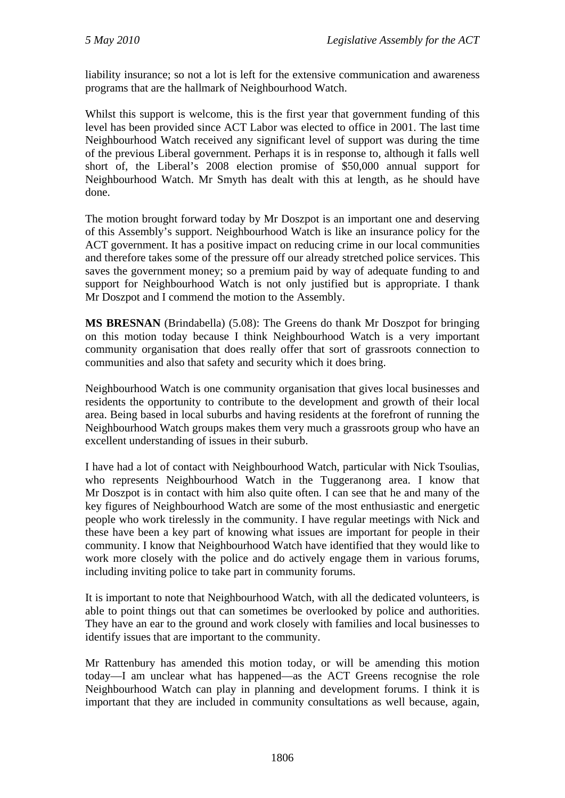liability insurance; so not a lot is left for the extensive communication and awareness programs that are the hallmark of Neighbourhood Watch.

Whilst this support is welcome, this is the first year that government funding of this level has been provided since ACT Labor was elected to office in 2001. The last time Neighbourhood Watch received any significant level of support was during the time of the previous Liberal government. Perhaps it is in response to, although it falls well short of, the Liberal's 2008 election promise of \$50,000 annual support for Neighbourhood Watch. Mr Smyth has dealt with this at length, as he should have done.

The motion brought forward today by Mr Doszpot is an important one and deserving of this Assembly's support. Neighbourhood Watch is like an insurance policy for the ACT government. It has a positive impact on reducing crime in our local communities and therefore takes some of the pressure off our already stretched police services. This saves the government money; so a premium paid by way of adequate funding to and support for Neighbourhood Watch is not only justified but is appropriate. I thank Mr Doszpot and I commend the motion to the Assembly.

**MS BRESNAN** (Brindabella) (5.08): The Greens do thank Mr Doszpot for bringing on this motion today because I think Neighbourhood Watch is a very important community organisation that does really offer that sort of grassroots connection to communities and also that safety and security which it does bring.

Neighbourhood Watch is one community organisation that gives local businesses and residents the opportunity to contribute to the development and growth of their local area. Being based in local suburbs and having residents at the forefront of running the Neighbourhood Watch groups makes them very much a grassroots group who have an excellent understanding of issues in their suburb.

I have had a lot of contact with Neighbourhood Watch, particular with Nick Tsoulias, who represents Neighbourhood Watch in the Tuggeranong area. I know that Mr Doszpot is in contact with him also quite often. I can see that he and many of the key figures of Neighbourhood Watch are some of the most enthusiastic and energetic people who work tirelessly in the community. I have regular meetings with Nick and these have been a key part of knowing what issues are important for people in their community. I know that Neighbourhood Watch have identified that they would like to work more closely with the police and do actively engage them in various forums, including inviting police to take part in community forums.

It is important to note that Neighbourhood Watch, with all the dedicated volunteers, is able to point things out that can sometimes be overlooked by police and authorities. They have an ear to the ground and work closely with families and local businesses to identify issues that are important to the community.

Mr Rattenbury has amended this motion today, or will be amending this motion today—I am unclear what has happened—as the ACT Greens recognise the role Neighbourhood Watch can play in planning and development forums. I think it is important that they are included in community consultations as well because, again,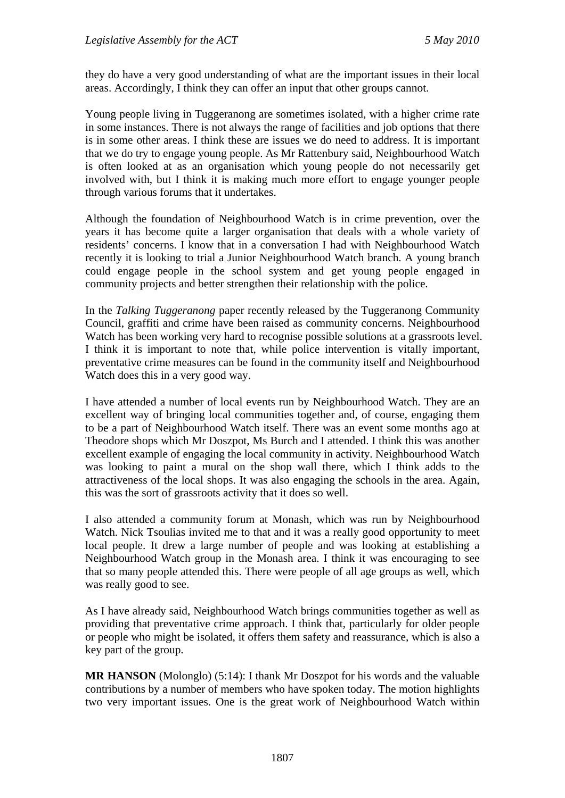they do have a very good understanding of what are the important issues in their local areas. Accordingly, I think they can offer an input that other groups cannot.

Young people living in Tuggeranong are sometimes isolated, with a higher crime rate in some instances. There is not always the range of facilities and job options that there is in some other areas. I think these are issues we do need to address. It is important that we do try to engage young people. As Mr Rattenbury said, Neighbourhood Watch is often looked at as an organisation which young people do not necessarily get involved with, but I think it is making much more effort to engage younger people through various forums that it undertakes.

Although the foundation of Neighbourhood Watch is in crime prevention, over the years it has become quite a larger organisation that deals with a whole variety of residents' concerns. I know that in a conversation I had with Neighbourhood Watch recently it is looking to trial a Junior Neighbourhood Watch branch. A young branch could engage people in the school system and get young people engaged in community projects and better strengthen their relationship with the police.

In the *Talking Tuggeranong* paper recently released by the Tuggeranong Community Council, graffiti and crime have been raised as community concerns. Neighbourhood Watch has been working very hard to recognise possible solutions at a grassroots level. I think it is important to note that, while police intervention is vitally important, preventative crime measures can be found in the community itself and Neighbourhood Watch does this in a very good way.

I have attended a number of local events run by Neighbourhood Watch. They are an excellent way of bringing local communities together and, of course, engaging them to be a part of Neighbourhood Watch itself. There was an event some months ago at Theodore shops which Mr Doszpot, Ms Burch and I attended. I think this was another excellent example of engaging the local community in activity. Neighbourhood Watch was looking to paint a mural on the shop wall there, which I think adds to the attractiveness of the local shops. It was also engaging the schools in the area. Again, this was the sort of grassroots activity that it does so well.

I also attended a community forum at Monash, which was run by Neighbourhood Watch. Nick Tsoulias invited me to that and it was a really good opportunity to meet local people. It drew a large number of people and was looking at establishing a Neighbourhood Watch group in the Monash area. I think it was encouraging to see that so many people attended this. There were people of all age groups as well, which was really good to see.

As I have already said, Neighbourhood Watch brings communities together as well as providing that preventative crime approach. I think that, particularly for older people or people who might be isolated, it offers them safety and reassurance, which is also a key part of the group.

**MR HANSON** (Molonglo) (5:14): I thank Mr Doszpot for his words and the valuable contributions by a number of members who have spoken today. The motion highlights two very important issues. One is the great work of Neighbourhood Watch within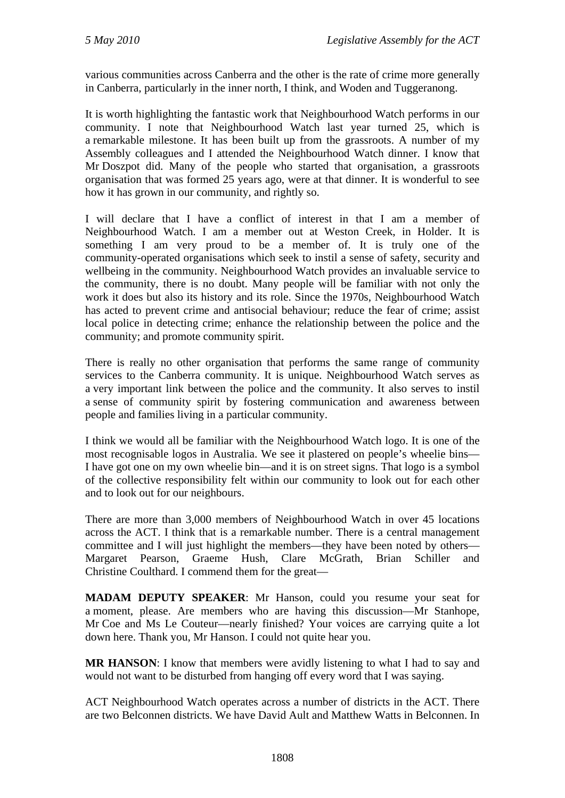various communities across Canberra and the other is the rate of crime more generally in Canberra, particularly in the inner north, I think, and Woden and Tuggeranong.

It is worth highlighting the fantastic work that Neighbourhood Watch performs in our community. I note that Neighbourhood Watch last year turned 25, which is a remarkable milestone. It has been built up from the grassroots. A number of my Assembly colleagues and I attended the Neighbourhood Watch dinner. I know that Mr Doszpot did. Many of the people who started that organisation, a grassroots organisation that was formed 25 years ago, were at that dinner. It is wonderful to see how it has grown in our community, and rightly so.

I will declare that I have a conflict of interest in that I am a member of Neighbourhood Watch. I am a member out at Weston Creek, in Holder. It is something I am very proud to be a member of. It is truly one of the community-operated organisations which seek to instil a sense of safety, security and wellbeing in the community. Neighbourhood Watch provides an invaluable service to the community, there is no doubt. Many people will be familiar with not only the work it does but also its history and its role. Since the 1970s, Neighbourhood Watch has acted to prevent crime and antisocial behaviour; reduce the fear of crime; assist local police in detecting crime; enhance the relationship between the police and the community; and promote community spirit.

There is really no other organisation that performs the same range of community services to the Canberra community. It is unique. Neighbourhood Watch serves as a very important link between the police and the community. It also serves to instil a sense of community spirit by fostering communication and awareness between people and families living in a particular community.

I think we would all be familiar with the Neighbourhood Watch logo. It is one of the most recognisable logos in Australia. We see it plastered on people's wheelie bins— I have got one on my own wheelie bin—and it is on street signs. That logo is a symbol of the collective responsibility felt within our community to look out for each other and to look out for our neighbours.

There are more than 3,000 members of Neighbourhood Watch in over 45 locations across the ACT. I think that is a remarkable number. There is a central management committee and I will just highlight the members—they have been noted by others— Margaret Pearson, Graeme Hush, Clare McGrath, Brian Schiller and Christine Coulthard. I commend them for the great—

**MADAM DEPUTY SPEAKER**: Mr Hanson, could you resume your seat for a moment, please. Are members who are having this discussion—Mr Stanhope, Mr Coe and Ms Le Couteur—nearly finished? Your voices are carrying quite a lot down here. Thank you, Mr Hanson. I could not quite hear you.

**MR HANSON:** I know that members were avidly listening to what I had to say and would not want to be disturbed from hanging off every word that I was saying.

ACT Neighbourhood Watch operates across a number of districts in the ACT. There are two Belconnen districts. We have David Ault and Matthew Watts in Belconnen. In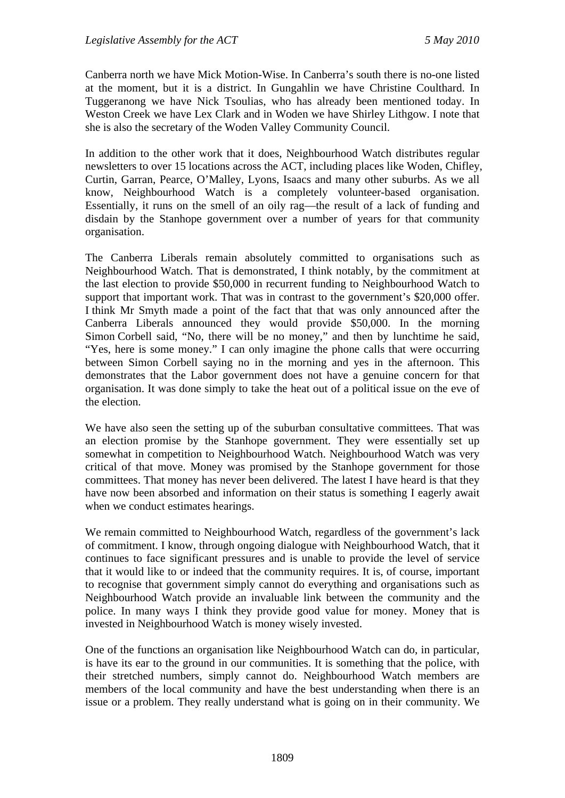Canberra north we have Mick Motion-Wise. In Canberra's south there is no-one listed at the moment, but it is a district. In Gungahlin we have Christine Coulthard. In Tuggeranong we have Nick Tsoulias, who has already been mentioned today. In Weston Creek we have Lex Clark and in Woden we have Shirley Lithgow. I note that she is also the secretary of the Woden Valley Community Council.

In addition to the other work that it does, Neighbourhood Watch distributes regular newsletters to over 15 locations across the ACT, including places like Woden, Chifley, Curtin, Garran, Pearce, O'Malley, Lyons, Isaacs and many other suburbs. As we all know, Neighbourhood Watch is a completely volunteer-based organisation. Essentially, it runs on the smell of an oily rag—the result of a lack of funding and disdain by the Stanhope government over a number of years for that community organisation.

The Canberra Liberals remain absolutely committed to organisations such as Neighbourhood Watch. That is demonstrated, I think notably, by the commitment at the last election to provide \$50,000 in recurrent funding to Neighbourhood Watch to support that important work. That was in contrast to the government's \$20,000 offer. I think Mr Smyth made a point of the fact that that was only announced after the Canberra Liberals announced they would provide \$50,000. In the morning Simon Corbell said, "No, there will be no money," and then by lunchtime he said, "Yes, here is some money." I can only imagine the phone calls that were occurring between Simon Corbell saying no in the morning and yes in the afternoon. This demonstrates that the Labor government does not have a genuine concern for that organisation. It was done simply to take the heat out of a political issue on the eve of the election.

We have also seen the setting up of the suburban consultative committees. That was an election promise by the Stanhope government. They were essentially set up somewhat in competition to Neighbourhood Watch. Neighbourhood Watch was very critical of that move. Money was promised by the Stanhope government for those committees. That money has never been delivered. The latest I have heard is that they have now been absorbed and information on their status is something I eagerly await when we conduct estimates hearings.

We remain committed to Neighbourhood Watch, regardless of the government's lack of commitment. I know, through ongoing dialogue with Neighbourhood Watch, that it continues to face significant pressures and is unable to provide the level of service that it would like to or indeed that the community requires. It is, of course, important to recognise that government simply cannot do everything and organisations such as Neighbourhood Watch provide an invaluable link between the community and the police. In many ways I think they provide good value for money. Money that is invested in Neighbourhood Watch is money wisely invested.

One of the functions an organisation like Neighbourhood Watch can do, in particular, is have its ear to the ground in our communities. It is something that the police, with their stretched numbers, simply cannot do. Neighbourhood Watch members are members of the local community and have the best understanding when there is an issue or a problem. They really understand what is going on in their community. We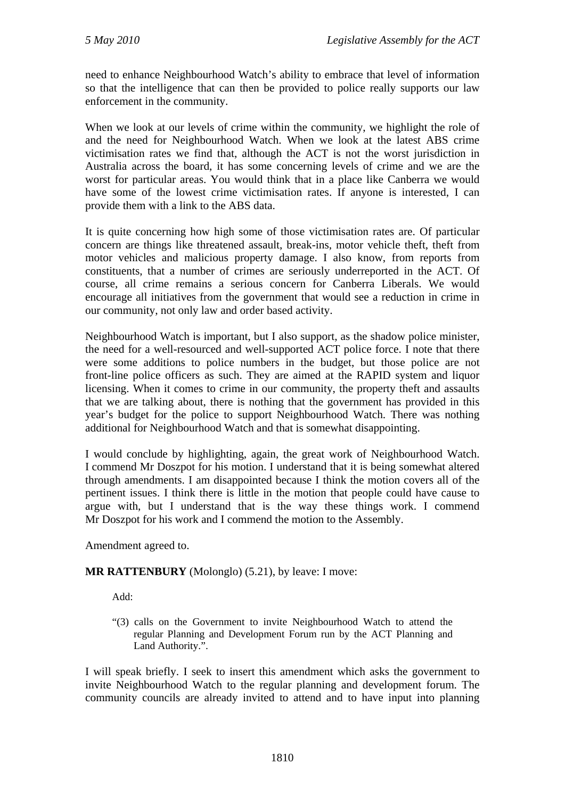need to enhance Neighbourhood Watch's ability to embrace that level of information so that the intelligence that can then be provided to police really supports our law enforcement in the community.

When we look at our levels of crime within the community, we highlight the role of and the need for Neighbourhood Watch. When we look at the latest ABS crime victimisation rates we find that, although the ACT is not the worst jurisdiction in Australia across the board, it has some concerning levels of crime and we are the worst for particular areas. You would think that in a place like Canberra we would have some of the lowest crime victimisation rates. If anyone is interested, I can provide them with a link to the ABS data.

It is quite concerning how high some of those victimisation rates are. Of particular concern are things like threatened assault, break-ins, motor vehicle theft, theft from motor vehicles and malicious property damage. I also know, from reports from constituents, that a number of crimes are seriously underreported in the ACT. Of course, all crime remains a serious concern for Canberra Liberals. We would encourage all initiatives from the government that would see a reduction in crime in our community, not only law and order based activity.

Neighbourhood Watch is important, but I also support, as the shadow police minister, the need for a well-resourced and well-supported ACT police force. I note that there were some additions to police numbers in the budget, but those police are not front-line police officers as such. They are aimed at the RAPID system and liquor licensing. When it comes to crime in our community, the property theft and assaults that we are talking about, there is nothing that the government has provided in this year's budget for the police to support Neighbourhood Watch. There was nothing additional for Neighbourhood Watch and that is somewhat disappointing.

I would conclude by highlighting, again, the great work of Neighbourhood Watch. I commend Mr Doszpot for his motion. I understand that it is being somewhat altered through amendments. I am disappointed because I think the motion covers all of the pertinent issues. I think there is little in the motion that people could have cause to argue with, but I understand that is the way these things work. I commend Mr Doszpot for his work and I commend the motion to the Assembly.

Amendment agreed to.

## **MR RATTENBURY** (Molonglo) (5.21), by leave: I move:

Add:

"(3) calls on the Government to invite Neighbourhood Watch to attend the regular Planning and Development Forum run by the ACT Planning and Land Authority.".

I will speak briefly. I seek to insert this amendment which asks the government to invite Neighbourhood Watch to the regular planning and development forum. The community councils are already invited to attend and to have input into planning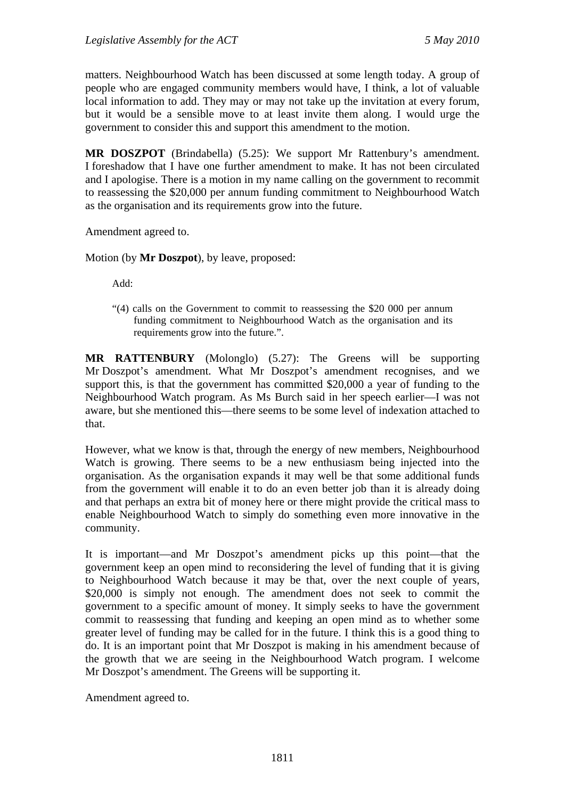matters. Neighbourhood Watch has been discussed at some length today. A group of people who are engaged community members would have, I think, a lot of valuable local information to add. They may or may not take up the invitation at every forum, but it would be a sensible move to at least invite them along. I would urge the government to consider this and support this amendment to the motion.

**MR DOSZPOT** (Brindabella) (5.25): We support Mr Rattenbury's amendment. I foreshadow that I have one further amendment to make. It has not been circulated and I apologise. There is a motion in my name calling on the government to recommit to reassessing the \$20,000 per annum funding commitment to Neighbourhood Watch as the organisation and its requirements grow into the future.

Amendment agreed to.

Motion (by **Mr Doszpot**), by leave, proposed:

Add:

"(4) calls on the Government to commit to reassessing the \$20 000 per annum funding commitment to Neighbourhood Watch as the organisation and its requirements grow into the future.".

**MR RATTENBURY** (Molonglo) (5.27): The Greens will be supporting Mr Doszpot's amendment. What Mr Doszpot's amendment recognises, and we support this, is that the government has committed \$20,000 a year of funding to the Neighbourhood Watch program. As Ms Burch said in her speech earlier—I was not aware, but she mentioned this—there seems to be some level of indexation attached to that.

However, what we know is that, through the energy of new members, Neighbourhood Watch is growing. There seems to be a new enthusiasm being injected into the organisation. As the organisation expands it may well be that some additional funds from the government will enable it to do an even better job than it is already doing and that perhaps an extra bit of money here or there might provide the critical mass to enable Neighbourhood Watch to simply do something even more innovative in the community.

It is important—and Mr Doszpot's amendment picks up this point—that the government keep an open mind to reconsidering the level of funding that it is giving to Neighbourhood Watch because it may be that, over the next couple of years, \$20,000 is simply not enough. The amendment does not seek to commit the government to a specific amount of money. It simply seeks to have the government commit to reassessing that funding and keeping an open mind as to whether some greater level of funding may be called for in the future. I think this is a good thing to do. It is an important point that Mr Doszpot is making in his amendment because of the growth that we are seeing in the Neighbourhood Watch program. I welcome Mr Doszpot's amendment. The Greens will be supporting it.

Amendment agreed to.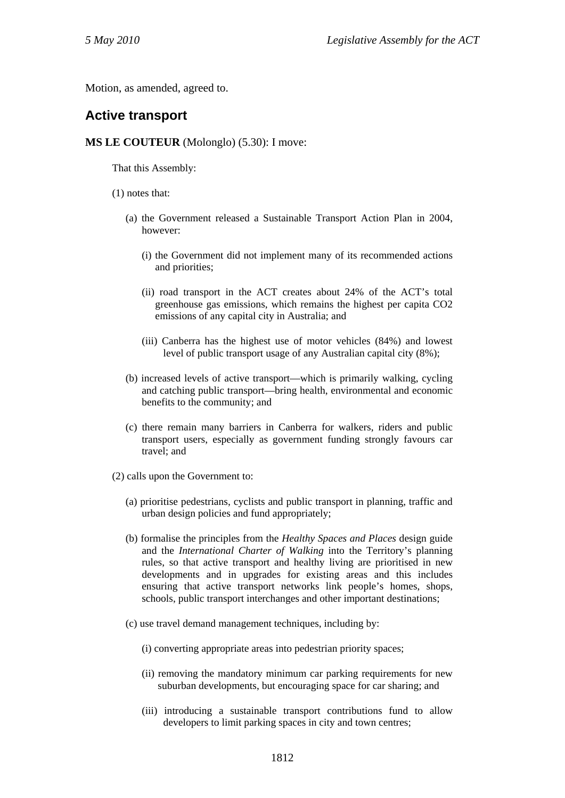Motion, as amended, agreed to.

## **Active transport**

## **MS LE COUTEUR** (Molonglo) (5.30): I move:

That this Assembly:

- (1) notes that:
	- (a) the Government released a Sustainable Transport Action Plan in 2004, however:
		- (i) the Government did not implement many of its recommended actions and priorities;
		- (ii) road transport in the ACT creates about 24% of the ACT's total greenhouse gas emissions, which remains the highest per capita CO2 emissions of any capital city in Australia; and
		- (iii) Canberra has the highest use of motor vehicles (84%) and lowest level of public transport usage of any Australian capital city (8%);
	- (b) increased levels of active transport—which is primarily walking, cycling and catching public transport—bring health, environmental and economic benefits to the community; and
	- (c) there remain many barriers in Canberra for walkers, riders and public transport users, especially as government funding strongly favours car travel; and
- (2) calls upon the Government to:
	- (a) prioritise pedestrians, cyclists and public transport in planning, traffic and urban design policies and fund appropriately;
	- (b) formalise the principles from the *Healthy Spaces and Places* design guide and the *International Charter of Walking* into the Territory's planning rules, so that active transport and healthy living are prioritised in new developments and in upgrades for existing areas and this includes ensuring that active transport networks link people's homes, shops, schools, public transport interchanges and other important destinations;
	- (c) use travel demand management techniques, including by:
		- (i) converting appropriate areas into pedestrian priority spaces;
		- (ii) removing the mandatory minimum car parking requirements for new suburban developments, but encouraging space for car sharing; and
		- (iii) introducing a sustainable transport contributions fund to allow developers to limit parking spaces in city and town centres;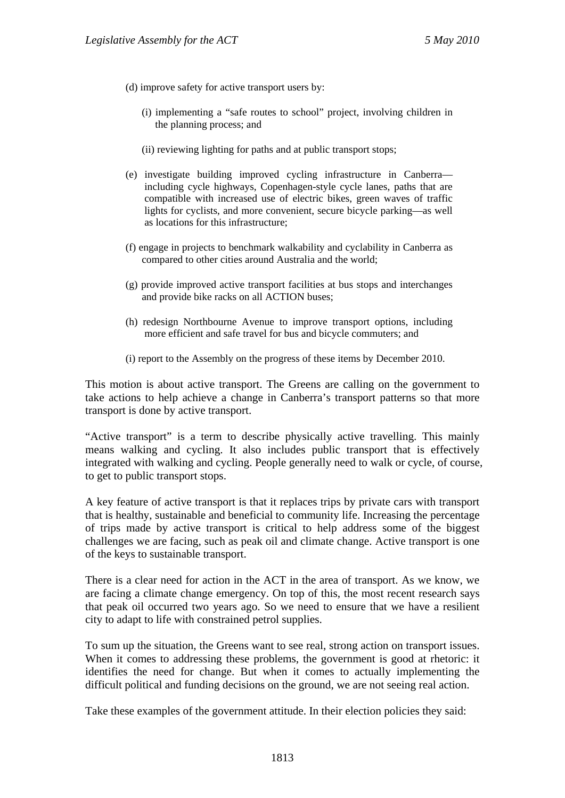- (d) improve safety for active transport users by:
	- (i) implementing a "safe routes to school" project, involving children in the planning process; and
	- (ii) reviewing lighting for paths and at public transport stops;
- (e) investigate building improved cycling infrastructure in Canberra including cycle highways, Copenhagen-style cycle lanes, paths that are compatible with increased use of electric bikes, green waves of traffic lights for cyclists, and more convenient, secure bicycle parking—as well as locations for this infrastructure;
- (f) engage in projects to benchmark walkability and cyclability in Canberra as compared to other cities around Australia and the world;
- (g) provide improved active transport facilities at bus stops and interchanges and provide bike racks on all ACTION buses;
- (h) redesign Northbourne Avenue to improve transport options, including more efficient and safe travel for bus and bicycle commuters; and
- (i) report to the Assembly on the progress of these items by December 2010.

This motion is about active transport. The Greens are calling on the government to take actions to help achieve a change in Canberra's transport patterns so that more transport is done by active transport.

"Active transport" is a term to describe physically active travelling. This mainly means walking and cycling. It also includes public transport that is effectively integrated with walking and cycling. People generally need to walk or cycle, of course, to get to public transport stops.

A key feature of active transport is that it replaces trips by private cars with transport that is healthy, sustainable and beneficial to community life. Increasing the percentage of trips made by active transport is critical to help address some of the biggest challenges we are facing, such as peak oil and climate change. Active transport is one of the keys to sustainable transport.

There is a clear need for action in the ACT in the area of transport. As we know, we are facing a climate change emergency. On top of this, the most recent research says that peak oil occurred two years ago. So we need to ensure that we have a resilient city to adapt to life with constrained petrol supplies.

To sum up the situation, the Greens want to see real, strong action on transport issues. When it comes to addressing these problems, the government is good at rhetoric: it identifies the need for change. But when it comes to actually implementing the difficult political and funding decisions on the ground, we are not seeing real action.

Take these examples of the government attitude. In their election policies they said: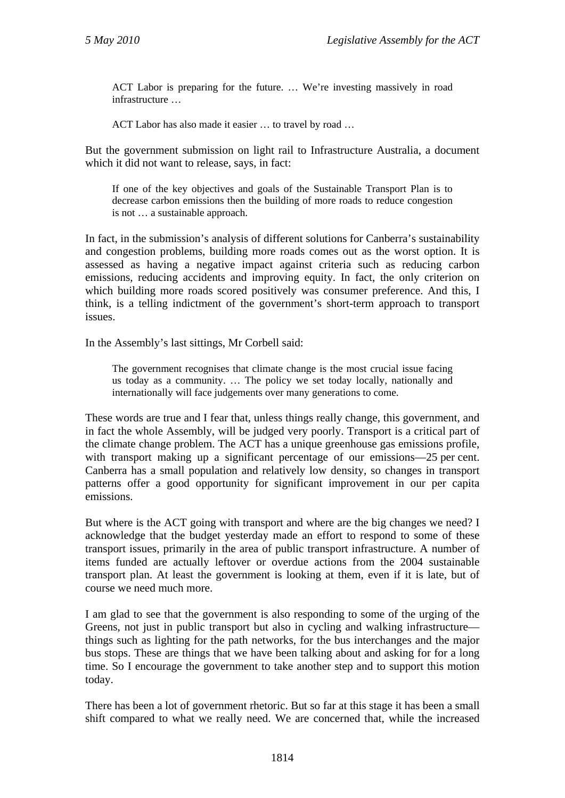ACT Labor is preparing for the future. … We're investing massively in road infrastructure …

ACT Labor has also made it easier … to travel by road …

But the government submission on light rail to Infrastructure Australia, a document which it did not want to release, says, in fact:

If one of the key objectives and goals of the Sustainable Transport Plan is to decrease carbon emissions then the building of more roads to reduce congestion is not … a sustainable approach.

In fact, in the submission's analysis of different solutions for Canberra's sustainability and congestion problems, building more roads comes out as the worst option. It is assessed as having a negative impact against criteria such as reducing carbon emissions, reducing accidents and improving equity. In fact, the only criterion on which building more roads scored positively was consumer preference. And this, I think, is a telling indictment of the government's short-term approach to transport issues.

In the Assembly's last sittings, Mr Corbell said:

The government recognises that climate change is the most crucial issue facing us today as a community. … The policy we set today locally, nationally and internationally will face judgements over many generations to come.

These words are true and I fear that, unless things really change, this government, and in fact the whole Assembly, will be judged very poorly. Transport is a critical part of the climate change problem. The ACT has a unique greenhouse gas emissions profile, with transport making up a significant percentage of our emissions—25 per cent. Canberra has a small population and relatively low density, so changes in transport patterns offer a good opportunity for significant improvement in our per capita emissions.

But where is the ACT going with transport and where are the big changes we need? I acknowledge that the budget yesterday made an effort to respond to some of these transport issues, primarily in the area of public transport infrastructure. A number of items funded are actually leftover or overdue actions from the 2004 sustainable transport plan. At least the government is looking at them, even if it is late, but of course we need much more.

I am glad to see that the government is also responding to some of the urging of the Greens, not just in public transport but also in cycling and walking infrastructure things such as lighting for the path networks, for the bus interchanges and the major bus stops. These are things that we have been talking about and asking for for a long time. So I encourage the government to take another step and to support this motion today.

There has been a lot of government rhetoric. But so far at this stage it has been a small shift compared to what we really need. We are concerned that, while the increased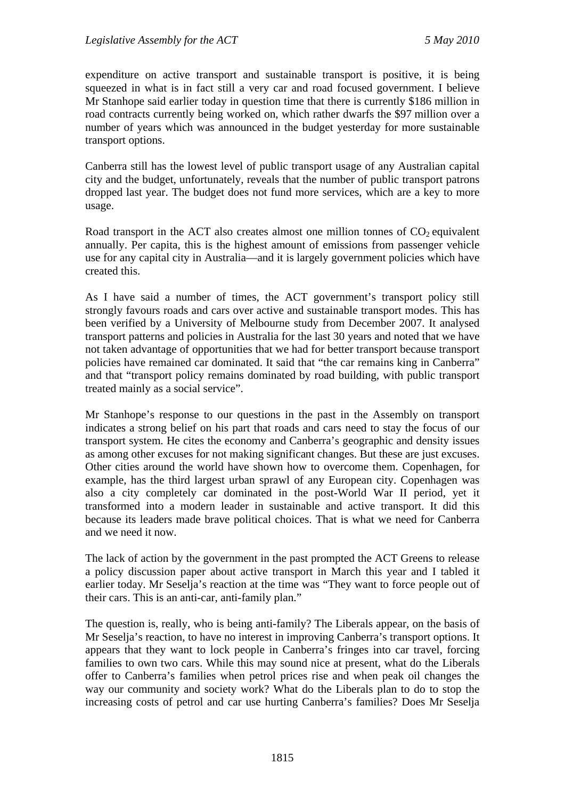expenditure on active transport and sustainable transport is positive, it is being squeezed in what is in fact still a very car and road focused government. I believe Mr Stanhope said earlier today in question time that there is currently \$186 million in road contracts currently being worked on, which rather dwarfs the \$97 million over a number of years which was announced in the budget yesterday for more sustainable transport options.

Canberra still has the lowest level of public transport usage of any Australian capital city and the budget, unfortunately, reveals that the number of public transport patrons dropped last year. The budget does not fund more services, which are a key to more usage.

Road transport in the ACT also creates almost one million tonnes of  $CO<sub>2</sub>$  equivalent annually. Per capita, this is the highest amount of emissions from passenger vehicle use for any capital city in Australia—and it is largely government policies which have created this.

As I have said a number of times, the ACT government's transport policy still strongly favours roads and cars over active and sustainable transport modes. This has been verified by a University of Melbourne study from December 2007. It analysed transport patterns and policies in Australia for the last 30 years and noted that we have not taken advantage of opportunities that we had for better transport because transport policies have remained car dominated. It said that "the car remains king in Canberra" and that "transport policy remains dominated by road building, with public transport treated mainly as a social service".

Mr Stanhope's response to our questions in the past in the Assembly on transport indicates a strong belief on his part that roads and cars need to stay the focus of our transport system. He cites the economy and Canberra's geographic and density issues as among other excuses for not making significant changes. But these are just excuses. Other cities around the world have shown how to overcome them. Copenhagen, for example, has the third largest urban sprawl of any European city. Copenhagen was also a city completely car dominated in the post-World War II period, yet it transformed into a modern leader in sustainable and active transport. It did this because its leaders made brave political choices. That is what we need for Canberra and we need it now.

The lack of action by the government in the past prompted the ACT Greens to release a policy discussion paper about active transport in March this year and I tabled it earlier today. Mr Seselja's reaction at the time was "They want to force people out of their cars. This is an anti-car, anti-family plan."

The question is, really, who is being anti-family? The Liberals appear, on the basis of Mr Seselja's reaction, to have no interest in improving Canberra's transport options. It appears that they want to lock people in Canberra's fringes into car travel, forcing families to own two cars. While this may sound nice at present, what do the Liberals offer to Canberra's families when petrol prices rise and when peak oil changes the way our community and society work? What do the Liberals plan to do to stop the increasing costs of petrol and car use hurting Canberra's families? Does Mr Seselja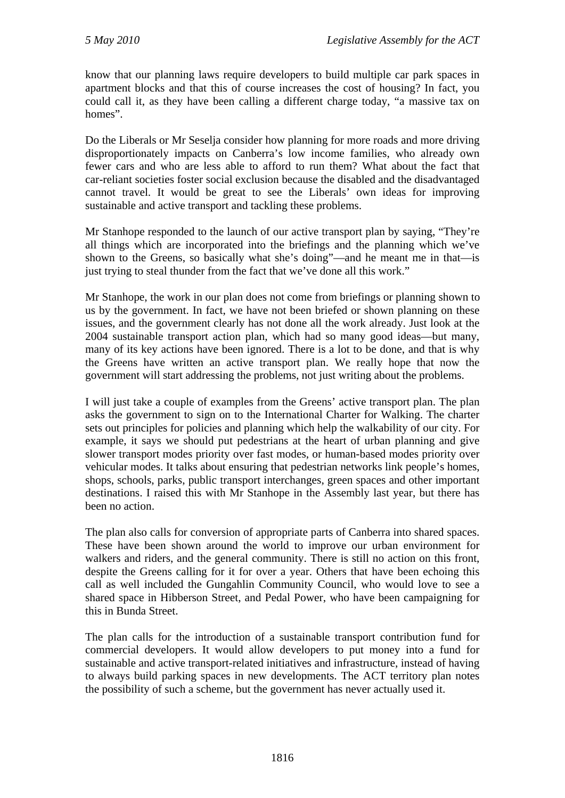know that our planning laws require developers to build multiple car park spaces in apartment blocks and that this of course increases the cost of housing? In fact, you could call it, as they have been calling a different charge today, "a massive tax on homes".

Do the Liberals or Mr Seselja consider how planning for more roads and more driving disproportionately impacts on Canberra's low income families, who already own fewer cars and who are less able to afford to run them? What about the fact that car-reliant societies foster social exclusion because the disabled and the disadvantaged cannot travel. It would be great to see the Liberals' own ideas for improving sustainable and active transport and tackling these problems.

Mr Stanhope responded to the launch of our active transport plan by saying, "They're all things which are incorporated into the briefings and the planning which we've shown to the Greens, so basically what she's doing"—and he meant me in that—is just trying to steal thunder from the fact that we've done all this work."

Mr Stanhope, the work in our plan does not come from briefings or planning shown to us by the government. In fact, we have not been briefed or shown planning on these issues, and the government clearly has not done all the work already. Just look at the 2004 sustainable transport action plan, which had so many good ideas—but many, many of its key actions have been ignored. There is a lot to be done, and that is why the Greens have written an active transport plan. We really hope that now the government will start addressing the problems, not just writing about the problems.

I will just take a couple of examples from the Greens' active transport plan. The plan asks the government to sign on to the International Charter for Walking. The charter sets out principles for policies and planning which help the walkability of our city. For example, it says we should put pedestrians at the heart of urban planning and give slower transport modes priority over fast modes, or human-based modes priority over vehicular modes. It talks about ensuring that pedestrian networks link people's homes, shops, schools, parks, public transport interchanges, green spaces and other important destinations. I raised this with Mr Stanhope in the Assembly last year, but there has been no action.

The plan also calls for conversion of appropriate parts of Canberra into shared spaces. These have been shown around the world to improve our urban environment for walkers and riders, and the general community. There is still no action on this front, despite the Greens calling for it for over a year. Others that have been echoing this call as well included the Gungahlin Community Council, who would love to see a shared space in Hibberson Street, and Pedal Power, who have been campaigning for this in Bunda Street.

The plan calls for the introduction of a sustainable transport contribution fund for commercial developers. It would allow developers to put money into a fund for sustainable and active transport-related initiatives and infrastructure, instead of having to always build parking spaces in new developments. The ACT territory plan notes the possibility of such a scheme, but the government has never actually used it.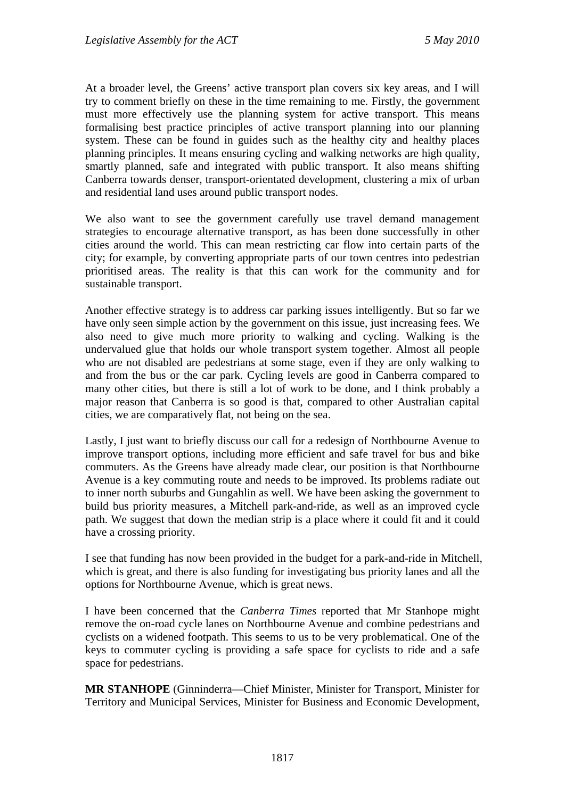At a broader level, the Greens' active transport plan covers six key areas, and I will try to comment briefly on these in the time remaining to me. Firstly, the government must more effectively use the planning system for active transport. This means formalising best practice principles of active transport planning into our planning system. These can be found in guides such as the healthy city and healthy places planning principles. It means ensuring cycling and walking networks are high quality, smartly planned, safe and integrated with public transport. It also means shifting Canberra towards denser, transport-orientated development, clustering a mix of urban and residential land uses around public transport nodes.

We also want to see the government carefully use travel demand management strategies to encourage alternative transport, as has been done successfully in other cities around the world. This can mean restricting car flow into certain parts of the city; for example, by converting appropriate parts of our town centres into pedestrian prioritised areas. The reality is that this can work for the community and for sustainable transport.

Another effective strategy is to address car parking issues intelligently. But so far we have only seen simple action by the government on this issue, just increasing fees. We also need to give much more priority to walking and cycling. Walking is the undervalued glue that holds our whole transport system together. Almost all people who are not disabled are pedestrians at some stage, even if they are only walking to and from the bus or the car park. Cycling levels are good in Canberra compared to many other cities, but there is still a lot of work to be done, and I think probably a major reason that Canberra is so good is that, compared to other Australian capital cities, we are comparatively flat, not being on the sea.

Lastly, I just want to briefly discuss our call for a redesign of Northbourne Avenue to improve transport options, including more efficient and safe travel for bus and bike commuters. As the Greens have already made clear, our position is that Northbourne Avenue is a key commuting route and needs to be improved. Its problems radiate out to inner north suburbs and Gungahlin as well. We have been asking the government to build bus priority measures, a Mitchell park-and-ride, as well as an improved cycle path. We suggest that down the median strip is a place where it could fit and it could have a crossing priority.

I see that funding has now been provided in the budget for a park-and-ride in Mitchell, which is great, and there is also funding for investigating bus priority lanes and all the options for Northbourne Avenue, which is great news.

I have been concerned that the *Canberra Times* reported that Mr Stanhope might remove the on-road cycle lanes on Northbourne Avenue and combine pedestrians and cyclists on a widened footpath. This seems to us to be very problematical. One of the keys to commuter cycling is providing a safe space for cyclists to ride and a safe space for pedestrians.

**MR STANHOPE** (Ginninderra—Chief Minister, Minister for Transport, Minister for Territory and Municipal Services, Minister for Business and Economic Development,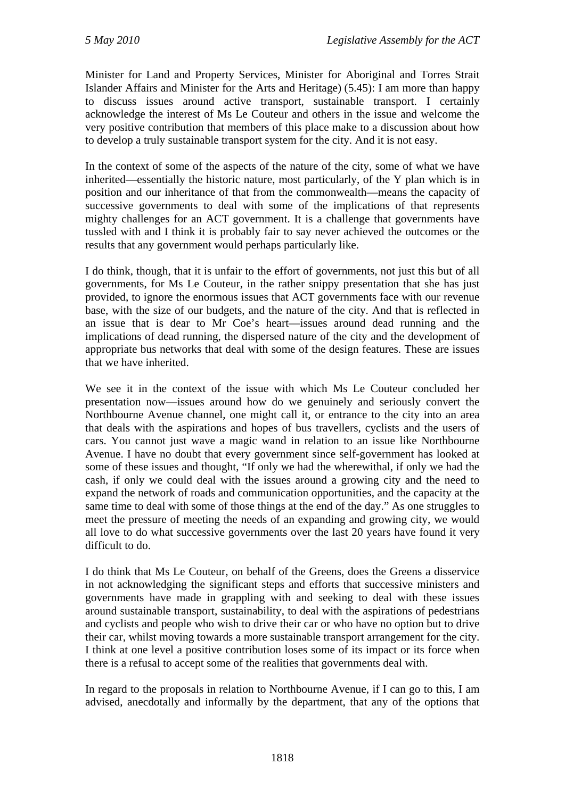Minister for Land and Property Services, Minister for Aboriginal and Torres Strait Islander Affairs and Minister for the Arts and Heritage) (5.45): I am more than happy to discuss issues around active transport, sustainable transport. I certainly acknowledge the interest of Ms Le Couteur and others in the issue and welcome the very positive contribution that members of this place make to a discussion about how to develop a truly sustainable transport system for the city. And it is not easy.

In the context of some of the aspects of the nature of the city, some of what we have inherited—essentially the historic nature, most particularly, of the Y plan which is in position and our inheritance of that from the commonwealth—means the capacity of successive governments to deal with some of the implications of that represents mighty challenges for an ACT government. It is a challenge that governments have tussled with and I think it is probably fair to say never achieved the outcomes or the results that any government would perhaps particularly like.

I do think, though, that it is unfair to the effort of governments, not just this but of all governments, for Ms Le Couteur, in the rather snippy presentation that she has just provided, to ignore the enormous issues that ACT governments face with our revenue base, with the size of our budgets, and the nature of the city. And that is reflected in an issue that is dear to Mr Coe's heart—issues around dead running and the implications of dead running, the dispersed nature of the city and the development of appropriate bus networks that deal with some of the design features. These are issues that we have inherited.

We see it in the context of the issue with which Ms Le Couteur concluded her presentation now—issues around how do we genuinely and seriously convert the Northbourne Avenue channel, one might call it, or entrance to the city into an area that deals with the aspirations and hopes of bus travellers, cyclists and the users of cars. You cannot just wave a magic wand in relation to an issue like Northbourne Avenue. I have no doubt that every government since self-government has looked at some of these issues and thought, "If only we had the wherewithal, if only we had the cash, if only we could deal with the issues around a growing city and the need to expand the network of roads and communication opportunities, and the capacity at the same time to deal with some of those things at the end of the day." As one struggles to meet the pressure of meeting the needs of an expanding and growing city, we would all love to do what successive governments over the last 20 years have found it very difficult to do.

I do think that Ms Le Couteur, on behalf of the Greens, does the Greens a disservice in not acknowledging the significant steps and efforts that successive ministers and governments have made in grappling with and seeking to deal with these issues around sustainable transport, sustainability, to deal with the aspirations of pedestrians and cyclists and people who wish to drive their car or who have no option but to drive their car, whilst moving towards a more sustainable transport arrangement for the city. I think at one level a positive contribution loses some of its impact or its force when there is a refusal to accept some of the realities that governments deal with.

In regard to the proposals in relation to Northbourne Avenue, if I can go to this, I am advised, anecdotally and informally by the department, that any of the options that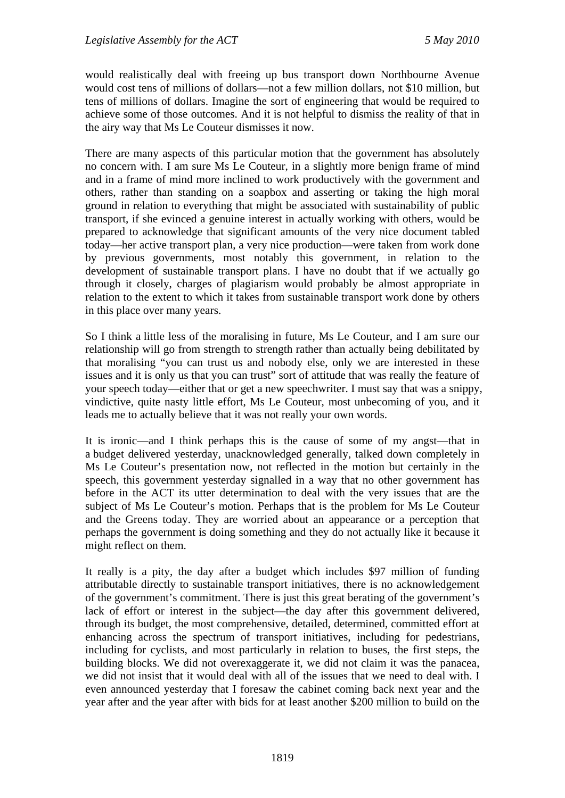would realistically deal with freeing up bus transport down Northbourne Avenue would cost tens of millions of dollars—not a few million dollars, not \$10 million, but tens of millions of dollars. Imagine the sort of engineering that would be required to achieve some of those outcomes. And it is not helpful to dismiss the reality of that in the airy way that Ms Le Couteur dismisses it now.

There are many aspects of this particular motion that the government has absolutely no concern with. I am sure Ms Le Couteur, in a slightly more benign frame of mind and in a frame of mind more inclined to work productively with the government and others, rather than standing on a soapbox and asserting or taking the high moral ground in relation to everything that might be associated with sustainability of public transport, if she evinced a genuine interest in actually working with others, would be prepared to acknowledge that significant amounts of the very nice document tabled today—her active transport plan, a very nice production—were taken from work done by previous governments, most notably this government, in relation to the development of sustainable transport plans. I have no doubt that if we actually go through it closely, charges of plagiarism would probably be almost appropriate in relation to the extent to which it takes from sustainable transport work done by others in this place over many years.

So I think a little less of the moralising in future, Ms Le Couteur, and I am sure our relationship will go from strength to strength rather than actually being debilitated by that moralising "you can trust us and nobody else, only we are interested in these issues and it is only us that you can trust" sort of attitude that was really the feature of your speech today—either that or get a new speechwriter. I must say that was a snippy, vindictive, quite nasty little effort, Ms Le Couteur, most unbecoming of you, and it leads me to actually believe that it was not really your own words.

It is ironic—and I think perhaps this is the cause of some of my angst—that in a budget delivered yesterday, unacknowledged generally, talked down completely in Ms Le Couteur's presentation now, not reflected in the motion but certainly in the speech, this government yesterday signalled in a way that no other government has before in the ACT its utter determination to deal with the very issues that are the subject of Ms Le Couteur's motion. Perhaps that is the problem for Ms Le Couteur and the Greens today. They are worried about an appearance or a perception that perhaps the government is doing something and they do not actually like it because it might reflect on them.

It really is a pity, the day after a budget which includes \$97 million of funding attributable directly to sustainable transport initiatives, there is no acknowledgement of the government's commitment. There is just this great berating of the government's lack of effort or interest in the subject—the day after this government delivered, through its budget, the most comprehensive, detailed, determined, committed effort at enhancing across the spectrum of transport initiatives, including for pedestrians, including for cyclists, and most particularly in relation to buses, the first steps, the building blocks. We did not overexaggerate it, we did not claim it was the panacea, we did not insist that it would deal with all of the issues that we need to deal with. I even announced yesterday that I foresaw the cabinet coming back next year and the year after and the year after with bids for at least another \$200 million to build on the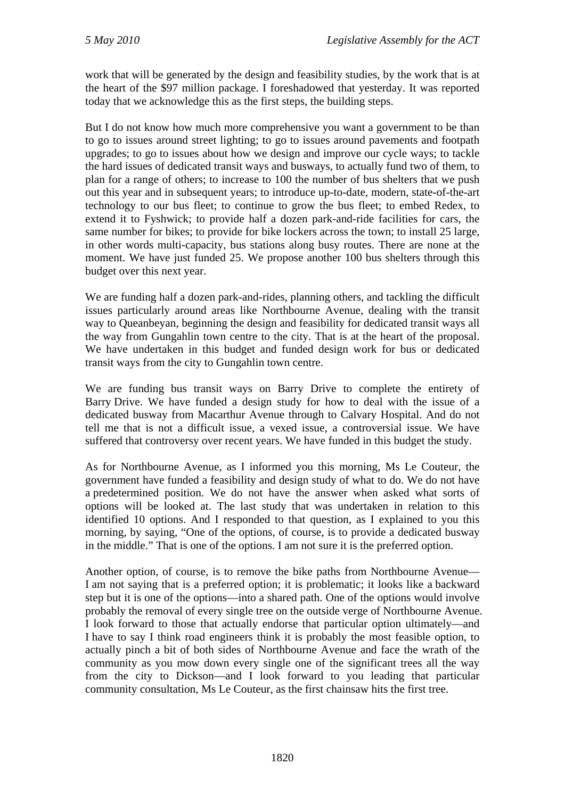work that will be generated by the design and feasibility studies, by the work that is at the heart of the \$97 million package. I foreshadowed that yesterday. It was reported today that we acknowledge this as the first steps, the building steps.

But I do not know how much more comprehensive you want a government to be than to go to issues around street lighting; to go to issues around pavements and footpath upgrades; to go to issues about how we design and improve our cycle ways; to tackle the hard issues of dedicated transit ways and busways, to actually fund two of them, to plan for a range of others; to increase to 100 the number of bus shelters that we push out this year and in subsequent years; to introduce up-to-date, modern, state-of-the-art technology to our bus fleet; to continue to grow the bus fleet; to embed Redex, to extend it to Fyshwick; to provide half a dozen park-and-ride facilities for cars, the same number for bikes; to provide for bike lockers across the town; to install 25 large, in other words multi-capacity, bus stations along busy routes. There are none at the moment. We have just funded 25. We propose another 100 bus shelters through this budget over this next year.

We are funding half a dozen park-and-rides, planning others, and tackling the difficult issues particularly around areas like Northbourne Avenue, dealing with the transit way to Queanbeyan, beginning the design and feasibility for dedicated transit ways all the way from Gungahlin town centre to the city. That is at the heart of the proposal. We have undertaken in this budget and funded design work for bus or dedicated transit ways from the city to Gungahlin town centre.

We are funding bus transit ways on Barry Drive to complete the entirety of Barry Drive. We have funded a design study for how to deal with the issue of a dedicated busway from Macarthur Avenue through to Calvary Hospital. And do not tell me that is not a difficult issue, a vexed issue, a controversial issue. We have suffered that controversy over recent years. We have funded in this budget the study.

As for Northbourne Avenue, as I informed you this morning, Ms Le Couteur, the government have funded a feasibility and design study of what to do. We do not have a predetermined position. We do not have the answer when asked what sorts of options will be looked at. The last study that was undertaken in relation to this identified 10 options. And I responded to that question, as I explained to you this morning, by saying, "One of the options, of course, is to provide a dedicated busway in the middle." That is one of the options. I am not sure it is the preferred option.

Another option, of course, is to remove the bike paths from Northbourne Avenue— I am not saying that is a preferred option; it is problematic; it looks like a backward step but it is one of the options—into a shared path. One of the options would involve probably the removal of every single tree on the outside verge of Northbourne Avenue. I look forward to those that actually endorse that particular option ultimately—and I have to say I think road engineers think it is probably the most feasible option, to actually pinch a bit of both sides of Northbourne Avenue and face the wrath of the community as you mow down every single one of the significant trees all the way from the city to Dickson—and I look forward to you leading that particular community consultation, Ms Le Couteur, as the first chainsaw hits the first tree.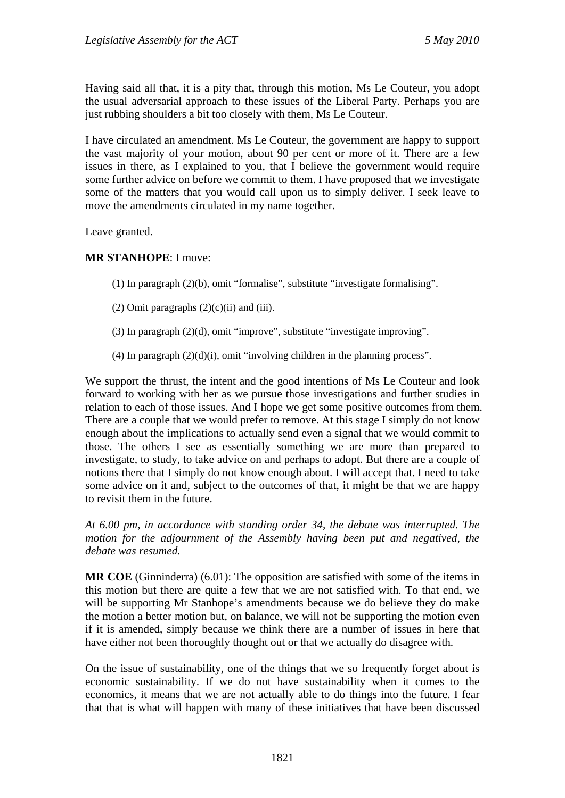Having said all that, it is a pity that, through this motion, Ms Le Couteur, you adopt the usual adversarial approach to these issues of the Liberal Party. Perhaps you are just rubbing shoulders a bit too closely with them, Ms Le Couteur.

I have circulated an amendment. Ms Le Couteur, the government are happy to support the vast majority of your motion, about 90 per cent or more of it. There are a few issues in there, as I explained to you, that I believe the government would require some further advice on before we commit to them. I have proposed that we investigate some of the matters that you would call upon us to simply deliver. I seek leave to move the amendments circulated in my name together.

Leave granted.

## **MR STANHOPE**: I move:

- (1) In paragraph (2)(b), omit "formalise", substitute "investigate formalising".
- (2) Omit paragraphs  $(2)(c)(ii)$  and  $(iii)$ .
- (3) In paragraph (2)(d), omit "improve", substitute "investigate improving".
- (4) In paragraph  $(2)(d)(i)$ , omit "involving children in the planning process".

We support the thrust, the intent and the good intentions of Ms Le Couteur and look forward to working with her as we pursue those investigations and further studies in relation to each of those issues. And I hope we get some positive outcomes from them. There are a couple that we would prefer to remove. At this stage I simply do not know enough about the implications to actually send even a signal that we would commit to those. The others I see as essentially something we are more than prepared to investigate, to study, to take advice on and perhaps to adopt. But there are a couple of notions there that I simply do not know enough about. I will accept that. I need to take some advice on it and, subject to the outcomes of that, it might be that we are happy to revisit them in the future.

*At 6.00 pm, in accordance with standing order 34, the debate was interrupted. The motion for the adjournment of the Assembly having been put and negatived, the debate was resumed.*

**MR COE** (Ginninderra) (6.01): The opposition are satisfied with some of the items in this motion but there are quite a few that we are not satisfied with. To that end, we will be supporting Mr Stanhope's amendments because we do believe they do make the motion a better motion but, on balance, we will not be supporting the motion even if it is amended, simply because we think there are a number of issues in here that have either not been thoroughly thought out or that we actually do disagree with.

On the issue of sustainability, one of the things that we so frequently forget about is economic sustainability. If we do not have sustainability when it comes to the economics, it means that we are not actually able to do things into the future. I fear that that is what will happen with many of these initiatives that have been discussed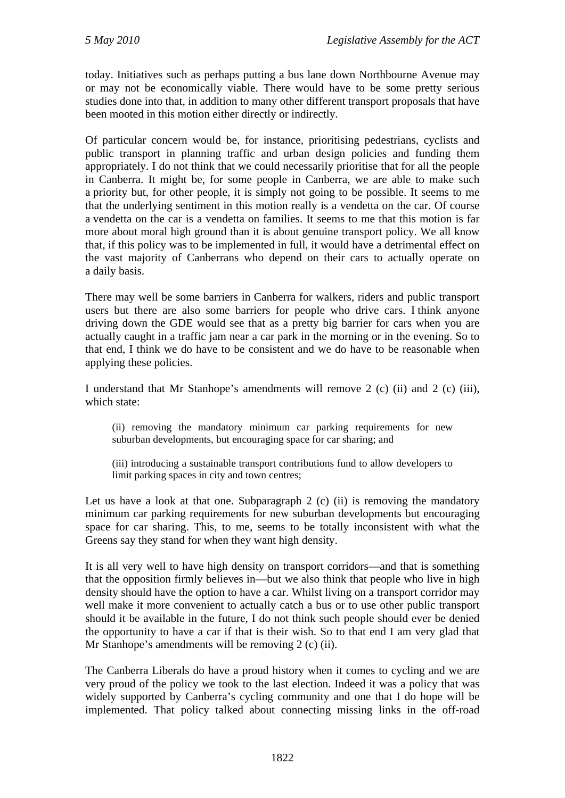today. Initiatives such as perhaps putting a bus lane down Northbourne Avenue may or may not be economically viable. There would have to be some pretty serious studies done into that, in addition to many other different transport proposals that have been mooted in this motion either directly or indirectly.

Of particular concern would be, for instance, prioritising pedestrians, cyclists and public transport in planning traffic and urban design policies and funding them appropriately. I do not think that we could necessarily prioritise that for all the people in Canberra. It might be, for some people in Canberra, we are able to make such a priority but, for other people, it is simply not going to be possible. It seems to me that the underlying sentiment in this motion really is a vendetta on the car. Of course a vendetta on the car is a vendetta on families. It seems to me that this motion is far more about moral high ground than it is about genuine transport policy. We all know that, if this policy was to be implemented in full, it would have a detrimental effect on the vast majority of Canberrans who depend on their cars to actually operate on a daily basis.

There may well be some barriers in Canberra for walkers, riders and public transport users but there are also some barriers for people who drive cars. I think anyone driving down the GDE would see that as a pretty big barrier for cars when you are actually caught in a traffic jam near a car park in the morning or in the evening. So to that end, I think we do have to be consistent and we do have to be reasonable when applying these policies.

I understand that Mr Stanhope's amendments will remove 2 (c) (ii) and 2 (c) (iii), which state:

(ii) removing the mandatory minimum car parking requirements for new suburban developments, but encouraging space for car sharing; and

(iii) introducing a sustainable transport contributions fund to allow developers to limit parking spaces in city and town centres;

Let us have a look at that one. Subparagraph  $2$  (c) (ii) is removing the mandatory minimum car parking requirements for new suburban developments but encouraging space for car sharing. This, to me, seems to be totally inconsistent with what the Greens say they stand for when they want high density.

It is all very well to have high density on transport corridors—and that is something that the opposition firmly believes in—but we also think that people who live in high density should have the option to have a car. Whilst living on a transport corridor may well make it more convenient to actually catch a bus or to use other public transport should it be available in the future, I do not think such people should ever be denied the opportunity to have a car if that is their wish. So to that end I am very glad that Mr Stanhope's amendments will be removing  $2$  (c) (ii).

The Canberra Liberals do have a proud history when it comes to cycling and we are very proud of the policy we took to the last election. Indeed it was a policy that was widely supported by Canberra's cycling community and one that I do hope will be implemented. That policy talked about connecting missing links in the off-road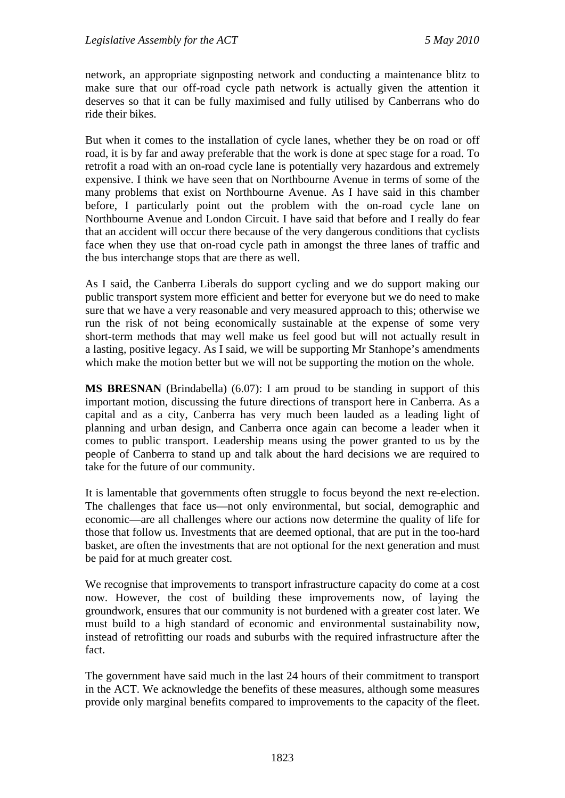network, an appropriate signposting network and conducting a maintenance blitz to make sure that our off-road cycle path network is actually given the attention it deserves so that it can be fully maximised and fully utilised by Canberrans who do ride their bikes.

But when it comes to the installation of cycle lanes, whether they be on road or off road, it is by far and away preferable that the work is done at spec stage for a road. To retrofit a road with an on-road cycle lane is potentially very hazardous and extremely expensive. I think we have seen that on Northbourne Avenue in terms of some of the many problems that exist on Northbourne Avenue. As I have said in this chamber before, I particularly point out the problem with the on-road cycle lane on Northbourne Avenue and London Circuit. I have said that before and I really do fear that an accident will occur there because of the very dangerous conditions that cyclists face when they use that on-road cycle path in amongst the three lanes of traffic and the bus interchange stops that are there as well.

As I said, the Canberra Liberals do support cycling and we do support making our public transport system more efficient and better for everyone but we do need to make sure that we have a very reasonable and very measured approach to this; otherwise we run the risk of not being economically sustainable at the expense of some very short-term methods that may well make us feel good but will not actually result in a lasting, positive legacy. As I said, we will be supporting Mr Stanhope's amendments which make the motion better but we will not be supporting the motion on the whole.

**MS BRESNAN** (Brindabella) (6.07): I am proud to be standing in support of this important motion, discussing the future directions of transport here in Canberra. As a capital and as a city, Canberra has very much been lauded as a leading light of planning and urban design, and Canberra once again can become a leader when it comes to public transport. Leadership means using the power granted to us by the people of Canberra to stand up and talk about the hard decisions we are required to take for the future of our community.

It is lamentable that governments often struggle to focus beyond the next re-election. The challenges that face us—not only environmental, but social, demographic and economic—are all challenges where our actions now determine the quality of life for those that follow us. Investments that are deemed optional, that are put in the too-hard basket, are often the investments that are not optional for the next generation and must be paid for at much greater cost.

We recognise that improvements to transport infrastructure capacity do come at a cost now. However, the cost of building these improvements now, of laying the groundwork, ensures that our community is not burdened with a greater cost later. We must build to a high standard of economic and environmental sustainability now, instead of retrofitting our roads and suburbs with the required infrastructure after the fact.

The government have said much in the last 24 hours of their commitment to transport in the ACT. We acknowledge the benefits of these measures, although some measures provide only marginal benefits compared to improvements to the capacity of the fleet.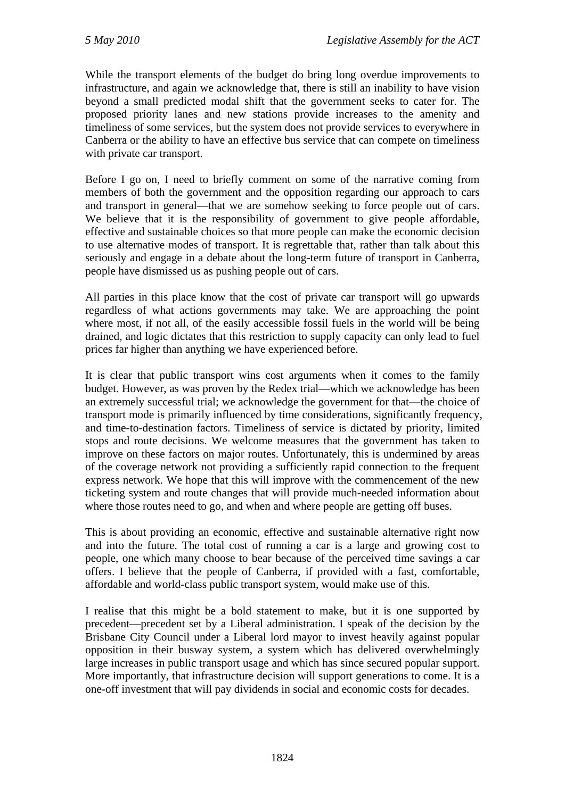While the transport elements of the budget do bring long overdue improvements to infrastructure, and again we acknowledge that, there is still an inability to have vision beyond a small predicted modal shift that the government seeks to cater for. The proposed priority lanes and new stations provide increases to the amenity and timeliness of some services, but the system does not provide services to everywhere in Canberra or the ability to have an effective bus service that can compete on timeliness with private car transport.

Before I go on, I need to briefly comment on some of the narrative coming from members of both the government and the opposition regarding our approach to cars and transport in general—that we are somehow seeking to force people out of cars. We believe that it is the responsibility of government to give people affordable, effective and sustainable choices so that more people can make the economic decision to use alternative modes of transport. It is regrettable that, rather than talk about this seriously and engage in a debate about the long-term future of transport in Canberra, people have dismissed us as pushing people out of cars.

All parties in this place know that the cost of private car transport will go upwards regardless of what actions governments may take. We are approaching the point where most, if not all, of the easily accessible fossil fuels in the world will be being drained, and logic dictates that this restriction to supply capacity can only lead to fuel prices far higher than anything we have experienced before.

It is clear that public transport wins cost arguments when it comes to the family budget. However, as was proven by the Redex trial—which we acknowledge has been an extremely successful trial; we acknowledge the government for that—the choice of transport mode is primarily influenced by time considerations, significantly frequency, and time-to-destination factors. Timeliness of service is dictated by priority, limited stops and route decisions. We welcome measures that the government has taken to improve on these factors on major routes. Unfortunately, this is undermined by areas of the coverage network not providing a sufficiently rapid connection to the frequent express network. We hope that this will improve with the commencement of the new ticketing system and route changes that will provide much-needed information about where those routes need to go, and when and where people are getting off buses.

This is about providing an economic, effective and sustainable alternative right now and into the future. The total cost of running a car is a large and growing cost to people, one which many choose to bear because of the perceived time savings a car offers. I believe that the people of Canberra, if provided with a fast, comfortable, affordable and world-class public transport system, would make use of this.

I realise that this might be a bold statement to make, but it is one supported by precedent—precedent set by a Liberal administration. I speak of the decision by the Brisbane City Council under a Liberal lord mayor to invest heavily against popular opposition in their busway system, a system which has delivered overwhelmingly large increases in public transport usage and which has since secured popular support. More importantly, that infrastructure decision will support generations to come. It is a one-off investment that will pay dividends in social and economic costs for decades.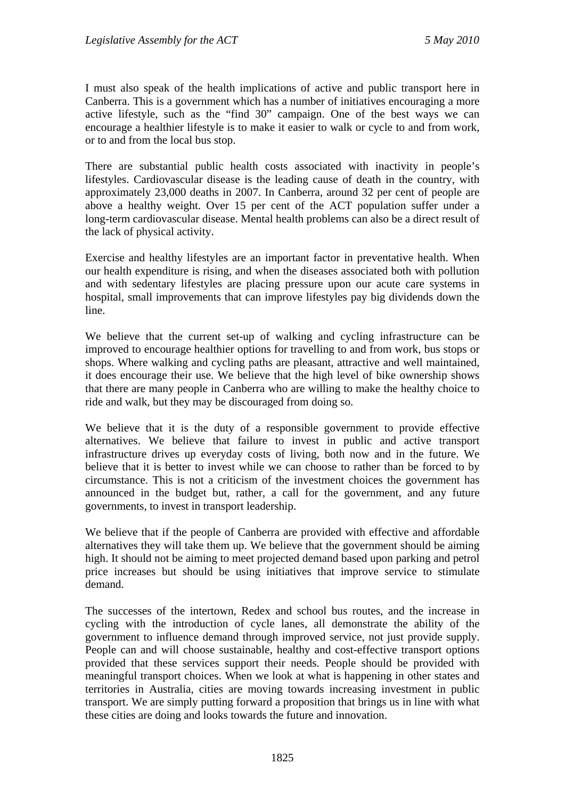I must also speak of the health implications of active and public transport here in Canberra. This is a government which has a number of initiatives encouraging a more active lifestyle, such as the "find 30" campaign. One of the best ways we can encourage a healthier lifestyle is to make it easier to walk or cycle to and from work, or to and from the local bus stop.

There are substantial public health costs associated with inactivity in people's lifestyles. Cardiovascular disease is the leading cause of death in the country, with approximately 23,000 deaths in 2007. In Canberra, around 32 per cent of people are above a healthy weight. Over 15 per cent of the ACT population suffer under a long-term cardiovascular disease. Mental health problems can also be a direct result of the lack of physical activity.

Exercise and healthy lifestyles are an important factor in preventative health. When our health expenditure is rising, and when the diseases associated both with pollution and with sedentary lifestyles are placing pressure upon our acute care systems in hospital, small improvements that can improve lifestyles pay big dividends down the line.

We believe that the current set-up of walking and cycling infrastructure can be improved to encourage healthier options for travelling to and from work, bus stops or shops. Where walking and cycling paths are pleasant, attractive and well maintained, it does encourage their use. We believe that the high level of bike ownership shows that there are many people in Canberra who are willing to make the healthy choice to ride and walk, but they may be discouraged from doing so.

We believe that it is the duty of a responsible government to provide effective alternatives. We believe that failure to invest in public and active transport infrastructure drives up everyday costs of living, both now and in the future. We believe that it is better to invest while we can choose to rather than be forced to by circumstance. This is not a criticism of the investment choices the government has announced in the budget but, rather, a call for the government, and any future governments, to invest in transport leadership.

We believe that if the people of Canberra are provided with effective and affordable alternatives they will take them up. We believe that the government should be aiming high. It should not be aiming to meet projected demand based upon parking and petrol price increases but should be using initiatives that improve service to stimulate demand.

The successes of the intertown, Redex and school bus routes, and the increase in cycling with the introduction of cycle lanes, all demonstrate the ability of the government to influence demand through improved service, not just provide supply. People can and will choose sustainable, healthy and cost-effective transport options provided that these services support their needs. People should be provided with meaningful transport choices. When we look at what is happening in other states and territories in Australia, cities are moving towards increasing investment in public transport. We are simply putting forward a proposition that brings us in line with what these cities are doing and looks towards the future and innovation.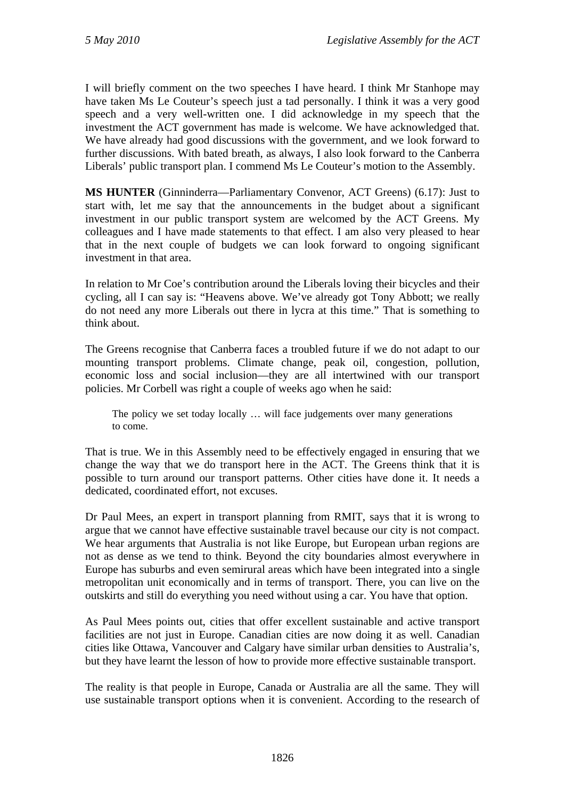I will briefly comment on the two speeches I have heard. I think Mr Stanhope may have taken Ms Le Couteur's speech just a tad personally. I think it was a very good speech and a very well-written one. I did acknowledge in my speech that the investment the ACT government has made is welcome. We have acknowledged that. We have already had good discussions with the government, and we look forward to further discussions. With bated breath, as always, I also look forward to the Canberra Liberals' public transport plan. I commend Ms Le Couteur's motion to the Assembly.

**MS HUNTER** (Ginninderra—Parliamentary Convenor, ACT Greens) (6.17): Just to start with, let me say that the announcements in the budget about a significant investment in our public transport system are welcomed by the ACT Greens. My colleagues and I have made statements to that effect. I am also very pleased to hear that in the next couple of budgets we can look forward to ongoing significant investment in that area.

In relation to Mr Coe's contribution around the Liberals loving their bicycles and their cycling, all I can say is: "Heavens above. We've already got Tony Abbott; we really do not need any more Liberals out there in lycra at this time." That is something to think about.

The Greens recognise that Canberra faces a troubled future if we do not adapt to our mounting transport problems. Climate change, peak oil, congestion, pollution, economic loss and social inclusion—they are all intertwined with our transport policies. Mr Corbell was right a couple of weeks ago when he said:

The policy we set today locally … will face judgements over many generations to come.

That is true. We in this Assembly need to be effectively engaged in ensuring that we change the way that we do transport here in the ACT. The Greens think that it is possible to turn around our transport patterns. Other cities have done it. It needs a dedicated, coordinated effort, not excuses.

Dr Paul Mees, an expert in transport planning from RMIT, says that it is wrong to argue that we cannot have effective sustainable travel because our city is not compact. We hear arguments that Australia is not like Europe, but European urban regions are not as dense as we tend to think. Beyond the city boundaries almost everywhere in Europe has suburbs and even semirural areas which have been integrated into a single metropolitan unit economically and in terms of transport. There, you can live on the outskirts and still do everything you need without using a car. You have that option.

As Paul Mees points out, cities that offer excellent sustainable and active transport facilities are not just in Europe. Canadian cities are now doing it as well. Canadian cities like Ottawa, Vancouver and Calgary have similar urban densities to Australia's, but they have learnt the lesson of how to provide more effective sustainable transport.

The reality is that people in Europe, Canada or Australia are all the same. They will use sustainable transport options when it is convenient. According to the research of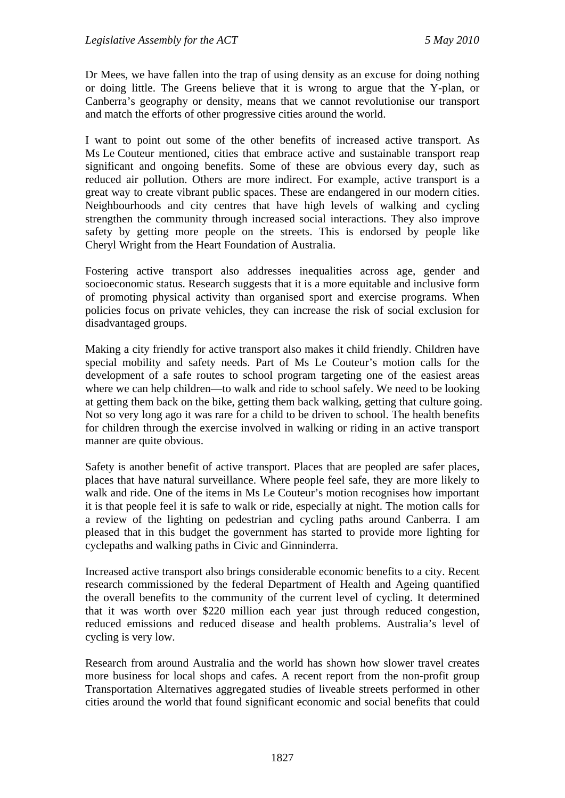Dr Mees, we have fallen into the trap of using density as an excuse for doing nothing or doing little. The Greens believe that it is wrong to argue that the Y-plan, or Canberra's geography or density, means that we cannot revolutionise our transport and match the efforts of other progressive cities around the world.

I want to point out some of the other benefits of increased active transport. As Ms Le Couteur mentioned, cities that embrace active and sustainable transport reap significant and ongoing benefits. Some of these are obvious every day, such as reduced air pollution. Others are more indirect. For example, active transport is a great way to create vibrant public spaces. These are endangered in our modern cities. Neighbourhoods and city centres that have high levels of walking and cycling strengthen the community through increased social interactions. They also improve safety by getting more people on the streets. This is endorsed by people like Cheryl Wright from the Heart Foundation of Australia.

Fostering active transport also addresses inequalities across age, gender and socioeconomic status. Research suggests that it is a more equitable and inclusive form of promoting physical activity than organised sport and exercise programs. When policies focus on private vehicles, they can increase the risk of social exclusion for disadvantaged groups.

Making a city friendly for active transport also makes it child friendly. Children have special mobility and safety needs. Part of Ms Le Couteur's motion calls for the development of a safe routes to school program targeting one of the easiest areas where we can help children—to walk and ride to school safely. We need to be looking at getting them back on the bike, getting them back walking, getting that culture going. Not so very long ago it was rare for a child to be driven to school. The health benefits for children through the exercise involved in walking or riding in an active transport manner are quite obvious.

Safety is another benefit of active transport. Places that are peopled are safer places, places that have natural surveillance. Where people feel safe, they are more likely to walk and ride. One of the items in Ms Le Couteur's motion recognises how important it is that people feel it is safe to walk or ride, especially at night. The motion calls for a review of the lighting on pedestrian and cycling paths around Canberra. I am pleased that in this budget the government has started to provide more lighting for cyclepaths and walking paths in Civic and Ginninderra.

Increased active transport also brings considerable economic benefits to a city. Recent research commissioned by the federal Department of Health and Ageing quantified the overall benefits to the community of the current level of cycling. It determined that it was worth over \$220 million each year just through reduced congestion, reduced emissions and reduced disease and health problems. Australia's level of cycling is very low.

Research from around Australia and the world has shown how slower travel creates more business for local shops and cafes. A recent report from the non-profit group Transportation Alternatives aggregated studies of liveable streets performed in other cities around the world that found significant economic and social benefits that could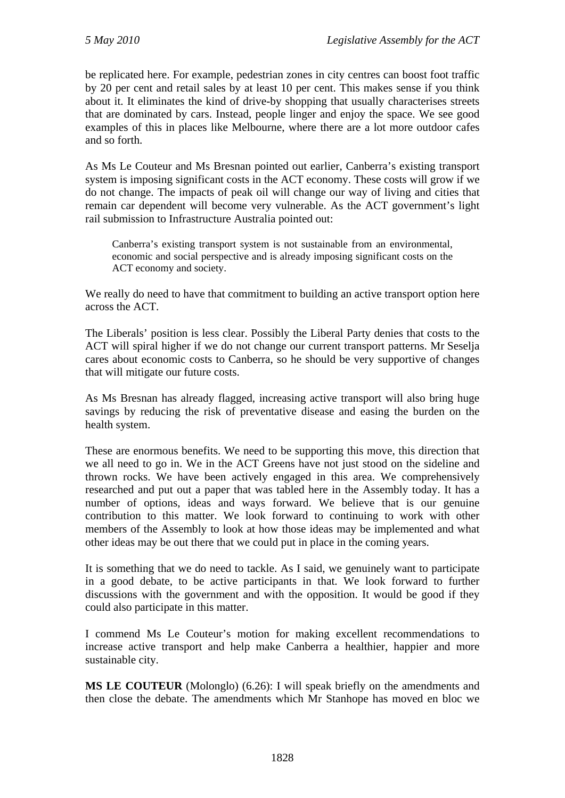be replicated here. For example, pedestrian zones in city centres can boost foot traffic by 20 per cent and retail sales by at least 10 per cent. This makes sense if you think about it. It eliminates the kind of drive-by shopping that usually characterises streets that are dominated by cars. Instead, people linger and enjoy the space. We see good examples of this in places like Melbourne, where there are a lot more outdoor cafes and so forth.

As Ms Le Couteur and Ms Bresnan pointed out earlier, Canberra's existing transport system is imposing significant costs in the ACT economy. These costs will grow if we do not change. The impacts of peak oil will change our way of living and cities that remain car dependent will become very vulnerable. As the ACT government's light rail submission to Infrastructure Australia pointed out:

Canberra's existing transport system is not sustainable from an environmental, economic and social perspective and is already imposing significant costs on the ACT economy and society.

We really do need to have that commitment to building an active transport option here across the ACT.

The Liberals' position is less clear. Possibly the Liberal Party denies that costs to the ACT will spiral higher if we do not change our current transport patterns. Mr Seselja cares about economic costs to Canberra, so he should be very supportive of changes that will mitigate our future costs.

As Ms Bresnan has already flagged, increasing active transport will also bring huge savings by reducing the risk of preventative disease and easing the burden on the health system.

These are enormous benefits. We need to be supporting this move, this direction that we all need to go in. We in the ACT Greens have not just stood on the sideline and thrown rocks. We have been actively engaged in this area. We comprehensively researched and put out a paper that was tabled here in the Assembly today. It has a number of options, ideas and ways forward. We believe that is our genuine contribution to this matter. We look forward to continuing to work with other members of the Assembly to look at how those ideas may be implemented and what other ideas may be out there that we could put in place in the coming years.

It is something that we do need to tackle. As I said, we genuinely want to participate in a good debate, to be active participants in that. We look forward to further discussions with the government and with the opposition. It would be good if they could also participate in this matter.

I commend Ms Le Couteur's motion for making excellent recommendations to increase active transport and help make Canberra a healthier, happier and more sustainable city.

**MS LE COUTEUR** (Molonglo) (6.26): I will speak briefly on the amendments and then close the debate. The amendments which Mr Stanhope has moved en bloc we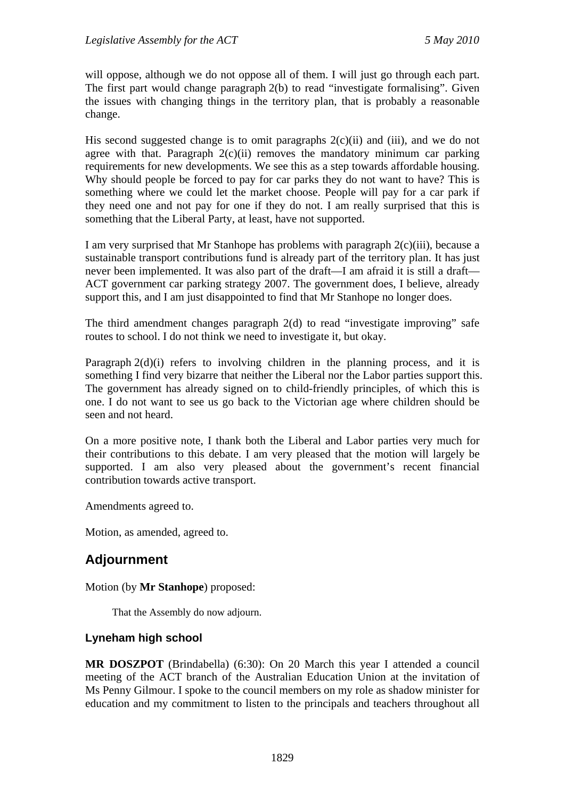will oppose, although we do not oppose all of them. I will just go through each part. The first part would change paragraph 2(b) to read "investigate formalising". Given the issues with changing things in the territory plan, that is probably a reasonable change.

His second suggested change is to omit paragraphs  $2(c)(ii)$  and (iii), and we do not agree with that. Paragraph  $2(c)(ii)$  removes the mandatory minimum car parking requirements for new developments. We see this as a step towards affordable housing. Why should people be forced to pay for car parks they do not want to have? This is something where we could let the market choose. People will pay for a car park if they need one and not pay for one if they do not. I am really surprised that this is something that the Liberal Party, at least, have not supported.

I am very surprised that Mr Stanhope has problems with paragraph 2(c)(iii), because a sustainable transport contributions fund is already part of the territory plan. It has just never been implemented. It was also part of the draft—I am afraid it is still a draft— ACT government car parking strategy 2007. The government does, I believe, already support this, and I am just disappointed to find that Mr Stanhope no longer does.

The third amendment changes paragraph 2(d) to read "investigate improving" safe routes to school. I do not think we need to investigate it, but okay.

Paragraph 2(d)(i) refers to involving children in the planning process, and it is something I find very bizarre that neither the Liberal nor the Labor parties support this. The government has already signed on to child-friendly principles, of which this is one. I do not want to see us go back to the Victorian age where children should be seen and not heard.

On a more positive note, I thank both the Liberal and Labor parties very much for their contributions to this debate. I am very pleased that the motion will largely be supported. I am also very pleased about the government's recent financial contribution towards active transport.

Amendments agreed to.

Motion, as amended, agreed to.

# **Adjournment**

Motion (by **Mr Stanhope**) proposed:

That the Assembly do now adjourn.

## **Lyneham high school**

**MR DOSZPOT** (Brindabella) (6:30): On 20 March this year I attended a council meeting of the ACT branch of the Australian Education Union at the invitation of Ms Penny Gilmour. I spoke to the council members on my role as shadow minister for education and my commitment to listen to the principals and teachers throughout all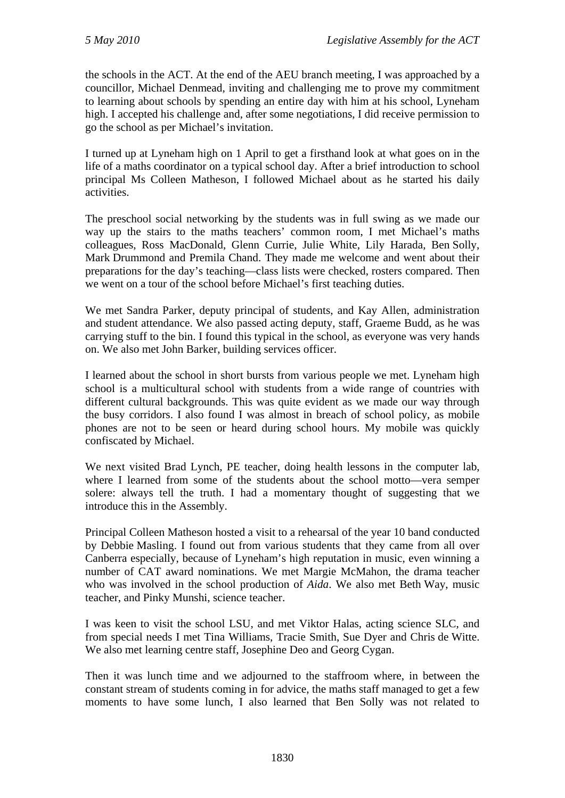the schools in the ACT. At the end of the AEU branch meeting, I was approached by a councillor, Michael Denmead, inviting and challenging me to prove my commitment to learning about schools by spending an entire day with him at his school, Lyneham high. I accepted his challenge and, after some negotiations, I did receive permission to go the school as per Michael's invitation.

I turned up at Lyneham high on 1 April to get a firsthand look at what goes on in the life of a maths coordinator on a typical school day. After a brief introduction to school principal Ms Colleen Matheson, I followed Michael about as he started his daily activities.

The preschool social networking by the students was in full swing as we made our way up the stairs to the maths teachers' common room, I met Michael's maths colleagues, Ross MacDonald, Glenn Currie, Julie White, Lily Harada, Ben Solly, Mark Drummond and Premila Chand. They made me welcome and went about their preparations for the day's teaching—class lists were checked, rosters compared. Then we went on a tour of the school before Michael's first teaching duties.

We met Sandra Parker, deputy principal of students, and Kay Allen, administration and student attendance. We also passed acting deputy, staff, Graeme Budd, as he was carrying stuff to the bin. I found this typical in the school, as everyone was very hands on. We also met John Barker, building services officer.

I learned about the school in short bursts from various people we met. Lyneham high school is a multicultural school with students from a wide range of countries with different cultural backgrounds. This was quite evident as we made our way through the busy corridors. I also found I was almost in breach of school policy, as mobile phones are not to be seen or heard during school hours. My mobile was quickly confiscated by Michael.

We next visited Brad Lynch, PE teacher, doing health lessons in the computer lab, where I learned from some of the students about the school motto—vera semper solere: always tell the truth. I had a momentary thought of suggesting that we introduce this in the Assembly.

Principal Colleen Matheson hosted a visit to a rehearsal of the year 10 band conducted by Debbie Masling. I found out from various students that they came from all over Canberra especially, because of Lyneham's high reputation in music, even winning a number of CAT award nominations. We met Margie McMahon, the drama teacher who was involved in the school production of *Aida*. We also met Beth Way, music teacher, and Pinky Munshi, science teacher.

I was keen to visit the school LSU, and met Viktor Halas, acting science SLC, and from special needs I met Tina Williams, Tracie Smith, Sue Dyer and Chris de Witte. We also met learning centre staff, Josephine Deo and Georg Cygan.

Then it was lunch time and we adjourned to the staffroom where, in between the constant stream of students coming in for advice, the maths staff managed to get a few moments to have some lunch, I also learned that Ben Solly was not related to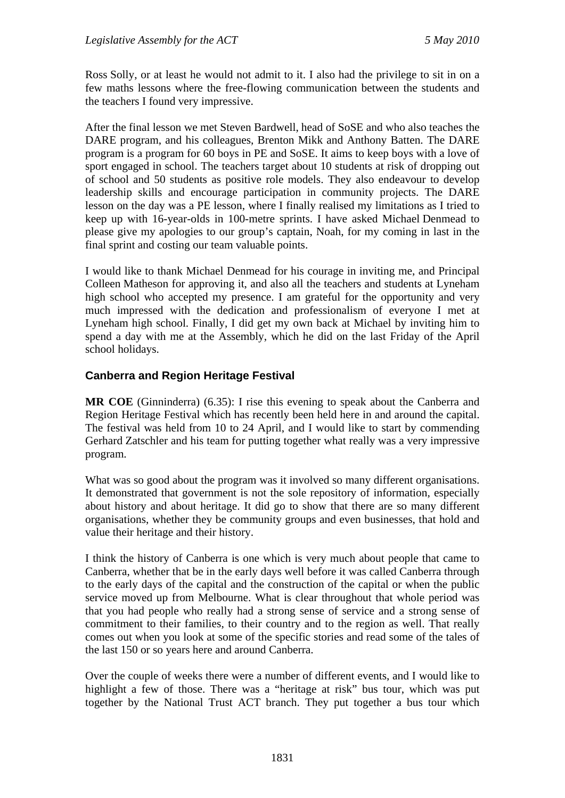Ross Solly, or at least he would not admit to it. I also had the privilege to sit in on a few maths lessons where the free-flowing communication between the students and the teachers I found very impressive.

After the final lesson we met Steven Bardwell, head of SoSE and who also teaches the DARE program, and his colleagues, Brenton Mikk and Anthony Batten. The DARE program is a program for 60 boys in PE and SoSE. It aims to keep boys with a love of sport engaged in school. The teachers target about 10 students at risk of dropping out of school and 50 students as positive role models. They also endeavour to develop leadership skills and encourage participation in community projects. The DARE lesson on the day was a PE lesson, where I finally realised my limitations as I tried to keep up with 16-year-olds in 100-metre sprints. I have asked Michael Denmead to please give my apologies to our group's captain, Noah, for my coming in last in the final sprint and costing our team valuable points.

I would like to thank Michael Denmead for his courage in inviting me, and Principal Colleen Matheson for approving it, and also all the teachers and students at Lyneham high school who accepted my presence. I am grateful for the opportunity and very much impressed with the dedication and professionalism of everyone I met at Lyneham high school. Finally, I did get my own back at Michael by inviting him to spend a day with me at the Assembly, which he did on the last Friday of the April school holidays.

## **Canberra and Region Heritage Festival**

**MR COE** (Ginninderra) (6.35): I rise this evening to speak about the Canberra and Region Heritage Festival which has recently been held here in and around the capital. The festival was held from 10 to 24 April, and I would like to start by commending Gerhard Zatschler and his team for putting together what really was a very impressive program.

What was so good about the program was it involved so many different organisations. It demonstrated that government is not the sole repository of information, especially about history and about heritage. It did go to show that there are so many different organisations, whether they be community groups and even businesses, that hold and value their heritage and their history.

I think the history of Canberra is one which is very much about people that came to Canberra, whether that be in the early days well before it was called Canberra through to the early days of the capital and the construction of the capital or when the public service moved up from Melbourne. What is clear throughout that whole period was that you had people who really had a strong sense of service and a strong sense of commitment to their families, to their country and to the region as well. That really comes out when you look at some of the specific stories and read some of the tales of the last 150 or so years here and around Canberra.

Over the couple of weeks there were a number of different events, and I would like to highlight a few of those. There was a "heritage at risk" bus tour, which was put together by the National Trust ACT branch. They put together a bus tour which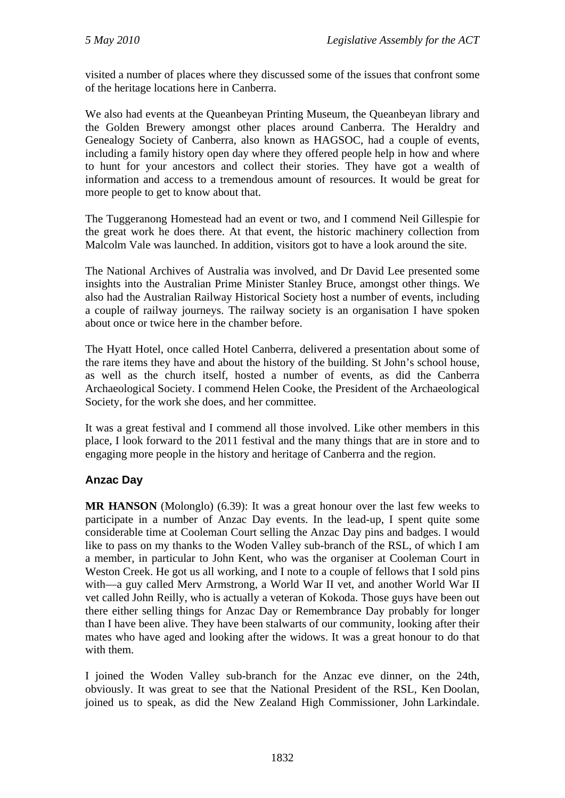visited a number of places where they discussed some of the issues that confront some of the heritage locations here in Canberra.

We also had events at the Queanbeyan Printing Museum, the Queanbeyan library and the Golden Brewery amongst other places around Canberra. The Heraldry and Genealogy Society of Canberra, also known as HAGSOC, had a couple of events, including a family history open day where they offered people help in how and where to hunt for your ancestors and collect their stories. They have got a wealth of information and access to a tremendous amount of resources. It would be great for more people to get to know about that.

The Tuggeranong Homestead had an event or two, and I commend Neil Gillespie for the great work he does there. At that event, the historic machinery collection from Malcolm Vale was launched. In addition, visitors got to have a look around the site.

The National Archives of Australia was involved, and Dr David Lee presented some insights into the Australian Prime Minister Stanley Bruce, amongst other things. We also had the Australian Railway Historical Society host a number of events, including a couple of railway journeys. The railway society is an organisation I have spoken about once or twice here in the chamber before.

The Hyatt Hotel, once called Hotel Canberra, delivered a presentation about some of the rare items they have and about the history of the building. St John's school house, as well as the church itself, hosted a number of events, as did the Canberra Archaeological Society. I commend Helen Cooke, the President of the Archaeological Society, for the work she does, and her committee.

It was a great festival and I commend all those involved. Like other members in this place, I look forward to the 2011 festival and the many things that are in store and to engaging more people in the history and heritage of Canberra and the region.

## **Anzac Day**

**MR HANSON** (Molonglo) (6.39): It was a great honour over the last few weeks to participate in a number of Anzac Day events. In the lead-up, I spent quite some considerable time at Cooleman Court selling the Anzac Day pins and badges. I would like to pass on my thanks to the Woden Valley sub-branch of the RSL, of which I am a member, in particular to John Kent, who was the organiser at Cooleman Court in Weston Creek. He got us all working, and I note to a couple of fellows that I sold pins with—a guy called Merv Armstrong, a World War II vet, and another World War II vet called John Reilly, who is actually a veteran of Kokoda. Those guys have been out there either selling things for Anzac Day or Remembrance Day probably for longer than I have been alive. They have been stalwarts of our community, looking after their mates who have aged and looking after the widows. It was a great honour to do that with them.

I joined the Woden Valley sub-branch for the Anzac eve dinner, on the 24th, obviously. It was great to see that the National President of the RSL, Ken Doolan, joined us to speak, as did the New Zealand High Commissioner, John Larkindale.